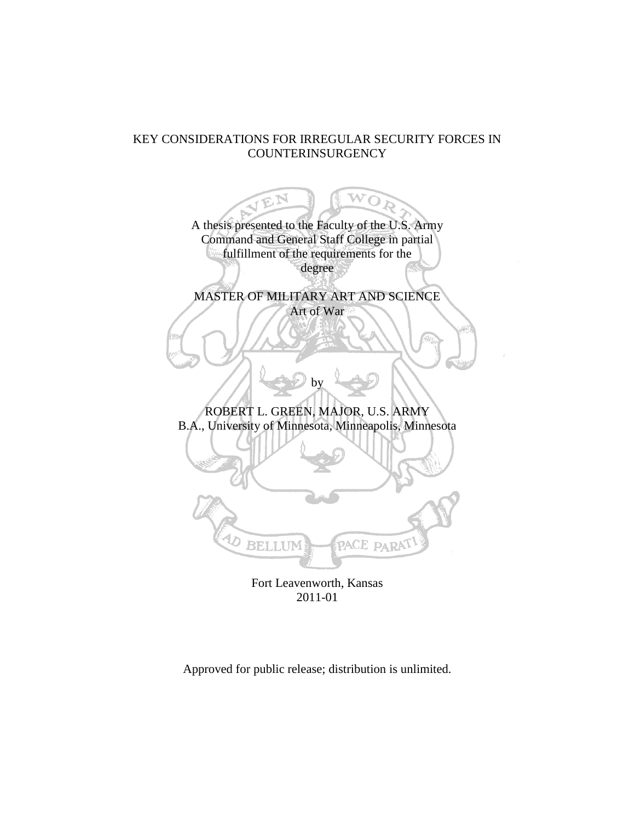## KEY CONSIDERATIONS FOR IRREGULAR SECURITY FORCES IN COUNTERINSURGENCY

WOA JEN A thesis presented to the Faculty of the U.S. Army Command and General Staff College in partial fulfillment of the requirements for the degree MASTER OF MILITARY ART AND SCIENCE Art of War by ROBERT L. GREEN, MAJOR, U.S. ARMY B.A., University of Minnesota, Minneapolis, Minnesota D. PACE PARA **BELLUM** Fort Leavenworth, Kansas

2011-01

Approved for public release; distribution is unlimited.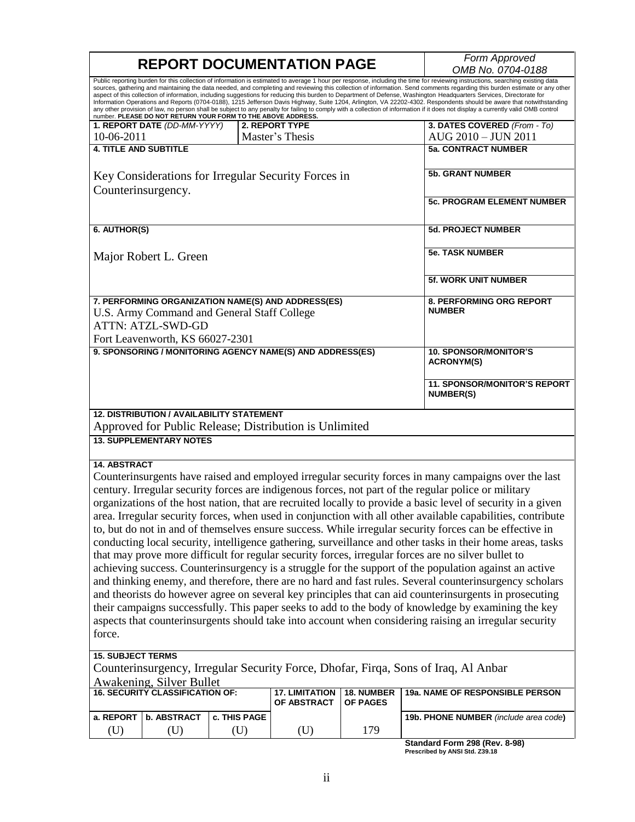|                                                                                                                                                                                                                                                                                                                                                                                                                                                                                                                                                                                                                                                                                                                                                                                                                                                                                                                                                                                                                                                                                                                                                                                                                                                                                                                                                                                          |                                                                                                                                                                  |                                           | <b>REPORT DOCUMENTATION PAGE</b>                          |     | Form Approved                                     |  |  |  |
|------------------------------------------------------------------------------------------------------------------------------------------------------------------------------------------------------------------------------------------------------------------------------------------------------------------------------------------------------------------------------------------------------------------------------------------------------------------------------------------------------------------------------------------------------------------------------------------------------------------------------------------------------------------------------------------------------------------------------------------------------------------------------------------------------------------------------------------------------------------------------------------------------------------------------------------------------------------------------------------------------------------------------------------------------------------------------------------------------------------------------------------------------------------------------------------------------------------------------------------------------------------------------------------------------------------------------------------------------------------------------------------|------------------------------------------------------------------------------------------------------------------------------------------------------------------|-------------------------------------------|-----------------------------------------------------------|-----|---------------------------------------------------|--|--|--|
|                                                                                                                                                                                                                                                                                                                                                                                                                                                                                                                                                                                                                                                                                                                                                                                                                                                                                                                                                                                                                                                                                                                                                                                                                                                                                                                                                                                          |                                                                                                                                                                  |                                           |                                                           |     | OMB No. 0704-0188                                 |  |  |  |
| Public reporting burden for this collection of information is estimated to average 1 hour per response, including the time for reviewing instructions, searching existing data<br>sources, gathering and maintaining the data needed, and completing and reviewing this collection of information. Send comments regarding this burden estimate or any other<br>aspect of this collection of information, including suggestions for reducing this burden to Department of Defense, Washington Headquarters Services, Directorate for<br>Information Operations and Reports (0704-0188), 1215 Jefferson Davis Highway, Suite 1204, Arlington, VA 22202-4302. Respondents should be aware that notwithstanding<br>any other provision of law, no person shall be subject to any penalty for failing to comply with a collection of information if it does not display a currently valid OMB control<br>number. PLEASE DO NOT RETURN YOUR FORM TO THE ABOVE ADDRESS.                                                                                                                                                                                                                                                                                                                                                                                                                        |                                                                                                                                                                  |                                           |                                                           |     |                                                   |  |  |  |
|                                                                                                                                                                                                                                                                                                                                                                                                                                                                                                                                                                                                                                                                                                                                                                                                                                                                                                                                                                                                                                                                                                                                                                                                                                                                                                                                                                                          | 1. REPORT DATE (DD-MM-YYYY)                                                                                                                                      |                                           | 2. REPORT TYPE                                            |     | 3. DATES COVERED (From - To)                      |  |  |  |
| 10-06-2011                                                                                                                                                                                                                                                                                                                                                                                                                                                                                                                                                                                                                                                                                                                                                                                                                                                                                                                                                                                                                                                                                                                                                                                                                                                                                                                                                                               |                                                                                                                                                                  |                                           | Master's Thesis                                           |     | AUG 2010 - JUN 2011                               |  |  |  |
| <b>4. TITLE AND SUBTITLE</b>                                                                                                                                                                                                                                                                                                                                                                                                                                                                                                                                                                                                                                                                                                                                                                                                                                                                                                                                                                                                                                                                                                                                                                                                                                                                                                                                                             |                                                                                                                                                                  |                                           |                                                           |     | <b>5a. CONTRACT NUMBER</b>                        |  |  |  |
| Key Considerations for Irregular Security Forces in<br>Counterinsurgency.                                                                                                                                                                                                                                                                                                                                                                                                                                                                                                                                                                                                                                                                                                                                                                                                                                                                                                                                                                                                                                                                                                                                                                                                                                                                                                                |                                                                                                                                                                  |                                           |                                                           |     | <b>5b. GRANT NUMBER</b>                           |  |  |  |
|                                                                                                                                                                                                                                                                                                                                                                                                                                                                                                                                                                                                                                                                                                                                                                                                                                                                                                                                                                                                                                                                                                                                                                                                                                                                                                                                                                                          |                                                                                                                                                                  |                                           |                                                           |     | <b>5c. PROGRAM ELEMENT NUMBER</b>                 |  |  |  |
| 6. AUTHOR(S)                                                                                                                                                                                                                                                                                                                                                                                                                                                                                                                                                                                                                                                                                                                                                                                                                                                                                                                                                                                                                                                                                                                                                                                                                                                                                                                                                                             |                                                                                                                                                                  | <b>5d. PROJECT NUMBER</b>                 |                                                           |     |                                                   |  |  |  |
|                                                                                                                                                                                                                                                                                                                                                                                                                                                                                                                                                                                                                                                                                                                                                                                                                                                                                                                                                                                                                                                                                                                                                                                                                                                                                                                                                                                          | Major Robert L. Green                                                                                                                                            | <b>5e. TASK NUMBER</b>                    |                                                           |     |                                                   |  |  |  |
|                                                                                                                                                                                                                                                                                                                                                                                                                                                                                                                                                                                                                                                                                                                                                                                                                                                                                                                                                                                                                                                                                                                                                                                                                                                                                                                                                                                          |                                                                                                                                                                  |                                           |                                                           |     | <b>5f. WORK UNIT NUMBER</b>                       |  |  |  |
|                                                                                                                                                                                                                                                                                                                                                                                                                                                                                                                                                                                                                                                                                                                                                                                                                                                                                                                                                                                                                                                                                                                                                                                                                                                                                                                                                                                          | 7. PERFORMING ORGANIZATION NAME(S) AND ADDRESS(ES)<br>U.S. Army Command and General Staff College<br><b>ATTN: ATZL-SWD-GD</b><br>Fort Leavenworth, KS 66027-2301 | 8. PERFORMING ORG REPORT<br><b>NUMBER</b> |                                                           |     |                                                   |  |  |  |
|                                                                                                                                                                                                                                                                                                                                                                                                                                                                                                                                                                                                                                                                                                                                                                                                                                                                                                                                                                                                                                                                                                                                                                                                                                                                                                                                                                                          |                                                                                                                                                                  |                                           |                                                           |     |                                                   |  |  |  |
|                                                                                                                                                                                                                                                                                                                                                                                                                                                                                                                                                                                                                                                                                                                                                                                                                                                                                                                                                                                                                                                                                                                                                                                                                                                                                                                                                                                          |                                                                                                                                                                  |                                           | 9. SPONSORING / MONITORING AGENCY NAME(S) AND ADDRESS(ES) |     | <b>10. SPONSOR/MONITOR'S</b><br><b>ACRONYM(S)</b> |  |  |  |
|                                                                                                                                                                                                                                                                                                                                                                                                                                                                                                                                                                                                                                                                                                                                                                                                                                                                                                                                                                                                                                                                                                                                                                                                                                                                                                                                                                                          |                                                                                                                                                                  |                                           |                                                           |     | 11. SPONSOR/MONITOR'S REPORT<br><b>NUMBER(S)</b>  |  |  |  |
| <b>12. DISTRIBUTION / AVAILABILITY STATEMENT</b><br>Approved for Public Release; Distribution is Unlimited                                                                                                                                                                                                                                                                                                                                                                                                                                                                                                                                                                                                                                                                                                                                                                                                                                                                                                                                                                                                                                                                                                                                                                                                                                                                               |                                                                                                                                                                  |                                           |                                                           |     |                                                   |  |  |  |
| <b>13. SUPPLEMENTARY NOTES</b>                                                                                                                                                                                                                                                                                                                                                                                                                                                                                                                                                                                                                                                                                                                                                                                                                                                                                                                                                                                                                                                                                                                                                                                                                                                                                                                                                           |                                                                                                                                                                  |                                           |                                                           |     |                                                   |  |  |  |
| <b>14. ABSTRACT</b><br>Counterinsurgents have raised and employed irregular security forces in many campaigns over the last<br>century. Irregular security forces are indigenous forces, not part of the regular police or military<br>organizations of the host nation, that are recruited locally to provide a basic level of security in a given<br>area. Irregular security forces, when used in conjunction with all other available capabilities, contribute<br>to, but do not in and of themselves ensure success. While irregular security forces can be effective in<br>conducting local security, intelligence gathering, surveillance and other tasks in their home areas, tasks<br>that may prove more difficult for regular security forces, irregular forces are no silver bullet to<br>achieving success. Counterinsurgency is a struggle for the support of the population against an active<br>and thinking enemy, and therefore, there are no hard and fast rules. Several counterinsurgency scholars<br>and theorists do however agree on several key principles that can aid counterinsurgents in prosecuting<br>their campaigns successfully. This paper seeks to add to the body of knowledge by examining the key<br>aspects that counterinsurgents should take into account when considering raising an irregular security<br>force.<br><b>15. SUBJECT TERMS</b> |                                                                                                                                                                  |                                           |                                                           |     |                                                   |  |  |  |
| Counterinsurgency, Irregular Security Force, Dhofar, Firqa, Sons of Iraq, Al Anbar<br>Awakening, Silver Bullet                                                                                                                                                                                                                                                                                                                                                                                                                                                                                                                                                                                                                                                                                                                                                                                                                                                                                                                                                                                                                                                                                                                                                                                                                                                                           |                                                                                                                                                                  |                                           |                                                           |     |                                                   |  |  |  |
| <b>16. SECURITY CLASSIFICATION OF:</b><br><b>17. LIMITATION</b><br>18. NUMBER<br>19a. NAME OF RESPONSIBLE PERSON<br>OF ABSTRACT<br>OF PAGES                                                                                                                                                                                                                                                                                                                                                                                                                                                                                                                                                                                                                                                                                                                                                                                                                                                                                                                                                                                                                                                                                                                                                                                                                                              |                                                                                                                                                                  |                                           |                                                           |     |                                                   |  |  |  |
| a. REPORT                                                                                                                                                                                                                                                                                                                                                                                                                                                                                                                                                                                                                                                                                                                                                                                                                                                                                                                                                                                                                                                                                                                                                                                                                                                                                                                                                                                | <b>b. ABSTRACT</b>                                                                                                                                               | c. THIS PAGE                              |                                                           |     | 19b. PHONE NUMBER (include area code)             |  |  |  |
| (U)                                                                                                                                                                                                                                                                                                                                                                                                                                                                                                                                                                                                                                                                                                                                                                                                                                                                                                                                                                                                                                                                                                                                                                                                                                                                                                                                                                                      | (U)                                                                                                                                                              | (U)                                       | (U)                                                       | 179 |                                                   |  |  |  |

**Standard Form 298 (Rev. 8-98) Prescribed by ANSI Std. Z39.18**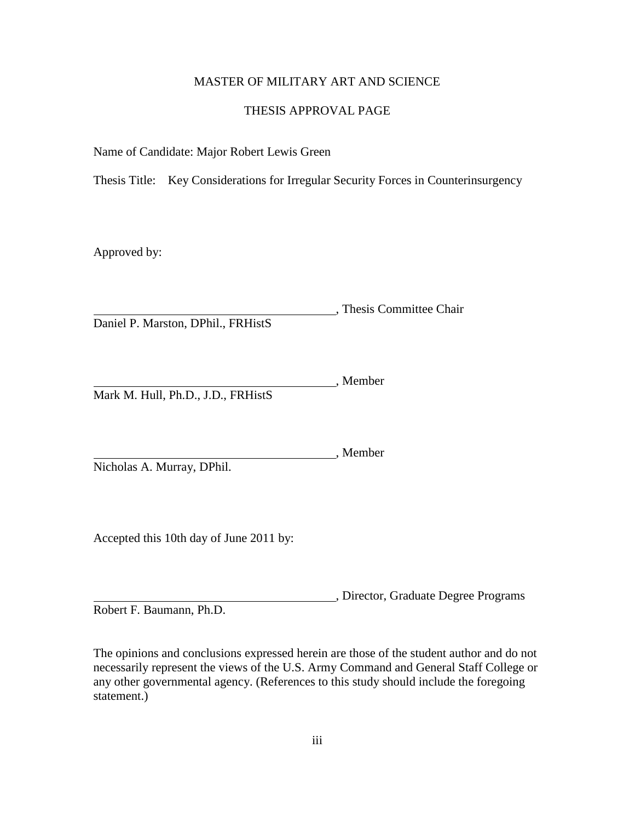## MASTER OF MILITARY ART AND SCIENCE

### THESIS APPROVAL PAGE

Name of Candidate: Major Robert Lewis Green

Thesis Title: Key Considerations for Irregular Security Forces in Counterinsurgency

Approved by:

, Thesis Committee Chair Daniel P. Marston, DPhil., FRHistS

, Member Mark M. Hull, Ph.D., J.D., FRHistS

Member Nicholas A. Murray, DPhil.

Accepted this 10th day of June 2011 by:

, Director, Graduate Degree Programs Robert F. Baumann, Ph.D.

The opinions and conclusions expressed herein are those of the student author and do not necessarily represent the views of the U.S. Army Command and General Staff College or any other governmental agency. (References to this study should include the foregoing statement.)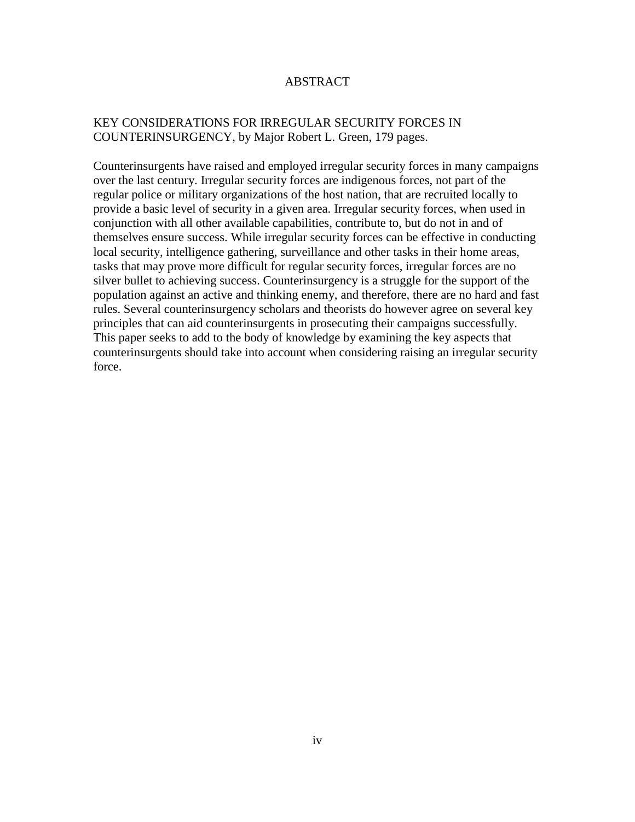## ABSTRACT

## KEY CONSIDERATIONS FOR IRREGULAR SECURITY FORCES IN COUNTERINSURGENCY, by Major Robert L. Green, 179 pages.

Counterinsurgents have raised and employed irregular security forces in many campaigns over the last century. Irregular security forces are indigenous forces, not part of the regular police or military organizations of the host nation, that are recruited locally to provide a basic level of security in a given area. Irregular security forces, when used in conjunction with all other available capabilities, contribute to, but do not in and of themselves ensure success. While irregular security forces can be effective in conducting local security, intelligence gathering, surveillance and other tasks in their home areas, tasks that may prove more difficult for regular security forces, irregular forces are no silver bullet to achieving success. Counterinsurgency is a struggle for the support of the population against an active and thinking enemy, and therefore, there are no hard and fast rules. Several counterinsurgency scholars and theorists do however agree on several key principles that can aid counterinsurgents in prosecuting their campaigns successfully. This paper seeks to add to the body of knowledge by examining the key aspects that counterinsurgents should take into account when considering raising an irregular security force.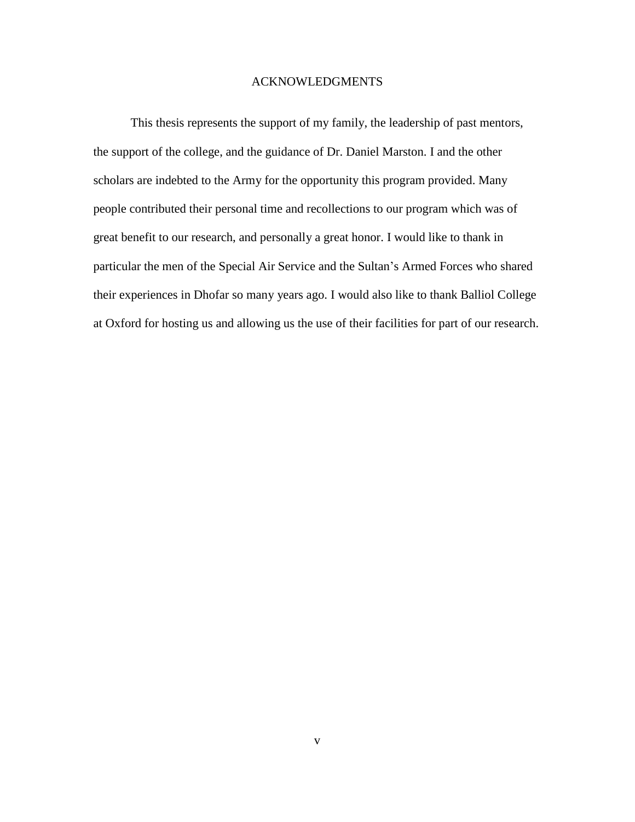### ACKNOWLEDGMENTS

This thesis represents the support of my family, the leadership of past mentors, the support of the college, and the guidance of Dr. Daniel Marston. I and the other scholars are indebted to the Army for the opportunity this program provided. Many people contributed their personal time and recollections to our program which was of great benefit to our research, and personally a great honor. I would like to thank in particular the men of the Special Air Service and the Sultan's Armed Forces who shared their experiences in Dhofar so many years ago. I would also like to thank Balliol College at Oxford for hosting us and allowing us the use of their facilities for part of our research.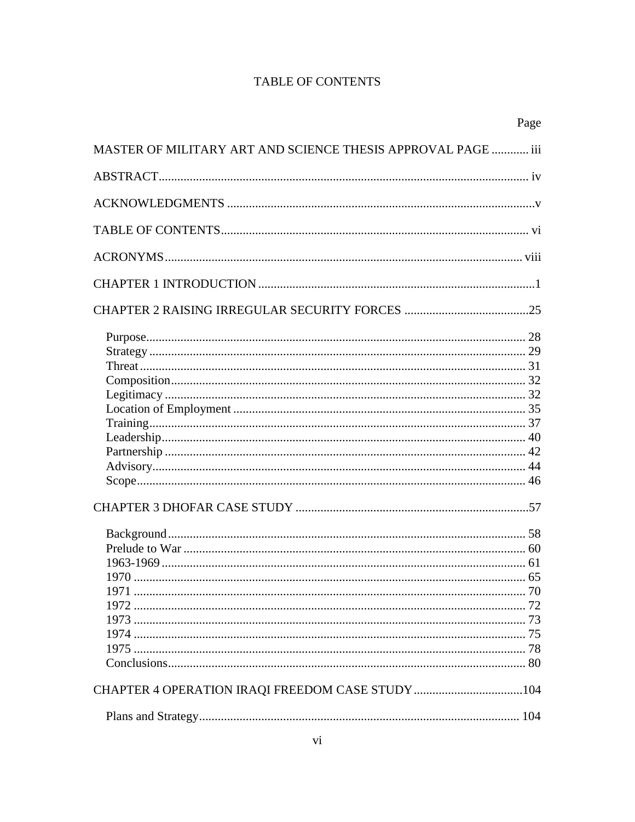## **TABLE OF CONTENTS**

|                                                              | Page |
|--------------------------------------------------------------|------|
| MASTER OF MILITARY ART AND SCIENCE THESIS APPROVAL PAGE  iii |      |
|                                                              |      |
|                                                              |      |
|                                                              |      |
|                                                              |      |
|                                                              |      |
|                                                              |      |
|                                                              |      |
|                                                              |      |
|                                                              |      |
|                                                              |      |
|                                                              |      |
|                                                              |      |
|                                                              |      |
|                                                              |      |
|                                                              |      |
|                                                              |      |
|                                                              |      |
|                                                              |      |
|                                                              |      |
|                                                              |      |
|                                                              |      |
|                                                              |      |
|                                                              |      |
|                                                              |      |
|                                                              |      |
|                                                              |      |
|                                                              |      |
|                                                              |      |
|                                                              |      |
|                                                              |      |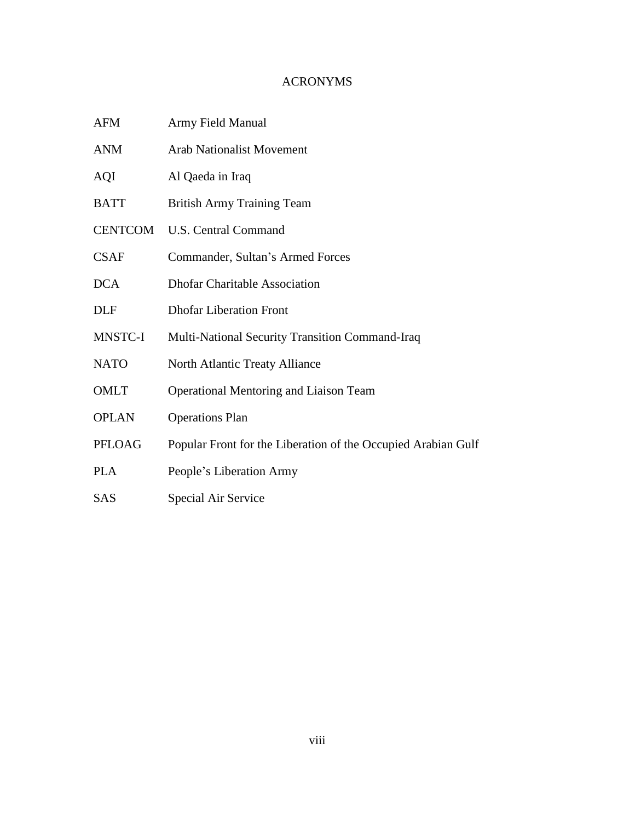## ACRONYMS

- AFM Army Field Manual
- ANM Arab Nationalist Movement
- AQI Al Qaeda in Iraq
- BATT British Army Training Team
- CENTCOM U.S. Central Command
- CSAF Commander, Sultan's Armed Forces
- DCA Dhofar Charitable Association
- DLF Dhofar Liberation Front
- MNSTC-I Multi-National Security Transition Command-Iraq
- NATO North Atlantic Treaty Alliance
- OMLT Operational Mentoring and Liaison Team
- OPLAN Operations Plan
- PFLOAG Popular Front for the Liberation of the Occupied Arabian Gulf
- PLA People's Liberation Army
- SAS Special Air Service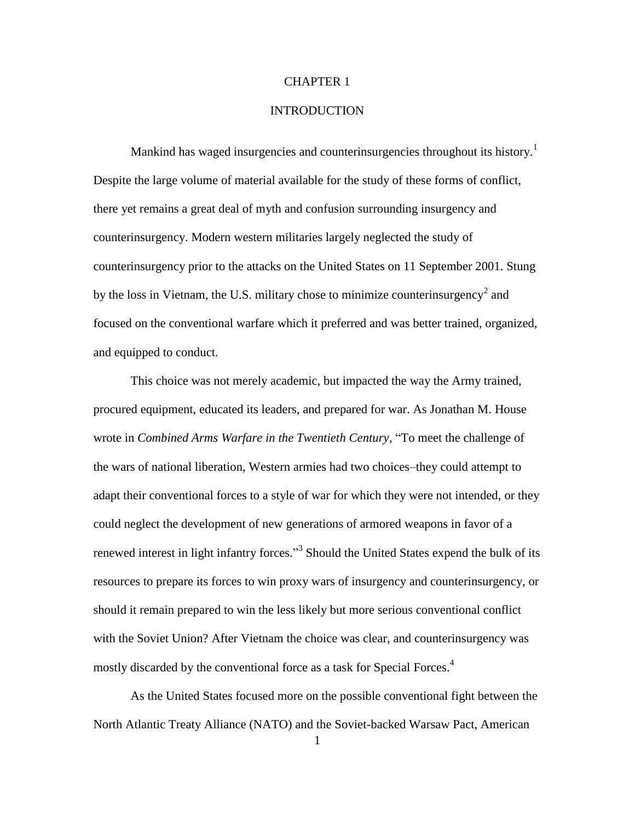#### CHAPTER 1

### **INTRODUCTION**

Mankind has waged insurgencies and counterinsurgencies throughout its history.<sup>1</sup> Despite the large volume of material available for the study of these forms of conflict, there yet remains a great deal of myth and confusion surrounding insurgency and counterinsurgency. Modern western militaries largely neglected the study of counterinsurgency prior to the attacks on the United States on 11 September 2001. Stung by the loss in Vietnam, the U.S. military chose to minimize counterinsurgency<sup>2</sup> and focused on the conventional warfare which it preferred and was better trained, organized, and equipped to conduct.

This choice was not merely academic, but impacted the way the Army trained, procured equipment, educated its leaders, and prepared for war. As Jonathan M. House wrote in *Combined Arms Warfare in the Twentieth Century*, "To meet the challenge of the wars of national liberation, Western armies had two choices–they could attempt to adapt their conventional forces to a style of war for which they were not intended, or they could neglect the development of new generations of armored weapons in favor of a renewed interest in light infantry forces."<sup>3</sup> Should the United States expend the bulk of its resources to prepare its forces to win proxy wars of insurgency and counterinsurgency, or should it remain prepared to win the less likely but more serious conventional conflict with the Soviet Union? After Vietnam the choice was clear, and counterinsurgency was mostly discarded by the conventional force as a task for Special Forces.<sup>4</sup>

As the United States focused more on the possible conventional fight between the North Atlantic Treaty Alliance (NATO) and the Soviet-backed Warsaw Pact, American

<sup>1</sup>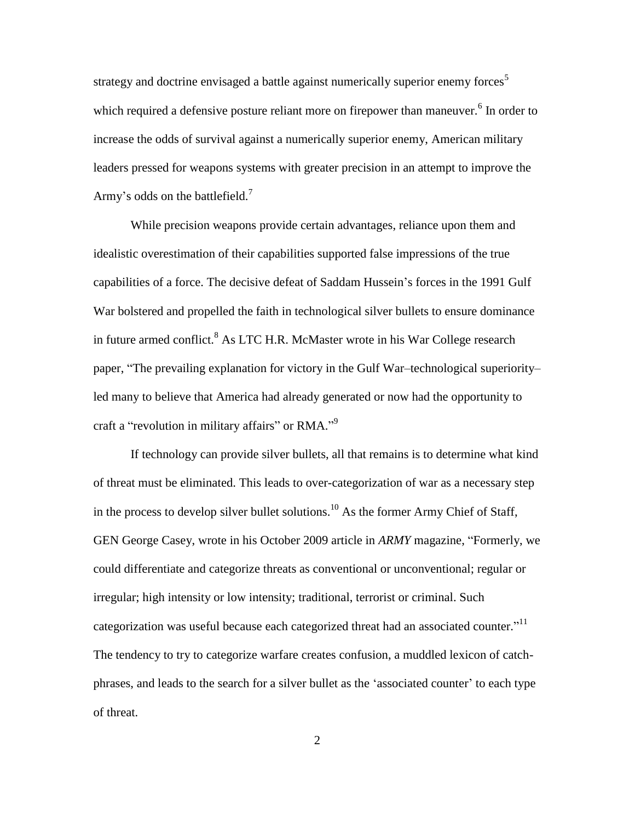strategy and doctrine envisaged a battle against numerically superior enemy forces<sup>5</sup> which required a defensive posture reliant more on firepower than maneuver.<sup>6</sup> In order to increase the odds of survival against a numerically superior enemy, American military leaders pressed for weapons systems with greater precision in an attempt to improve the Army's odds on the battlefield.<sup>7</sup>

While precision weapons provide certain advantages, reliance upon them and idealistic overestimation of their capabilities supported false impressions of the true capabilities of a force. The decisive defeat of Saddam Hussein's forces in the 1991 Gulf War bolstered and propelled the faith in technological silver bullets to ensure dominance in future armed conflict.<sup>8</sup> As LTC H.R. McMaster wrote in his War College research paper, "The prevailing explanation for victory in the Gulf War–technological superiority– led many to believe that America had already generated or now had the opportunity to craft a "revolution in military affairs" or RMA."<sup>9</sup>

If technology can provide silver bullets, all that remains is to determine what kind of threat must be eliminated. This leads to over-categorization of war as a necessary step in the process to develop silver bullet solutions.<sup>10</sup> As the former Army Chief of Staff, GEN George Casey, wrote in his October 2009 article in *ARMY* magazine, "Formerly, we could differentiate and categorize threats as conventional or unconventional; regular or irregular; high intensity or low intensity; traditional, terrorist or criminal. Such categorization was useful because each categorized threat had an associated counter."<sup>11</sup> The tendency to try to categorize warfare creates confusion, a muddled lexicon of catchphrases, and leads to the search for a silver bullet as the ‗associated counter' to each type of threat.

2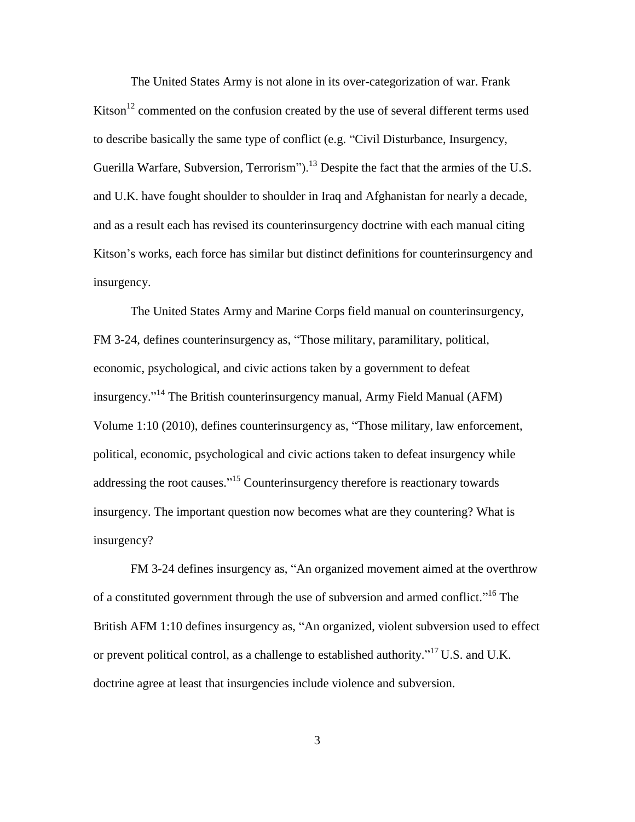The United States Army is not alone in its over-categorization of war. Frank Kitson<sup>12</sup> commented on the confusion created by the use of several different terms used to describe basically the same type of conflict (e.g. "Civil Disturbance, Insurgency, Guerilla Warfare, Subversion, Terrorism").<sup>13</sup> Despite the fact that the armies of the U.S. and U.K. have fought shoulder to shoulder in Iraq and Afghanistan for nearly a decade, and as a result each has revised its counterinsurgency doctrine with each manual citing Kitson's works, each force has similar but distinct definitions for counterinsurgency and insurgency.

The United States Army and Marine Corps field manual on counterinsurgency, FM 3-24, defines counterinsurgency as, "Those military, paramilitary, political, economic, psychological, and civic actions taken by a government to defeat insurgency."<sup>14</sup> The British counterinsurgency manual, Army Field Manual (AFM) Volume 1:10 (2010), defines counterinsurgency as, "Those military, law enforcement, political, economic, psychological and civic actions taken to defeat insurgency while addressing the root causes."<sup>15</sup> Counterinsurgency therefore is reactionary towards insurgency. The important question now becomes what are they countering? What is insurgency?

FM 3-24 defines insurgency as, "An organized movement aimed at the overthrow of a constituted government through the use of subversion and armed conflict."<sup>16</sup> The British AFM 1:10 defines insurgency as, "An organized, violent subversion used to effect or prevent political control, as a challenge to established authority."<sup>17</sup> U.S. and U.K. doctrine agree at least that insurgencies include violence and subversion.

3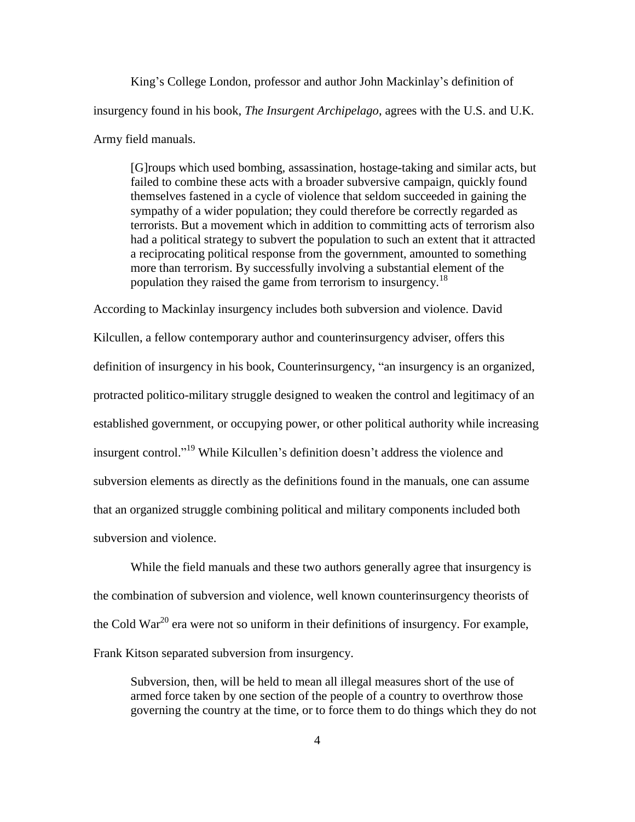King's College London, professor and author John Mackinlay's definition of insurgency found in his book, *The Insurgent Archipelago*, agrees with the U.S. and U.K. Army field manuals.

[G]roups which used bombing, assassination, hostage-taking and similar acts, but failed to combine these acts with a broader subversive campaign, quickly found themselves fastened in a cycle of violence that seldom succeeded in gaining the sympathy of a wider population; they could therefore be correctly regarded as terrorists. But a movement which in addition to committing acts of terrorism also had a political strategy to subvert the population to such an extent that it attracted a reciprocating political response from the government, amounted to something more than terrorism. By successfully involving a substantial element of the population they raised the game from terrorism to insurgency.<sup>18</sup>

According to Mackinlay insurgency includes both subversion and violence. David Kilcullen, a fellow contemporary author and counterinsurgency adviser, offers this definition of insurgency in his book, Counterinsurgency, "an insurgency is an organized, protracted politico-military struggle designed to weaken the control and legitimacy of an established government, or occupying power, or other political authority while increasing insurgent control."<sup>19</sup> While Kilcullen's definition doesn't address the violence and subversion elements as directly as the definitions found in the manuals, one can assume that an organized struggle combining political and military components included both subversion and violence.

While the field manuals and these two authors generally agree that insurgency is the combination of subversion and violence, well known counterinsurgency theorists of the Cold War<sup>20</sup> era were not so uniform in their definitions of insurgency. For example, Frank Kitson separated subversion from insurgency.

Subversion, then, will be held to mean all illegal measures short of the use of armed force taken by one section of the people of a country to overthrow those governing the country at the time, or to force them to do things which they do not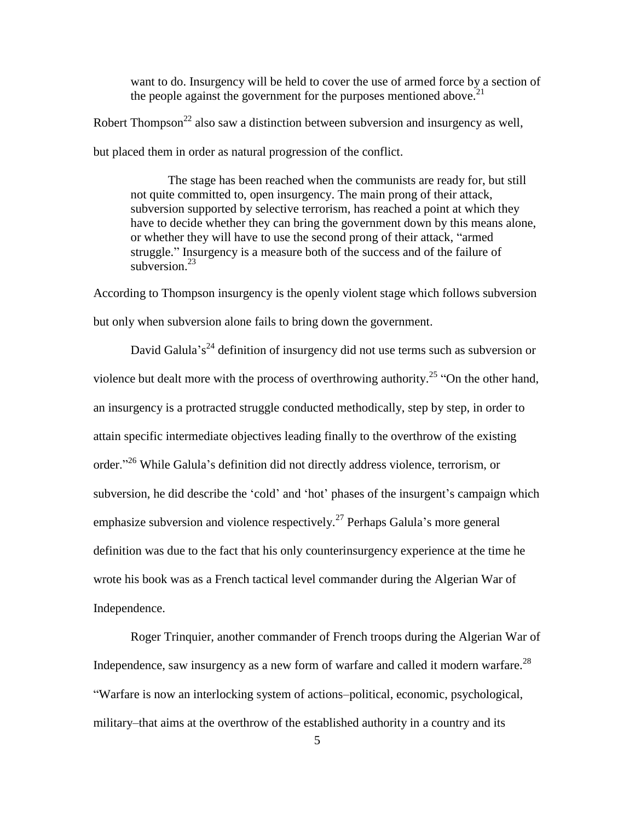want to do. Insurgency will be held to cover the use of armed force by a section of the people against the government for the purposes mentioned above.<sup>21</sup>

Robert Thompson<sup>22</sup> also saw a distinction between subversion and insurgency as well,

but placed them in order as natural progression of the conflict.

The stage has been reached when the communists are ready for, but still not quite committed to, open insurgency. The main prong of their attack, subversion supported by selective terrorism, has reached a point at which they have to decide whether they can bring the government down by this means alone, or whether they will have to use the second prong of their attack, "armed" struggle." Insurgency is a measure both of the success and of the failure of subversion. $23$ 

According to Thompson insurgency is the openly violent stage which follows subversion but only when subversion alone fails to bring down the government.

David Galula's<sup>24</sup> definition of insurgency did not use terms such as subversion or violence but dealt more with the process of overthrowing authority.<sup>25</sup> "On the other hand, an insurgency is a protracted struggle conducted methodically, step by step, in order to attain specific intermediate objectives leading finally to the overthrow of the existing order."<sup>26</sup> While Galula's definition did not directly address violence, terrorism, or subversion, he did describe the 'cold' and 'hot' phases of the insurgent's campaign which emphasize subversion and violence respectively.<sup>27</sup> Perhaps Galula's more general definition was due to the fact that his only counterinsurgency experience at the time he wrote his book was as a French tactical level commander during the Algerian War of Independence.

Roger Trinquier, another commander of French troops during the Algerian War of Independence, saw insurgency as a new form of warfare and called it modern warfare.<sup>28</sup> ―Warfare is now an interlocking system of actions–political, economic, psychological, military–that aims at the overthrow of the established authority in a country and its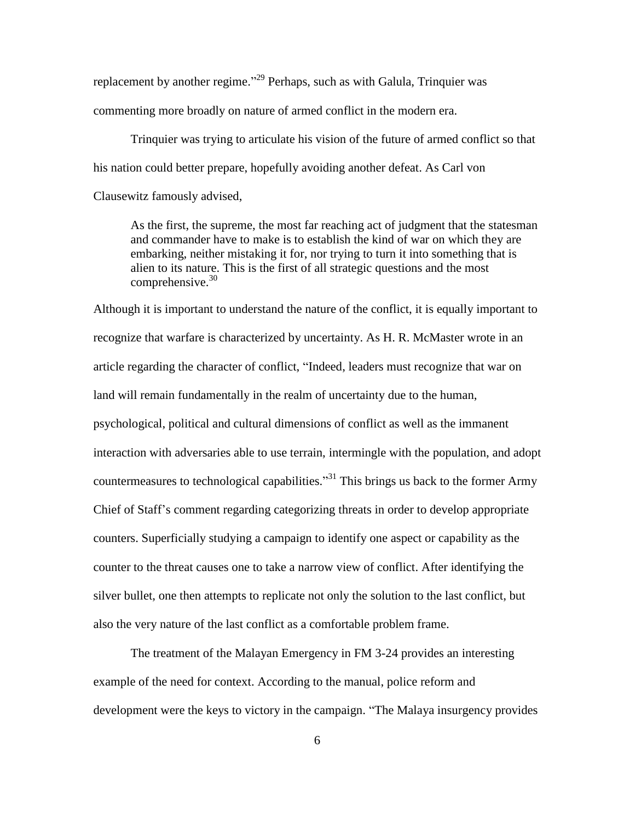replacement by another regime."<sup>29</sup> Perhaps, such as with Galula, Trinquier was commenting more broadly on nature of armed conflict in the modern era.

Trinquier was trying to articulate his vision of the future of armed conflict so that his nation could better prepare, hopefully avoiding another defeat. As Carl von Clausewitz famously advised,

As the first, the supreme, the most far reaching act of judgment that the statesman and commander have to make is to establish the kind of war on which they are embarking, neither mistaking it for, nor trying to turn it into something that is alien to its nature. This is the first of all strategic questions and the most comprehensive. 30

Although it is important to understand the nature of the conflict, it is equally important to recognize that warfare is characterized by uncertainty. As H. R. McMaster wrote in an article regarding the character of conflict, "Indeed, leaders must recognize that war on land will remain fundamentally in the realm of uncertainty due to the human, psychological, political and cultural dimensions of conflict as well as the immanent interaction with adversaries able to use terrain, intermingle with the population, and adopt countermeasures to technological capabilities.<sup>33</sup> This brings us back to the former Army Chief of Staff's comment regarding categorizing threats in order to develop appropriate counters. Superficially studying a campaign to identify one aspect or capability as the counter to the threat causes one to take a narrow view of conflict. After identifying the silver bullet, one then attempts to replicate not only the solution to the last conflict, but also the very nature of the last conflict as a comfortable problem frame.

The treatment of the Malayan Emergency in FM 3-24 provides an interesting example of the need for context. According to the manual, police reform and development were the keys to victory in the campaign. "The Malaya insurgency provides"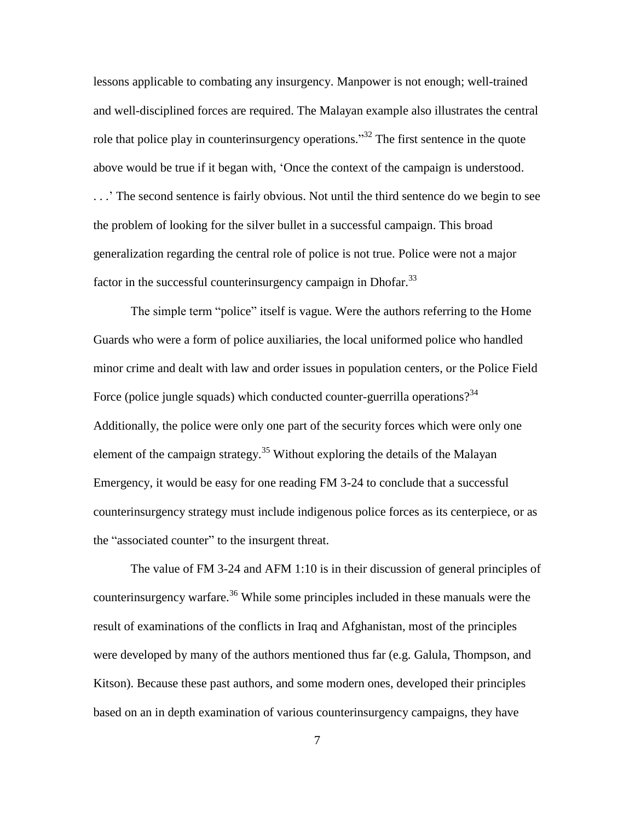lessons applicable to combating any insurgency. Manpower is not enough; well-trained and well-disciplined forces are required. The Malayan example also illustrates the central role that police play in counterinsurgency operations.<sup>33</sup> The first sentence in the quote above would be true if it began with, ‗Once the context of the campaign is understood. . . .' The second sentence is fairly obvious. Not until the third sentence do we begin to see the problem of looking for the silver bullet in a successful campaign. This broad generalization regarding the central role of police is not true. Police were not a major factor in the successful counterinsurgency campaign in Dhofar.<sup>33</sup>

The simple term "police" itself is vague. Were the authors referring to the Home Guards who were a form of police auxiliaries, the local uniformed police who handled minor crime and dealt with law and order issues in population centers, or the Police Field Force (police jungle squads) which conducted counter-guerrilla operations?<sup>34</sup> Additionally, the police were only one part of the security forces which were only one element of the campaign strategy.<sup>35</sup> Without exploring the details of the Malayan Emergency, it would be easy for one reading FM 3-24 to conclude that a successful counterinsurgency strategy must include indigenous police forces as its centerpiece, or as the "associated counter" to the insurgent threat.

The value of FM 3-24 and AFM 1:10 is in their discussion of general principles of counterinsurgency warfare.<sup>36</sup> While some principles included in these manuals were the result of examinations of the conflicts in Iraq and Afghanistan, most of the principles were developed by many of the authors mentioned thus far (e.g. Galula, Thompson, and Kitson). Because these past authors, and some modern ones, developed their principles based on an in depth examination of various counterinsurgency campaigns, they have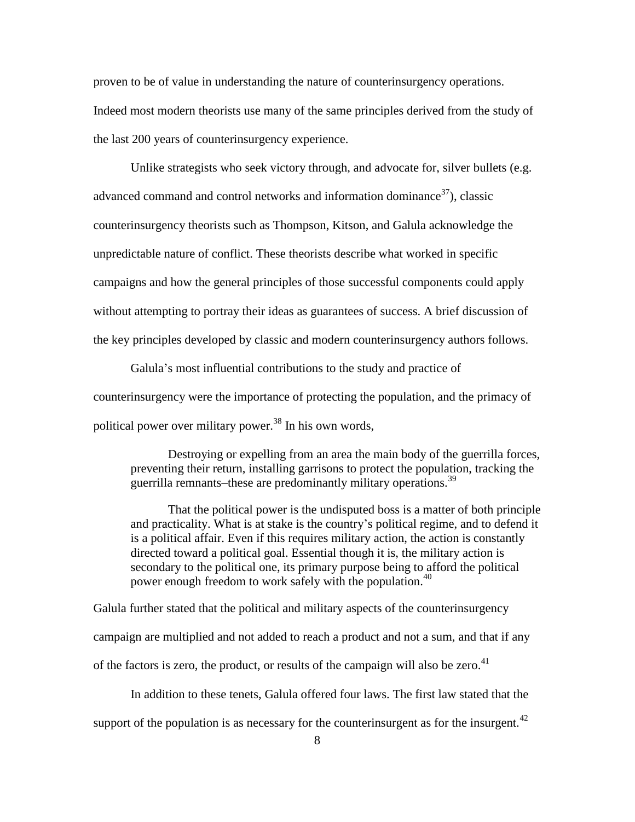proven to be of value in understanding the nature of counterinsurgency operations. Indeed most modern theorists use many of the same principles derived from the study of the last 200 years of counterinsurgency experience.

Unlike strategists who seek victory through, and advocate for, silver bullets (e.g. advanced command and control networks and information dominance $37$ ), classic counterinsurgency theorists such as Thompson, Kitson, and Galula acknowledge the unpredictable nature of conflict. These theorists describe what worked in specific campaigns and how the general principles of those successful components could apply without attempting to portray their ideas as guarantees of success. A brief discussion of the key principles developed by classic and modern counterinsurgency authors follows.

Galula's most influential contributions to the study and practice of counterinsurgency were the importance of protecting the population, and the primacy of political power over military power.<sup>38</sup> In his own words,

Destroying or expelling from an area the main body of the guerrilla forces, preventing their return, installing garrisons to protect the population, tracking the guerrilla remnants–these are predominantly military operations.<sup>39</sup>

That the political power is the undisputed boss is a matter of both principle and practicality. What is at stake is the country's political regime, and to defend it is a political affair. Even if this requires military action, the action is constantly directed toward a political goal. Essential though it is, the military action is secondary to the political one, its primary purpose being to afford the political power enough freedom to work safely with the population.<sup>40</sup>

Galula further stated that the political and military aspects of the counterinsurgency campaign are multiplied and not added to reach a product and not a sum, and that if any of the factors is zero, the product, or results of the campaign will also be zero.<sup>41</sup>

In addition to these tenets, Galula offered four laws. The first law stated that the

support of the population is as necessary for the counterinsurgent as for the insurgent.<sup>42</sup>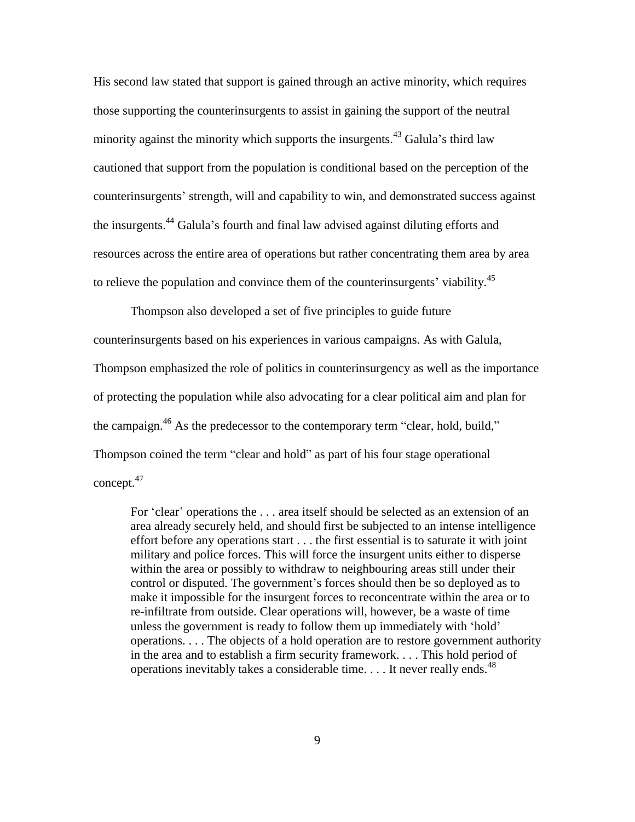His second law stated that support is gained through an active minority, which requires those supporting the counterinsurgents to assist in gaining the support of the neutral minority against the minority which supports the insurgents.<sup>43</sup> Galula's third law cautioned that support from the population is conditional based on the perception of the counterinsurgents' strength, will and capability to win, and demonstrated success against the insurgents.<sup>44</sup> Galula's fourth and final law advised against diluting efforts and resources across the entire area of operations but rather concentrating them area by area to relieve the population and convince them of the counterinsurgents' viability.<sup>45</sup>

Thompson also developed a set of five principles to guide future counterinsurgents based on his experiences in various campaigns. As with Galula, Thompson emphasized the role of politics in counterinsurgency as well as the importance of protecting the population while also advocating for a clear political aim and plan for the campaign.<sup>46</sup> As the predecessor to the contemporary term "clear, hold, build," Thompson coined the term "clear and hold" as part of his four stage operational concept.<sup>47</sup>

For 'clear' operations the . . . area itself should be selected as an extension of an area already securely held, and should first be subjected to an intense intelligence effort before any operations start . . . the first essential is to saturate it with joint military and police forces. This will force the insurgent units either to disperse within the area or possibly to withdraw to neighbouring areas still under their control or disputed. The government's forces should then be so deployed as to make it impossible for the insurgent forces to reconcentrate within the area or to re-infiltrate from outside. Clear operations will, however, be a waste of time unless the government is ready to follow them up immediately with 'hold' operations. . . . The objects of a hold operation are to restore government authority in the area and to establish a firm security framework. . . . This hold period of operations inevitably takes a considerable time.... It never really ends.<sup>48</sup>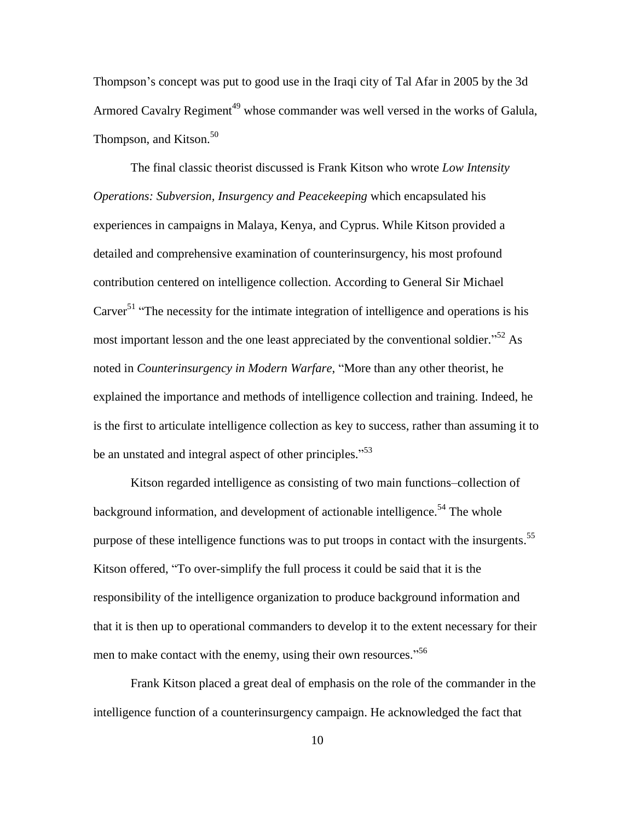Thompson's concept was put to good use in the Iraqi city of Tal Afar in 2005 by the 3d Armored Cavalry Regiment<sup>49</sup> whose commander was well versed in the works of Galula, Thompson, and Kitson.<sup>50</sup>

The final classic theorist discussed is Frank Kitson who wrote *Low Intensity Operations: Subversion, Insurgency and Peacekeeping* which encapsulated his experiences in campaigns in Malaya, Kenya, and Cyprus. While Kitson provided a detailed and comprehensive examination of counterinsurgency, his most profound contribution centered on intelligence collection. According to General Sir Michael Carver<sup>51</sup> "The necessity for the intimate integration of intelligence and operations is his most important lesson and the one least appreciated by the conventional soldier.<sup> $52$ </sup> As noted in *Counterinsurgency in Modern Warfare*, "More than any other theorist, he explained the importance and methods of intelligence collection and training. Indeed, he is the first to articulate intelligence collection as key to success, rather than assuming it to be an unstated and integral aspect of other principles."<sup>53</sup>

Kitson regarded intelligence as consisting of two main functions–collection of background information, and development of actionable intelligence.<sup>54</sup> The whole purpose of these intelligence functions was to put troops in contact with the insurgents.<sup>55</sup> Kitson offered, "To over-simplify the full process it could be said that it is the responsibility of the intelligence organization to produce background information and that it is then up to operational commanders to develop it to the extent necessary for their men to make contact with the enemy, using their own resources."<sup>56</sup>

Frank Kitson placed a great deal of emphasis on the role of the commander in the intelligence function of a counterinsurgency campaign. He acknowledged the fact that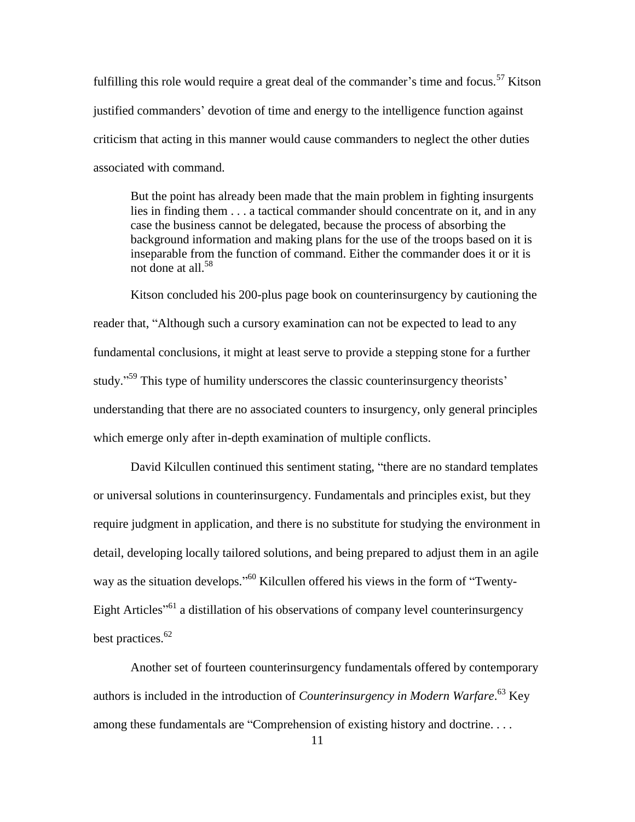fulfilling this role would require a great deal of the commander's time and focus.<sup>57</sup> Kitson justified commanders' devotion of time and energy to the intelligence function against criticism that acting in this manner would cause commanders to neglect the other duties associated with command.

But the point has already been made that the main problem in fighting insurgents lies in finding them . . . a tactical commander should concentrate on it, and in any case the business cannot be delegated, because the process of absorbing the background information and making plans for the use of the troops based on it is inseparable from the function of command. Either the commander does it or it is not done at all.<sup>58</sup>

Kitson concluded his 200-plus page book on counterinsurgency by cautioning the reader that, "Although such a cursory examination can not be expected to lead to any fundamental conclusions, it might at least serve to provide a stepping stone for a further study."<sup>59</sup> This type of humility underscores the classic counterinsurgency theorists' understanding that there are no associated counters to insurgency, only general principles which emerge only after in-depth examination of multiple conflicts.

David Kilcullen continued this sentiment stating, "there are no standard templates or universal solutions in counterinsurgency. Fundamentals and principles exist, but they require judgment in application, and there is no substitute for studying the environment in detail, developing locally tailored solutions, and being prepared to adjust them in an agile way as the situation develops."<sup>60</sup> Kilcullen offered his views in the form of "Twenty-Eight Articles<sup>"61</sup> a distillation of his observations of company level counterinsurgency best practices.<sup>62</sup>

Another set of fourteen counterinsurgency fundamentals offered by contemporary authors is included in the introduction of *Counterinsurgency in Modern Warfare*. <sup>63</sup> Key among these fundamentals are "Comprehension of existing history and doctrine. . . .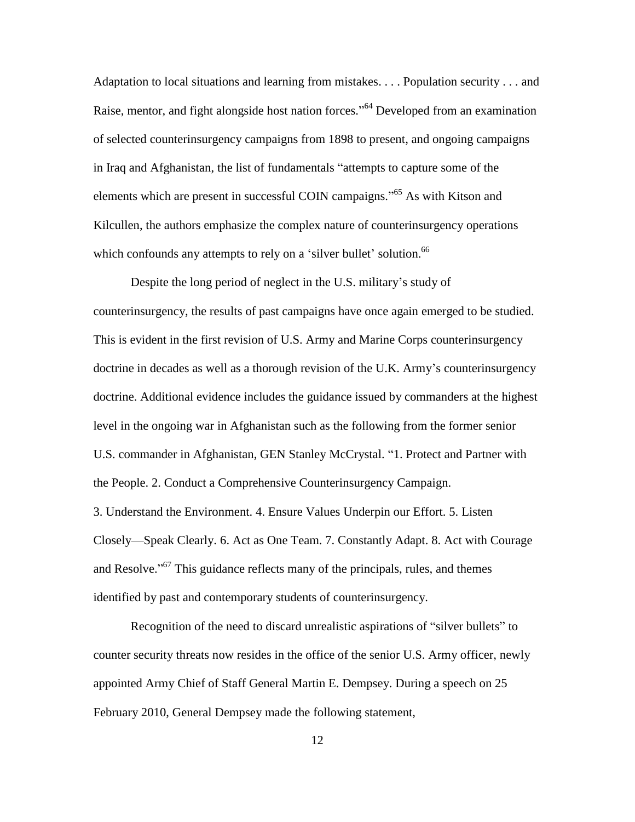Adaptation to local situations and learning from mistakes. . . . Population security . . . and Raise, mentor, and fight alongside host nation forces."<sup>64</sup> Developed from an examination of selected counterinsurgency campaigns from 1898 to present, and ongoing campaigns in Iraq and Afghanistan, the list of fundamentals "attempts to capture some of the elements which are present in successful COIN campaigns."<sup>65</sup> As with Kitson and Kilcullen, the authors emphasize the complex nature of counterinsurgency operations which confounds any attempts to rely on a 'silver bullet' solution.<sup>66</sup>

Despite the long period of neglect in the U.S. military's study of counterinsurgency, the results of past campaigns have once again emerged to be studied. This is evident in the first revision of U.S. Army and Marine Corps counterinsurgency doctrine in decades as well as a thorough revision of the U.K. Army's counterinsurgency doctrine. Additional evidence includes the guidance issued by commanders at the highest level in the ongoing war in Afghanistan such as the following from the former senior U.S. commander in Afghanistan, GEN Stanley McCrystal. "1. Protect and Partner with the People. 2. Conduct a Comprehensive Counterinsurgency Campaign. 3. Understand the Environment. 4. Ensure Values Underpin our Effort. 5. Listen Closely—Speak Clearly. 6. Act as One Team. 7. Constantly Adapt. 8. Act with Courage and Resolve."<sup>67</sup> This guidance reflects many of the principals, rules, and themes identified by past and contemporary students of counterinsurgency.

Recognition of the need to discard unrealistic aspirations of "silver bullets" to counter security threats now resides in the office of the senior U.S. Army officer, newly appointed Army Chief of Staff General Martin E. Dempsey. During a speech on 25 February 2010, General Dempsey made the following statement,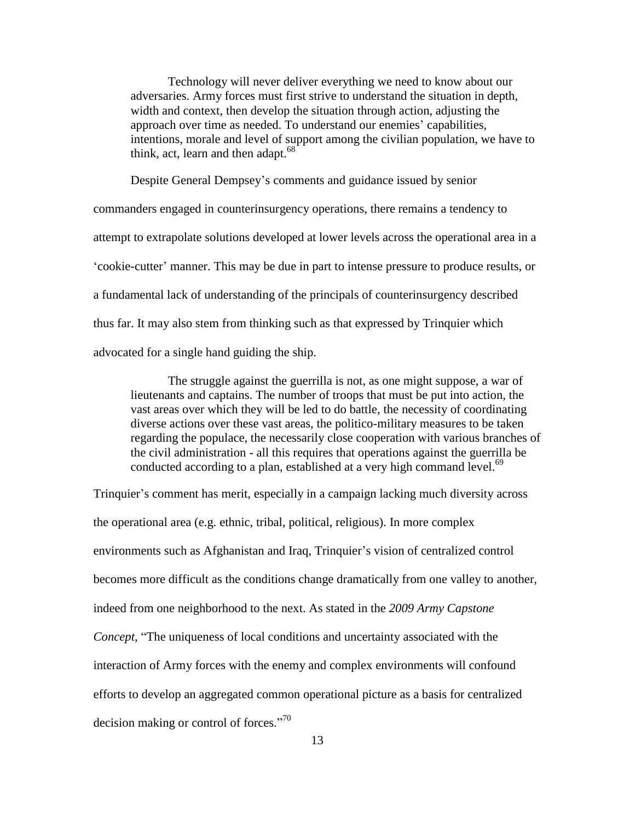Technology will never deliver everything we need to know about our adversaries. Army forces must first strive to understand the situation in depth, width and context, then develop the situation through action, adjusting the approach over time as needed. To understand our enemies' capabilities, intentions, morale and level of support among the civilian population, we have to think, act, learn and then adapt. $68$ <sup>-</sup>

Despite General Dempsey's comments and guidance issued by senior commanders engaged in counterinsurgency operations, there remains a tendency to attempt to extrapolate solutions developed at lower levels across the operational area in a ‗cookie-cutter' manner. This may be due in part to intense pressure to produce results, or a fundamental lack of understanding of the principals of counterinsurgency described thus far. It may also stem from thinking such as that expressed by Trinquier which advocated for a single hand guiding the ship.

The struggle against the guerrilla is not, as one might suppose, a war of lieutenants and captains. The number of troops that must be put into action, the vast areas over which they will be led to do battle, the necessity of coordinating diverse actions over these vast areas, the politico-military measures to be taken regarding the populace, the necessarily close cooperation with various branches of the civil administration - all this requires that operations against the guerrilla be conducted according to a plan, established at a very high command level.<sup>69</sup>

Trinquier's comment has merit, especially in a campaign lacking much diversity across the operational area (e.g. ethnic, tribal, political, religious). In more complex environments such as Afghanistan and Iraq, Trinquier's vision of centralized control becomes more difficult as the conditions change dramatically from one valley to another, indeed from one neighborhood to the next. As stated in the *2009 Army Capstone Concept*, "The uniqueness of local conditions and uncertainty associated with the interaction of Army forces with the enemy and complex environments will confound efforts to develop an aggregated common operational picture as a basis for centralized decision making or control of forces."<sup>70</sup>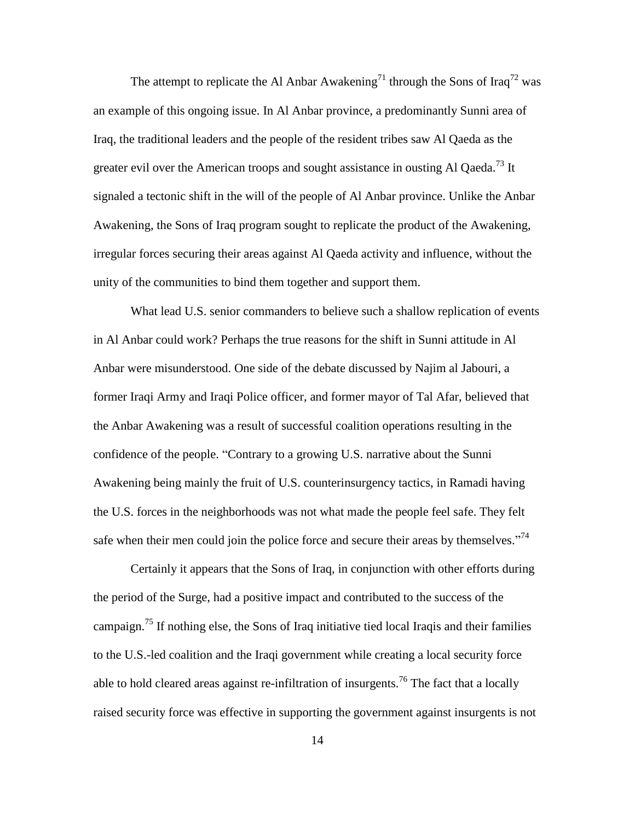The attempt to replicate the Al Anbar Awakening<sup>71</sup> through the Sons of Iraq<sup>72</sup> was an example of this ongoing issue. In Al Anbar province, a predominantly Sunni area of Iraq, the traditional leaders and the people of the resident tribes saw Al Qaeda as the greater evil over the American troops and sought assistance in ousting Al Qaeda.<sup>73</sup> It signaled a tectonic shift in the will of the people of Al Anbar province. Unlike the Anbar Awakening, the Sons of Iraq program sought to replicate the product of the Awakening, irregular forces securing their areas against Al Qaeda activity and influence, without the unity of the communities to bind them together and support them.

What lead U.S. senior commanders to believe such a shallow replication of events in Al Anbar could work? Perhaps the true reasons for the shift in Sunni attitude in Al Anbar were misunderstood. One side of the debate discussed by Najim al Jabouri, a former Iraqi Army and Iraqi Police officer, and former mayor of Tal Afar, believed that the Anbar Awakening was a result of successful coalition operations resulting in the confidence of the people. "Contrary to a growing U.S. narrative about the Sunni Awakening being mainly the fruit of U.S. counterinsurgency tactics, in Ramadi having the U.S. forces in the neighborhoods was not what made the people feel safe. They felt safe when their men could join the police force and secure their areas by themselves. $^{774}$ 

Certainly it appears that the Sons of Iraq, in conjunction with other efforts during the period of the Surge, had a positive impact and contributed to the success of the campaign.<sup>75</sup> If nothing else, the Sons of Iraq initiative tied local Iraqis and their families to the U.S.-led coalition and the Iraqi government while creating a local security force able to hold cleared areas against re-infiltration of insurgents.<sup>76</sup> The fact that a locally raised security force was effective in supporting the government against insurgents is not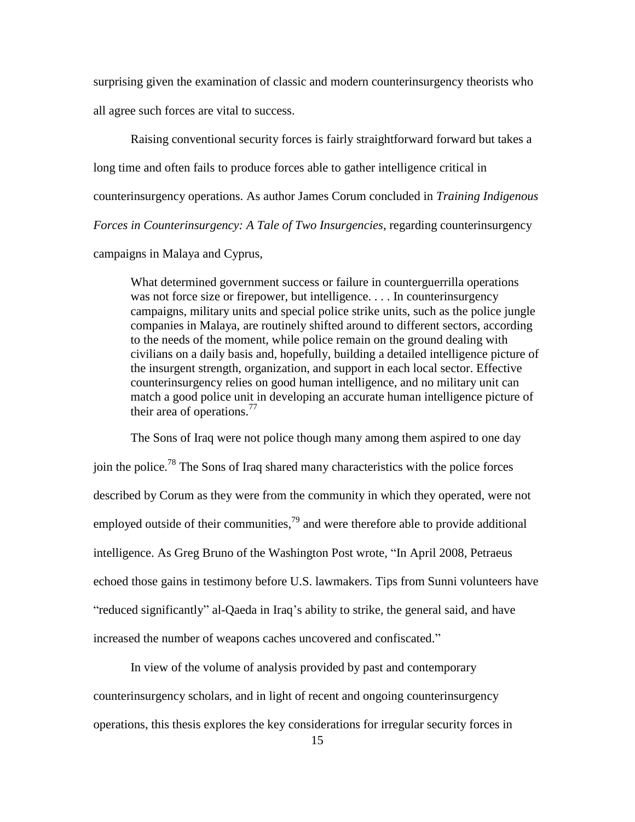surprising given the examination of classic and modern counterinsurgency theorists who all agree such forces are vital to success.

Raising conventional security forces is fairly straightforward forward but takes a long time and often fails to produce forces able to gather intelligence critical in counterinsurgency operations. As author James Corum concluded in *Training Indigenous Forces in Counterinsurgency: A Tale of Two Insurgencies*, regarding counterinsurgency campaigns in Malaya and Cyprus,

What determined government success or failure in counterguerrilla operations was not force size or firepower, but intelligence. . . . In counterinsurgency campaigns, military units and special police strike units, such as the police jungle companies in Malaya, are routinely shifted around to different sectors, according to the needs of the moment, while police remain on the ground dealing with civilians on a daily basis and, hopefully, building a detailed intelligence picture of the insurgent strength, organization, and support in each local sector. Effective counterinsurgency relies on good human intelligence, and no military unit can match a good police unit in developing an accurate human intelligence picture of their area of operations.<sup>77</sup>

The Sons of Iraq were not police though many among them aspired to one day join the police.<sup>78</sup> The Sons of Iraq shared many characteristics with the police forces described by Corum as they were from the community in which they operated, were not employed outside of their communities,  $^{79}$  and were therefore able to provide additional intelligence. As Greg Bruno of the Washington Post wrote, "In April 2008, Petraeus echoed those gains in testimony before U.S. lawmakers. Tips from Sunni volunteers have "reduced significantly" al-Qaeda in Iraq's ability to strike, the general said, and have increased the number of weapons caches uncovered and confiscated."

In view of the volume of analysis provided by past and contemporary counterinsurgency scholars, and in light of recent and ongoing counterinsurgency operations, this thesis explores the key considerations for irregular security forces in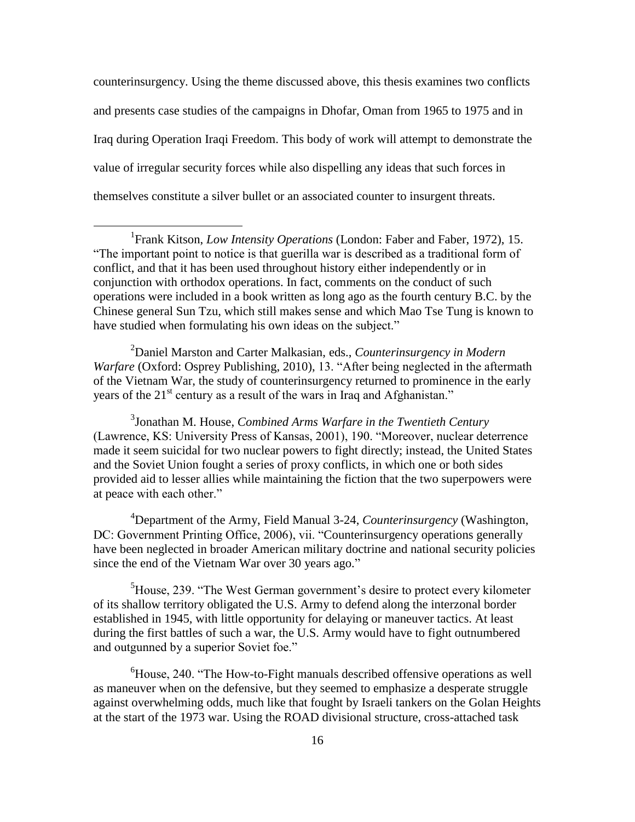counterinsurgency. Using the theme discussed above, this thesis examines two conflicts and presents case studies of the campaigns in Dhofar, Oman from 1965 to 1975 and in Iraq during Operation Iraqi Freedom. This body of work will attempt to demonstrate the value of irregular security forces while also dispelling any ideas that such forces in themselves constitute a silver bullet or an associated counter to insurgent threats.

 $\overline{a}$ 

<sup>2</sup>Daniel Marston and Carter Malkasian, eds., *Counterinsurgency in Modern Warfare* (Oxford: Osprey Publishing, 2010), 13. "After being neglected in the aftermath of the Vietnam War, the study of counterinsurgency returned to prominence in the early years of the  $21<sup>st</sup>$  century as a result of the wars in Iraq and Afghanistan."

3 Jonathan M. House, *Combined Arms Warfare in the Twentieth Century* (Lawrence, KS: University Press of Kansas, 2001), 190. "Moreover, nuclear deterrence made it seem suicidal for two nuclear powers to fight directly; instead, the United States and the Soviet Union fought a series of proxy conflicts, in which one or both sides provided aid to lesser allies while maintaining the fiction that the two superpowers were at peace with each other."

<sup>4</sup>Department of the Army, Field Manual 3-24, *Counterinsurgency* (Washington, DC: Government Printing Office, 2006), vii. "Counterinsurgency operations generally have been neglected in broader American military doctrine and national security policies since the end of the Vietnam War over 30 years ago."

<sup>5</sup>House, 239. "The West German government's desire to protect every kilometer of its shallow territory obligated the U.S. Army to defend along the interzonal border established in 1945, with little opportunity for delaying or maneuver tactics. At least during the first battles of such a war, the U.S. Army would have to fight outnumbered and outgunned by a superior Soviet foe."

 ${}^{6}$ House, 240. "The How-to-Fight manuals described offensive operations as well as maneuver when on the defensive, but they seemed to emphasize a desperate struggle against overwhelming odds, much like that fought by Israeli tankers on the Golan Heights at the start of the 1973 war. Using the ROAD divisional structure, cross-attached task

<sup>&</sup>lt;sup>1</sup> Frank Kitson, *Low Intensity Operations* (London: Faber and Faber, 1972), 15. ―The important point to notice is that guerilla war is described as a traditional form of conflict, and that it has been used throughout history either independently or in conjunction with orthodox operations. In fact, comments on the conduct of such operations were included in a book written as long ago as the fourth century B.C. by the Chinese general Sun Tzu, which still makes sense and which Mao Tse Tung is known to have studied when formulating his own ideas on the subject."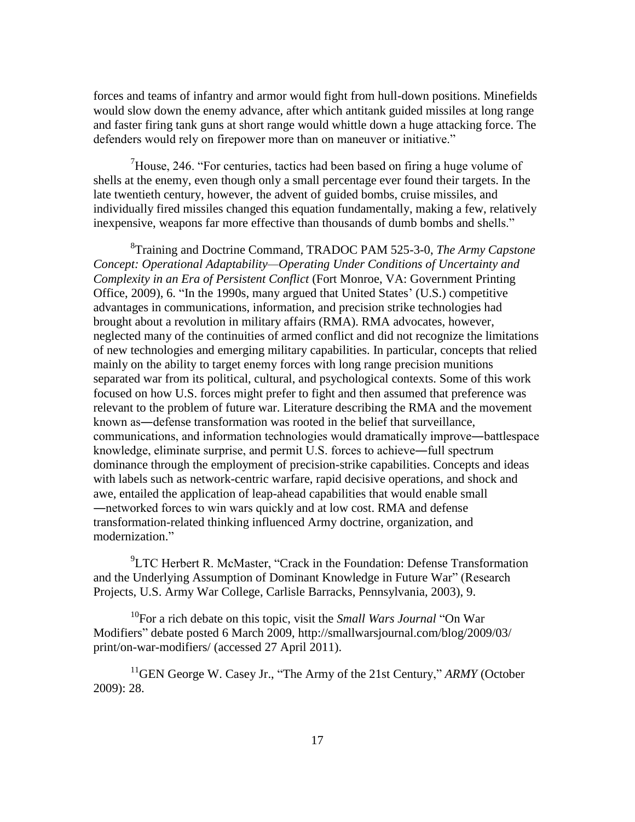forces and teams of infantry and armor would fight from hull-down positions. Minefields would slow down the enemy advance, after which antitank guided missiles at long range and faster firing tank guns at short range would whittle down a huge attacking force. The defenders would rely on firepower more than on maneuver or initiative."

 $\mu$ <sup>7</sup>House, 246. "For centuries, tactics had been based on firing a huge volume of shells at the enemy, even though only a small percentage ever found their targets. In the late twentieth century, however, the advent of guided bombs, cruise missiles, and individually fired missiles changed this equation fundamentally, making a few, relatively inexpensive, weapons far more effective than thousands of dumb bombs and shells."

8 Training and Doctrine Command, TRADOC PAM 525-3-0, *The Army Capstone Concept: Operational Adaptability—Operating Under Conditions of Uncertainty and Complexity in an Era of Persistent Conflict* (Fort Monroe, VA: Government Printing Office, 2009), 6. "In the 1990s, many argued that United States' (U.S.) competitive advantages in communications, information, and precision strike technologies had brought about a revolution in military affairs (RMA). RMA advocates, however, neglected many of the continuities of armed conflict and did not recognize the limitations of new technologies and emerging military capabilities. In particular, concepts that relied mainly on the ability to target enemy forces with long range precision munitions separated war from its political, cultural, and psychological contexts. Some of this work focused on how U.S. forces might prefer to fight and then assumed that preference was relevant to the problem of future war. Literature describing the RMA and the movement known as―defense transformation was rooted in the belief that surveillance, communications, and information technologies would dramatically improve―battlespace knowledge, eliminate surprise, and permit U.S. forces to achieve―full spectrum dominance through the employment of precision-strike capabilities. Concepts and ideas with labels such as network-centric warfare, rapid decisive operations, and shock and awe, entailed the application of leap-ahead capabilities that would enable small ―networked forces to win wars quickly and at low cost. RMA and defense transformation-related thinking influenced Army doctrine, organization, and modernization."

 ${}^{9}$ LTC Herbert R. McMaster, "Crack in the Foundation: Defense Transformation and the Underlying Assumption of Dominant Knowledge in Future War" (Research Projects, U.S. Army War College, Carlisle Barracks, Pennsylvania, 2003), 9.

<sup>10</sup>For a rich debate on this topic, visit the *Small Wars Journal* "On War" Modifiers" debate posted 6 March 2009, http://smallwarsjournal.com/blog/2009/03/ print/on-war-modifiers/ (accessed 27 April 2011).

 $11$ <sup>11</sup>GEN George W. Casey Jr., "The Army of the 21st Century," *ARMY* (October 2009): 28.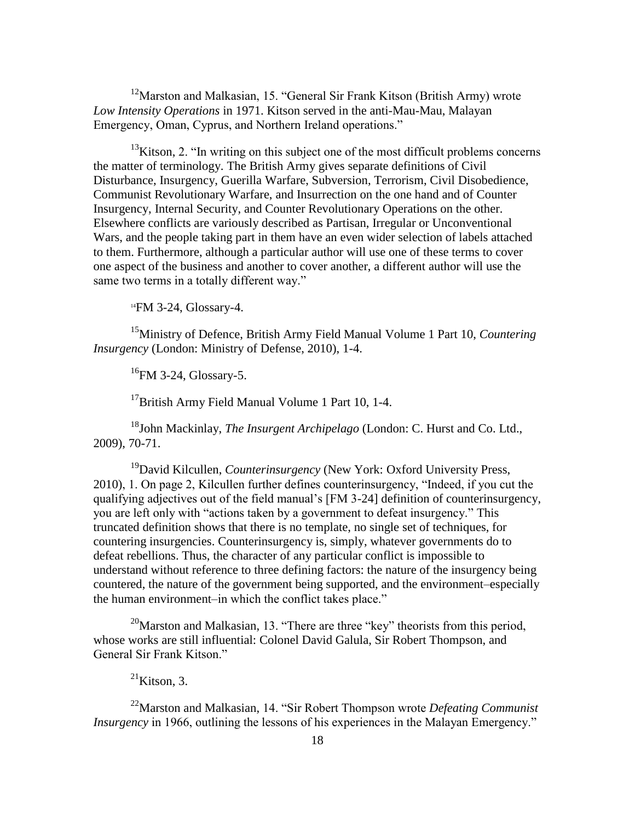$12$ Marston and Malkasian, 15. "General Sir Frank Kitson (British Army) wrote *Low Intensity Operations* in 1971. Kitson served in the anti-Mau-Mau, Malayan Emergency, Oman, Cyprus, and Northern Ireland operations."

 $13$ Kitson, 2. "In writing on this subject one of the most difficult problems concerns the matter of terminology. The British Army gives separate definitions of Civil Disturbance, Insurgency, Guerilla Warfare, Subversion, Terrorism, Civil Disobedience, Communist Revolutionary Warfare, and Insurrection on the one hand and of Counter Insurgency, Internal Security, and Counter Revolutionary Operations on the other. Elsewhere conflicts are variously described as Partisan, Irregular or Unconventional Wars, and the people taking part in them have an even wider selection of labels attached to them. Furthermore, although a particular author will use one of these terms to cover one aspect of the business and another to cover another, a different author will use the same two terms in a totally different way."

<sup>14</sup>FM 3-24, Glossary-4.

<sup>15</sup>Ministry of Defence, British Army Field Manual Volume 1 Part 10, *Countering Insurgency* (London: Ministry of Defense, 2010), 1-4.

<sup>16</sup>FM 3-24, Glossary-5.

<sup>17</sup>British Army Field Manual Volume 1 Part 10, 1-4.

<sup>18</sup>John Mackinlay, *The Insurgent Archipelago* (London: C. Hurst and Co. Ltd., 2009), 70-71.

<sup>19</sup>David Kilcullen, *Counterinsurgency* (New York: Oxford University Press, 2010), 1. On page 2, Kilcullen further defines counterinsurgency, "Indeed, if you cut the qualifying adjectives out of the field manual's [FM 3-24] definition of counterinsurgency, you are left only with "actions taken by a government to defeat insurgency." This truncated definition shows that there is no template, no single set of techniques, for countering insurgencies. Counterinsurgency is, simply, whatever governments do to defeat rebellions. Thus, the character of any particular conflict is impossible to understand without reference to three defining factors: the nature of the insurgency being countered, the nature of the government being supported, and the environment–especially the human environment–in which the conflict takes place."

<sup>20</sup>Marston and Malkasian, 13. "There are three "key" theorists from this period, whose works are still influential: Colonel David Galula, Sir Robert Thompson, and General Sir Frank Kitson."

 $^{21}$ Kitson, 3.

<sup>22</sup>Marston and Malkasian, 14. "Sir Robert Thompson wrote *Defeating Communist Insurgency* in 1966, outlining the lessons of his experiences in the Malayan Emergency."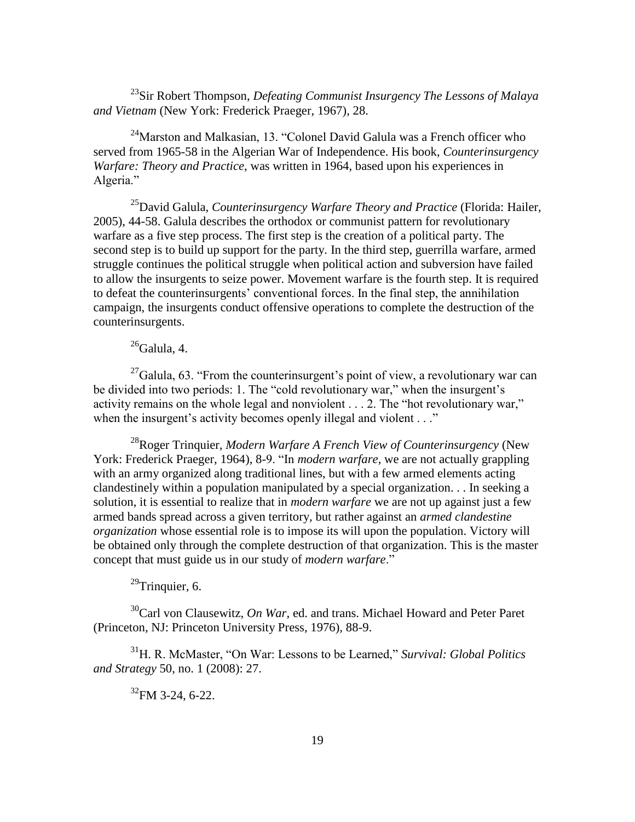<sup>23</sup>Sir Robert Thompson, *Defeating Communist Insurgency The Lessons of Malaya and Vietnam* (New York: Frederick Praeger, 1967), 28.

 $24$ Marston and Malkasian, 13. "Colonel David Galula was a French officer who served from 1965-58 in the Algerian War of Independence. His book, *Counterinsurgency Warfare: Theory and Practice*, was written in 1964, based upon his experiences in Algeria."

<sup>25</sup>David Galula, *Counterinsurgency Warfare Theory and Practice* (Florida: Hailer, 2005), 44-58. Galula describes the orthodox or communist pattern for revolutionary warfare as a five step process. The first step is the creation of a political party. The second step is to build up support for the party. In the third step, guerrilla warfare, armed struggle continues the political struggle when political action and subversion have failed to allow the insurgents to seize power. Movement warfare is the fourth step. It is required to defeat the counterinsurgents' conventional forces. In the final step, the annihilation campaign, the insurgents conduct offensive operations to complete the destruction of the counterinsurgents.

# $26$ Galula, 4.

 $^{27}$ Galula, 63. "From the counterinsurgent's point of view, a revolutionary war can be divided into two periods: 1. The "cold revolutionary war," when the insurgent's activity remains on the whole legal and nonviolent  $\dots$  2. The "hot revolutionary war," when the insurgent's activity becomes openly illegal and violent  $\ldots$ "

<sup>28</sup>Roger Trinquier, *Modern Warfare A French View of Counterinsurgency* (New York: Frederick Praeger, 1964), 8-9. "In *modern warfare*, we are not actually grappling with an army organized along traditional lines, but with a few armed elements acting clandestinely within a population manipulated by a special organization. . . In seeking a solution, it is essential to realize that in *modern warfare* we are not up against just a few armed bands spread across a given territory, but rather against an *armed clandestine organization* whose essential role is to impose its will upon the population. Victory will be obtained only through the complete destruction of that organization. This is the master concept that must guide us in our study of *modern warfare*."

 $29$ Trinquier, 6.

<sup>30</sup>Carl von Clausewitz, *On War*, ed. and trans. Michael Howard and Peter Paret (Princeton, NJ: Princeton University Press, 1976), 88-9.

<sup>31</sup>H. R. McMaster, "On War: Lessons to be Learned," *Survival: Global Politics and Strategy* 50, no. 1 (2008): 27.

<sup>32</sup>FM 3-24, 6-22.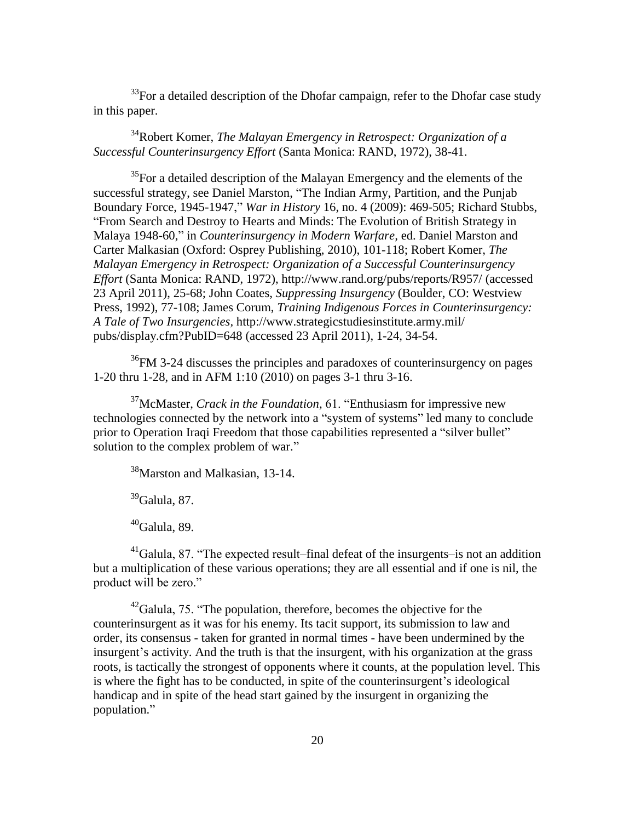$33$ For a detailed description of the Dhofar campaign, refer to the Dhofar case study in this paper.

<sup>34</sup>Robert Komer, *The Malayan Emergency in Retrospect: Organization of a Successful Counterinsurgency Effort* (Santa Monica: RAND, 1972), 38-41.

<sup>35</sup>For a detailed description of the Malayan Emergency and the elements of the successful strategy, see Daniel Marston, "The Indian Army, Partition, and the Punjab Boundary Force, 1945-1947," *War in History* 16, no. 4 (2009): 469-505; Richard Stubbs, ―From Search and Destroy to Hearts and Minds: The Evolution of British Strategy in Malaya 1948-60," in *Counterinsurgency in Modern Warfare*, ed. Daniel Marston and Carter Malkasian (Oxford: Osprey Publishing, 2010), 101-118; Robert Komer, *The Malayan Emergency in Retrospect: Organization of a Successful Counterinsurgency Effort* (Santa Monica: RAND, 1972), http://www.rand.org/pubs/reports/R957/ (accessed 23 April 2011), 25-68; John Coates, *Suppressing Insurgency* (Boulder, CO: Westview Press, 1992), 77-108; James Corum, *Training Indigenous Forces in Counterinsurgency: A Tale of Two Insurgencies,* http://www.strategicstudiesinstitute.army.mil/ pubs/display.cfm?PubID=648 (accessed 23 April 2011), 1-24, 34-54.

 ${}^{36}$ FM 3-24 discusses the principles and paradoxes of counterinsurgency on pages 1-20 thru 1-28, and in AFM 1:10 (2010) on pages 3-1 thru 3-16.

<sup>37</sup>McMaster, *Crack in the Foundation*, 61. "Enthusiasm for impressive new technologies connected by the network into a "system of systems" led many to conclude prior to Operation Iraqi Freedom that those capabilities represented a "silver bullet" solution to the complex problem of war."

<sup>38</sup>Marston and Malkasian, 13-14.

 $39$ Galula, 87.

 $40$ Galula, 89.

 $^{41}$ Galula, 87. "The expected result–final defeat of the insurgents–is not an addition but a multiplication of these various operations; they are all essential and if one is nil, the product will be zero."

 $^{42}$ Galula, 75. "The population, therefore, becomes the objective for the counterinsurgent as it was for his enemy. Its tacit support, its submission to law and order, its consensus - taken for granted in normal times - have been undermined by the insurgent's activity. And the truth is that the insurgent, with his organization at the grass roots, is tactically the strongest of opponents where it counts, at the population level. This is where the fight has to be conducted, in spite of the counterinsurgent's ideological handicap and in spite of the head start gained by the insurgent in organizing the population."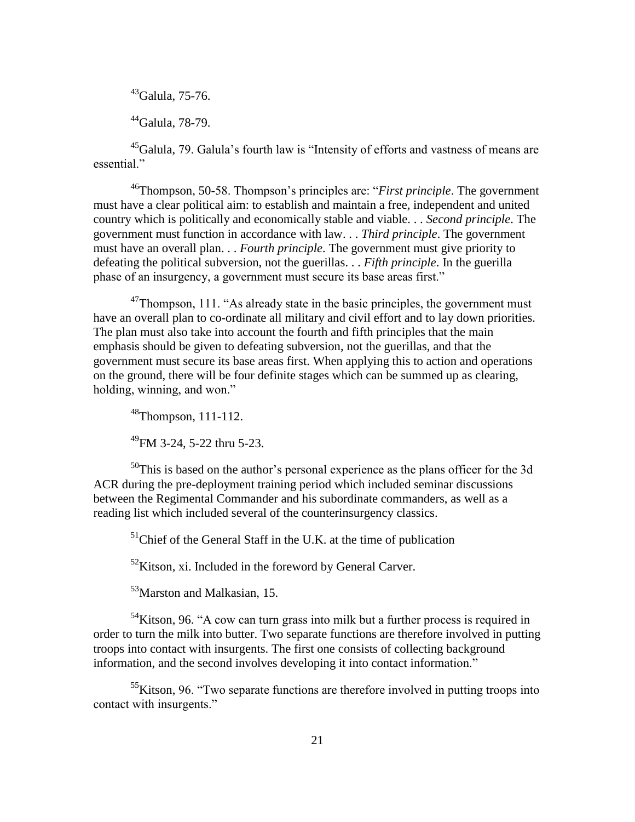$43$ Galula, 75-76.

 $44$ Galula, 78-79.

<sup>45</sup>Galula, 79. Galula's fourth law is "Intensity of efforts and vastness of means are essential."

<sup>46</sup>Thompson, 50-58. Thompson's principles are: "*First principle*. The government must have a clear political aim: to establish and maintain a free, independent and united country which is politically and economically stable and viable. . . *Second principle*. The government must function in accordance with law. . . *Third principle*. The government must have an overall plan. . . *Fourth principle*. The government must give priority to defeating the political subversion, not the guerillas. . . *Fifth principle*. In the guerilla phase of an insurgency, a government must secure its base areas first."

 $47$ Thompson, 111. "As already state in the basic principles, the government must have an overall plan to co-ordinate all military and civil effort and to lay down priorities. The plan must also take into account the fourth and fifth principles that the main emphasis should be given to defeating subversion, not the guerillas, and that the government must secure its base areas first. When applying this to action and operations on the ground, there will be four definite stages which can be summed up as clearing, holding, winning, and won."

<sup>48</sup>Thompson, 111-112.

 $^{49}$ FM 3-24, 5-22 thru 5-23.

 $50$ This is based on the author's personal experience as the plans officer for the 3d ACR during the pre-deployment training period which included seminar discussions between the Regimental Commander and his subordinate commanders, as well as a reading list which included several of the counterinsurgency classics.

 $<sup>51</sup>$ Chief of the General Staff in the U.K. at the time of publication</sup>

 $52$ Kitson, xi. Included in the foreword by General Carver.

<sup>53</sup>Marston and Malkasian, 15.

 $54$ Kitson, 96. "A cow can turn grass into milk but a further process is required in order to turn the milk into butter. Two separate functions are therefore involved in putting troops into contact with insurgents. The first one consists of collecting background information, and the second involves developing it into contact information."

 $55K$ itson, 96. "Two separate functions are therefore involved in putting troops into contact with insurgents."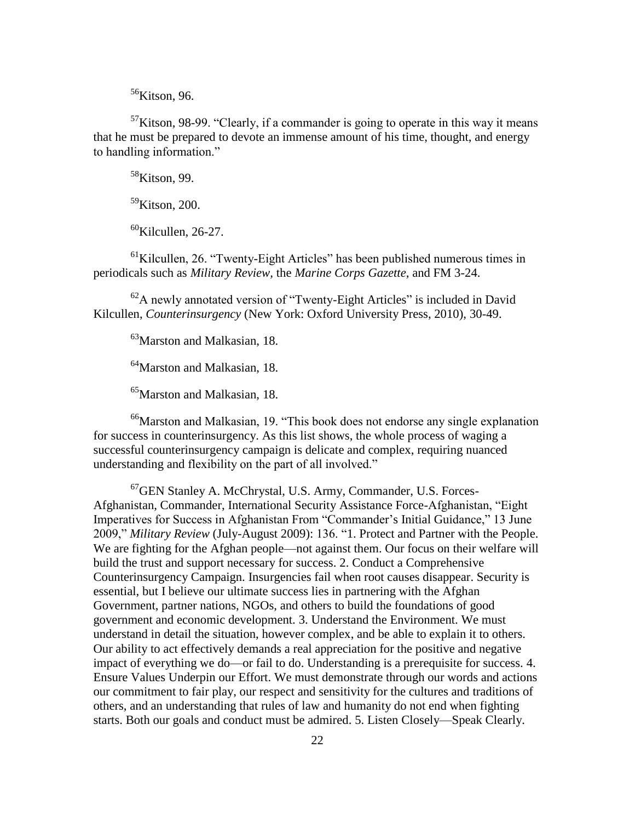$56$ Kitson, 96.

 $57$ Kitson, 98-99. "Clearly, if a commander is going to operate in this way it means that he must be prepared to devote an immense amount of his time, thought, and energy to handling information."

 $58$ Kitson, 99.

<sup>59</sup>Kitson, 200.

 $60$ Kilcullen, 26-27.

 $<sup>61</sup>$ Kilcullen, 26. "Twenty-Eight Articles" has been published numerous times in</sup> periodicals such as *Military Review,* the *Marine Corps Gazette,* and FM 3-24.

 $62A$  newly annotated version of "Twenty-Eight Articles" is included in David Kilcullen, *Counterinsurgency* (New York: Oxford University Press, 2010), 30-49.

<sup>63</sup>Marston and Malkasian, 18.

<sup>64</sup>Marston and Malkasian, 18.

<sup>65</sup>Marston and Malkasian, 18.

 $^{66}$ Marston and Malkasian, 19. "This book does not endorse any single explanation for success in counterinsurgency. As this list shows, the whole process of waging a successful counterinsurgency campaign is delicate and complex, requiring nuanced understanding and flexibility on the part of all involved."

 $^{67}$ GEN Stanley A. McChrystal, U.S. Army, Commander, U.S. Forces-Afghanistan, Commander, International Security Assistance Force-Afghanistan, "Eight Imperatives for Success in Afghanistan From "Commander's Initial Guidance," 13 June 2009," *Military Review* (July-August 2009): 136. "1. Protect and Partner with the People. We are fighting for the Afghan people—not against them. Our focus on their welfare will build the trust and support necessary for success. 2. Conduct a Comprehensive Counterinsurgency Campaign. Insurgencies fail when root causes disappear. Security is essential, but I believe our ultimate success lies in partnering with the Afghan Government, partner nations, NGOs, and others to build the foundations of good government and economic development. 3. Understand the Environment. We must understand in detail the situation, however complex, and be able to explain it to others. Our ability to act effectively demands a real appreciation for the positive and negative impact of everything we do—or fail to do. Understanding is a prerequisite for success. 4. Ensure Values Underpin our Effort. We must demonstrate through our words and actions our commitment to fair play, our respect and sensitivity for the cultures and traditions of others, and an understanding that rules of law and humanity do not end when fighting starts. Both our goals and conduct must be admired. 5. Listen Closely—Speak Clearly.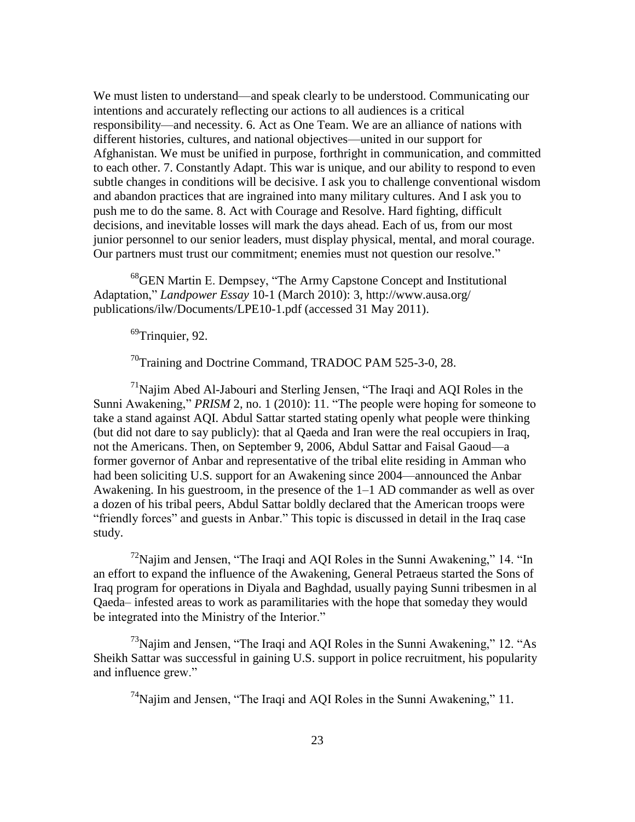We must listen to understand—and speak clearly to be understood. Communicating our intentions and accurately reflecting our actions to all audiences is a critical responsibility—and necessity. 6. Act as One Team. We are an alliance of nations with different histories, cultures, and national objectives—united in our support for Afghanistan. We must be unified in purpose, forthright in communication, and committed to each other. 7. Constantly Adapt. This war is unique, and our ability to respond to even subtle changes in conditions will be decisive. I ask you to challenge conventional wisdom and abandon practices that are ingrained into many military cultures. And I ask you to push me to do the same. 8. Act with Courage and Resolve. Hard fighting, difficult decisions, and inevitable losses will mark the days ahead. Each of us, from our most junior personnel to our senior leaders, must display physical, mental, and moral courage. Our partners must trust our commitment; enemies must not question our resolve."

68 GEN Martin E. Dempsey, "The Army Capstone Concept and Institutional Adaptation,‖ *Landpower Essay* 10-1 (March 2010): 3, http://www.ausa.org/ publications/ilw/Documents/LPE10-1.pdf (accessed 31 May 2011).

 $^{69}$ Trinquier, 92.

<sup>70</sup>Training and Doctrine Command, TRADOC PAM 525-3-0, 28.

 $71$ Najim Abed Al-Jabouri and Sterling Jensen, "The Iraqi and AQI Roles in the Sunni Awakening," *PRISM* 2, no. 1 (2010): 11. "The people were hoping for someone to take a stand against AQI. Abdul Sattar started stating openly what people were thinking (but did not dare to say publicly): that al Qaeda and Iran were the real occupiers in Iraq, not the Americans. Then, on September 9, 2006, Abdul Sattar and Faisal Gaoud—a former governor of Anbar and representative of the tribal elite residing in Amman who had been soliciting U.S. support for an Awakening since 2004—announced the Anbar Awakening. In his guestroom, in the presence of the 1–1 AD commander as well as over a dozen of his tribal peers, Abdul Sattar boldly declared that the American troops were "friendly forces" and guests in Anbar." This topic is discussed in detail in the Iraq case study.

 $^{72}$ Najim and Jensen, "The Iraqi and AQI Roles in the Sunni Awakening," 14. "In an effort to expand the influence of the Awakening, General Petraeus started the Sons of Iraq program for operations in Diyala and Baghdad, usually paying Sunni tribesmen in al Qaeda– infested areas to work as paramilitaries with the hope that someday they would be integrated into the Ministry of the Interior."

 $^{73}$ Najim and Jensen, "The Iraqi and AQI Roles in the Sunni Awakening," 12. "As Sheikh Sattar was successful in gaining U.S. support in police recruitment, his popularity and influence grew."

 $^{74}$ Najim and Jensen, "The Iraqi and AQI Roles in the Sunni Awakening," 11.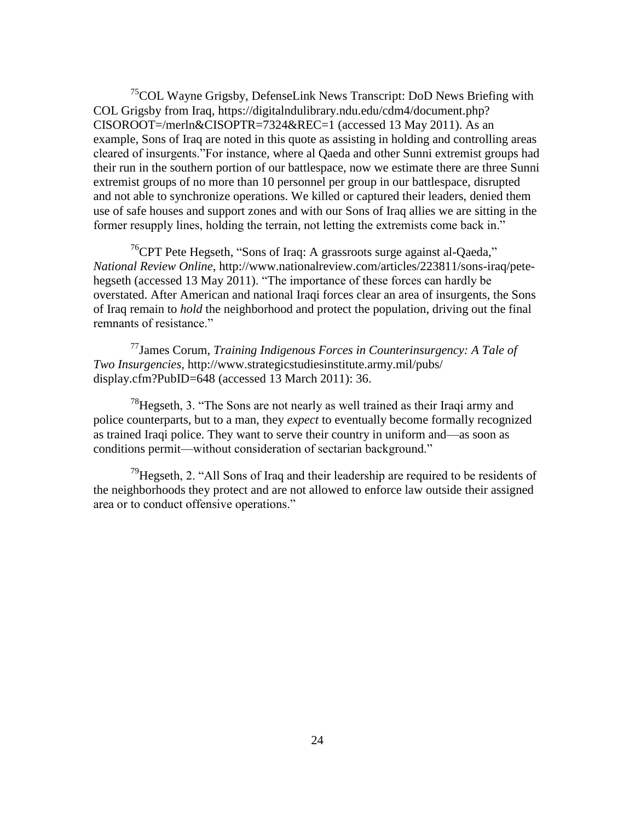<sup>75</sup>COL Wayne Grigsby, DefenseLink News Transcript: DoD News Briefing with COL Grigsby from Iraq, https://digitalndulibrary.ndu.edu/cdm4/document.php? CISOROOT=/merln&CISOPTR=7324&REC=1 (accessed 13 May 2011). As an example, Sons of Iraq are noted in this quote as assisting in holding and controlling areas cleared of insurgents. "For instance, where al Qaeda and other Sunni extremist groups had their run in the southern portion of our battlespace, now we estimate there are three Sunni extremist groups of no more than 10 personnel per group in our battlespace, disrupted and not able to synchronize operations. We killed or captured their leaders, denied them use of safe houses and support zones and with our Sons of Iraq allies we are sitting in the former resupply lines, holding the terrain, not letting the extremists come back in."

 $76$ CPT Pete Hegseth, "Sons of Iraq: A grassroots surge against al-Qaeda," *National Review Online*, http://www.nationalreview.com/articles/223811/sons-iraq/petehegseth (accessed 13 May 2011). "The importance of these forces can hardly be overstated. After American and national Iraqi forces clear an area of insurgents, the Sons of Iraq remain to *hold* the neighborhood and protect the population, driving out the final remnants of resistance."

<sup>77</sup>James Corum, *Training Indigenous Forces in Counterinsurgency: A Tale of Two Insurgencies,* http://www.strategicstudiesinstitute.army.mil/pubs/ display.cfm?PubID=648 (accessed 13 March 2011): 36.

 $78$ Hegseth, 3. "The Sons are not nearly as well trained as their Iraqi army and police counterparts, but to a man, they *expect* to eventually become formally recognized as trained Iraqi police. They want to serve their country in uniform and—as soon as conditions permit—without consideration of sectarian background."

<sup>79</sup>Hegseth, 2. "All Sons of Iraq and their leadership are required to be residents of the neighborhoods they protect and are not allowed to enforce law outside their assigned area or to conduct offensive operations."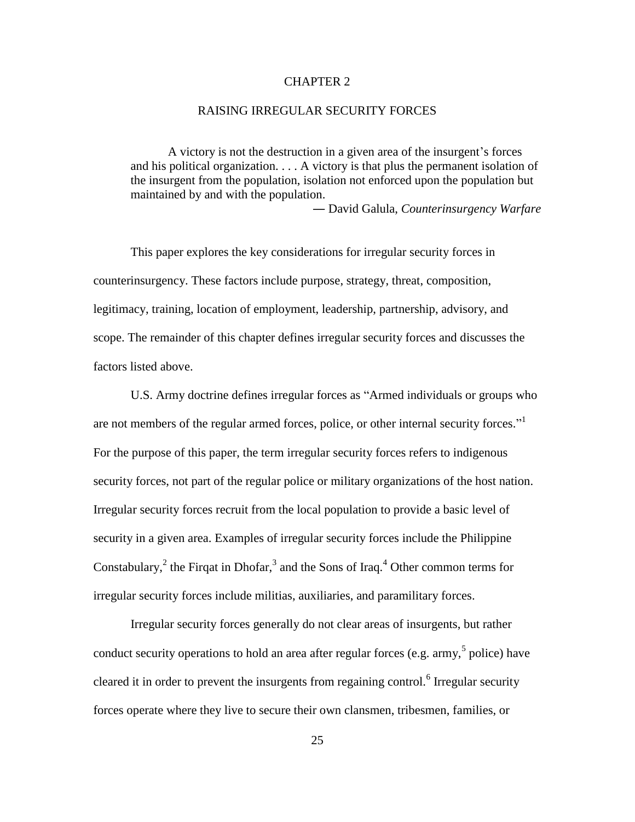### CHAPTER 2

#### RAISING IRREGULAR SECURITY FORCES

A victory is not the destruction in a given area of the insurgent's forces and his political organization. . . . A victory is that plus the permanent isolation of the insurgent from the population, isolation not enforced upon the population but maintained by and with the population.

― David Galula, *Counterinsurgency Warfare*

This paper explores the key considerations for irregular security forces in counterinsurgency. These factors include purpose, strategy, threat, composition, legitimacy, training, location of employment, leadership, partnership, advisory, and scope. The remainder of this chapter defines irregular security forces and discusses the factors listed above.

U.S. Army doctrine defines irregular forces as "Armed individuals or groups who are not members of the regular armed forces, police, or other internal security forces."<sup>1</sup> For the purpose of this paper, the term irregular security forces refers to indigenous security forces, not part of the regular police or military organizations of the host nation. Irregular security forces recruit from the local population to provide a basic level of security in a given area. Examples of irregular security forces include the Philippine Constabulary, ${}^{2}$  the Firqat in Dhofar, ${}^{3}$  and the Sons of Iraq.<sup>4</sup> Other common terms for irregular security forces include militias, auxiliaries, and paramilitary forces.

Irregular security forces generally do not clear areas of insurgents, but rather conduct security operations to hold an area after regular forces (e.g.  $\text{army},^5$  police) have cleared it in order to prevent the insurgents from regaining control.<sup>6</sup> Irregular security forces operate where they live to secure their own clansmen, tribesmen, families, or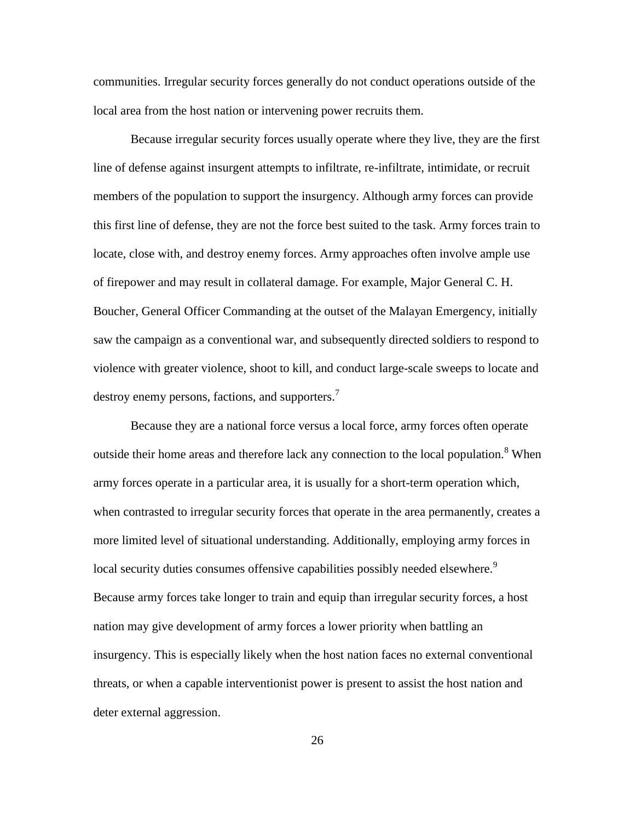communities. Irregular security forces generally do not conduct operations outside of the local area from the host nation or intervening power recruits them.

Because irregular security forces usually operate where they live, they are the first line of defense against insurgent attempts to infiltrate, re-infiltrate, intimidate, or recruit members of the population to support the insurgency. Although army forces can provide this first line of defense, they are not the force best suited to the task. Army forces train to locate, close with, and destroy enemy forces. Army approaches often involve ample use of firepower and may result in collateral damage. For example, Major General C. H. Boucher, General Officer Commanding at the outset of the Malayan Emergency, initially saw the campaign as a conventional war, and subsequently directed soldiers to respond to violence with greater violence, shoot to kill, and conduct large-scale sweeps to locate and destroy enemy persons, factions, and supporters.<sup>7</sup>

Because they are a national force versus a local force, army forces often operate outside their home areas and therefore lack any connection to the local population.<sup>8</sup> When army forces operate in a particular area, it is usually for a short-term operation which, when contrasted to irregular security forces that operate in the area permanently, creates a more limited level of situational understanding. Additionally, employing army forces in local security duties consumes offensive capabilities possibly needed elsewhere.<sup>9</sup> Because army forces take longer to train and equip than irregular security forces, a host nation may give development of army forces a lower priority when battling an insurgency. This is especially likely when the host nation faces no external conventional threats, or when a capable interventionist power is present to assist the host nation and deter external aggression.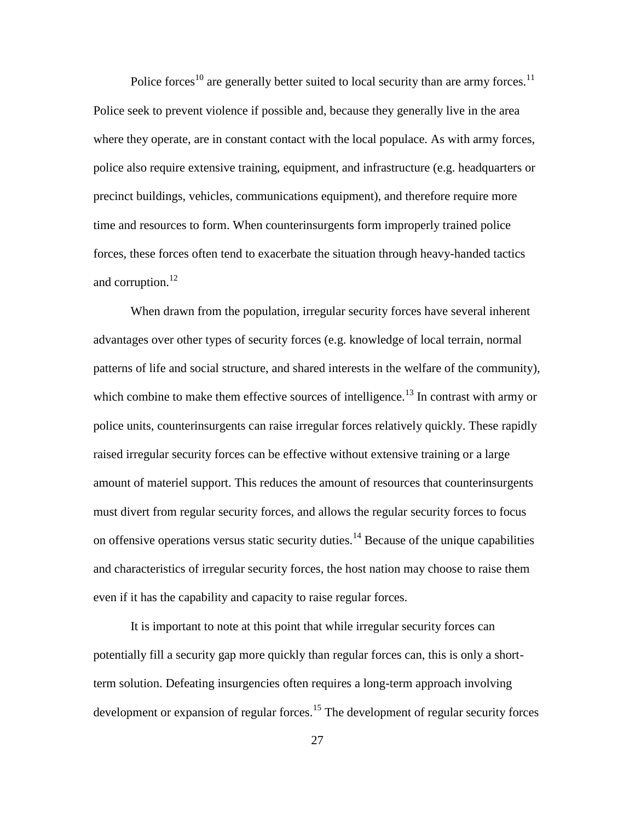Police forces<sup>10</sup> are generally better suited to local security than are army forces.<sup>11</sup> Police seek to prevent violence if possible and, because they generally live in the area where they operate, are in constant contact with the local populace. As with army forces, police also require extensive training, equipment, and infrastructure (e.g. headquarters or precinct buildings, vehicles, communications equipment), and therefore require more time and resources to form. When counterinsurgents form improperly trained police forces, these forces often tend to exacerbate the situation through heavy-handed tactics and corruption. $^{12}$ 

When drawn from the population, irregular security forces have several inherent advantages over other types of security forces (e.g. knowledge of local terrain, normal patterns of life and social structure, and shared interests in the welfare of the community), which combine to make them effective sources of intelligence.<sup>13</sup> In contrast with army or police units, counterinsurgents can raise irregular forces relatively quickly. These rapidly raised irregular security forces can be effective without extensive training or a large amount of materiel support. This reduces the amount of resources that counterinsurgents must divert from regular security forces, and allows the regular security forces to focus on offensive operations versus static security duties.<sup>14</sup> Because of the unique capabilities and characteristics of irregular security forces, the host nation may choose to raise them even if it has the capability and capacity to raise regular forces.

It is important to note at this point that while irregular security forces can potentially fill a security gap more quickly than regular forces can, this is only a shortterm solution. Defeating insurgencies often requires a long-term approach involving development or expansion of regular forces.<sup>15</sup> The development of regular security forces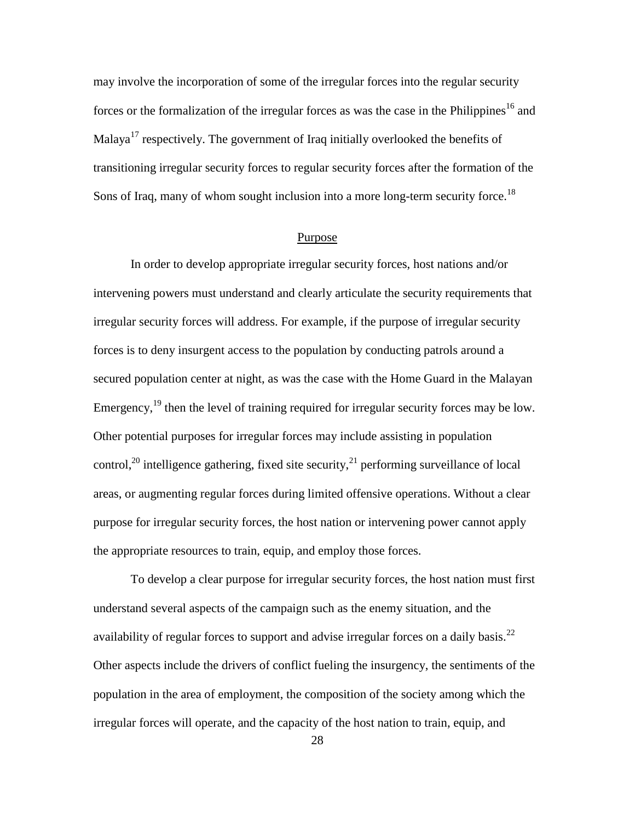may involve the incorporation of some of the irregular forces into the regular security forces or the formalization of the irregular forces as was the case in the Philippines<sup>16</sup> and Malaya<sup>17</sup> respectively. The government of Iraq initially overlooked the benefits of transitioning irregular security forces to regular security forces after the formation of the Sons of Iraq, many of whom sought inclusion into a more long-term security force.<sup>18</sup>

#### Purpose

In order to develop appropriate irregular security forces, host nations and/or intervening powers must understand and clearly articulate the security requirements that irregular security forces will address. For example, if the purpose of irregular security forces is to deny insurgent access to the population by conducting patrols around a secured population center at night, as was the case with the Home Guard in the Malayan Emergency,  $19$  then the level of training required for irregular security forces may be low. Other potential purposes for irregular forces may include assisting in population control,<sup>20</sup> intelligence gathering, fixed site security,<sup>21</sup> performing surveillance of local areas, or augmenting regular forces during limited offensive operations. Without a clear purpose for irregular security forces, the host nation or intervening power cannot apply the appropriate resources to train, equip, and employ those forces.

To develop a clear purpose for irregular security forces, the host nation must first understand several aspects of the campaign such as the enemy situation, and the availability of regular forces to support and advise irregular forces on a daily basis.<sup>22</sup> Other aspects include the drivers of conflict fueling the insurgency, the sentiments of the population in the area of employment, the composition of the society among which the irregular forces will operate, and the capacity of the host nation to train, equip, and

28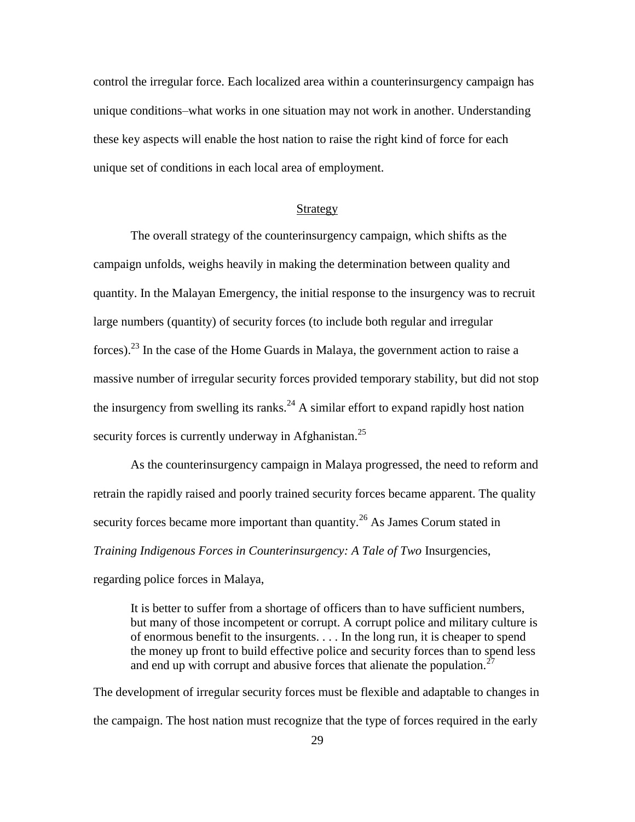control the irregular force. Each localized area within a counterinsurgency campaign has unique conditions–what works in one situation may not work in another. Understanding these key aspects will enable the host nation to raise the right kind of force for each unique set of conditions in each local area of employment.

#### Strategy

The overall strategy of the counterinsurgency campaign, which shifts as the campaign unfolds, weighs heavily in making the determination between quality and quantity. In the Malayan Emergency, the initial response to the insurgency was to recruit large numbers (quantity) of security forces (to include both regular and irregular forces).<sup>23</sup> In the case of the Home Guards in Malaya, the government action to raise a massive number of irregular security forces provided temporary stability, but did not stop the insurgency from swelling its ranks.<sup>24</sup> A similar effort to expand rapidly host nation security forces is currently underway in Afghanistan.<sup>25</sup>

As the counterinsurgency campaign in Malaya progressed, the need to reform and retrain the rapidly raised and poorly trained security forces became apparent. The quality security forces became more important than quantity.<sup>26</sup> As James Corum stated in *Training Indigenous Forces in Counterinsurgency: A Tale of Two* Insurgencies, regarding police forces in Malaya,

It is better to suffer from a shortage of officers than to have sufficient numbers, but many of those incompetent or corrupt. A corrupt police and military culture is of enormous benefit to the insurgents. . . . In the long run, it is cheaper to spend the money up front to build effective police and security forces than to spend less and end up with corrupt and abusive forces that alienate the population.<sup>2</sup>

The development of irregular security forces must be flexible and adaptable to changes in the campaign. The host nation must recognize that the type of forces required in the early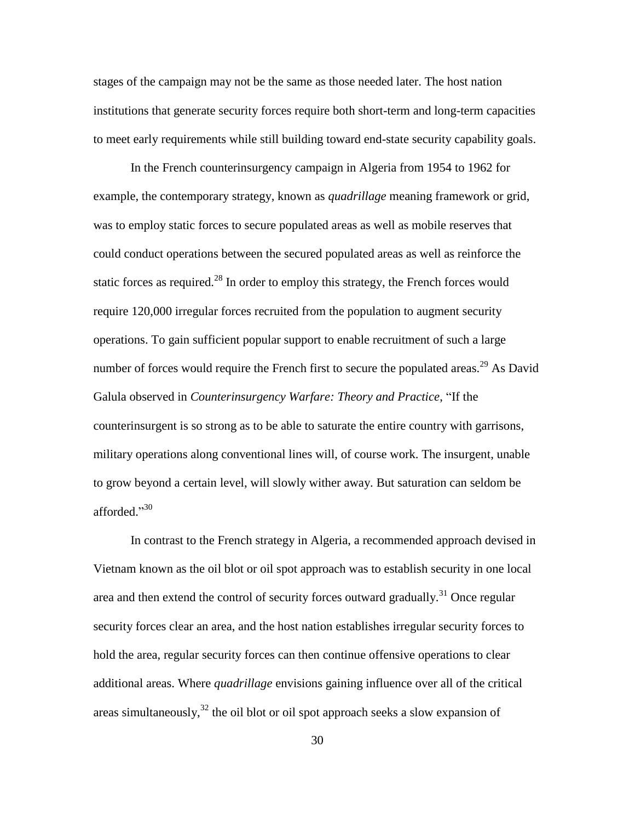stages of the campaign may not be the same as those needed later. The host nation institutions that generate security forces require both short-term and long-term capacities to meet early requirements while still building toward end-state security capability goals.

In the French counterinsurgency campaign in Algeria from 1954 to 1962 for example, the contemporary strategy, known as *quadrillage* meaning framework or grid, was to employ static forces to secure populated areas as well as mobile reserves that could conduct operations between the secured populated areas as well as reinforce the static forces as required.<sup>28</sup> In order to employ this strategy, the French forces would require 120,000 irregular forces recruited from the population to augment security operations. To gain sufficient popular support to enable recruitment of such a large number of forces would require the French first to secure the populated areas.<sup>29</sup> As David Galula observed in *Counterinsurgency Warfare: Theory and Practice*, "If the counterinsurgent is so strong as to be able to saturate the entire country with garrisons, military operations along conventional lines will, of course work. The insurgent, unable to grow beyond a certain level, will slowly wither away. But saturation can seldom be afforded."30

In contrast to the French strategy in Algeria, a recommended approach devised in Vietnam known as the oil blot or oil spot approach was to establish security in one local area and then extend the control of security forces outward gradually.<sup>31</sup> Once regular security forces clear an area, and the host nation establishes irregular security forces to hold the area, regular security forces can then continue offensive operations to clear additional areas. Where *quadrillage* envisions gaining influence over all of the critical areas simultaneously,  $32$  the oil blot or oil spot approach seeks a slow expansion of

30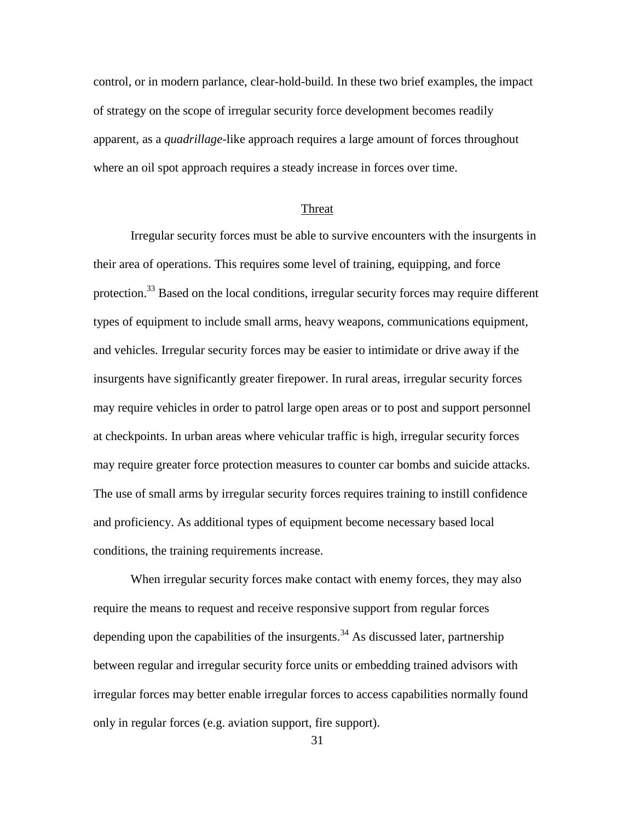control, or in modern parlance, clear-hold-build. In these two brief examples, the impact of strategy on the scope of irregular security force development becomes readily apparent, as a *quadrillage*-like approach requires a large amount of forces throughout where an oil spot approach requires a steady increase in forces over time.

#### Threat

Irregular security forces must be able to survive encounters with the insurgents in their area of operations. This requires some level of training, equipping, and force protection.<sup>33</sup> Based on the local conditions, irregular security forces may require different types of equipment to include small arms, heavy weapons, communications equipment, and vehicles. Irregular security forces may be easier to intimidate or drive away if the insurgents have significantly greater firepower. In rural areas, irregular security forces may require vehicles in order to patrol large open areas or to post and support personnel at checkpoints. In urban areas where vehicular traffic is high, irregular security forces may require greater force protection measures to counter car bombs and suicide attacks. The use of small arms by irregular security forces requires training to instill confidence and proficiency. As additional types of equipment become necessary based local conditions, the training requirements increase.

When irregular security forces make contact with enemy forces, they may also require the means to request and receive responsive support from regular forces depending upon the capabilities of the insurgents.<sup>34</sup> As discussed later, partnership between regular and irregular security force units or embedding trained advisors with irregular forces may better enable irregular forces to access capabilities normally found only in regular forces (e.g. aviation support, fire support).

31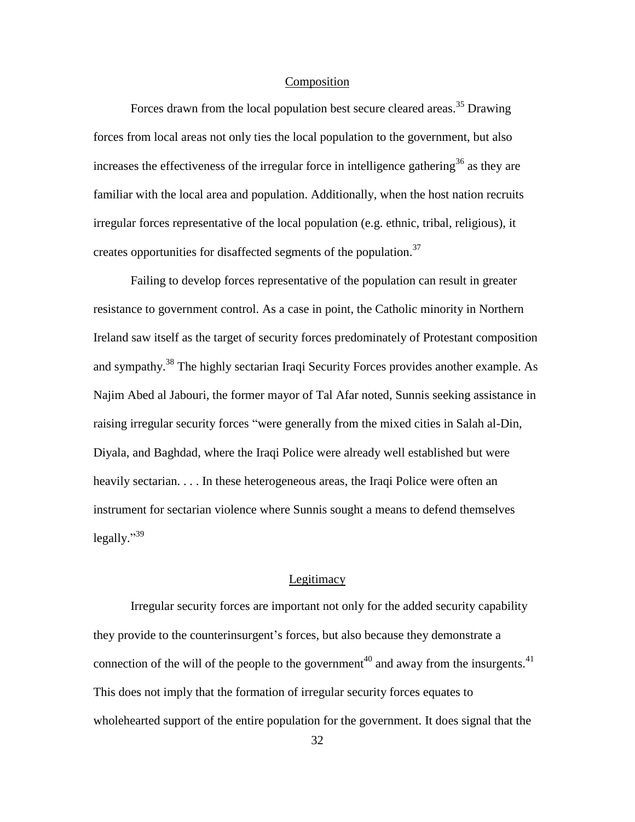### **Composition**

Forces drawn from the local population best secure cleared areas.<sup>35</sup> Drawing forces from local areas not only ties the local population to the government, but also increases the effectiveness of the irregular force in intelligence gathering<sup>36</sup> as they are familiar with the local area and population. Additionally, when the host nation recruits irregular forces representative of the local population (e.g. ethnic, tribal, religious), it creates opportunities for disaffected segments of the population.<sup>37</sup>

Failing to develop forces representative of the population can result in greater resistance to government control. As a case in point, the Catholic minority in Northern Ireland saw itself as the target of security forces predominately of Protestant composition and sympathy.<sup>38</sup> The highly sectarian Iraqi Security Forces provides another example. As Najim Abed al Jabouri, the former mayor of Tal Afar noted, Sunnis seeking assistance in raising irregular security forces "were generally from the mixed cities in Salah al-Din, Diyala, and Baghdad, where the Iraqi Police were already well established but were heavily sectarian. . . . In these heterogeneous areas, the Iraqi Police were often an instrument for sectarian violence where Sunnis sought a means to defend themselves legally."<sup>39</sup>

# Legitimacy

Irregular security forces are important not only for the added security capability they provide to the counterinsurgent's forces, but also because they demonstrate a connection of the will of the people to the government<sup>40</sup> and away from the insurgents.<sup>41</sup> This does not imply that the formation of irregular security forces equates to wholehearted support of the entire population for the government. It does signal that the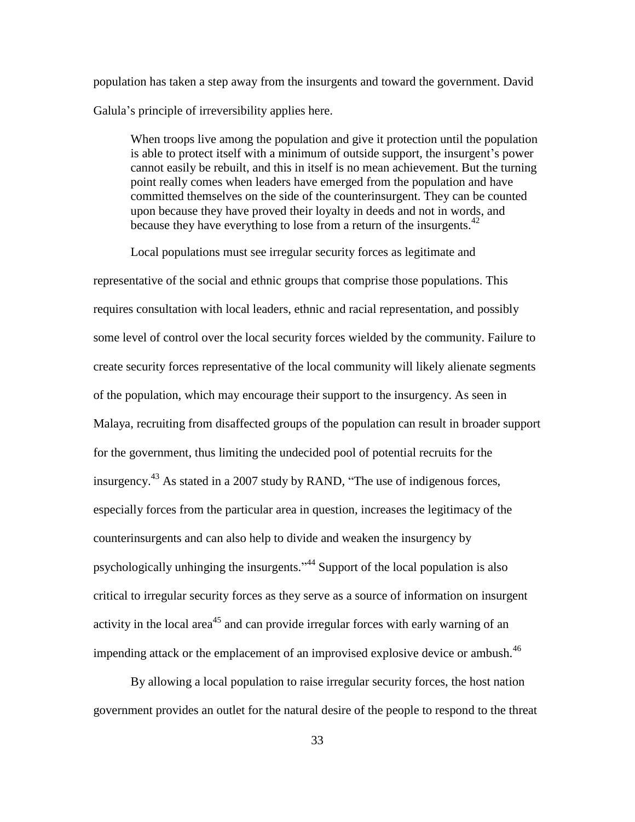population has taken a step away from the insurgents and toward the government. David Galula's principle of irreversibility applies here.

When troops live among the population and give it protection until the population is able to protect itself with a minimum of outside support, the insurgent's power cannot easily be rebuilt, and this in itself is no mean achievement. But the turning point really comes when leaders have emerged from the population and have committed themselves on the side of the counterinsurgent. They can be counted upon because they have proved their loyalty in deeds and not in words, and because they have everything to lose from a return of the insurgents.  $42$ 

Local populations must see irregular security forces as legitimate and

representative of the social and ethnic groups that comprise those populations. This requires consultation with local leaders, ethnic and racial representation, and possibly some level of control over the local security forces wielded by the community. Failure to create security forces representative of the local community will likely alienate segments of the population, which may encourage their support to the insurgency. As seen in Malaya, recruiting from disaffected groups of the population can result in broader support for the government, thus limiting the undecided pool of potential recruits for the insurgency.<sup>43</sup> As stated in a 2007 study by RAND, "The use of indigenous forces, especially forces from the particular area in question, increases the legitimacy of the counterinsurgents and can also help to divide and weaken the insurgency by psychologically unhinging the insurgents."<sup>44</sup> Support of the local population is also critical to irregular security forces as they serve as a source of information on insurgent activity in the local area<sup>45</sup> and can provide irregular forces with early warning of an impending attack or the emplacement of an improvised explosive device or ambush.<sup>46</sup>

By allowing a local population to raise irregular security forces, the host nation government provides an outlet for the natural desire of the people to respond to the threat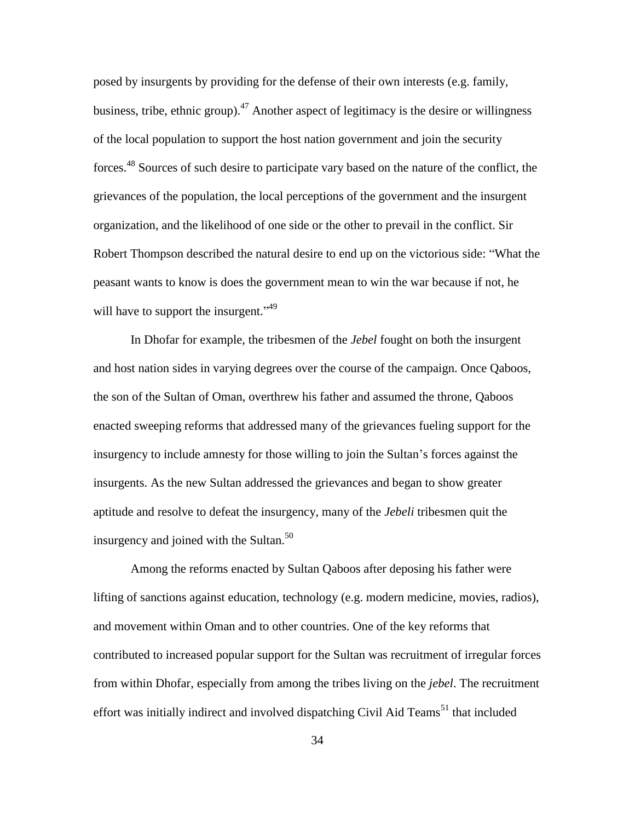posed by insurgents by providing for the defense of their own interests (e.g. family, business, tribe, ethnic group).<sup>47</sup> Another aspect of legitimacy is the desire or willingness of the local population to support the host nation government and join the security forces.<sup>48</sup> Sources of such desire to participate vary based on the nature of the conflict, the grievances of the population, the local perceptions of the government and the insurgent organization, and the likelihood of one side or the other to prevail in the conflict. Sir Robert Thompson described the natural desire to end up on the victorious side: "What the peasant wants to know is does the government mean to win the war because if not, he will have to support the insurgent."<sup>49</sup>

In Dhofar for example, the tribesmen of the *Jebel* fought on both the insurgent and host nation sides in varying degrees over the course of the campaign. Once Qaboos, the son of the Sultan of Oman, overthrew his father and assumed the throne, Qaboos enacted sweeping reforms that addressed many of the grievances fueling support for the insurgency to include amnesty for those willing to join the Sultan's forces against the insurgents. As the new Sultan addressed the grievances and began to show greater aptitude and resolve to defeat the insurgency, many of the *Jebeli* tribesmen quit the insurgency and joined with the Sultan. $50$ 

Among the reforms enacted by Sultan Qaboos after deposing his father were lifting of sanctions against education, technology (e.g. modern medicine, movies, radios), and movement within Oman and to other countries. One of the key reforms that contributed to increased popular support for the Sultan was recruitment of irregular forces from within Dhofar, especially from among the tribes living on the *jebel*. The recruitment effort was initially indirect and involved dispatching Civil Aid Teams<sup>51</sup> that included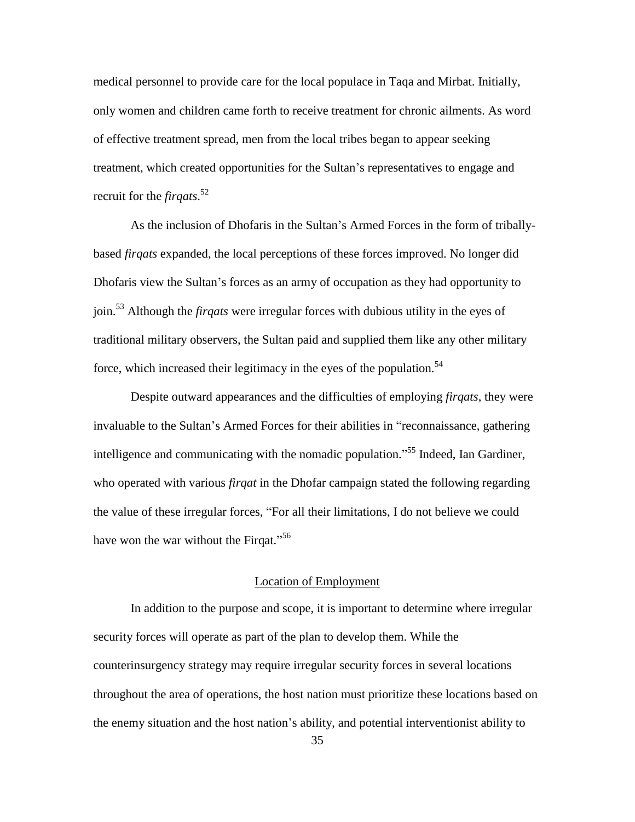medical personnel to provide care for the local populace in Taqa and Mirbat. Initially, only women and children came forth to receive treatment for chronic ailments. As word of effective treatment spread, men from the local tribes began to appear seeking treatment, which created opportunities for the Sultan's representatives to engage and recruit for the *firqats*. 52

As the inclusion of Dhofaris in the Sultan's Armed Forces in the form of triballybased *firqats* expanded, the local perceptions of these forces improved. No longer did Dhofaris view the Sultan's forces as an army of occupation as they had opportunity to join.<sup>53</sup> Although the *firqats* were irregular forces with dubious utility in the eyes of traditional military observers, the Sultan paid and supplied them like any other military force, which increased their legitimacy in the eyes of the population.<sup>54</sup>

Despite outward appearances and the difficulties of employing *firqats*, they were invaluable to the Sultan's Armed Forces for their abilities in "reconnaissance, gathering intelligence and communicating with the nomadic population."<sup>55</sup> Indeed, Ian Gardiner, who operated with various *firqat* in the Dhofar campaign stated the following regarding the value of these irregular forces, "For all their limitations, I do not believe we could have won the war without the Firqat."<sup>56</sup>

# Location of Employment

In addition to the purpose and scope, it is important to determine where irregular security forces will operate as part of the plan to develop them. While the counterinsurgency strategy may require irregular security forces in several locations throughout the area of operations, the host nation must prioritize these locations based on the enemy situation and the host nation's ability, and potential interventionist ability to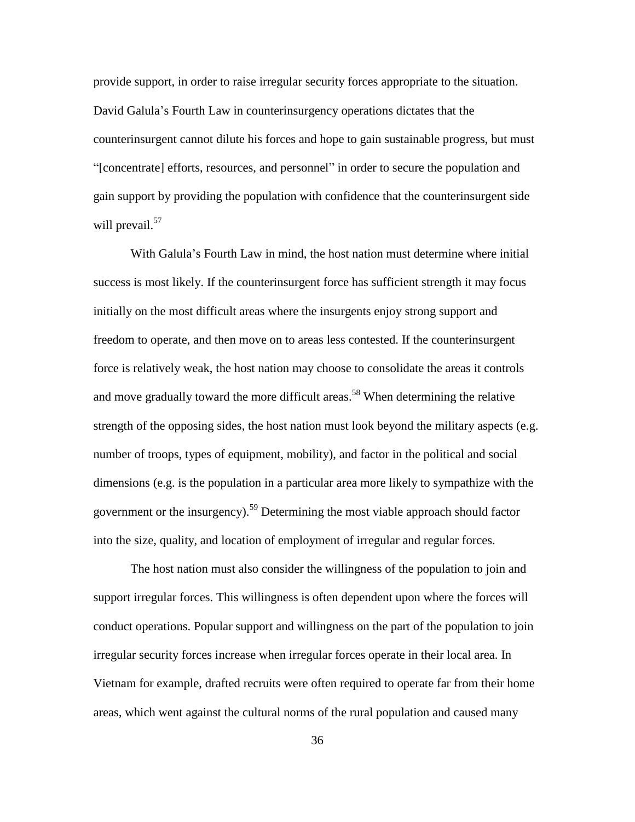provide support, in order to raise irregular security forces appropriate to the situation. David Galula's Fourth Law in counterinsurgency operations dictates that the counterinsurgent cannot dilute his forces and hope to gain sustainable progress, but must ―[concentrate] efforts, resources, and personnel‖ in order to secure the population and gain support by providing the population with confidence that the counterinsurgent side will prevail.<sup>57</sup>

With Galula's Fourth Law in mind, the host nation must determine where initial success is most likely. If the counterinsurgent force has sufficient strength it may focus initially on the most difficult areas where the insurgents enjoy strong support and freedom to operate, and then move on to areas less contested. If the counterinsurgent force is relatively weak, the host nation may choose to consolidate the areas it controls and move gradually toward the more difficult areas.<sup>58</sup> When determining the relative strength of the opposing sides, the host nation must look beyond the military aspects (e.g. number of troops, types of equipment, mobility), and factor in the political and social dimensions (e.g. is the population in a particular area more likely to sympathize with the government or the insurgency).<sup>59</sup> Determining the most viable approach should factor into the size, quality, and location of employment of irregular and regular forces.

The host nation must also consider the willingness of the population to join and support irregular forces. This willingness is often dependent upon where the forces will conduct operations. Popular support and willingness on the part of the population to join irregular security forces increase when irregular forces operate in their local area. In Vietnam for example, drafted recruits were often required to operate far from their home areas, which went against the cultural norms of the rural population and caused many

36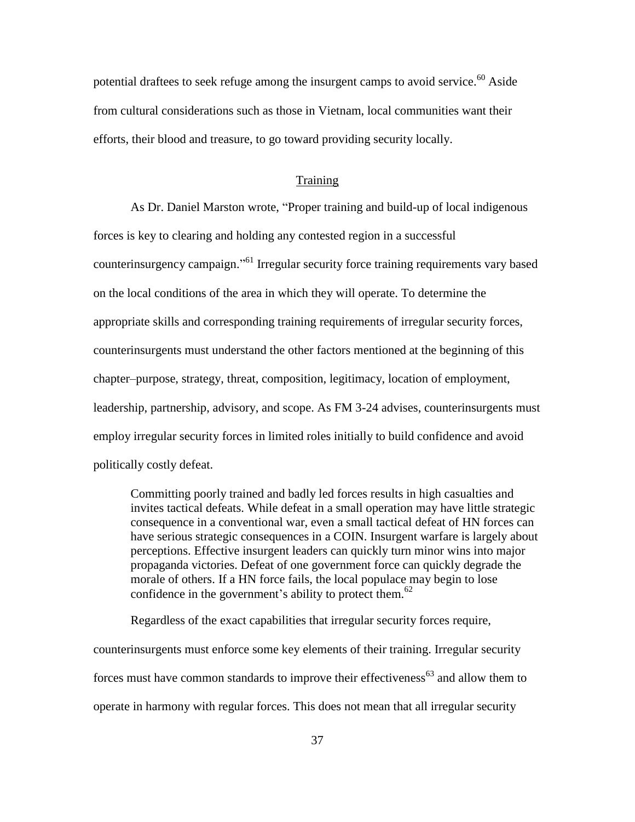potential draftees to seek refuge among the insurgent camps to avoid service.<sup>60</sup> Aside from cultural considerations such as those in Vietnam, local communities want their efforts, their blood and treasure, to go toward providing security locally.

#### **Training**

As Dr. Daniel Marston wrote, "Proper training and build-up of local indigenous forces is key to clearing and holding any contested region in a successful counterinsurgency campaign."<sup>61</sup> Irregular security force training requirements vary based on the local conditions of the area in which they will operate. To determine the appropriate skills and corresponding training requirements of irregular security forces, counterinsurgents must understand the other factors mentioned at the beginning of this chapter–purpose, strategy, threat, composition, legitimacy, location of employment, leadership, partnership, advisory, and scope. As FM 3-24 advises, counterinsurgents must employ irregular security forces in limited roles initially to build confidence and avoid politically costly defeat.

Committing poorly trained and badly led forces results in high casualties and invites tactical defeats. While defeat in a small operation may have little strategic consequence in a conventional war, even a small tactical defeat of HN forces can have serious strategic consequences in a COIN. Insurgent warfare is largely about perceptions. Effective insurgent leaders can quickly turn minor wins into major propaganda victories. Defeat of one government force can quickly degrade the morale of others. If a HN force fails, the local populace may begin to lose confidence in the government's ability to protect them.<sup>62</sup>

Regardless of the exact capabilities that irregular security forces require,

counterinsurgents must enforce some key elements of their training. Irregular security forces must have common standards to improve their effectiveness<sup>63</sup> and allow them to operate in harmony with regular forces. This does not mean that all irregular security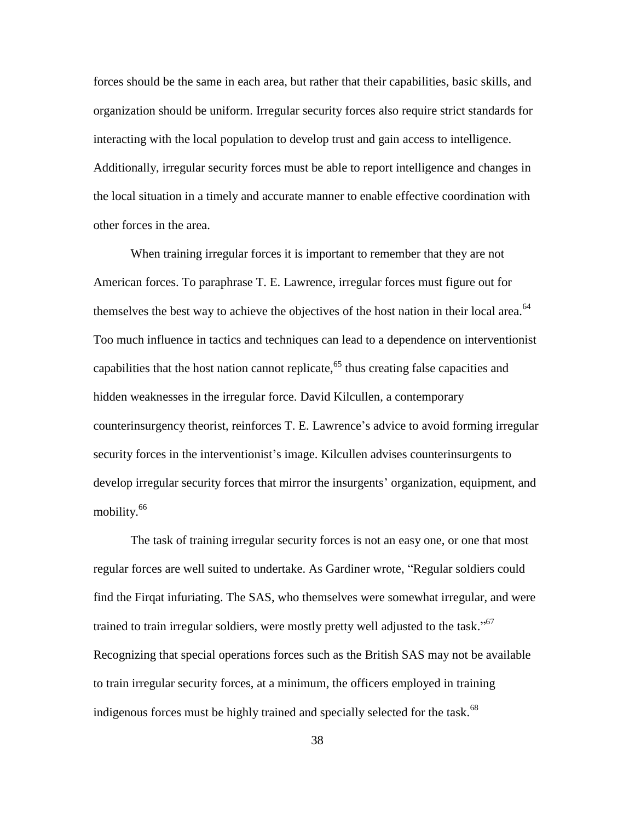forces should be the same in each area, but rather that their capabilities, basic skills, and organization should be uniform. Irregular security forces also require strict standards for interacting with the local population to develop trust and gain access to intelligence. Additionally, irregular security forces must be able to report intelligence and changes in the local situation in a timely and accurate manner to enable effective coordination with other forces in the area.

When training irregular forces it is important to remember that they are not American forces. To paraphrase T. E. Lawrence, irregular forces must figure out for themselves the best way to achieve the objectives of the host nation in their local area.<sup>64</sup> Too much influence in tactics and techniques can lead to a dependence on interventionist capabilities that the host nation cannot replicate,<sup>65</sup> thus creating false capacities and hidden weaknesses in the irregular force. David Kilcullen, a contemporary counterinsurgency theorist, reinforces T. E. Lawrence's advice to avoid forming irregular security forces in the interventionist's image. Kilcullen advises counterinsurgents to develop irregular security forces that mirror the insurgents' organization, equipment, and mobility.<sup>66</sup>

The task of training irregular security forces is not an easy one, or one that most regular forces are well suited to undertake. As Gardiner wrote, "Regular soldiers could find the Firqat infuriating. The SAS, who themselves were somewhat irregular, and were trained to train irregular soldiers, were mostly pretty well adjusted to the task."<sup>67</sup> Recognizing that special operations forces such as the British SAS may not be available to train irregular security forces, at a minimum, the officers employed in training indigenous forces must be highly trained and specially selected for the task.<sup>68</sup>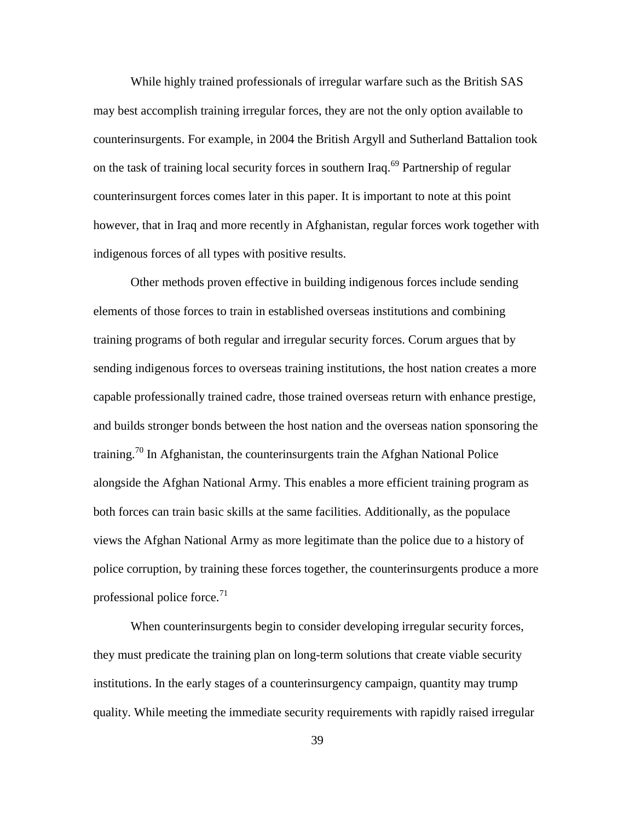While highly trained professionals of irregular warfare such as the British SAS may best accomplish training irregular forces, they are not the only option available to counterinsurgents. For example, in 2004 the British Argyll and Sutherland Battalion took on the task of training local security forces in southern Iraq.<sup>69</sup> Partnership of regular counterinsurgent forces comes later in this paper. It is important to note at this point however, that in Iraq and more recently in Afghanistan, regular forces work together with indigenous forces of all types with positive results.

Other methods proven effective in building indigenous forces include sending elements of those forces to train in established overseas institutions and combining training programs of both regular and irregular security forces. Corum argues that by sending indigenous forces to overseas training institutions, the host nation creates a more capable professionally trained cadre, those trained overseas return with enhance prestige, and builds stronger bonds between the host nation and the overseas nation sponsoring the training.<sup>70</sup> In Afghanistan, the counterinsurgents train the Afghan National Police alongside the Afghan National Army. This enables a more efficient training program as both forces can train basic skills at the same facilities. Additionally, as the populace views the Afghan National Army as more legitimate than the police due to a history of police corruption, by training these forces together, the counterinsurgents produce a more professional police force. $^{71}$ 

When counterinsurgents begin to consider developing irregular security forces, they must predicate the training plan on long-term solutions that create viable security institutions. In the early stages of a counterinsurgency campaign, quantity may trump quality. While meeting the immediate security requirements with rapidly raised irregular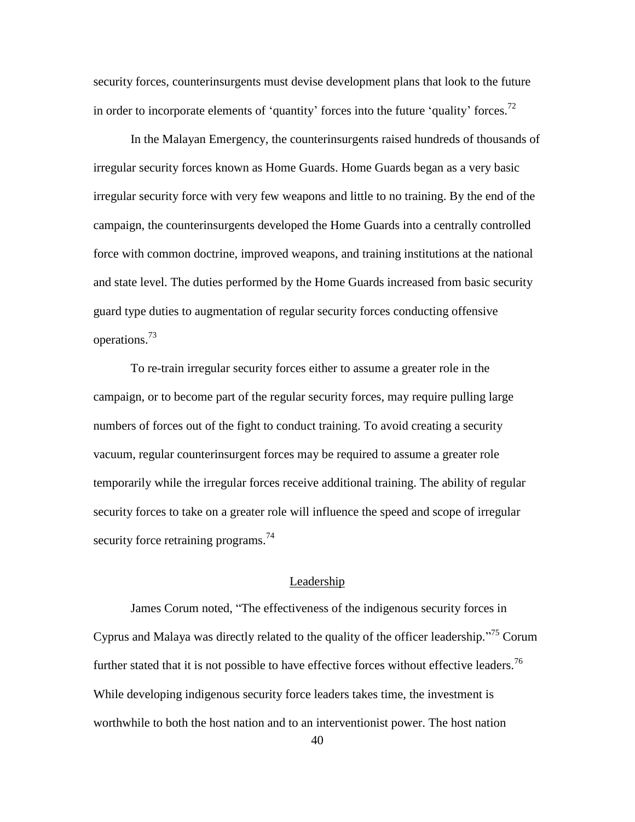security forces, counterinsurgents must devise development plans that look to the future in order to incorporate elements of 'quantity' forces into the future 'quality' forces.<sup>72</sup>

In the Malayan Emergency, the counterinsurgents raised hundreds of thousands of irregular security forces known as Home Guards. Home Guards began as a very basic irregular security force with very few weapons and little to no training. By the end of the campaign, the counterinsurgents developed the Home Guards into a centrally controlled force with common doctrine, improved weapons, and training institutions at the national and state level. The duties performed by the Home Guards increased from basic security guard type duties to augmentation of regular security forces conducting offensive operations.<sup>73</sup>

To re-train irregular security forces either to assume a greater role in the campaign, or to become part of the regular security forces, may require pulling large numbers of forces out of the fight to conduct training. To avoid creating a security vacuum, regular counterinsurgent forces may be required to assume a greater role temporarily while the irregular forces receive additional training. The ability of regular security forces to take on a greater role will influence the speed and scope of irregular security force retraining programs.<sup>74</sup>

# Leadership

James Corum noted, "The effectiveness of the indigenous security forces in Cyprus and Malaya was directly related to the quality of the officer leadership.<sup> $.75$ </sup> Corum further stated that it is not possible to have effective forces without effective leaders.<sup>76</sup> While developing indigenous security force leaders takes time, the investment is worthwhile to both the host nation and to an interventionist power. The host nation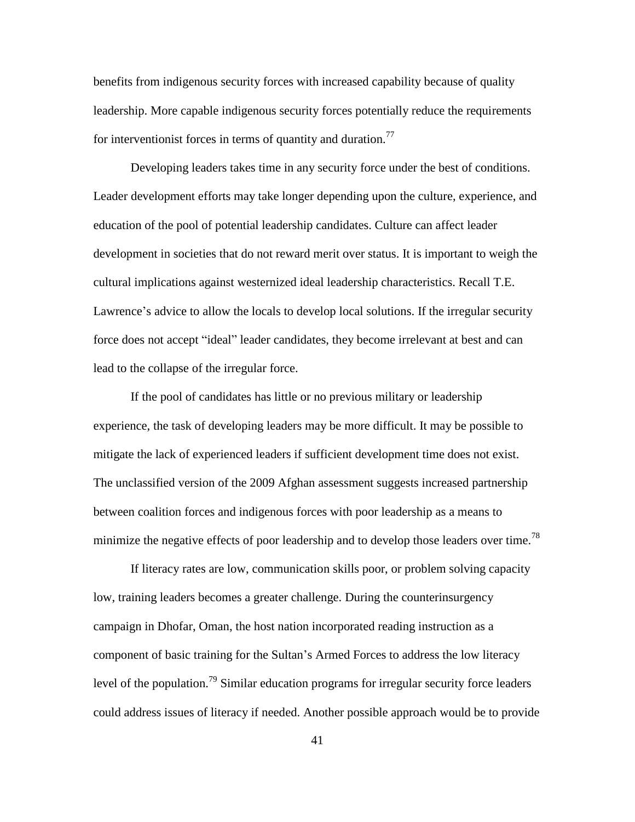benefits from indigenous security forces with increased capability because of quality leadership. More capable indigenous security forces potentially reduce the requirements for interventionist forces in terms of quantity and duration.<sup>77</sup>

Developing leaders takes time in any security force under the best of conditions. Leader development efforts may take longer depending upon the culture, experience, and education of the pool of potential leadership candidates. Culture can affect leader development in societies that do not reward merit over status. It is important to weigh the cultural implications against westernized ideal leadership characteristics. Recall T.E. Lawrence's advice to allow the locals to develop local solutions. If the irregular security force does not accept "ideal" leader candidates, they become irrelevant at best and can lead to the collapse of the irregular force.

If the pool of candidates has little or no previous military or leadership experience, the task of developing leaders may be more difficult. It may be possible to mitigate the lack of experienced leaders if sufficient development time does not exist. The unclassified version of the 2009 Afghan assessment suggests increased partnership between coalition forces and indigenous forces with poor leadership as a means to minimize the negative effects of poor leadership and to develop those leaders over time.<sup>78</sup>

If literacy rates are low, communication skills poor, or problem solving capacity low, training leaders becomes a greater challenge. During the counterinsurgency campaign in Dhofar, Oman, the host nation incorporated reading instruction as a component of basic training for the Sultan's Armed Forces to address the low literacy level of the population.<sup>79</sup> Similar education programs for irregular security force leaders could address issues of literacy if needed. Another possible approach would be to provide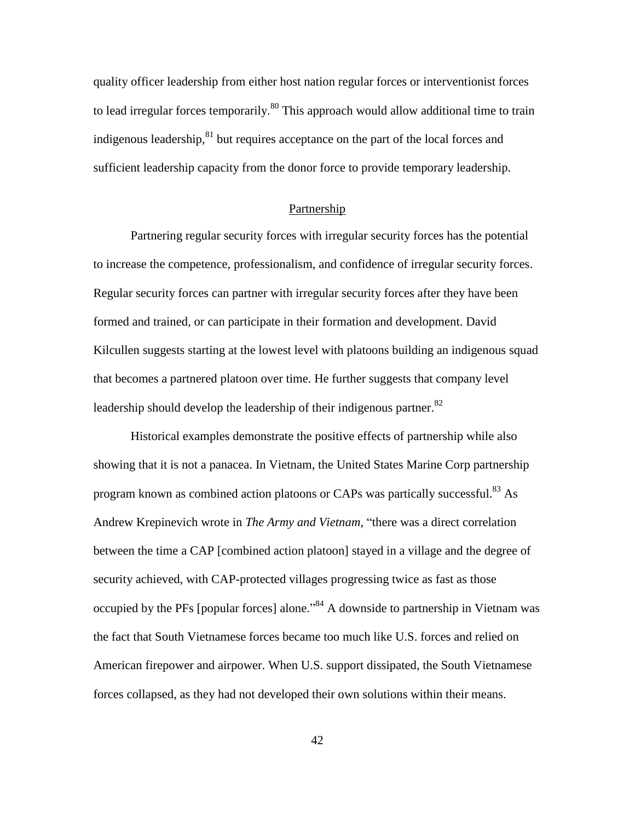quality officer leadership from either host nation regular forces or interventionist forces to lead irregular forces temporarily.<sup>80</sup> This approach would allow additional time to train indigenous leadership, ${}^{81}$  but requires acceptance on the part of the local forces and sufficient leadership capacity from the donor force to provide temporary leadership.

### Partnership

Partnering regular security forces with irregular security forces has the potential to increase the competence, professionalism, and confidence of irregular security forces. Regular security forces can partner with irregular security forces after they have been formed and trained, or can participate in their formation and development. David Kilcullen suggests starting at the lowest level with platoons building an indigenous squad that becomes a partnered platoon over time. He further suggests that company level leadership should develop the leadership of their indigenous partner. $82$ 

Historical examples demonstrate the positive effects of partnership while also showing that it is not a panacea. In Vietnam, the United States Marine Corp partnership program known as combined action platoons or CAPs was partically successful.<sup>83</sup> As Andrew Krepinevich wrote in *The Army and Vietnam*, "there was a direct correlation between the time a CAP [combined action platoon] stayed in a village and the degree of security achieved, with CAP-protected villages progressing twice as fast as those occupied by the PFs [popular forces] alone.<sup>384</sup> A downside to partnership in Vietnam was the fact that South Vietnamese forces became too much like U.S. forces and relied on American firepower and airpower. When U.S. support dissipated, the South Vietnamese forces collapsed, as they had not developed their own solutions within their means.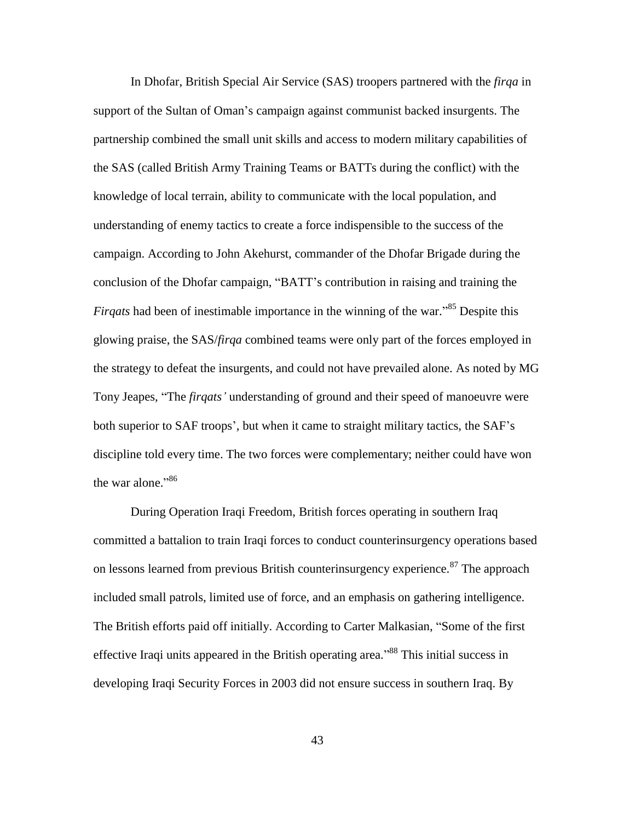In Dhofar, British Special Air Service (SAS) troopers partnered with the *firqa* in support of the Sultan of Oman's campaign against communist backed insurgents. The partnership combined the small unit skills and access to modern military capabilities of the SAS (called British Army Training Teams or BATTs during the conflict) with the knowledge of local terrain, ability to communicate with the local population, and understanding of enemy tactics to create a force indispensible to the success of the campaign. According to John Akehurst, commander of the Dhofar Brigade during the conclusion of the Dhofar campaign, "BATT's contribution in raising and training the *Firqats* had been of inestimable importance in the winning of the war.<sup>85</sup> Despite this glowing praise, the SAS/*firqa* combined teams were only part of the forces employed in the strategy to defeat the insurgents, and could not have prevailed alone. As noted by MG Tony Jeapes, "The *firqats'* understanding of ground and their speed of manoeuvre were both superior to SAF troops', but when it came to straight military tactics, the SAF's discipline told every time. The two forces were complementary; neither could have won the war alone."<sup>86</sup>

During Operation Iraqi Freedom, British forces operating in southern Iraq committed a battalion to train Iraqi forces to conduct counterinsurgency operations based on lessons learned from previous British counterinsurgency experience.<sup>87</sup> The approach included small patrols, limited use of force, and an emphasis on gathering intelligence. The British efforts paid off initially. According to Carter Malkasian, "Some of the first effective Iraqi units appeared in the British operating area."<sup>88</sup> This initial success in developing Iraqi Security Forces in 2003 did not ensure success in southern Iraq. By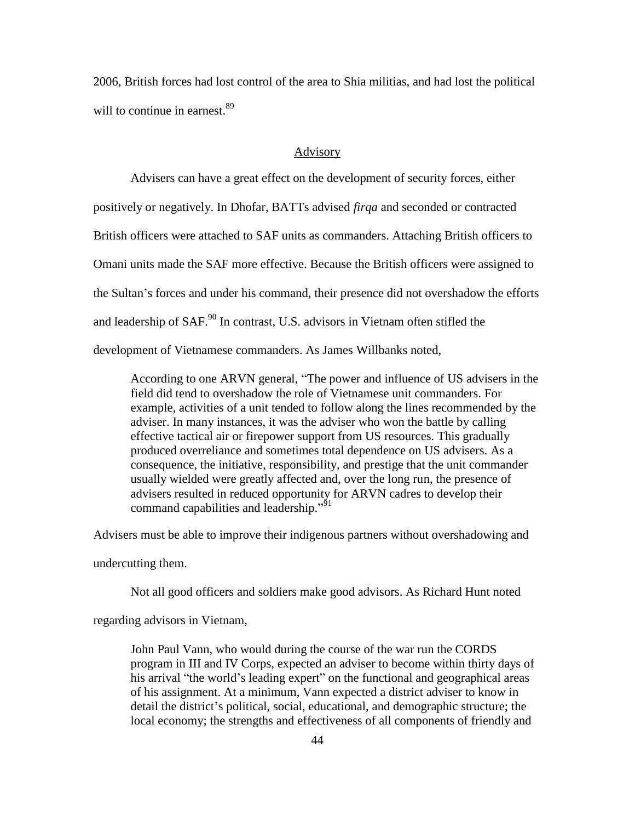2006, British forces had lost control of the area to Shia militias, and had lost the political will to continue in earnest.<sup>89</sup>

# Advisory

Advisers can have a great effect on the development of security forces, either positively or negatively. In Dhofar, BATTs advised *firqa* and seconded or contracted British officers were attached to SAF units as commanders. Attaching British officers to Omani units made the SAF more effective. Because the British officers were assigned to the Sultan's forces and under his command, their presence did not overshadow the efforts and leadership of SAF.<sup>90</sup> In contrast, U.S. advisors in Vietnam often stifled the development of Vietnamese commanders. As James Willbanks noted,

According to one ARVN general, "The power and influence of US advisers in the field did tend to overshadow the role of Vietnamese unit commanders. For example, activities of a unit tended to follow along the lines recommended by the adviser. In many instances, it was the adviser who won the battle by calling effective tactical air or firepower support from US resources. This gradually produced overreliance and sometimes total dependence on US advisers. As a consequence, the initiative, responsibility, and prestige that the unit commander usually wielded were greatly affected and, over the long run, the presence of advisers resulted in reduced opportunity for ARVN cadres to develop their command capabilities and leadership."<sup>51</sup>

Advisers must be able to improve their indigenous partners without overshadowing and

undercutting them.

Not all good officers and soldiers make good advisors. As Richard Hunt noted

regarding advisors in Vietnam,

John Paul Vann, who would during the course of the war run the CORDS program in III and IV Corps, expected an adviser to become within thirty days of his arrival "the world's leading expert" on the functional and geographical areas of his assignment. At a minimum, Vann expected a district adviser to know in detail the district's political, social, educational, and demographic structure; the local economy; the strengths and effectiveness of all components of friendly and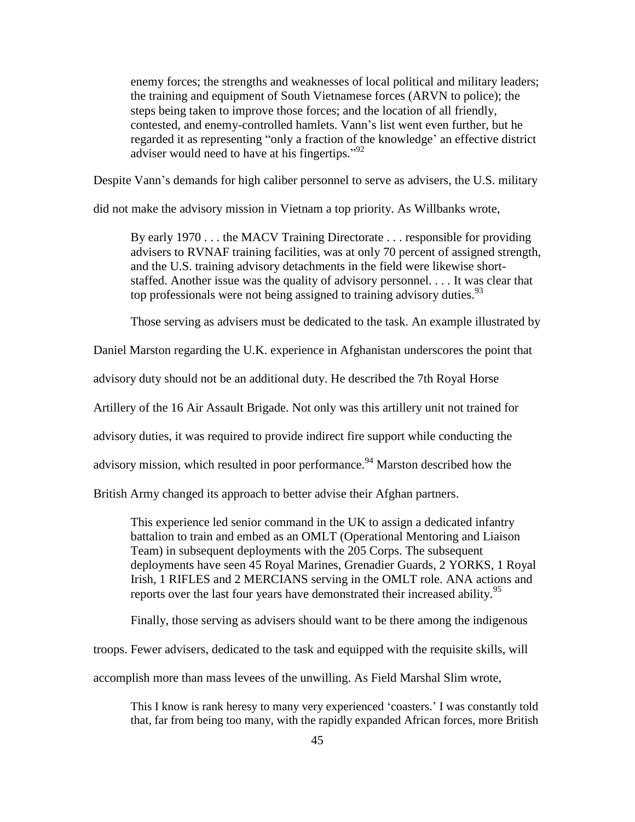enemy forces; the strengths and weaknesses of local political and military leaders; the training and equipment of South Vietnamese forces (ARVN to police); the steps being taken to improve those forces; and the location of all friendly, contested, and enemy-controlled hamlets. Vann's list went even further, but he regarded it as representing "only a fraction of the knowledge' an effective district adviser would need to have at his fingertips." $92$ 

Despite Vann's demands for high caliber personnel to serve as advisers, the U.S. military

did not make the advisory mission in Vietnam a top priority. As Willbanks wrote,

By early 1970 . . . the MACV Training Directorate . . . responsible for providing advisers to RVNAF training facilities, was at only 70 percent of assigned strength, and the U.S. training advisory detachments in the field were likewise shortstaffed. Another issue was the quality of advisory personnel. . . . It was clear that top professionals were not being assigned to training advisory duties.  $93$ 

Those serving as advisers must be dedicated to the task. An example illustrated by

Daniel Marston regarding the U.K. experience in Afghanistan underscores the point that

advisory duty should not be an additional duty. He described the 7th Royal Horse

Artillery of the 16 Air Assault Brigade. Not only was this artillery unit not trained for

advisory duties, it was required to provide indirect fire support while conducting the

advisory mission, which resulted in poor performance.<sup>94</sup> Marston described how the

British Army changed its approach to better advise their Afghan partners.

This experience led senior command in the UK to assign a dedicated infantry battalion to train and embed as an OMLT (Operational Mentoring and Liaison Team) in subsequent deployments with the 205 Corps. The subsequent deployments have seen 45 Royal Marines, Grenadier Guards, 2 YORKS, 1 Royal Irish, 1 RIFLES and 2 MERCIANS serving in the OMLT role. ANA actions and reports over the last four years have demonstrated their increased ability.<sup>95</sup>

Finally, those serving as advisers should want to be there among the indigenous

troops. Fewer advisers, dedicated to the task and equipped with the requisite skills, will

accomplish more than mass levees of the unwilling. As Field Marshal Slim wrote,

This I know is rank heresy to many very experienced ‗coasters.' I was constantly told that, far from being too many, with the rapidly expanded African forces, more British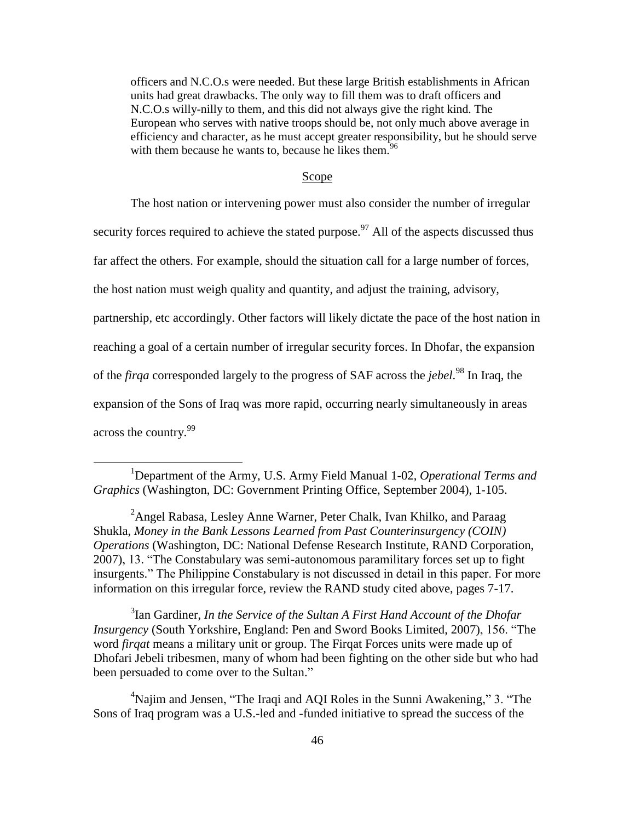officers and N.C.O.s were needed. But these large British establishments in African units had great drawbacks. The only way to fill them was to draft officers and N.C.O.s willy-nilly to them, and this did not always give the right kind. The European who serves with native troops should be, not only much above average in efficiency and character, as he must accept greater responsibility, but he should serve with them because he wants to, because he likes them.<sup>96</sup>

#### Scope

The host nation or intervening power must also consider the number of irregular

security forces required to achieve the stated purpose.<sup>97</sup> All of the aspects discussed thus

far affect the others. For example, should the situation call for a large number of forces,

the host nation must weigh quality and quantity, and adjust the training, advisory,

partnership, etc accordingly. Other factors will likely dictate the pace of the host nation in

reaching a goal of a certain number of irregular security forces. In Dhofar, the expansion

of the *firqa* corresponded largely to the progress of SAF across the *jebel*. <sup>98</sup> In Iraq, the

expansion of the Sons of Iraq was more rapid, occurring nearly simultaneously in areas

across the country.<sup>99</sup>

 $\overline{a}$ 

<sup>1</sup>Department of the Army, U.S. Army Field Manual 1-02, *Operational Terms and Graphics* (Washington, DC: Government Printing Office, September 2004), 1-105.

<sup>2</sup>Angel Rabasa, Lesley Anne Warner, Peter Chalk, Ivan Khilko, and Paraag Shukla, *Money in the Bank Lessons Learned from Past Counterinsurgency (COIN) Operations* (Washington, DC: National Defense Research Institute, RAND Corporation, 2007), 13. "The Constabulary was semi-autonomous paramilitary forces set up to fight insurgents." The Philippine Constabulary is not discussed in detail in this paper. For more information on this irregular force, review the RAND study cited above, pages 7-17.

<sup>3</sup> Ian Gardiner, *In the Service of the Sultan A First Hand Account of the Dhofar Insurgency* (South Yorkshire, England: Pen and Sword Books Limited, 2007), 156. "The word *firqat* means a military unit or group. The Firqat Forces units were made up of Dhofari Jebeli tribesmen, many of whom had been fighting on the other side but who had been persuaded to come over to the Sultan."

<sup>4</sup>Najim and Jensen, "The Iraqi and AQI Roles in the Sunni Awakening," 3. "The Sons of Iraq program was a U.S.-led and -funded initiative to spread the success of the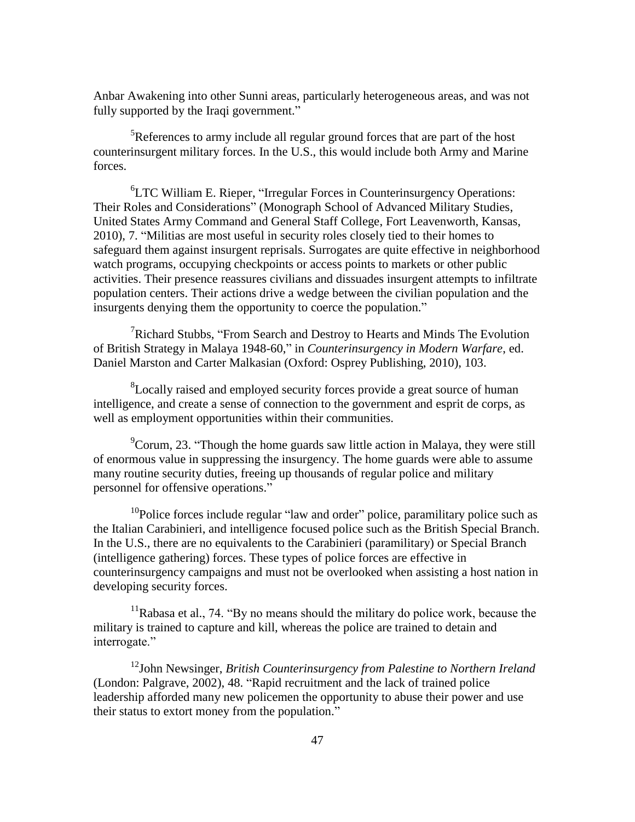Anbar Awakening into other Sunni areas, particularly heterogeneous areas, and was not fully supported by the Iraqi government."

 ${}^{5}$ References to army include all regular ground forces that are part of the host counterinsurgent military forces. In the U.S., this would include both Army and Marine forces.

 ${}^{6}$ LTC William E. Rieper, "Irregular Forces in Counterinsurgency Operations: Their Roles and Considerations" (Monograph School of Advanced Military Studies, United States Army Command and General Staff College, Fort Leavenworth, Kansas, 2010), 7. "Militias are most useful in security roles closely tied to their homes to safeguard them against insurgent reprisals. Surrogates are quite effective in neighborhood watch programs, occupying checkpoints or access points to markets or other public activities. Their presence reassures civilians and dissuades insurgent attempts to infiltrate population centers. Their actions drive a wedge between the civilian population and the insurgents denying them the opportunity to coerce the population."

<sup>7</sup>Richard Stubbs, "From Search and Destroy to Hearts and Minds The Evolution of British Strategy in Malaya 1948-60," in *Counterinsurgency in Modern Warfare*, ed. Daniel Marston and Carter Malkasian (Oxford: Osprey Publishing, 2010), 103.

<sup>8</sup>Locally raised and employed security forces provide a great source of human intelligence, and create a sense of connection to the government and esprit de corps, as well as employment opportunities within their communities.

 $\rm{PCorum}$ , 23. "Though the home guards saw little action in Malaya, they were still of enormous value in suppressing the insurgency. The home guards were able to assume many routine security duties, freeing up thousands of regular police and military personnel for offensive operations."

 $10P$ olice forces include regular "law and order" police, paramilitary police such as the Italian Carabinieri, and intelligence focused police such as the British Special Branch. In the U.S., there are no equivalents to the Carabinieri (paramilitary) or Special Branch (intelligence gathering) forces. These types of police forces are effective in counterinsurgency campaigns and must not be overlooked when assisting a host nation in developing security forces.

 $11R$ abasa et al., 74. "By no means should the military do police work, because the military is trained to capture and kill, whereas the police are trained to detain and interrogate."

<sup>12</sup>John Newsinger, *British Counterinsurgency from Palestine to Northern Ireland* (London: Palgrave, 2002), 48. "Rapid recruitment and the lack of trained police leadership afforded many new policemen the opportunity to abuse their power and use their status to extort money from the population."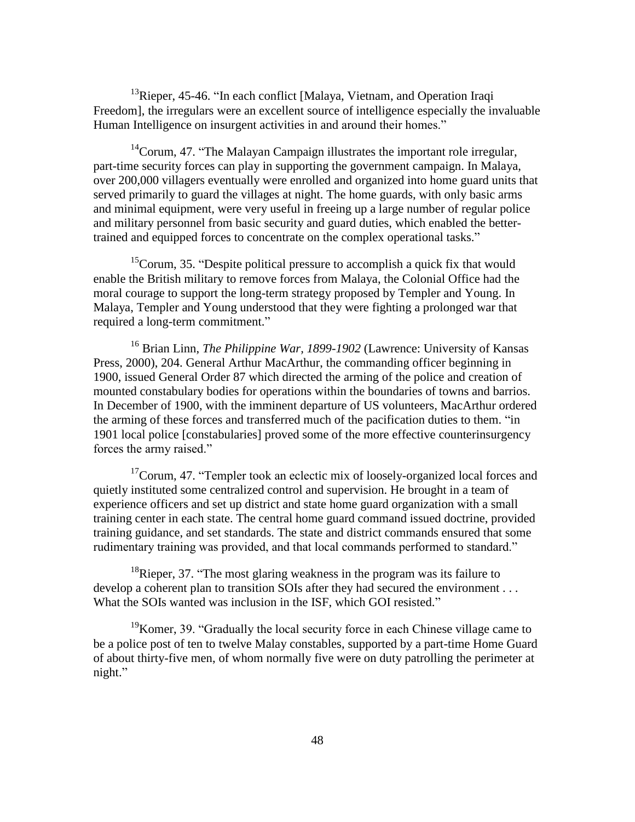$13$ Rieper, 45-46. "In each conflict [Malaya, Vietnam, and Operation Iraqi Freedom], the irregulars were an excellent source of intelligence especially the invaluable Human Intelligence on insurgent activities in and around their homes."

 $14^{\circ}$ Corum, 47. "The Malayan Campaign illustrates the important role irregular, part-time security forces can play in supporting the government campaign. In Malaya, over 200,000 villagers eventually were enrolled and organized into home guard units that served primarily to guard the villages at night. The home guards, with only basic arms and minimal equipment, were very useful in freeing up a large number of regular police and military personnel from basic security and guard duties, which enabled the bettertrained and equipped forces to concentrate on the complex operational tasks."

 $15$ Corum, 35. "Despite political pressure to accomplish a quick fix that would enable the British military to remove forces from Malaya, the Colonial Office had the moral courage to support the long-term strategy proposed by Templer and Young. In Malaya, Templer and Young understood that they were fighting a prolonged war that required a long-term commitment."

<sup>16</sup> Brian Linn, *The Philippine War, 1899-1902* (Lawrence: University of Kansas Press, 2000), 204. General Arthur MacArthur, the commanding officer beginning in 1900, issued General Order 87 which directed the arming of the police and creation of mounted constabulary bodies for operations within the boundaries of towns and barrios. In December of 1900, with the imminent departure of US volunteers, MacArthur ordered the arming of these forces and transferred much of the pacification duties to them. "in 1901 local police [constabularies] proved some of the more effective counterinsurgency forces the army raised."

 $17$ Corum, 47. "Templer took an eclectic mix of loosely-organized local forces and quietly instituted some centralized control and supervision. He brought in a team of experience officers and set up district and state home guard organization with a small training center in each state. The central home guard command issued doctrine, provided training guidance, and set standards. The state and district commands ensured that some rudimentary training was provided, and that local commands performed to standard."

<sup>18</sup>Rieper, 37. "The most glaring weakness in the program was its failure to develop a coherent plan to transition SOIs after they had secured the environment . . . What the SOIs wanted was inclusion in the ISF, which GOI resisted."

 $19$ Komer, 39. "Gradually the local security force in each Chinese village came to be a police post of ten to twelve Malay constables, supported by a part-time Home Guard of about thirty-five men, of whom normally five were on duty patrolling the perimeter at night."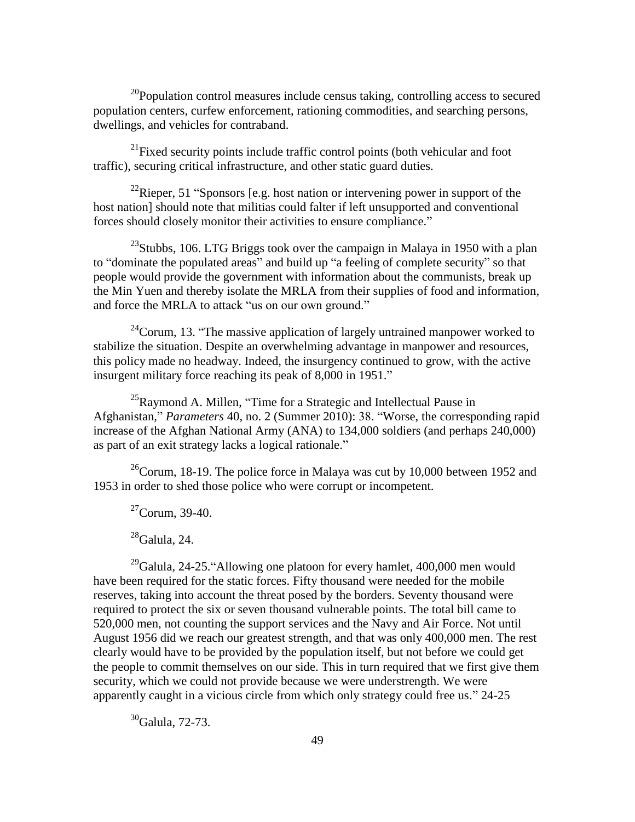$20P$ opulation control measures include census taking, controlling access to secured population centers, curfew enforcement, rationing commodities, and searching persons, dwellings, and vehicles for contraband.

 $^{21}$ Fixed security points include traffic control points (both vehicular and foot traffic), securing critical infrastructure, and other static guard duties.

 $^{22}$ Rieper, 51 "Sponsors [e.g. host nation or intervening power in support of the host nation] should note that militias could falter if left unsupported and conventional forces should closely monitor their activities to ensure compliance."

 $^{23}$ Stubbs, 106. LTG Briggs took over the campaign in Malaya in 1950 with a plan to "dominate the populated areas" and build up "a feeling of complete security" so that people would provide the government with information about the communists, break up the Min Yuen and thereby isolate the MRLA from their supplies of food and information, and force the MRLA to attack "us on our own ground."

 $^{24}$ Corum, 13. "The massive application of largely untrained manpower worked to stabilize the situation. Despite an overwhelming advantage in manpower and resources, this policy made no headway. Indeed, the insurgency continued to grow, with the active insurgent military force reaching its peak of 8,000 in 1951."

 $^{25}$ Raymond A. Millen, "Time for a Strategic and Intellectual Pause in Afghanistan," Parameters 40, no. 2 (Summer 2010): 38. "Worse, the corresponding rapid increase of the Afghan National Army (ANA) to 134,000 soldiers (and perhaps 240,000) as part of an exit strategy lacks a logical rationale."

 $^{26}$ Corum, 18-19. The police force in Malaya was cut by 10,000 between 1952 and 1953 in order to shed those police who were corrupt or incompetent.

 $^{27}$ Corum, 39-40.

 $^{28}$ Galula, 24.

 $^{29}$ Galula, 24-25. "Allowing one platoon for every hamlet, 400,000 men would have been required for the static forces. Fifty thousand were needed for the mobile reserves, taking into account the threat posed by the borders. Seventy thousand were required to protect the six or seven thousand vulnerable points. The total bill came to 520,000 men, not counting the support services and the Navy and Air Force. Not until August 1956 did we reach our greatest strength, and that was only 400,000 men. The rest clearly would have to be provided by the population itself, but not before we could get the people to commit themselves on our side. This in turn required that we first give them security, which we could not provide because we were understrength. We were apparently caught in a vicious circle from which only strategy could free us." 24-25

 $30$ Galula, 72-73.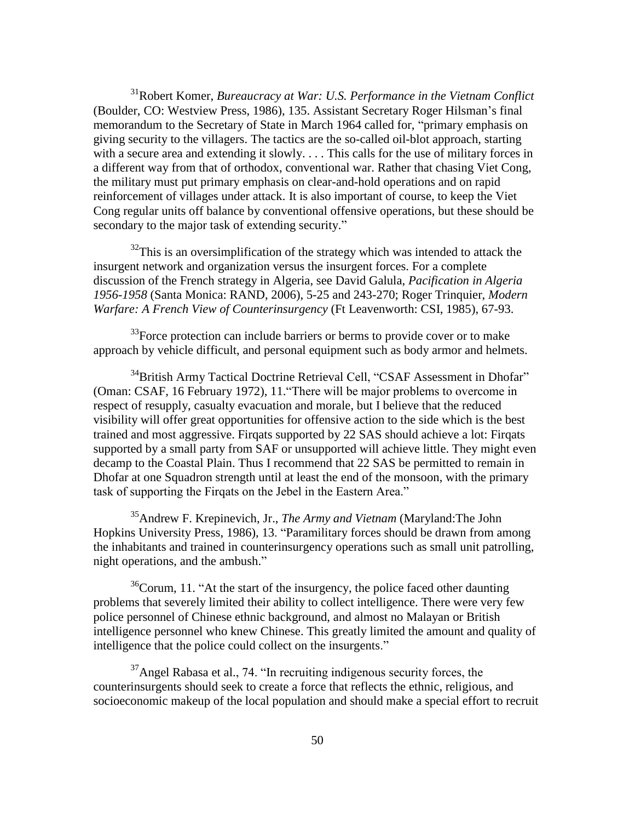<sup>31</sup>Robert Komer, *Bureaucracy at War: U.S. Performance in the Vietnam Conflict*  (Boulder, CO: Westview Press, 1986), 135. Assistant Secretary Roger Hilsman's final memorandum to the Secretary of State in March 1964 called for, "primary emphasis on giving security to the villagers. The tactics are the so-called oil-blot approach, starting with a secure area and extending it slowly. . . . This calls for the use of military forces in a different way from that of orthodox, conventional war. Rather that chasing Viet Cong, the military must put primary emphasis on clear-and-hold operations and on rapid reinforcement of villages under attack. It is also important of course, to keep the Viet Cong regular units off balance by conventional offensive operations, but these should be secondary to the major task of extending security."

 $32$ This is an oversimplification of the strategy which was intended to attack the insurgent network and organization versus the insurgent forces. For a complete discussion of the French strategy in Algeria, see David Galula, *Pacification in Algeria 1956-1958* (Santa Monica: RAND, 2006), 5-25 and 243-270; Roger Trinquier, *Modern Warfare: A French View of Counterinsurgency* (Ft Leavenworth: CSI, 1985), 67-93.

 $33$ Force protection can include barriers or berms to provide cover or to make approach by vehicle difficult, and personal equipment such as body armor and helmets.

<sup>34</sup>British Army Tactical Doctrine Retrieval Cell, "CSAF Assessment in Dhofar" (Oman: CSAF, 16 February 1972), 11. "There will be major problems to overcome in respect of resupply, casualty evacuation and morale, but I believe that the reduced visibility will offer great opportunities for offensive action to the side which is the best trained and most aggressive. Firqats supported by 22 SAS should achieve a lot: Firqats supported by a small party from SAF or unsupported will achieve little. They might even decamp to the Coastal Plain. Thus I recommend that 22 SAS be permitted to remain in Dhofar at one Squadron strength until at least the end of the monsoon, with the primary task of supporting the Firqats on the Jebel in the Eastern Area."

<sup>35</sup>Andrew F. Krepinevich, Jr., *The Army and Vietnam* (Maryland:The John Hopkins University Press, 1986), 13. "Paramilitary forces should be drawn from among the inhabitants and trained in counterinsurgency operations such as small unit patrolling, night operations, and the ambush."

 $36$ Corum, 11. "At the start of the insurgency, the police faced other daunting problems that severely limited their ability to collect intelligence. There were very few police personnel of Chinese ethnic background, and almost no Malayan or British intelligence personnel who knew Chinese. This greatly limited the amount and quality of intelligence that the police could collect on the insurgents."

 $37$ Angel Rabasa et al., 74. "In recruiting indigenous security forces, the counterinsurgents should seek to create a force that reflects the ethnic, religious, and socioeconomic makeup of the local population and should make a special effort to recruit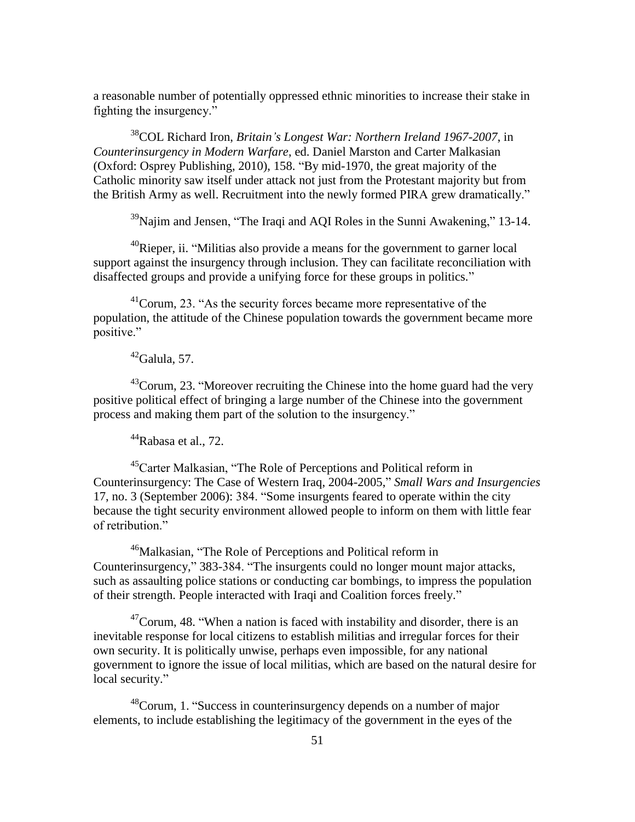a reasonable number of potentially oppressed ethnic minorities to increase their stake in fighting the insurgency."

<sup>38</sup>COL Richard Iron, *Britain's Longest War: Northern Ireland 1967-2007*, in *Counterinsurgency in Modern Warfare*, ed. Daniel Marston and Carter Malkasian (Oxford: Osprey Publishing, 2010), 158. "By mid-1970, the great majority of the Catholic minority saw itself under attack not just from the Protestant majority but from the British Army as well. Recruitment into the newly formed PIRA grew dramatically."

 $39$ Najim and Jensen, "The Iraqi and AQI Roles in the Sunni Awakening," 13-14.

 $^{40}$ Rieper, ii. "Militias also provide a means for the government to garner local support against the insurgency through inclusion. They can facilitate reconciliation with disaffected groups and provide a unifying force for these groups in politics."

 $^{41}$ Corum, 23. "As the security forces became more representative of the population, the attitude of the Chinese population towards the government became more positive."

 $42$ Galula, 57.

 $43^{\circ}$ Corum, 23. "Moreover recruiting the Chinese into the home guard had the very positive political effect of bringing a large number of the Chinese into the government process and making them part of the solution to the insurgency."

 $44$ Rabasa et al., 72.

<sup>45</sup>Carter Malkasian, "The Role of Perceptions and Political reform in Counterinsurgency: The Case of Western Iraq, 2004-2005," *Small Wars and Insurgencies* 17, no. 3 (September 2006): 384. "Some insurgents feared to operate within the city because the tight security environment allowed people to inform on them with little fear of retribution."

<sup>46</sup>Malkasian, "The Role of Perceptions and Political reform in Counterinsurgency," 383-384. "The insurgents could no longer mount major attacks, such as assaulting police stations or conducting car bombings, to impress the population of their strength. People interacted with Iraqi and Coalition forces freely."

 $^{47}$ Corum, 48. "When a nation is faced with instability and disorder, there is an inevitable response for local citizens to establish militias and irregular forces for their own security. It is politically unwise, perhaps even impossible, for any national government to ignore the issue of local militias, which are based on the natural desire for local security."

 $48^{\circ}$ Corum, 1. "Success in counterinsurgency depends on a number of major elements, to include establishing the legitimacy of the government in the eyes of the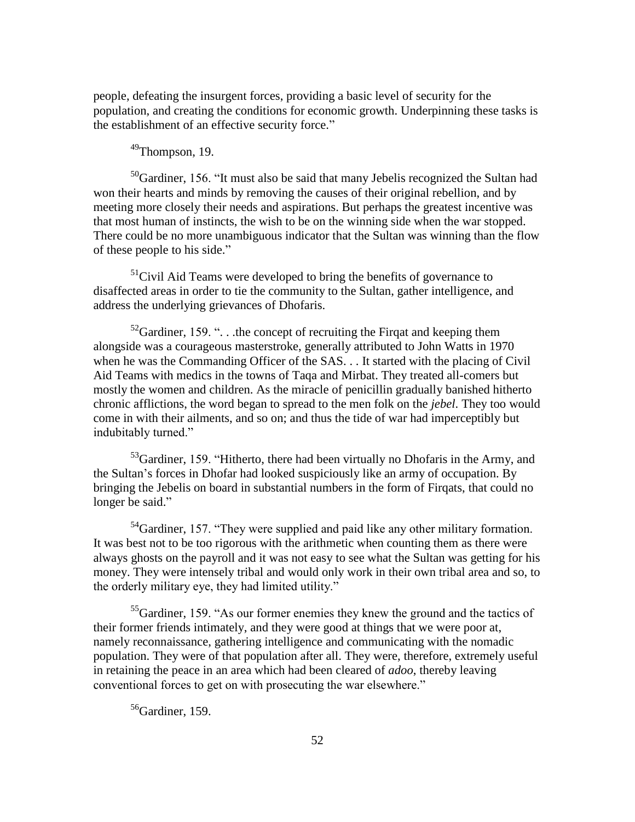people, defeating the insurgent forces, providing a basic level of security for the population, and creating the conditions for economic growth. Underpinning these tasks is the establishment of an effective security force."

# $49$ Thompson, 19.

 $50$ Gardiner, 156. "It must also be said that many Jebelis recognized the Sultan had won their hearts and minds by removing the causes of their original rebellion, and by meeting more closely their needs and aspirations. But perhaps the greatest incentive was that most human of instincts, the wish to be on the winning side when the war stopped. There could be no more unambiguous indicator that the Sultan was winning than the flow of these people to his side."

 $<sup>51</sup>$ Civil Aid Teams were developed to bring the benefits of governance to</sup> disaffected areas in order to tie the community to the Sultan, gather intelligence, and address the underlying grievances of Dhofaris.

 $52$ Gardiner, 159. "... the concept of recruiting the Firqat and keeping them alongside was a courageous masterstroke, generally attributed to John Watts in 1970 when he was the Commanding Officer of the SAS. . . It started with the placing of Civil Aid Teams with medics in the towns of Taqa and Mirbat. They treated all-comers but mostly the women and children. As the miracle of penicillin gradually banished hitherto chronic afflictions, the word began to spread to the men folk on the *jebel*. They too would come in with their ailments, and so on; and thus the tide of war had imperceptibly but indubitably turned."

 $^{53}$ Gardiner, 159. "Hitherto, there had been virtually no Dhofaris in the Army, and the Sultan's forces in Dhofar had looked suspiciously like an army of occupation. By bringing the Jebelis on board in substantial numbers in the form of Firqats, that could no longer be said."

 $54$ Gardiner, 157. "They were supplied and paid like any other military formation. It was best not to be too rigorous with the arithmetic when counting them as there were always ghosts on the payroll and it was not easy to see what the Sultan was getting for his money. They were intensely tribal and would only work in their own tribal area and so, to the orderly military eye, they had limited utility."

 ${}^{55}$ Gardiner, 159. "As our former enemies they knew the ground and the tactics of their former friends intimately, and they were good at things that we were poor at, namely reconnaissance, gathering intelligence and communicating with the nomadic population. They were of that population after all. They were, therefore, extremely useful in retaining the peace in an area which had been cleared of *adoo*, thereby leaving conventional forces to get on with prosecuting the war elsewhere."

 $56$ Gardiner, 159.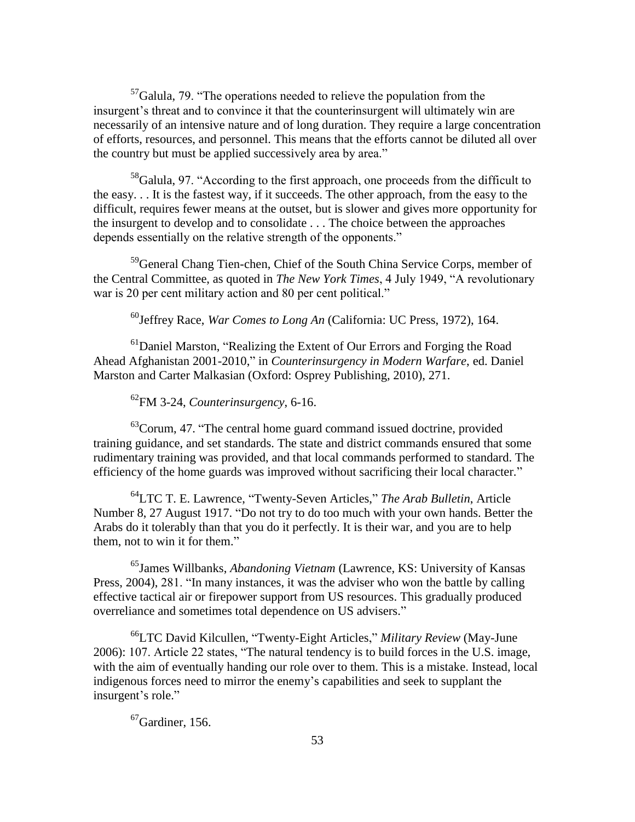$57$ Galula, 79. "The operations needed to relieve the population from the insurgent's threat and to convince it that the counterinsurgent will ultimately win are necessarily of an intensive nature and of long duration. They require a large concentration of efforts, resources, and personnel. This means that the efforts cannot be diluted all over the country but must be applied successively area by area."

 $58$ Galula, 97. "According to the first approach, one proceeds from the difficult to the easy. . . It is the fastest way, if it succeeds. The other approach, from the easy to the difficult, requires fewer means at the outset, but is slower and gives more opportunity for the insurgent to develop and to consolidate . . . The choice between the approaches depends essentially on the relative strength of the opponents."

<sup>59</sup>General Chang Tien-chen, Chief of the South China Service Corps, member of the Central Committee, as quoted in *The New York Times*, 4 July 1949, "A revolutionary war is 20 per cent military action and 80 per cent political."

<sup>60</sup>Jeffrey Race, *War Comes to Long An* (California: UC Press, 1972), 164.

 $<sup>61</sup>$ Daniel Marston, "Realizing the Extent of Our Errors and Forging the Road</sup> Ahead Afghanistan 2001-2010," in *Counterinsurgency in Modern Warfare*, ed. Daniel Marston and Carter Malkasian (Oxford: Osprey Publishing, 2010), 271.

<sup>62</sup>FM 3-24, *Counterinsurgency*, 6-16.

 $^{63}$ Corum, 47. "The central home guard command issued doctrine, provided training guidance, and set standards. The state and district commands ensured that some rudimentary training was provided, and that local commands performed to standard. The efficiency of the home guards was improved without sacrificing their local character."

<sup>64</sup>LTC T. E. Lawrence, "Twenty-Seven Articles," The Arab Bulletin, Article Number 8, 27 August 1917. "Do not try to do too much with your own hands. Better the Arabs do it tolerably than that you do it perfectly. It is their war, and you are to help them, not to win it for them."

<sup>65</sup>James Willbanks, *Abandoning Vietnam* (Lawrence, KS: University of Kansas Press, 2004), 281. "In many instances, it was the adviser who won the battle by calling effective tactical air or firepower support from US resources. This gradually produced overreliance and sometimes total dependence on US advisers."

<sup>66</sup>LTC David Kilcullen, "Twenty-Eight Articles," *Military Review* (May-June 2006): 107. Article 22 states, "The natural tendency is to build forces in the U.S. image, with the aim of eventually handing our role over to them. This is a mistake. Instead, local indigenous forces need to mirror the enemy's capabilities and seek to supplant the insurgent's role."

 ${}^{67}$ Gardiner, 156.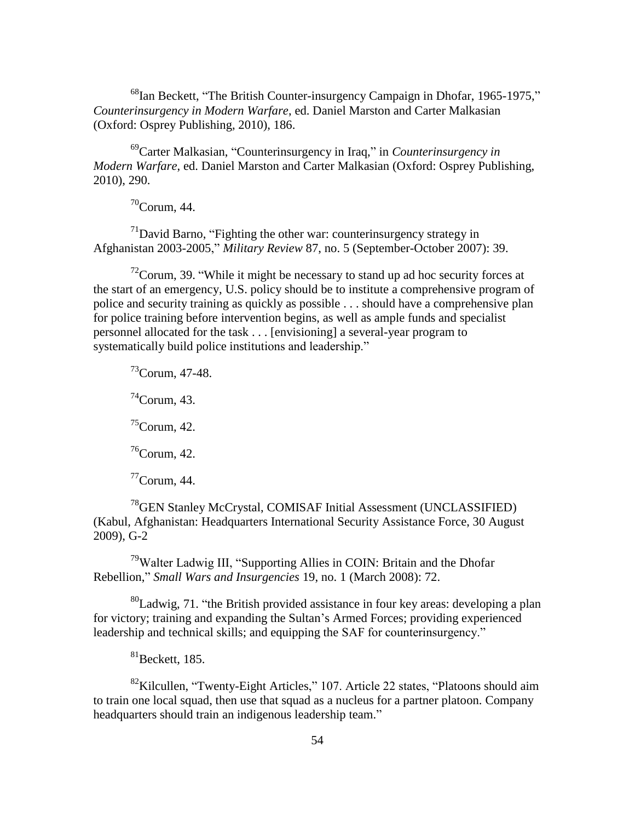$^{68}$ Ian Beckett, "The British Counter-insurgency Campaign in Dhofar, 1965-1975," *Counterinsurgency in Modern Warfare*, ed. Daniel Marston and Carter Malkasian (Oxford: Osprey Publishing, 2010), 186.

<sup>69</sup>Carter Malkasian, "Counterinsurgency in Iraq," in *Counterinsurgency in Modern Warfare*, ed. Daniel Marston and Carter Malkasian (Oxford: Osprey Publishing, 2010), 290.

 $70$ Corum, 44.

 $17$ <sup>1</sup>David Barno, "Fighting the other war: counterinsurgency strategy in Afghanistan 2003-2005," *Military Review* 87, no. 5 (September-October 2007): 39.

 $^{72}$ Corum, 39. "While it might be necessary to stand up ad hoc security forces at the start of an emergency, U.S. policy should be to institute a comprehensive program of police and security training as quickly as possible . . . should have a comprehensive plan for police training before intervention begins, as well as ample funds and specialist personnel allocated for the task . . . [envisioning] a several-year program to systematically build police institutions and leadership."

 $^{73}$ Corum, 47-48.  $74$ Corum, 43.  ${}^{75}$ Corum, 42.  ${}^{76}$ Corum, 42.  $\mathrm{^{77}Corum}$ , 44.

<sup>78</sup>GEN Stanley McCrystal, COMISAF Initial Assessment (UNCLASSIFIED) (Kabul, Afghanistan: Headquarters International Security Assistance Force, 30 August 2009), G-2

<sup>79</sup>Walter Ladwig III, "Supporting Allies in COIN: Britain and the Dhofar Rebellion," *Small Wars and Insurgencies* 19, no. 1 (March 2008): 72.

 ${}^{80}$ Ladwig, 71. "the British provided assistance in four key areas: developing a plan for victory; training and expanding the Sultan's Armed Forces; providing experienced leadership and technical skills; and equipping the SAF for counterinsurgency."

 $81$ Beckett, 185.

<sup>82</sup>Kilcullen, "Twenty-Eight Articles," 107. Article 22 states, "Platoons should aim to train one local squad, then use that squad as a nucleus for a partner platoon. Company headquarters should train an indigenous leadership team."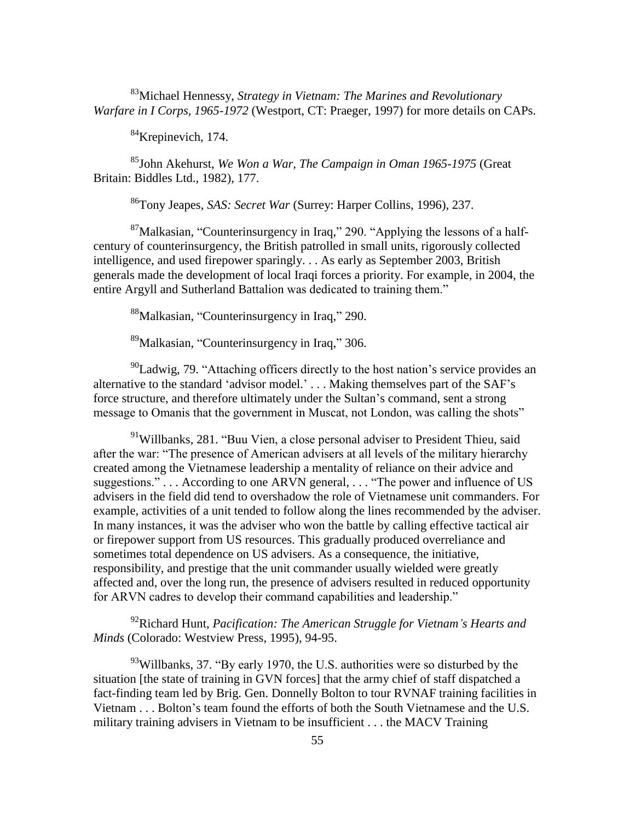<sup>83</sup>Michael Hennessy, *Strategy in Vietnam: The Marines and Revolutionary Warfare in I Corps, 1965-1972* (Westport, CT: Praeger, 1997) for more details on CAPs.

<sup>84</sup>Krepinevich, 174.

<sup>85</sup>John Akehurst, *We Won a War, The Campaign in Oman 1965-1975* (Great Britain: Biddles Ltd., 1982), 177.

<sup>86</sup>Tony Jeapes, *SAS: Secret War* (Surrey: Harper Collins, 1996), 237.

 $87$ Malkasian, "Counterinsurgency in Iraq," 290. "Applying the lessons of a halfcentury of counterinsurgency, the British patrolled in small units, rigorously collected intelligence, and used firepower sparingly. . . As early as September 2003, British generals made the development of local Iraqi forces a priority. For example, in 2004, the entire Argyll and Sutherland Battalion was dedicated to training them."

 $88$ Malkasian, "Counterinsurgency in Iraq," 290.

 $89$ Malkasian, "Counterinsurgency in Iraq," 306.

 $^{90}$ Ladwig, 79. "Attaching officers directly to the host nation's service provides an alternative to the standard 'advisor model.' . . . Making themselves part of the SAF's force structure, and therefore ultimately under the Sultan's command, sent a strong message to Omanis that the government in Muscat, not London, was calling the shots"

<sup>91</sup>Willbanks, 281. "Buu Vien, a close personal adviser to President Thieu, said after the war: "The presence of American advisers at all levels of the military hierarchy created among the Vietnamese leadership a mentality of reliance on their advice and suggestions." $\ldots$  According to one ARVN general,  $\ldots$  "The power and influence of US advisers in the field did tend to overshadow the role of Vietnamese unit commanders. For example, activities of a unit tended to follow along the lines recommended by the adviser. In many instances, it was the adviser who won the battle by calling effective tactical air or firepower support from US resources. This gradually produced overreliance and sometimes total dependence on US advisers. As a consequence, the initiative, responsibility, and prestige that the unit commander usually wielded were greatly affected and, over the long run, the presence of advisers resulted in reduced opportunity for ARVN cadres to develop their command capabilities and leadership."

<sup>92</sup>Richard Hunt, *Pacification: The American Struggle for Vietnam's Hearts and Minds* (Colorado: Westview Press, 1995), 94-95.

 $^{93}$ Willbanks, 37. "By early 1970, the U.S. authorities were so disturbed by the situation [the state of training in GVN forces] that the army chief of staff dispatched a fact-finding team led by Brig. Gen. Donnelly Bolton to tour RVNAF training facilities in Vietnam . . . Bolton's team found the efforts of both the South Vietnamese and the U.S. military training advisers in Vietnam to be insufficient . . . the MACV Training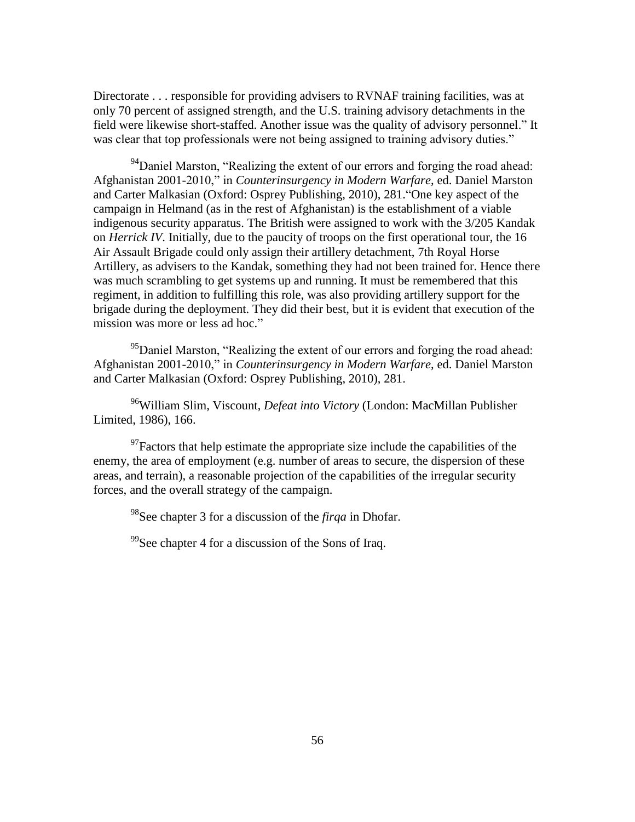Directorate . . . responsible for providing advisers to RVNAF training facilities, was at only 70 percent of assigned strength, and the U.S. training advisory detachments in the field were likewise short-staffed. Another issue was the quality of advisory personnel." It was clear that top professionals were not being assigned to training advisory duties."

<sup>94</sup>Daniel Marston, "Realizing the extent of our errors and forging the road ahead: Afghanistan 2001-2010," in *Counterinsurgency in Modern Warfare*, ed. Daniel Marston and Carter Malkasian (Oxford: Osprey Publishing, 2010), 281. "One key aspect of the campaign in Helmand (as in the rest of Afghanistan) is the establishment of a viable indigenous security apparatus. The British were assigned to work with the 3/205 Kandak on *Herrick IV*. Initially, due to the paucity of troops on the first operational tour, the 16 Air Assault Brigade could only assign their artillery detachment, 7th Royal Horse Artillery, as advisers to the Kandak, something they had not been trained for. Hence there was much scrambling to get systems up and running. It must be remembered that this regiment, in addition to fulfilling this role, was also providing artillery support for the brigade during the deployment. They did their best, but it is evident that execution of the mission was more or less ad hoc."

<sup>95</sup>Daniel Marston, "Realizing the extent of our errors and forging the road ahead: Afghanistan 2001-2010," in *Counterinsurgency in Modern Warfare*, ed. Daniel Marston and Carter Malkasian (Oxford: Osprey Publishing, 2010), 281.

<sup>96</sup>William Slim, Viscount, *Defeat into Victory* (London: MacMillan Publisher Limited, 1986), 166.

 $^{97}$ Factors that help estimate the appropriate size include the capabilities of the enemy, the area of employment (e.g. number of areas to secure, the dispersion of these areas, and terrain), a reasonable projection of the capabilities of the irregular security forces, and the overall strategy of the campaign.

<sup>98</sup>See chapter 3 for a discussion of the *firqa* in Dhofar.

 $^{99}$ See chapter 4 for a discussion of the Sons of Iraq.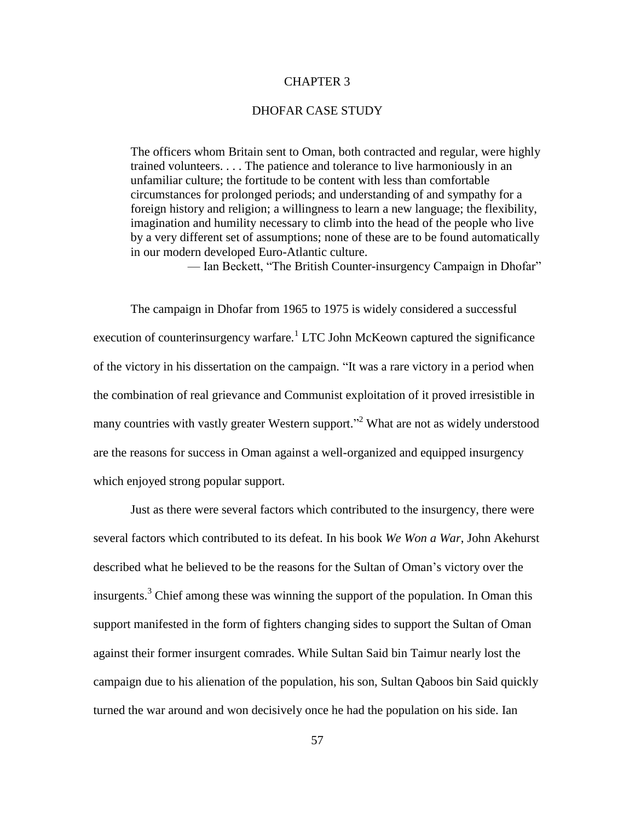# CHAPTER 3

### DHOFAR CASE STUDY

The officers whom Britain sent to Oman, both contracted and regular, were highly trained volunteers. . . . The patience and tolerance to live harmoniously in an unfamiliar culture; the fortitude to be content with less than comfortable circumstances for prolonged periods; and understanding of and sympathy for a foreign history and religion; a willingness to learn a new language; the flexibility, imagination and humility necessary to climb into the head of the people who live by a very different set of assumptions; none of these are to be found automatically in our modern developed Euro-Atlantic culture.

— Ian Beckett, "The British Counter-insurgency Campaign in Dhofar"

The campaign in Dhofar from 1965 to 1975 is widely considered a successful execution of counterinsurgency warfare.<sup>1</sup> LTC John McKeown captured the significance of the victory in his dissertation on the campaign. "It was a rare victory in a period when the combination of real grievance and Communist exploitation of it proved irresistible in many countries with vastly greater Western support."<sup>2</sup> What are not as widely understood are the reasons for success in Oman against a well-organized and equipped insurgency which enjoyed strong popular support.

Just as there were several factors which contributed to the insurgency, there were several factors which contributed to its defeat. In his book *We Won a War*, John Akehurst described what he believed to be the reasons for the Sultan of Oman's victory over the insurgents.<sup>3</sup> Chief among these was winning the support of the population. In Oman this support manifested in the form of fighters changing sides to support the Sultan of Oman against their former insurgent comrades. While Sultan Said bin Taimur nearly lost the campaign due to his alienation of the population, his son, Sultan Qaboos bin Said quickly turned the war around and won decisively once he had the population on his side. Ian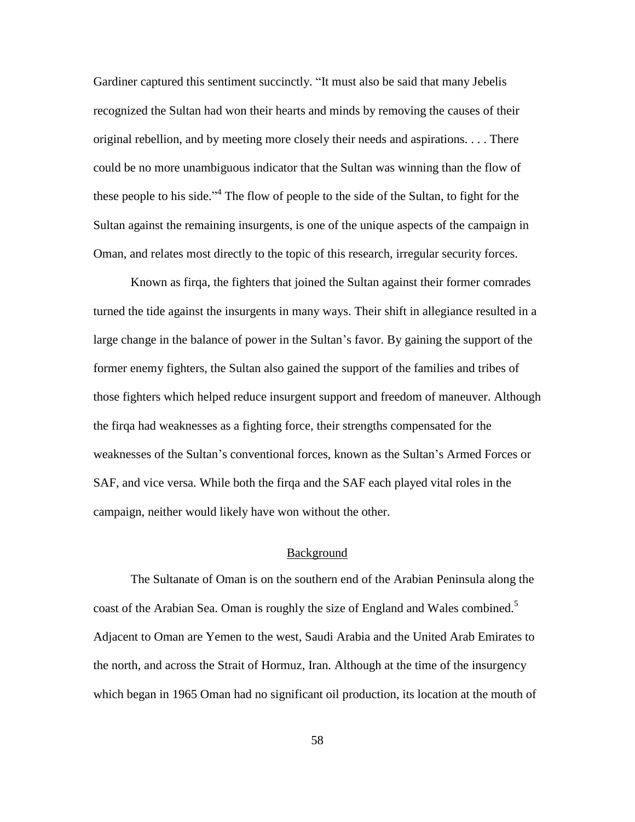Gardiner captured this sentiment succinctly. "It must also be said that many Jebelis recognized the Sultan had won their hearts and minds by removing the causes of their original rebellion, and by meeting more closely their needs and aspirations. . . . There could be no more unambiguous indicator that the Sultan was winning than the flow of these people to his side."<sup>4</sup> The flow of people to the side of the Sultan, to fight for the Sultan against the remaining insurgents, is one of the unique aspects of the campaign in Oman, and relates most directly to the topic of this research, irregular security forces.

Known as firqa, the fighters that joined the Sultan against their former comrades turned the tide against the insurgents in many ways. Their shift in allegiance resulted in a large change in the balance of power in the Sultan's favor. By gaining the support of the former enemy fighters, the Sultan also gained the support of the families and tribes of those fighters which helped reduce insurgent support and freedom of maneuver. Although the firqa had weaknesses as a fighting force, their strengths compensated for the weaknesses of the Sultan's conventional forces, known as the Sultan's Armed Forces or SAF, and vice versa. While both the firqa and the SAF each played vital roles in the campaign, neither would likely have won without the other.

#### Background

The Sultanate of Oman is on the southern end of the Arabian Peninsula along the coast of the Arabian Sea. Oman is roughly the size of England and Wales combined.<sup>5</sup> Adjacent to Oman are Yemen to the west, Saudi Arabia and the United Arab Emirates to the north, and across the Strait of Hormuz, Iran. Although at the time of the insurgency which began in 1965 Oman had no significant oil production, its location at the mouth of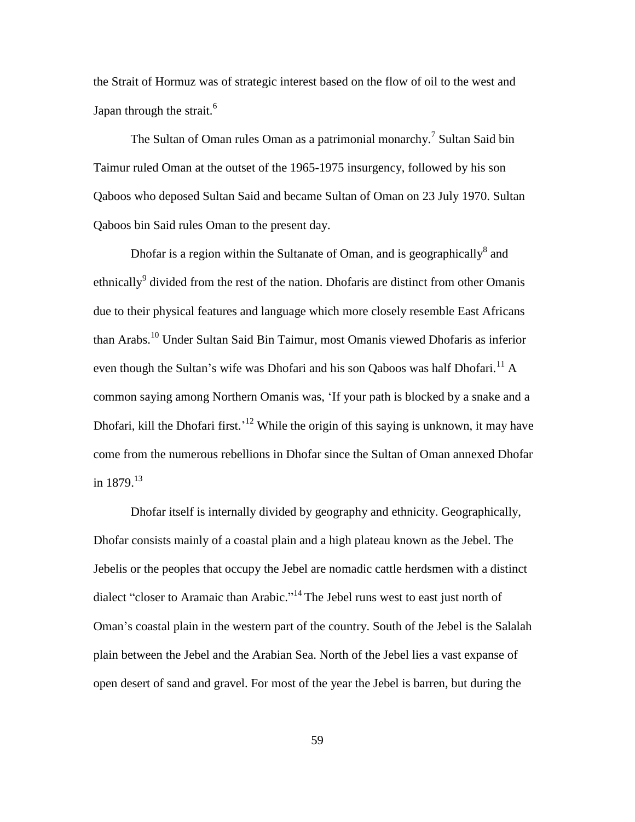the Strait of Hormuz was of strategic interest based on the flow of oil to the west and Japan through the strait. $<sup>6</sup>$ </sup>

The Sultan of Oman rules Oman as a patrimonial monarchy.<sup>7</sup> Sultan Said bin Taimur ruled Oman at the outset of the 1965-1975 insurgency, followed by his son Qaboos who deposed Sultan Said and became Sultan of Oman on 23 July 1970. Sultan Qaboos bin Said rules Oman to the present day.

Dhofar is a region within the Sultanate of Oman, and is geographically $^8$  and ethnically<sup>9</sup> divided from the rest of the nation. Dhofaris are distinct from other Omanis due to their physical features and language which more closely resemble East Africans than Arabs.<sup>10</sup> Under Sultan Said Bin Taimur, most Omanis viewed Dhofaris as inferior even though the Sultan's wife was Dhofari and his son Qaboos was half Dhofari.<sup>11</sup> A common saying among Northern Omanis was, 'If your path is blocked by a snake and a Dhofari, kill the Dhofari first.<sup>'12</sup> While the origin of this saying is unknown, it may have come from the numerous rebellions in Dhofar since the Sultan of Oman annexed Dhofar in  $1879.13$ 

Dhofar itself is internally divided by geography and ethnicity. Geographically, Dhofar consists mainly of a coastal plain and a high plateau known as the Jebel. The Jebelis or the peoples that occupy the Jebel are nomadic cattle herdsmen with a distinct dialect "closer to Aramaic than Arabic."<sup>14</sup> The Jebel runs west to east just north of Oman's coastal plain in the western part of the country. South of the Jebel is the Salalah plain between the Jebel and the Arabian Sea. North of the Jebel lies a vast expanse of open desert of sand and gravel. For most of the year the Jebel is barren, but during the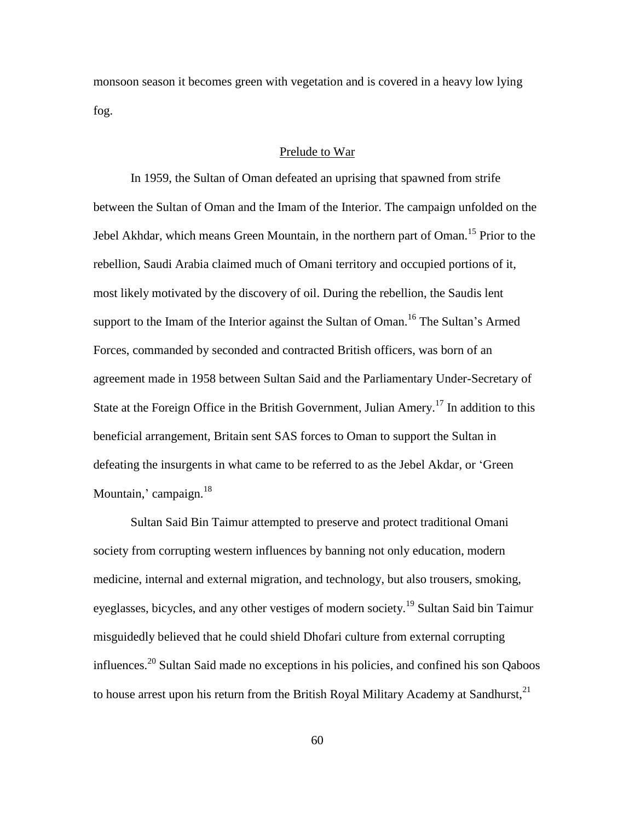monsoon season it becomes green with vegetation and is covered in a heavy low lying fog.

# Prelude to War

In 1959, the Sultan of Oman defeated an uprising that spawned from strife between the Sultan of Oman and the Imam of the Interior. The campaign unfolded on the Jebel Akhdar, which means Green Mountain, in the northern part of Oman.<sup>15</sup> Prior to the rebellion, Saudi Arabia claimed much of Omani territory and occupied portions of it, most likely motivated by the discovery of oil. During the rebellion, the Saudis lent support to the Imam of the Interior against the Sultan of Oman.<sup>16</sup> The Sultan's Armed Forces, commanded by seconded and contracted British officers, was born of an agreement made in 1958 between Sultan Said and the Parliamentary Under-Secretary of State at the Foreign Office in the British Government, Julian Amery.<sup>17</sup> In addition to this beneficial arrangement, Britain sent SAS forces to Oman to support the Sultan in defeating the insurgents in what came to be referred to as the Jebel Akdar, or 'Green Mountain,' campaign. $^{18}$ 

Sultan Said Bin Taimur attempted to preserve and protect traditional Omani society from corrupting western influences by banning not only education, modern medicine, internal and external migration, and technology, but also trousers, smoking, eyeglasses, bicycles, and any other vestiges of modern society.<sup>19</sup> Sultan Said bin Taimur misguidedly believed that he could shield Dhofari culture from external corrupting influences.<sup>20</sup> Sultan Said made no exceptions in his policies, and confined his son Qaboos to house arrest upon his return from the British Royal Military Academy at Sandhurst,<sup>21</sup>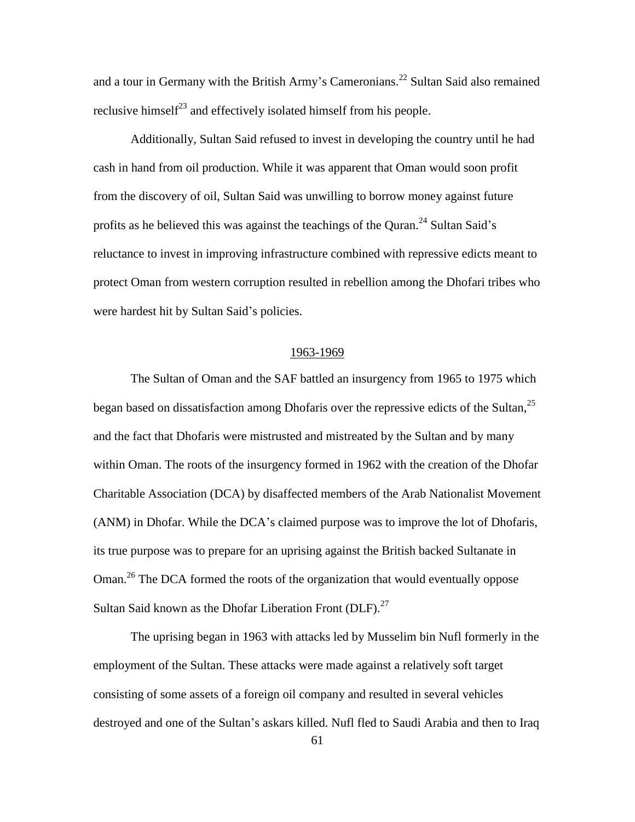and a tour in Germany with the British Army's Cameronians.<sup>22</sup> Sultan Said also remained reclusive himself<sup>23</sup> and effectively isolated himself from his people.

Additionally, Sultan Said refused to invest in developing the country until he had cash in hand from oil production. While it was apparent that Oman would soon profit from the discovery of oil, Sultan Said was unwilling to borrow money against future profits as he believed this was against the teachings of the Quran.<sup>24</sup> Sultan Said's reluctance to invest in improving infrastructure combined with repressive edicts meant to protect Oman from western corruption resulted in rebellion among the Dhofari tribes who were hardest hit by Sultan Said's policies.

#### 1963-1969

The Sultan of Oman and the SAF battled an insurgency from 1965 to 1975 which began based on dissatisfaction among Dhofaris over the repressive edicts of the Sultan,  $^{25}$ and the fact that Dhofaris were mistrusted and mistreated by the Sultan and by many within Oman. The roots of the insurgency formed in 1962 with the creation of the Dhofar Charitable Association (DCA) by disaffected members of the Arab Nationalist Movement (ANM) in Dhofar. While the DCA's claimed purpose was to improve the lot of Dhofaris, its true purpose was to prepare for an uprising against the British backed Sultanate in Oman.<sup>26</sup> The DCA formed the roots of the organization that would eventually oppose Sultan Said known as the Dhofar Liberation Front  $(DLF)$ .<sup>27</sup>

The uprising began in 1963 with attacks led by Musselim bin Nufl formerly in the employment of the Sultan. These attacks were made against a relatively soft target consisting of some assets of a foreign oil company and resulted in several vehicles destroyed and one of the Sultan's askars killed. Nufl fled to Saudi Arabia and then to Iraq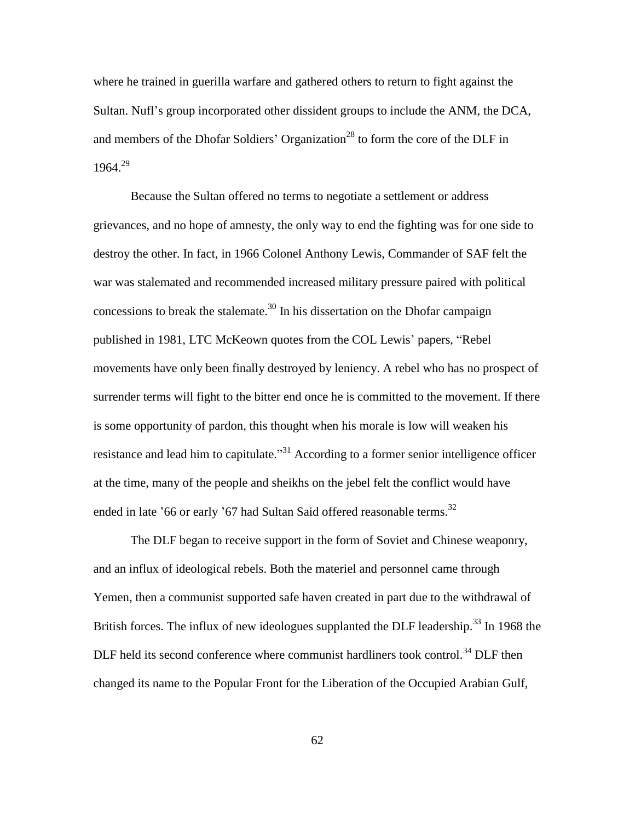where he trained in guerilla warfare and gathered others to return to fight against the Sultan. Nufl's group incorporated other dissident groups to include the ANM, the DCA, and members of the Dhofar Soldiers' Organization<sup>28</sup> to form the core of the DLF in 1964.<sup>29</sup>

Because the Sultan offered no terms to negotiate a settlement or address grievances, and no hope of amnesty, the only way to end the fighting was for one side to destroy the other. In fact, in 1966 Colonel Anthony Lewis, Commander of SAF felt the war was stalemated and recommended increased military pressure paired with political concessions to break the stalemate.<sup>30</sup> In his dissertation on the Dhofar campaign published in 1981, LTC McKeown quotes from the COL Lewis' papers, "Rebel movements have only been finally destroyed by leniency. A rebel who has no prospect of surrender terms will fight to the bitter end once he is committed to the movement. If there is some opportunity of pardon, this thought when his morale is low will weaken his resistance and lead him to capitulate. $^{31}$  According to a former senior intelligence officer at the time, many of the people and sheikhs on the jebel felt the conflict would have ended in late '66 or early '67 had Sultan Said offered reasonable terms.<sup>32</sup>

The DLF began to receive support in the form of Soviet and Chinese weaponry, and an influx of ideological rebels. Both the materiel and personnel came through Yemen, then a communist supported safe haven created in part due to the withdrawal of British forces. The influx of new ideologues supplanted the DLF leadership.<sup>33</sup> In 1968 the DLF held its second conference where communist hardliners took control.<sup>34</sup> DLF then changed its name to the Popular Front for the Liberation of the Occupied Arabian Gulf,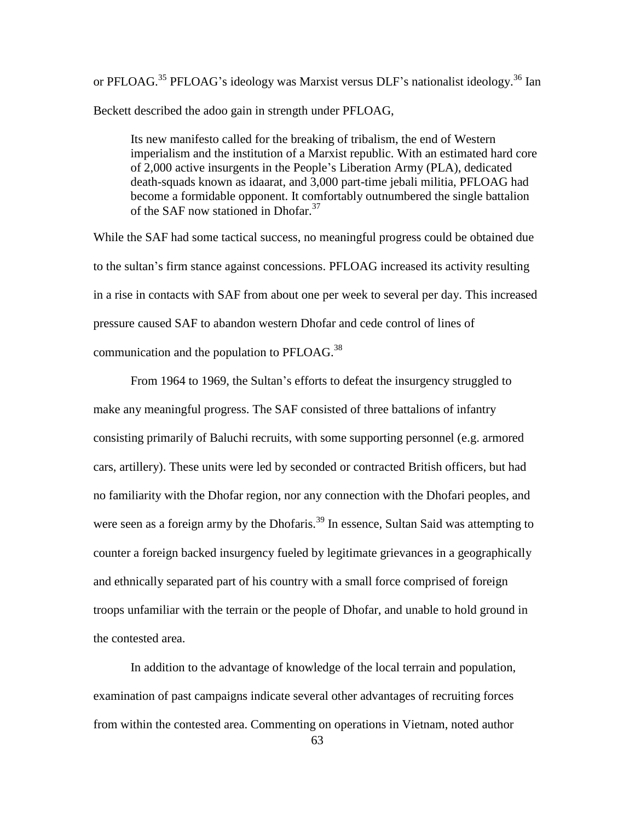or PFLOAG.<sup>35</sup> PFLOAG's ideology was Marxist versus DLF's nationalist ideology.<sup>36</sup> Ian Beckett described the adoo gain in strength under PFLOAG,

Its new manifesto called for the breaking of tribalism, the end of Western imperialism and the institution of a Marxist republic. With an estimated hard core of 2,000 active insurgents in the People's Liberation Army (PLA), dedicated death-squads known as idaarat, and 3,000 part-time jebali militia, PFLOAG had become a formidable opponent. It comfortably outnumbered the single battalion of the SAF now stationed in Dhofar.<sup>37</sup>

While the SAF had some tactical success, no meaningful progress could be obtained due to the sultan's firm stance against concessions. PFLOAG increased its activity resulting in a rise in contacts with SAF from about one per week to several per day. This increased pressure caused SAF to abandon western Dhofar and cede control of lines of communication and the population to PFLOAG.<sup>38</sup>

From 1964 to 1969, the Sultan's efforts to defeat the insurgency struggled to make any meaningful progress. The SAF consisted of three battalions of infantry consisting primarily of Baluchi recruits, with some supporting personnel (e.g. armored cars, artillery). These units were led by seconded or contracted British officers, but had no familiarity with the Dhofar region, nor any connection with the Dhofari peoples, and were seen as a foreign army by the Dhofaris.<sup>39</sup> In essence, Sultan Said was attempting to counter a foreign backed insurgency fueled by legitimate grievances in a geographically and ethnically separated part of his country with a small force comprised of foreign troops unfamiliar with the terrain or the people of Dhofar, and unable to hold ground in the contested area.

In addition to the advantage of knowledge of the local terrain and population, examination of past campaigns indicate several other advantages of recruiting forces from within the contested area. Commenting on operations in Vietnam, noted author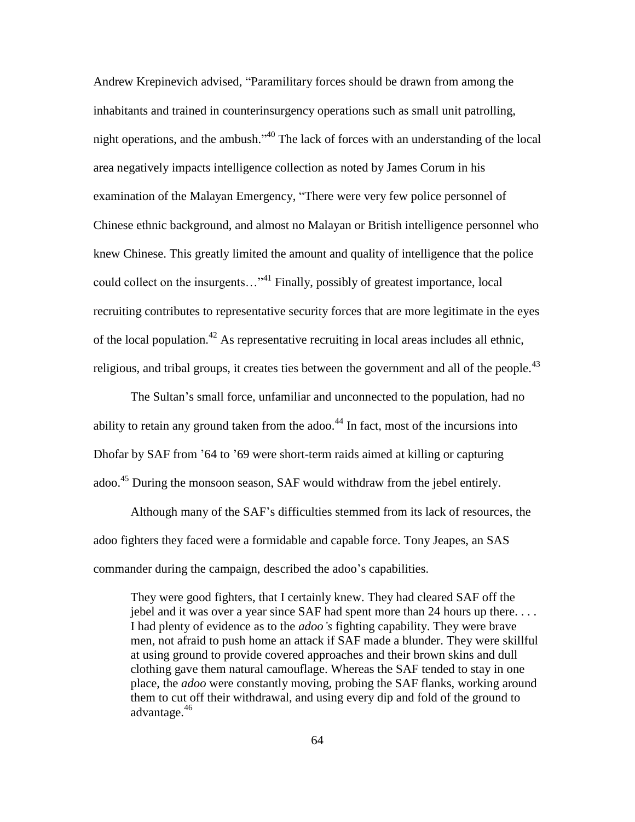Andrew Krepinevich advised, "Paramilitary forces should be drawn from among the inhabitants and trained in counterinsurgency operations such as small unit patrolling, night operations, and the ambush."<sup>40</sup> The lack of forces with an understanding of the local area negatively impacts intelligence collection as noted by James Corum in his examination of the Malayan Emergency, "There were very few police personnel of Chinese ethnic background, and almost no Malayan or British intelligence personnel who knew Chinese. This greatly limited the amount and quality of intelligence that the police could collect on the insurgents..."<sup>41</sup> Finally, possibly of greatest importance, local recruiting contributes to representative security forces that are more legitimate in the eyes of the local population.<sup>42</sup> As representative recruiting in local areas includes all ethnic, religious, and tribal groups, it creates ties between the government and all of the people.<sup>43</sup>

The Sultan's small force, unfamiliar and unconnected to the population, had no ability to retain any ground taken from the adoo.<sup>44</sup> In fact, most of the incursions into Dhofar by SAF from '64 to '69 were short-term raids aimed at killing or capturing adoo.<sup>45</sup> During the monsoon season, SAF would withdraw from the jebel entirely.

Although many of the SAF's difficulties stemmed from its lack of resources, the adoo fighters they faced were a formidable and capable force. Tony Jeapes, an SAS commander during the campaign, described the adoo's capabilities.

They were good fighters, that I certainly knew. They had cleared SAF off the jebel and it was over a year since SAF had spent more than 24 hours up there. . . . I had plenty of evidence as to the *adoo's* fighting capability. They were brave men, not afraid to push home an attack if SAF made a blunder. They were skillful at using ground to provide covered approaches and their brown skins and dull clothing gave them natural camouflage. Whereas the SAF tended to stay in one place, the *adoo* were constantly moving, probing the SAF flanks, working around them to cut off their withdrawal, and using every dip and fold of the ground to advantage.<sup>46</sup>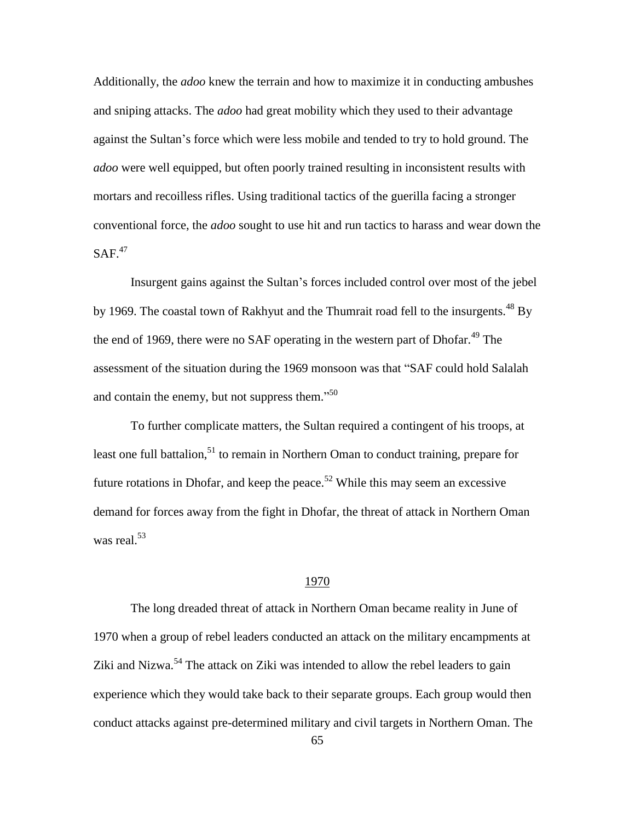Additionally, the *adoo* knew the terrain and how to maximize it in conducting ambushes and sniping attacks. The *adoo* had great mobility which they used to their advantage against the Sultan's force which were less mobile and tended to try to hold ground. The *adoo* were well equipped, but often poorly trained resulting in inconsistent results with mortars and recoilless rifles. Using traditional tactics of the guerilla facing a stronger conventional force, the *adoo* sought to use hit and run tactics to harass and wear down the  $SAF<sup>47</sup>$ 

Insurgent gains against the Sultan's forces included control over most of the jebel by 1969. The coastal town of Rakhyut and the Thumrait road fell to the insurgents.<sup>48</sup> By the end of 1969, there were no SAF operating in the western part of Dhofar.<sup>49</sup> The assessment of the situation during the 1969 monsoon was that "SAF could hold Salalah" and contain the enemy, but not suppress them."<sup>50</sup>

To further complicate matters, the Sultan required a contingent of his troops, at least one full battalion, $51$  to remain in Northern Oman to conduct training, prepare for future rotations in Dhofar, and keep the peace.<sup>52</sup> While this may seem an excessive demand for forces away from the fight in Dhofar, the threat of attack in Northern Oman was real. $53$ 

### 1970

The long dreaded threat of attack in Northern Oman became reality in June of 1970 when a group of rebel leaders conducted an attack on the military encampments at Ziki and Nizwa.<sup>54</sup> The attack on Ziki was intended to allow the rebel leaders to gain experience which they would take back to their separate groups. Each group would then conduct attacks against pre-determined military and civil targets in Northern Oman. The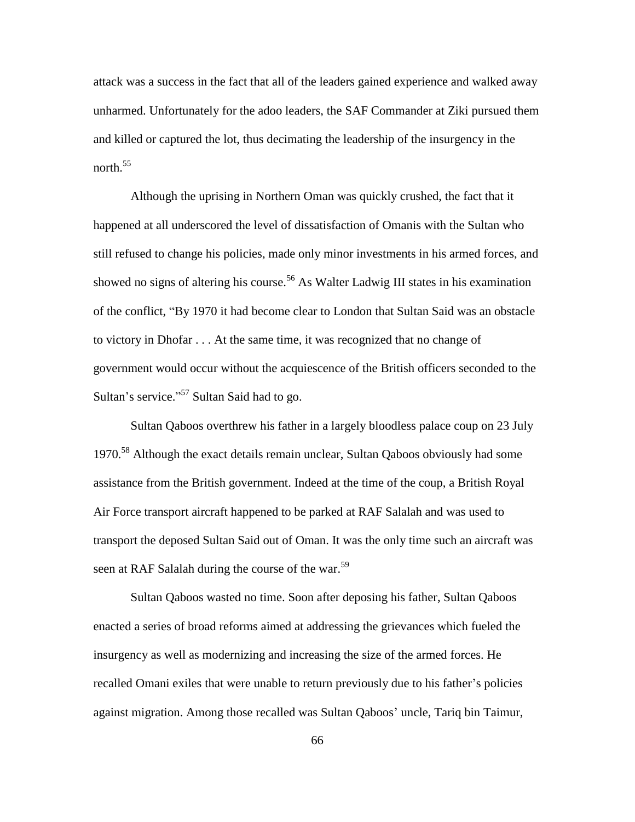attack was a success in the fact that all of the leaders gained experience and walked away unharmed. Unfortunately for the adoo leaders, the SAF Commander at Ziki pursued them and killed or captured the lot, thus decimating the leadership of the insurgency in the north.<sup>55</sup>

Although the uprising in Northern Oman was quickly crushed, the fact that it happened at all underscored the level of dissatisfaction of Omanis with the Sultan who still refused to change his policies, made only minor investments in his armed forces, and showed no signs of altering his course.<sup>56</sup> As Walter Ladwig III states in his examination of the conflict, "By 1970 it had become clear to London that Sultan Said was an obstacle to victory in Dhofar . . . At the same time, it was recognized that no change of government would occur without the acquiescence of the British officers seconded to the Sultan's service."<sup>57</sup> Sultan Said had to go.

Sultan Qaboos overthrew his father in a largely bloodless palace coup on 23 July 1970.<sup>58</sup> Although the exact details remain unclear, Sultan Qaboos obviously had some assistance from the British government. Indeed at the time of the coup, a British Royal Air Force transport aircraft happened to be parked at RAF Salalah and was used to transport the deposed Sultan Said out of Oman. It was the only time such an aircraft was seen at RAF Salalah during the course of the war.<sup>59</sup>

Sultan Qaboos wasted no time. Soon after deposing his father, Sultan Qaboos enacted a series of broad reforms aimed at addressing the grievances which fueled the insurgency as well as modernizing and increasing the size of the armed forces. He recalled Omani exiles that were unable to return previously due to his father's policies against migration. Among those recalled was Sultan Qaboos' uncle, Tariq bin Taimur,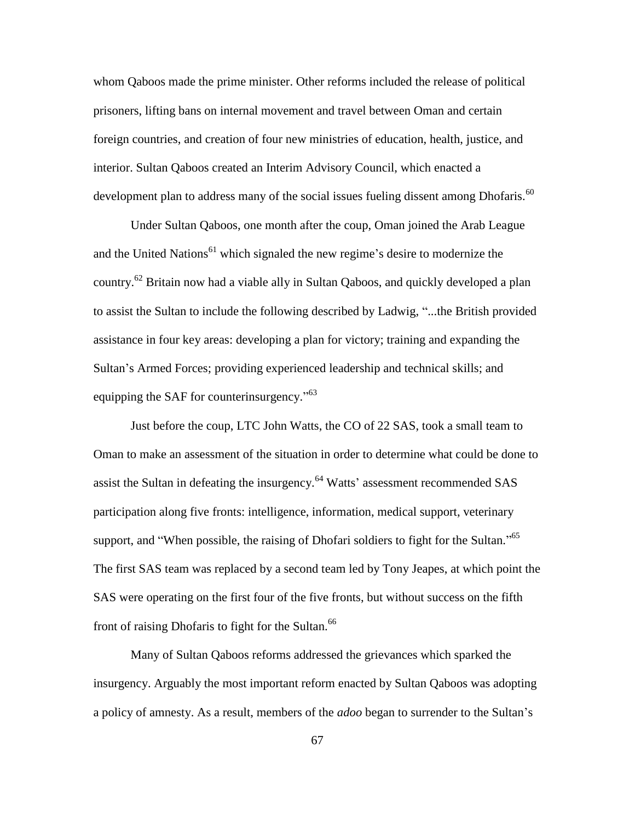whom Qaboos made the prime minister. Other reforms included the release of political prisoners, lifting bans on internal movement and travel between Oman and certain foreign countries, and creation of four new ministries of education, health, justice, and interior. Sultan Qaboos created an Interim Advisory Council, which enacted a development plan to address many of the social issues fueling dissent among Dhofaris.<sup>60</sup>

Under Sultan Qaboos, one month after the coup, Oman joined the Arab League and the United Nations<sup>61</sup> which signaled the new regime's desire to modernize the country.<sup>62</sup> Britain now had a viable ally in Sultan Qaboos, and quickly developed a plan to assist the Sultan to include the following described by Ladwig, "...the British provided assistance in four key areas: developing a plan for victory; training and expanding the Sultan's Armed Forces; providing experienced leadership and technical skills; and equipping the SAF for counterinsurgency.<sup> $163$ </sup>

Just before the coup, LTC John Watts, the CO of 22 SAS, took a small team to Oman to make an assessment of the situation in order to determine what could be done to assist the Sultan in defeating the insurgency.<sup>64</sup> Watts' assessment recommended SAS participation along five fronts: intelligence, information, medical support, veterinary support, and "When possible, the raising of Dhofari soldiers to fight for the Sultan."  $65$ The first SAS team was replaced by a second team led by Tony Jeapes, at which point the SAS were operating on the first four of the five fronts, but without success on the fifth front of raising Dhofaris to fight for the Sultan.<sup>66</sup>

Many of Sultan Qaboos reforms addressed the grievances which sparked the insurgency. Arguably the most important reform enacted by Sultan Qaboos was adopting a policy of amnesty. As a result, members of the *adoo* began to surrender to the Sultan's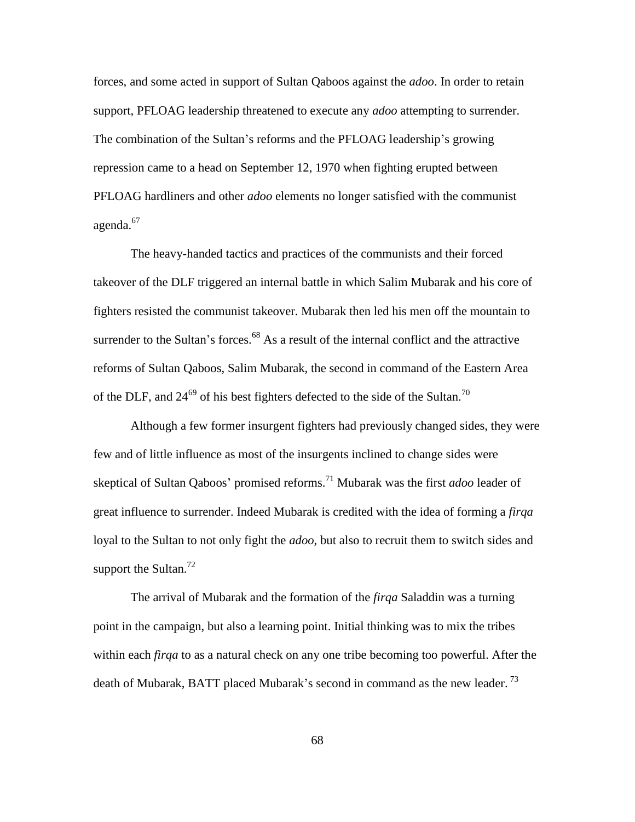forces, and some acted in support of Sultan Qaboos against the *adoo*. In order to retain support, PFLOAG leadership threatened to execute any *adoo* attempting to surrender. The combination of the Sultan's reforms and the PFLOAG leadership's growing repression came to a head on September 12, 1970 when fighting erupted between PFLOAG hardliners and other *adoo* elements no longer satisfied with the communist agenda.<sup>67</sup>

The heavy-handed tactics and practices of the communists and their forced takeover of the DLF triggered an internal battle in which Salim Mubarak and his core of fighters resisted the communist takeover. Mubarak then led his men off the mountain to surrender to the Sultan's forces.<sup>68</sup> As a result of the internal conflict and the attractive reforms of Sultan Qaboos, Salim Mubarak, the second in command of the Eastern Area of the DLF, and  $24^{69}$  of his best fighters defected to the side of the Sultan.<sup>70</sup>

Although a few former insurgent fighters had previously changed sides, they were few and of little influence as most of the insurgents inclined to change sides were skeptical of Sultan Qaboos' promised reforms.<sup>71</sup> Mubarak was the first *adoo* leader of great influence to surrender. Indeed Mubarak is credited with the idea of forming a *firqa* loyal to the Sultan to not only fight the *adoo*, but also to recruit them to switch sides and support the Sultan.<sup>72</sup>

The arrival of Mubarak and the formation of the *firqa* Saladdin was a turning point in the campaign, but also a learning point. Initial thinking was to mix the tribes within each *firqa* to as a natural check on any one tribe becoming too powerful. After the death of Mubarak, BATT placed Mubarak's second in command as the new leader.<sup>73</sup>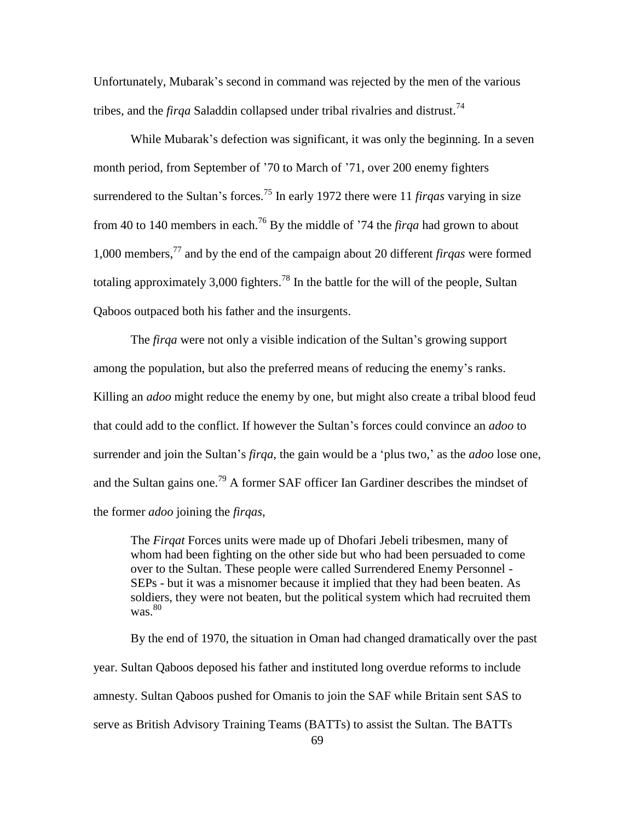Unfortunately, Mubarak's second in command was rejected by the men of the various tribes, and the *firqa* Saladdin collapsed under tribal rivalries and distrust.<sup>74</sup>

While Mubarak's defection was significant, it was only the beginning. In a seven month period, from September of '70 to March of '71, over 200 enemy fighters surrendered to the Sultan's forces.<sup>75</sup> In early 1972 there were 11 *firqas* varying in size from 40 to 140 members in each.<sup>76</sup> By the middle of '74 the *firqa* had grown to about 1,000 members,<sup>77</sup> and by the end of the campaign about 20 different *firqas* were formed totaling approximately 3,000 fighters.<sup>78</sup> In the battle for the will of the people, Sultan Qaboos outpaced both his father and the insurgents.

The *firqa* were not only a visible indication of the Sultan's growing support among the population, but also the preferred means of reducing the enemy's ranks. Killing an *adoo* might reduce the enemy by one, but might also create a tribal blood feud that could add to the conflict. If however the Sultan's forces could convince an *adoo* to surrender and join the Sultan's *firqa*, the gain would be a 'plus two,' as the *adoo* lose one, and the Sultan gains one.<sup>79</sup> A former SAF officer Ian Gardiner describes the mindset of the former *adoo* joining the *firqas*,

The *Firqat* Forces units were made up of Dhofari Jebeli tribesmen, many of whom had been fighting on the other side but who had been persuaded to come over to the Sultan. These people were called Surrendered Enemy Personnel - SEPs - but it was a misnomer because it implied that they had been beaten. As soldiers, they were not beaten, but the political system which had recruited them  $was.80$ 

By the end of 1970, the situation in Oman had changed dramatically over the past year. Sultan Qaboos deposed his father and instituted long overdue reforms to include amnesty. Sultan Qaboos pushed for Omanis to join the SAF while Britain sent SAS to serve as British Advisory Training Teams (BATTs) to assist the Sultan. The BATTs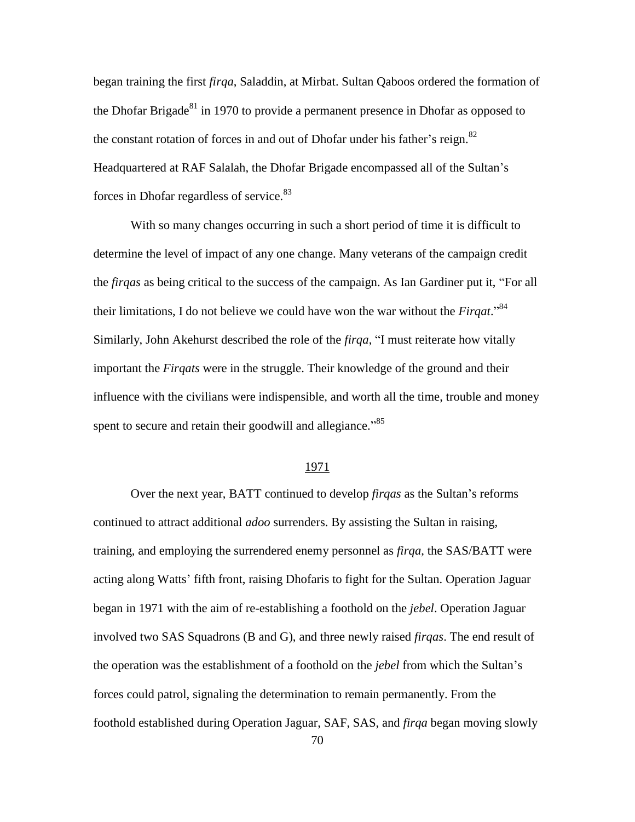began training the first *firqa*, Saladdin, at Mirbat. Sultan Qaboos ordered the formation of the Dhofar Brigade $81$  in 1970 to provide a permanent presence in Dhofar as opposed to the constant rotation of forces in and out of Dhofar under his father's reign.<sup>82</sup> Headquartered at RAF Salalah, the Dhofar Brigade encompassed all of the Sultan's forces in Dhofar regardless of service.<sup>83</sup>

With so many changes occurring in such a short period of time it is difficult to determine the level of impact of any one change. Many veterans of the campaign credit the *firgas* as being critical to the success of the campaign. As Ian Gardiner put it, "For all their limitations, I do not believe we could have won the war without the  $Firqat.^{84}$ Similarly, John Akehurst described the role of the *firga*, "I must reiterate how vitally important the *Firqats* were in the struggle. Their knowledge of the ground and their influence with the civilians were indispensible, and worth all the time, trouble and money spent to secure and retain their goodwill and allegiance."<sup>85</sup>

# 1971

Over the next year, BATT continued to develop *firqas* as the Sultan's reforms continued to attract additional *adoo* surrenders. By assisting the Sultan in raising, training, and employing the surrendered enemy personnel as *firqa*, the SAS/BATT were acting along Watts' fifth front, raising Dhofaris to fight for the Sultan. Operation Jaguar began in 1971 with the aim of re-establishing a foothold on the *jebel*. Operation Jaguar involved two SAS Squadrons (B and G), and three newly raised *firqas*. The end result of the operation was the establishment of a foothold on the *jebel* from which the Sultan's forces could patrol, signaling the determination to remain permanently. From the foothold established during Operation Jaguar, SAF, SAS, and *firqa* began moving slowly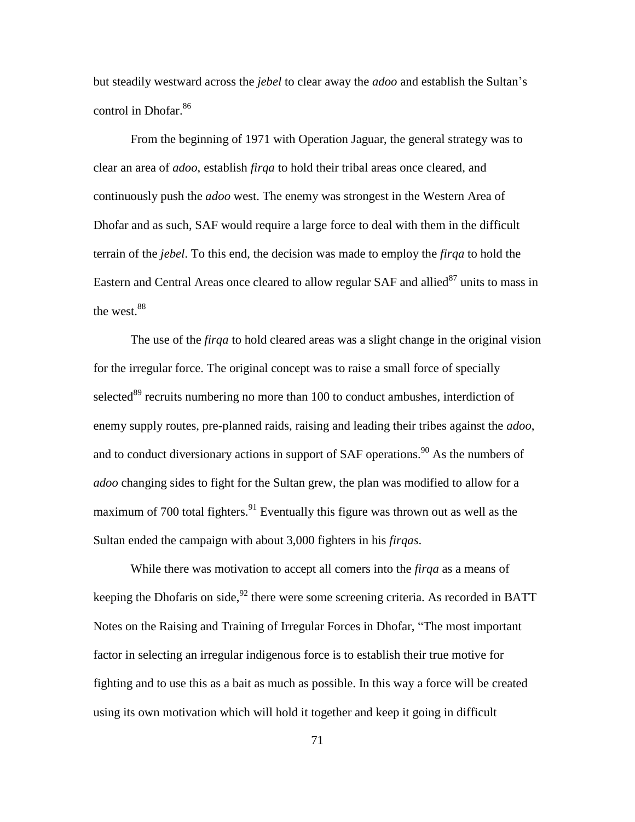but steadily westward across the *jebel* to clear away the *adoo* and establish the Sultan's control in Dhofar.<sup>86</sup>

From the beginning of 1971 with Operation Jaguar, the general strategy was to clear an area of *adoo*, establish *firqa* to hold their tribal areas once cleared, and continuously push the *adoo* west. The enemy was strongest in the Western Area of Dhofar and as such, SAF would require a large force to deal with them in the difficult terrain of the *jebel*. To this end, the decision was made to employ the *firqa* to hold the Eastern and Central Areas once cleared to allow regular SAF and allied $^{87}$  units to mass in the west.<sup>88</sup>

The use of the *firqa* to hold cleared areas was a slight change in the original vision for the irregular force. The original concept was to raise a small force of specially selected<sup>89</sup> recruits numbering no more than 100 to conduct ambushes, interdiction of enemy supply routes, pre-planned raids, raising and leading their tribes against the *adoo*, and to conduct diversionary actions in support of  $SAF$  operations.<sup>90</sup> As the numbers of *adoo* changing sides to fight for the Sultan grew, the plan was modified to allow for a maximum of 700 total fighters.<sup>91</sup> Eventually this figure was thrown out as well as the Sultan ended the campaign with about 3,000 fighters in his *firqas*.

While there was motivation to accept all comers into the *firqa* as a means of keeping the Dhofaris on side,  $92$  there were some screening criteria. As recorded in BATT Notes on the Raising and Training of Irregular Forces in Dhofar, "The most important factor in selecting an irregular indigenous force is to establish their true motive for fighting and to use this as a bait as much as possible. In this way a force will be created using its own motivation which will hold it together and keep it going in difficult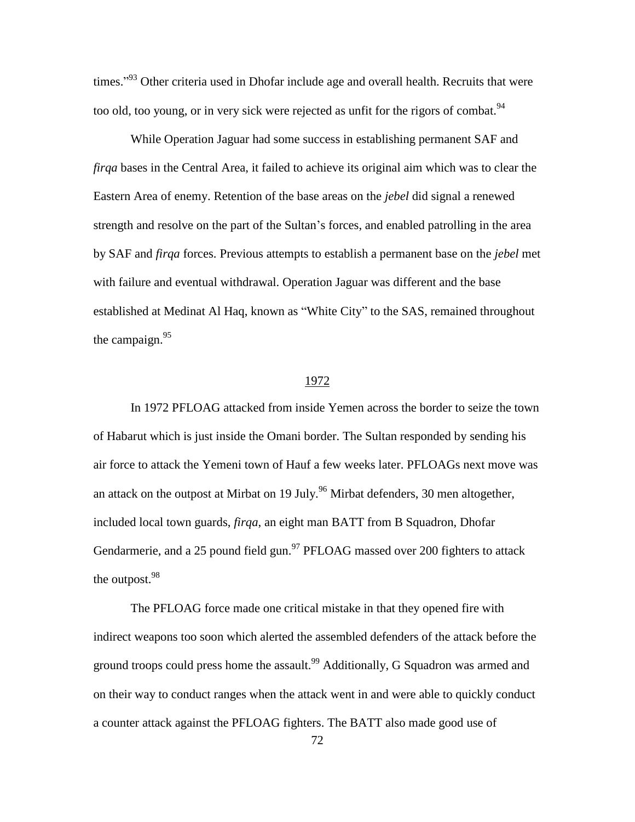times."<sup>93</sup> Other criteria used in Dhofar include age and overall health. Recruits that were too old, too young, or in very sick were rejected as unfit for the rigors of combat.  $94$ 

While Operation Jaguar had some success in establishing permanent SAF and *firqa* bases in the Central Area, it failed to achieve its original aim which was to clear the Eastern Area of enemy. Retention of the base areas on the *jebel* did signal a renewed strength and resolve on the part of the Sultan's forces, and enabled patrolling in the area by SAF and *firqa* forces. Previous attempts to establish a permanent base on the *jebel* met with failure and eventual withdrawal. Operation Jaguar was different and the base established at Medinat Al Haq, known as "White City" to the SAS, remained throughout the campaign.<sup>95</sup>

#### 1972

In 1972 PFLOAG attacked from inside Yemen across the border to seize the town of Habarut which is just inside the Omani border. The Sultan responded by sending his air force to attack the Yemeni town of Hauf a few weeks later. PFLOAGs next move was an attack on the outpost at Mirbat on 19 July.<sup>96</sup> Mirbat defenders, 30 men altogether, included local town guards, *firqa*, an eight man BATT from B Squadron, Dhofar Gendarmerie, and a 25 pound field gun.<sup>97</sup> PFLOAG massed over 200 fighters to attack the outpost.<sup>98</sup>

The PFLOAG force made one critical mistake in that they opened fire with indirect weapons too soon which alerted the assembled defenders of the attack before the ground troops could press home the assault.<sup>99</sup> Additionally, G Squadron was armed and on their way to conduct ranges when the attack went in and were able to quickly conduct a counter attack against the PFLOAG fighters. The BATT also made good use of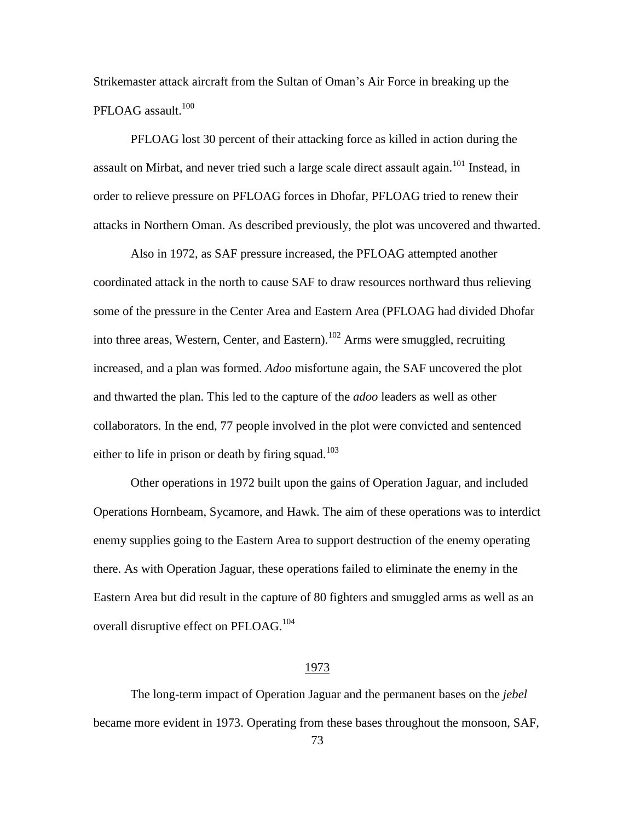Strikemaster attack aircraft from the Sultan of Oman's Air Force in breaking up the PFLOAG assault. $100$ 

PFLOAG lost 30 percent of their attacking force as killed in action during the assault on Mirbat, and never tried such a large scale direct assault again.<sup>101</sup> Instead, in order to relieve pressure on PFLOAG forces in Dhofar, PFLOAG tried to renew their attacks in Northern Oman. As described previously, the plot was uncovered and thwarted.

Also in 1972, as SAF pressure increased, the PFLOAG attempted another coordinated attack in the north to cause SAF to draw resources northward thus relieving some of the pressure in the Center Area and Eastern Area (PFLOAG had divided Dhofar into three areas, Western, Center, and Eastern).<sup>102</sup> Arms were smuggled, recruiting increased, and a plan was formed. *Adoo* misfortune again, the SAF uncovered the plot and thwarted the plan. This led to the capture of the *adoo* leaders as well as other collaborators. In the end, 77 people involved in the plot were convicted and sentenced either to life in prison or death by firing squad.<sup>103</sup>

Other operations in 1972 built upon the gains of Operation Jaguar, and included Operations Hornbeam, Sycamore, and Hawk. The aim of these operations was to interdict enemy supplies going to the Eastern Area to support destruction of the enemy operating there. As with Operation Jaguar, these operations failed to eliminate the enemy in the Eastern Area but did result in the capture of 80 fighters and smuggled arms as well as an overall disruptive effect on PFLOAG.<sup>104</sup>

## 1973

The long-term impact of Operation Jaguar and the permanent bases on the *jebel* became more evident in 1973. Operating from these bases throughout the monsoon, SAF,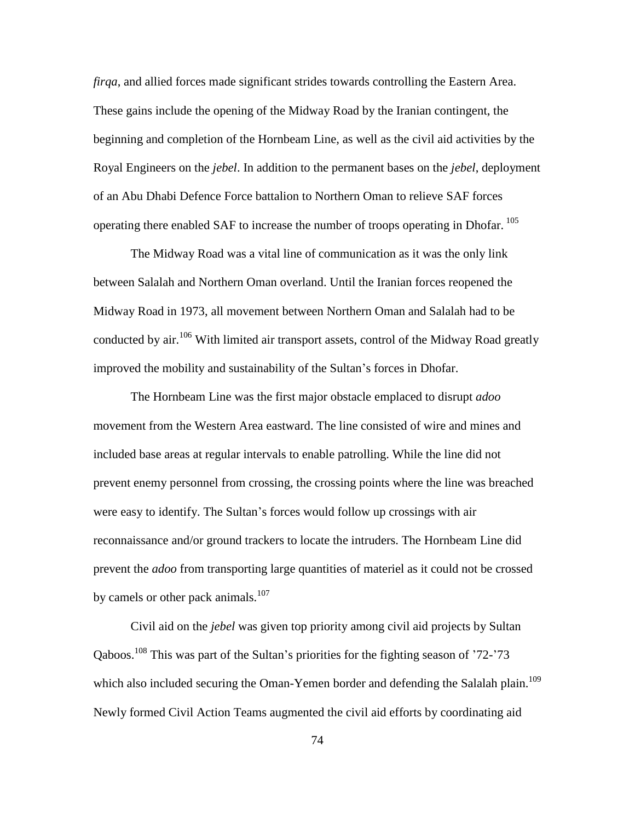*firqa*, and allied forces made significant strides towards controlling the Eastern Area. These gains include the opening of the Midway Road by the Iranian contingent, the beginning and completion of the Hornbeam Line, as well as the civil aid activities by the Royal Engineers on the *jebel*. In addition to the permanent bases on the *jebel*, deployment of an Abu Dhabi Defence Force battalion to Northern Oman to relieve SAF forces operating there enabled SAF to increase the number of troops operating in Dhofar.<sup>105</sup>

The Midway Road was a vital line of communication as it was the only link between Salalah and Northern Oman overland. Until the Iranian forces reopened the Midway Road in 1973, all movement between Northern Oman and Salalah had to be conducted by air.<sup>106</sup> With limited air transport assets, control of the Midway Road greatly improved the mobility and sustainability of the Sultan's forces in Dhofar.

The Hornbeam Line was the first major obstacle emplaced to disrupt *adoo* movement from the Western Area eastward. The line consisted of wire and mines and included base areas at regular intervals to enable patrolling. While the line did not prevent enemy personnel from crossing, the crossing points where the line was breached were easy to identify. The Sultan's forces would follow up crossings with air reconnaissance and/or ground trackers to locate the intruders. The Hornbeam Line did prevent the *adoo* from transporting large quantities of materiel as it could not be crossed by camels or other pack animals. $107$ 

Civil aid on the *jebel* was given top priority among civil aid projects by Sultan Qaboos.<sup>108</sup> This was part of the Sultan's priorities for the fighting season of '72-'73 which also included securing the Oman-Yemen border and defending the Salalah plain.<sup>109</sup> Newly formed Civil Action Teams augmented the civil aid efforts by coordinating aid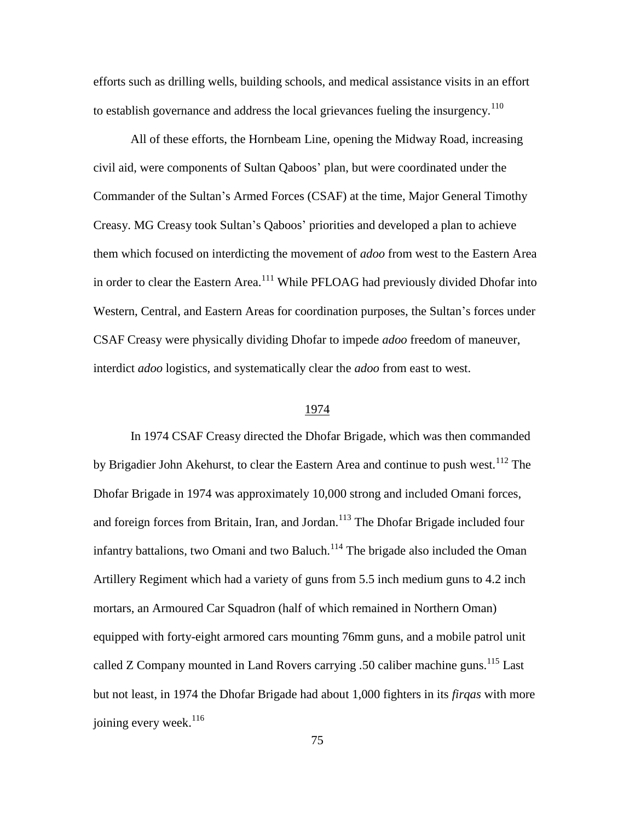efforts such as drilling wells, building schools, and medical assistance visits in an effort to establish governance and address the local grievances fueling the insurgency.<sup>110</sup>

All of these efforts, the Hornbeam Line, opening the Midway Road, increasing civil aid, were components of Sultan Qaboos' plan, but were coordinated under the Commander of the Sultan's Armed Forces (CSAF) at the time, Major General Timothy Creasy. MG Creasy took Sultan's Qaboos' priorities and developed a plan to achieve them which focused on interdicting the movement of *adoo* from west to the Eastern Area in order to clear the Eastern Area.<sup>111</sup> While PFLOAG had previously divided Dhofar into Western, Central, and Eastern Areas for coordination purposes, the Sultan's forces under CSAF Creasy were physically dividing Dhofar to impede *adoo* freedom of maneuver, interdict *adoo* logistics, and systematically clear the *adoo* from east to west.

#### 1974

In 1974 CSAF Creasy directed the Dhofar Brigade, which was then commanded by Brigadier John Akehurst, to clear the Eastern Area and continue to push west*.* <sup>112</sup> The Dhofar Brigade in 1974 was approximately 10,000 strong and included Omani forces, and foreign forces from Britain, Iran, and Jordan.<sup>113</sup> The Dhofar Brigade included four infantry battalions, two Omani and two Baluch.<sup>114</sup> The brigade also included the Oman Artillery Regiment which had a variety of guns from 5.5 inch medium guns to 4.2 inch mortars, an Armoured Car Squadron (half of which remained in Northern Oman) equipped with forty-eight armored cars mounting 76mm guns, and a mobile patrol unit called Z Company mounted in Land Rovers carrying .50 caliber machine guns.<sup>115</sup> Last but not least, in 1974 the Dhofar Brigade had about 1,000 fighters in its *firqas* with more joining every week. $116$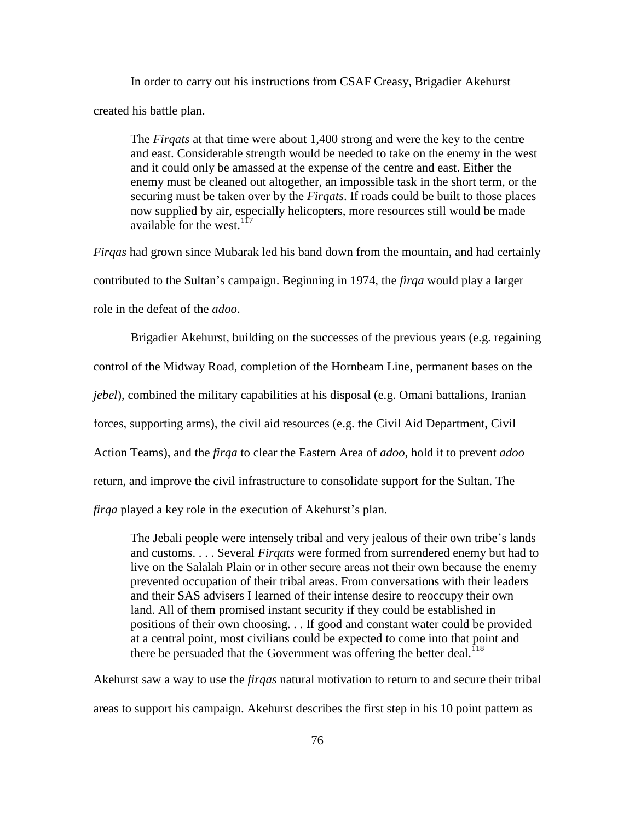In order to carry out his instructions from CSAF Creasy, Brigadier Akehurst created his battle plan.

The *Firqats* at that time were about 1,400 strong and were the key to the centre and east. Considerable strength would be needed to take on the enemy in the west and it could only be amassed at the expense of the centre and east. Either the enemy must be cleaned out altogether, an impossible task in the short term, or the securing must be taken over by the *Firqats*. If roads could be built to those places now supplied by air, especially helicopters, more resources still would be made available for the west.  $117$ 

*Firqas* had grown since Mubarak led his band down from the mountain, and had certainly contributed to the Sultan's campaign. Beginning in 1974, the *firqa* would play a larger role in the defeat of the *adoo*.

Brigadier Akehurst, building on the successes of the previous years (e.g. regaining control of the Midway Road, completion of the Hornbeam Line, permanent bases on the *jebel*), combined the military capabilities at his disposal (e.g. Omani battalions, Iranian forces, supporting arms), the civil aid resources (e.g. the Civil Aid Department, Civil Action Teams), and the *firqa* to clear the Eastern Area of *adoo*, hold it to prevent *adoo* return, and improve the civil infrastructure to consolidate support for the Sultan. The *firqa* played a key role in the execution of Akehurst's plan.

The Jebali people were intensely tribal and very jealous of their own tribe's lands and customs. . . . Several *Firqats* were formed from surrendered enemy but had to live on the Salalah Plain or in other secure areas not their own because the enemy prevented occupation of their tribal areas. From conversations with their leaders and their SAS advisers I learned of their intense desire to reoccupy their own land. All of them promised instant security if they could be established in positions of their own choosing. . . If good and constant water could be provided at a central point, most civilians could be expected to come into that point and there be persuaded that the Government was offering the better deal.<sup>118</sup>

Akehurst saw a way to use the *firqas* natural motivation to return to and secure their tribal areas to support his campaign. Akehurst describes the first step in his 10 point pattern as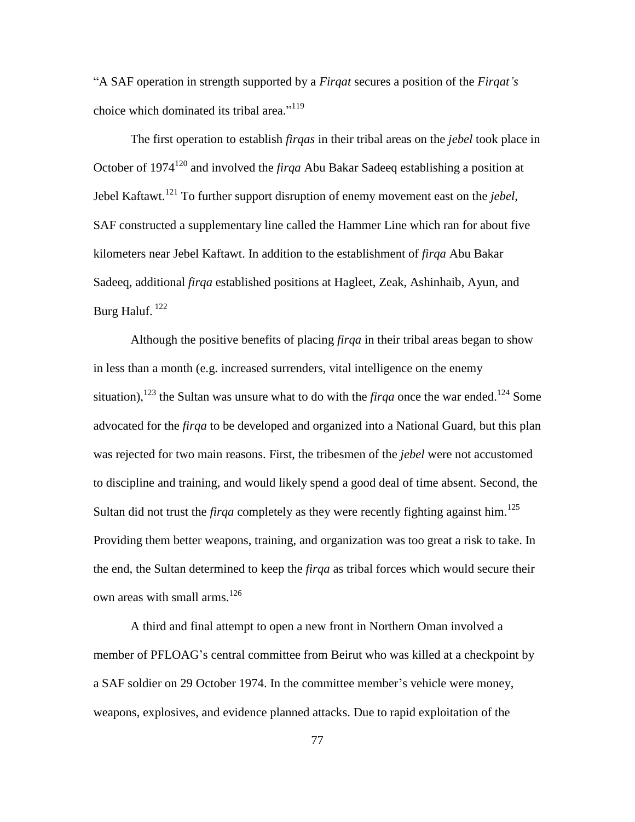―A SAF operation in strength supported by a *Firqat* secures a position of the *Firqat's* choice which dominated its tribal area."<sup>119</sup>

The first operation to establish *firqas* in their tribal areas on the *jebel* took place in October of 1974<sup>120</sup> and involved the *firqa* Abu Bakar Sadeeq establishing a position at Jebel Kaftawt.<sup>121</sup> To further support disruption of enemy movement east on the *jebel,*  SAF constructed a supplementary line called the Hammer Line which ran for about five kilometers near Jebel Kaftawt. In addition to the establishment of *firqa* Abu Bakar Sadeeq, additional *firqa* established positions at Hagleet, Zeak, Ashinhaib, Ayun, and Burg Haluf.  $^{122}$ 

Although the positive benefits of placing *firqa* in their tribal areas began to show in less than a month (e.g. increased surrenders, vital intelligence on the enemy situation),<sup>123</sup> the Sultan was unsure what to do with the *firqa* once the war ended.<sup>124</sup> Some advocated for the *firqa* to be developed and organized into a National Guard, but this plan was rejected for two main reasons. First, the tribesmen of the *jebel* were not accustomed to discipline and training, and would likely spend a good deal of time absent. Second, the Sultan did not trust the *firqa* completely as they were recently fighting against him.<sup>125</sup> Providing them better weapons, training, and organization was too great a risk to take. In the end, the Sultan determined to keep the *firqa* as tribal forces which would secure their own areas with small arms. $126$ 

A third and final attempt to open a new front in Northern Oman involved a member of PFLOAG's central committee from Beirut who was killed at a checkpoint by a SAF soldier on 29 October 1974. In the committee member's vehicle were money, weapons, explosives, and evidence planned attacks. Due to rapid exploitation of the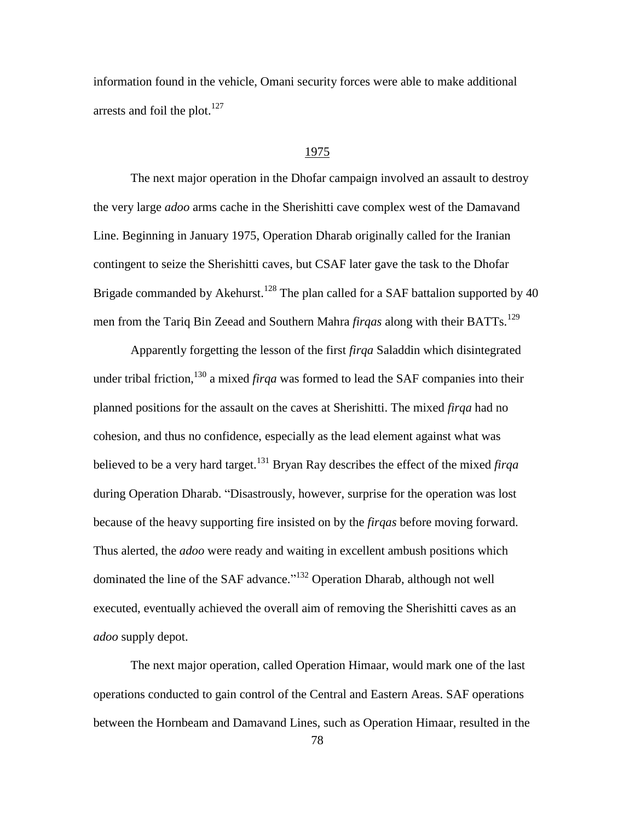information found in the vehicle, Omani security forces were able to make additional arrests and foil the plot. $127$ 

#### 1975

The next major operation in the Dhofar campaign involved an assault to destroy the very large *adoo* arms cache in the Sherishitti cave complex west of the Damavand Line. Beginning in January 1975, Operation Dharab originally called for the Iranian contingent to seize the Sherishitti caves, but CSAF later gave the task to the Dhofar Brigade commanded by Akehurst.<sup>128</sup> The plan called for a SAF battalion supported by 40 men from the Tariq Bin Zeead and Southern Mahra *firqas* along with their BATTs.<sup>129</sup>

Apparently forgetting the lesson of the first *firqa* Saladdin which disintegrated under tribal friction,<sup>130</sup> a mixed *firga* was formed to lead the SAF companies into their planned positions for the assault on the caves at Sherishitti. The mixed *firqa* had no cohesion, and thus no confidence, especially as the lead element against what was believed to be a very hard target.<sup>131</sup> Bryan Ray describes the effect of the mixed *firqa* during Operation Dharab. "Disastrously, however, surprise for the operation was lost because of the heavy supporting fire insisted on by the *firqas* before moving forward. Thus alerted, the *adoo* were ready and waiting in excellent ambush positions which dominated the line of the SAF advance."<sup>132</sup> Operation Dharab, although not well executed, eventually achieved the overall aim of removing the Sherishitti caves as an *adoo* supply depot.

The next major operation, called Operation Himaar, would mark one of the last operations conducted to gain control of the Central and Eastern Areas. SAF operations between the Hornbeam and Damavand Lines, such as Operation Himaar, resulted in the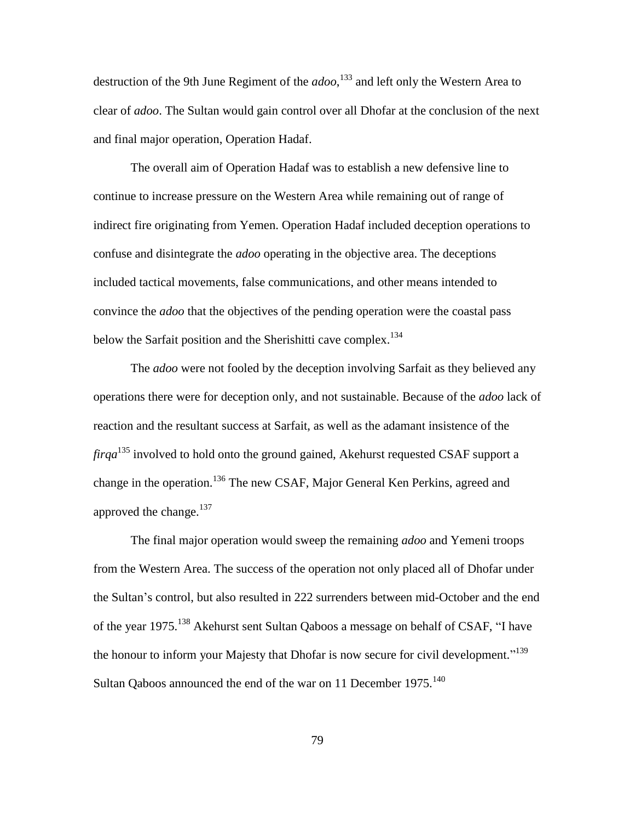destruction of the 9th June Regiment of the *adoo*, <sup>133</sup> and left only the Western Area to clear of *adoo*. The Sultan would gain control over all Dhofar at the conclusion of the next and final major operation, Operation Hadaf.

The overall aim of Operation Hadaf was to establish a new defensive line to continue to increase pressure on the Western Area while remaining out of range of indirect fire originating from Yemen. Operation Hadaf included deception operations to confuse and disintegrate the *adoo* operating in the objective area. The deceptions included tactical movements, false communications, and other means intended to convince the *adoo* that the objectives of the pending operation were the coastal pass below the Sarfait position and the Sherishitti cave complex.<sup>134</sup>

The *adoo* were not fooled by the deception involving Sarfait as they believed any operations there were for deception only, and not sustainable. Because of the *adoo* lack of reaction and the resultant success at Sarfait, as well as the adamant insistence of the *firqa*<sup>135</sup> involved to hold onto the ground gained, Akehurst requested CSAF support a change in the operation.<sup>136</sup> The new CSAF, Major General Ken Perkins, agreed and approved the change. $137$ 

The final major operation would sweep the remaining *adoo* and Yemeni troops from the Western Area. The success of the operation not only placed all of Dhofar under the Sultan's control, but also resulted in 222 surrenders between mid-October and the end of the year 1975.<sup>138</sup> Akehurst sent Sultan Qaboos a message on behalf of CSAF, "I have the honour to inform your Majesty that Dhofar is now secure for civil development."<sup>139</sup> Sultan Qaboos announced the end of the war on 11 December 1975.<sup>140</sup>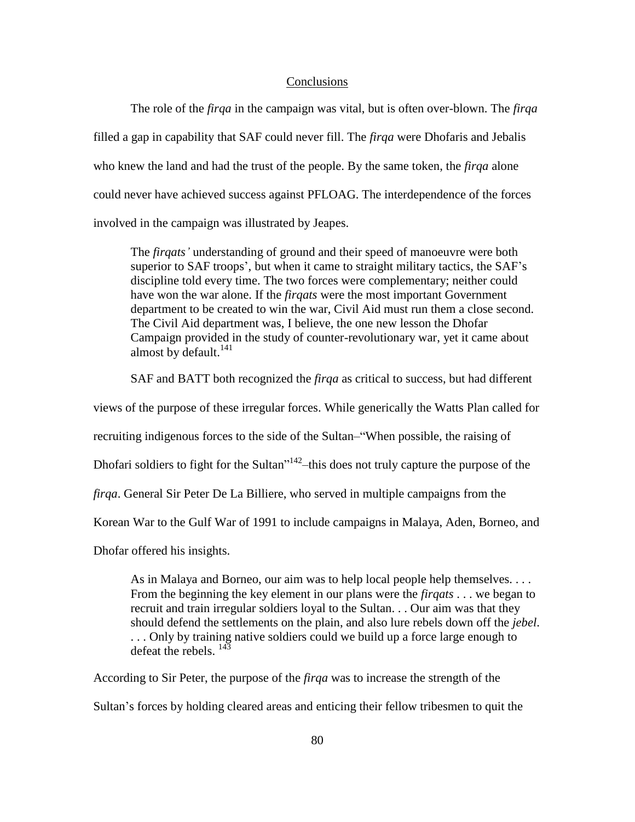#### **Conclusions**

The role of the *firqa* in the campaign was vital, but is often over-blown. The *firqa* filled a gap in capability that SAF could never fill. The *firqa* were Dhofaris and Jebalis who knew the land and had the trust of the people. By the same token, the *firqa* alone could never have achieved success against PFLOAG. The interdependence of the forces involved in the campaign was illustrated by Jeapes.

The *firqats'* understanding of ground and their speed of manoeuvre were both superior to SAF troops', but when it came to straight military tactics, the SAF's discipline told every time. The two forces were complementary; neither could have won the war alone. If the *firqats* were the most important Government department to be created to win the war, Civil Aid must run them a close second. The Civil Aid department was, I believe, the one new lesson the Dhofar Campaign provided in the study of counter-revolutionary war, yet it came about almost by default.<sup>141</sup>

SAF and BATT both recognized the *firqa* as critical to success, but had different

views of the purpose of these irregular forces. While generically the Watts Plan called for

recruiting indigenous forces to the side of the Sultan–"When possible, the raising of

Dhofari soldiers to fight for the Sultan<sup> $142$ </sup> this does not truly capture the purpose of the

*firqa*. General Sir Peter De La Billiere, who served in multiple campaigns from the

Korean War to the Gulf War of 1991 to include campaigns in Malaya, Aden, Borneo, and

Dhofar offered his insights.

As in Malaya and Borneo, our aim was to help local people help themselves. . . . From the beginning the key element in our plans were the *firqats* . . . we began to recruit and train irregular soldiers loyal to the Sultan. . . Our aim was that they should defend the settlements on the plain, and also lure rebels down off the *jebel*. ... Only by training native soldiers could we build up a force large enough to defeat the rebels.  $^{143}$ 

According to Sir Peter, the purpose of the *firqa* was to increase the strength of the

Sultan's forces by holding cleared areas and enticing their fellow tribesmen to quit the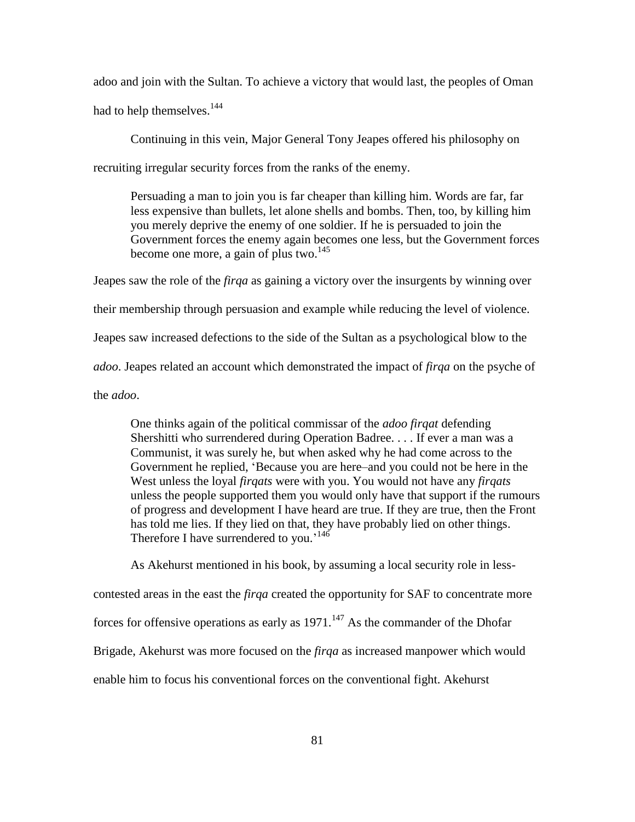adoo and join with the Sultan. To achieve a victory that would last, the peoples of Oman had to help themselves.<sup>144</sup>

Continuing in this vein, Major General Tony Jeapes offered his philosophy on recruiting irregular security forces from the ranks of the enemy.

Persuading a man to join you is far cheaper than killing him. Words are far, far less expensive than bullets, let alone shells and bombs. Then, too, by killing him you merely deprive the enemy of one soldier. If he is persuaded to join the Government forces the enemy again becomes one less, but the Government forces become one more, a gain of plus two. $145$ 

Jeapes saw the role of the *firqa* as gaining a victory over the insurgents by winning over their membership through persuasion and example while reducing the level of violence. Jeapes saw increased defections to the side of the Sultan as a psychological blow to the *adoo*. Jeapes related an account which demonstrated the impact of *firqa* on the psyche of the *adoo*.

One thinks again of the political commissar of the *adoo firqat* defending Shershitti who surrendered during Operation Badree. . . . If ever a man was a Communist, it was surely he, but when asked why he had come across to the Government he replied, 'Because you are here–and you could not be here in the West unless the loyal *firqats* were with you. You would not have any *firqats* unless the people supported them you would only have that support if the rumours of progress and development I have heard are true. If they are true, then the Front has told me lies. If they lied on that, they have probably lied on other things. Therefore I have surrendered to you.<sup>146</sup>

As Akehurst mentioned in his book, by assuming a local security role in less-

contested areas in the east the *firqa* created the opportunity for SAF to concentrate more

forces for offensive operations as early as  $1971$ .<sup>147</sup> As the commander of the Dhofar

Brigade, Akehurst was more focused on the *firqa* as increased manpower which would

enable him to focus his conventional forces on the conventional fight. Akehurst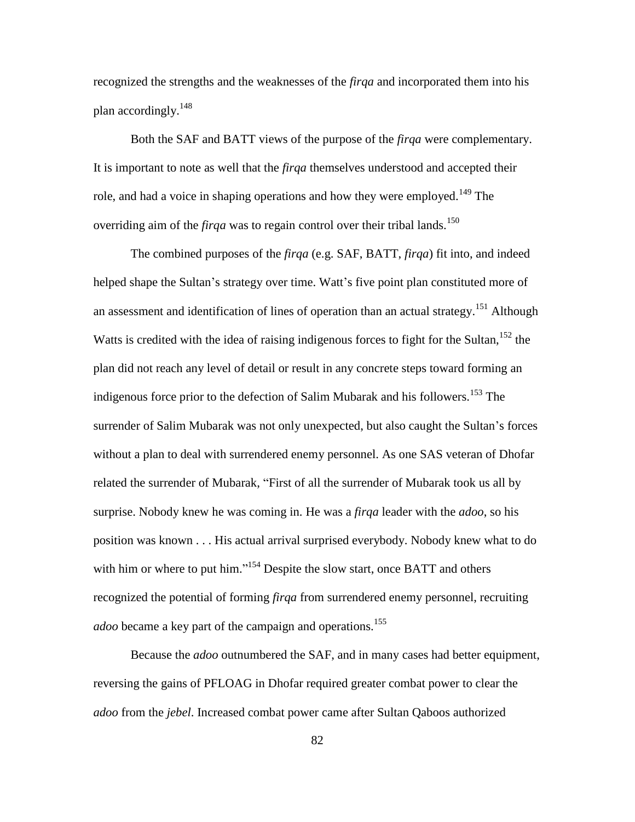recognized the strengths and the weaknesses of the *firqa* and incorporated them into his plan accordingly.<sup>148</sup>

Both the SAF and BATT views of the purpose of the *firqa* were complementary. It is important to note as well that the *firqa* themselves understood and accepted their role, and had a voice in shaping operations and how they were employed.<sup>149</sup> The overriding aim of the *firqa* was to regain control over their tribal lands.<sup>150</sup>

The combined purposes of the *firqa* (e.g. SAF, BATT, *firqa*) fit into, and indeed helped shape the Sultan's strategy over time. Watt's five point plan constituted more of an assessment and identification of lines of operation than an actual strategy.<sup>151</sup> Although Watts is credited with the idea of raising indigenous forces to fight for the Sultan,  $152$  the plan did not reach any level of detail or result in any concrete steps toward forming an indigenous force prior to the defection of Salim Mubarak and his followers.<sup>153</sup> The surrender of Salim Mubarak was not only unexpected, but also caught the Sultan's forces without a plan to deal with surrendered enemy personnel. As one SAS veteran of Dhofar related the surrender of Mubarak, "First of all the surrender of Mubarak took us all by surprise. Nobody knew he was coming in. He was a *firqa* leader with the *adoo*, so his position was known . . . His actual arrival surprised everybody. Nobody knew what to do with him or where to put him."<sup>154</sup> Despite the slow start, once BATT and others recognized the potential of forming *firqa* from surrendered enemy personnel, recruiting *adoo* became a key part of the campaign and operations.<sup>155</sup>

Because the *adoo* outnumbered the SAF, and in many cases had better equipment, reversing the gains of PFLOAG in Dhofar required greater combat power to clear the *adoo* from the *jebel*. Increased combat power came after Sultan Qaboos authorized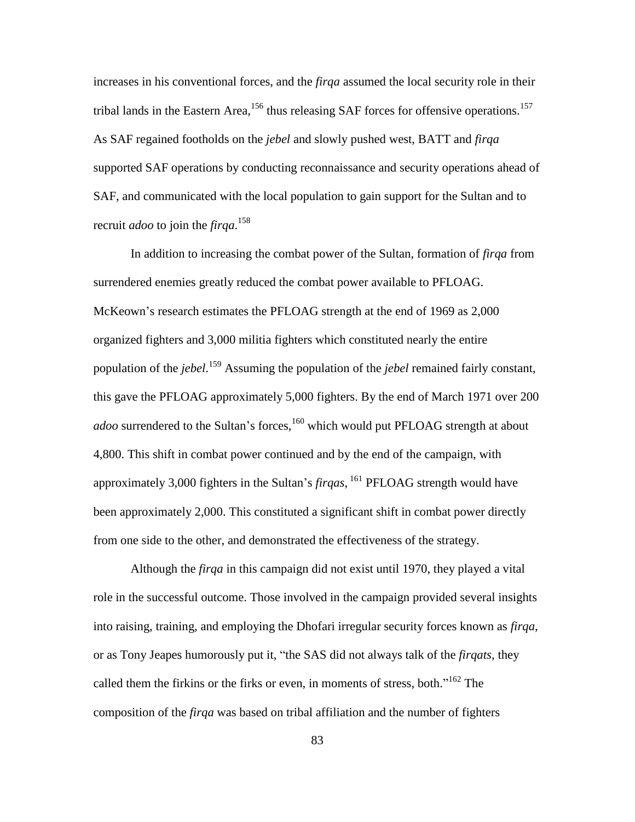increases in his conventional forces, and the *firqa* assumed the local security role in their tribal lands in the Eastern Area,<sup>156</sup> thus releasing SAF forces for offensive operations.<sup>157</sup> As SAF regained footholds on the *jebel* and slowly pushed west, BATT and *firqa* supported SAF operations by conducting reconnaissance and security operations ahead of SAF, and communicated with the local population to gain support for the Sultan and to recruit *adoo* to join the *firqa*. 158

In addition to increasing the combat power of the Sultan, formation of *firqa* from surrendered enemies greatly reduced the combat power available to PFLOAG. McKeown's research estimates the PFLOAG strength at the end of 1969 as 2,000 organized fighters and 3,000 militia fighters which constituted nearly the entire population of the *jebel*. <sup>159</sup> Assuming the population of the *jebel* remained fairly constant, this gave the PFLOAG approximately 5,000 fighters. By the end of March 1971 over 200 *adoo* surrendered to the Sultan's forces,<sup>160</sup> which would put PFLOAG strength at about 4,800. This shift in combat power continued and by the end of the campaign, with approximately 3,000 fighters in the Sultan's *firqas*, <sup>161</sup> PFLOAG strength would have been approximately 2,000. This constituted a significant shift in combat power directly from one side to the other, and demonstrated the effectiveness of the strategy.

Although the *firqa* in this campaign did not exist until 1970, they played a vital role in the successful outcome. Those involved in the campaign provided several insights into raising, training, and employing the Dhofari irregular security forces known as *firqa*, or as Tony Jeapes humorously put it, "the SAS did not always talk of the *firqats*, they called them the firkins or the firks or even, in moments of stress, both. $162$  The composition of the *firqa* was based on tribal affiliation and the number of fighters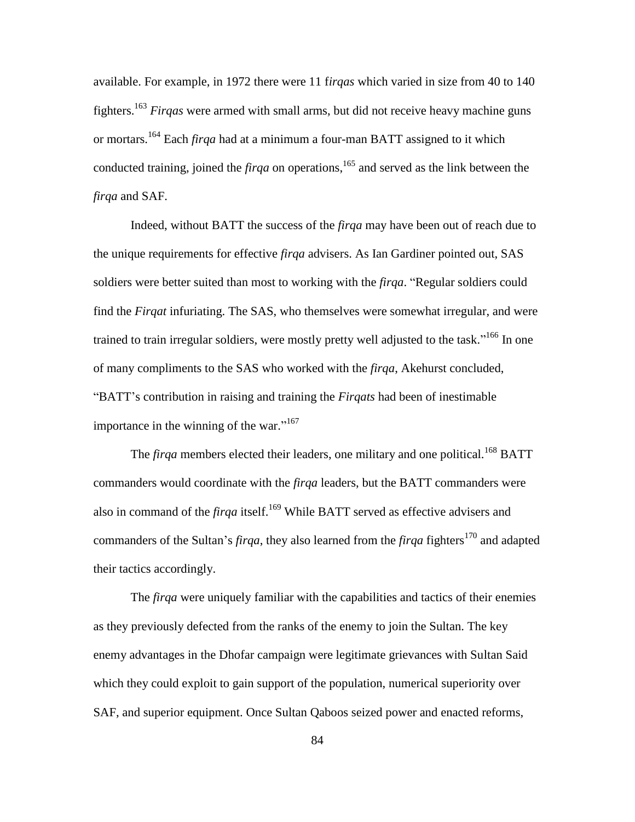available. For example, in 1972 there were 11 f*irqas* which varied in size from 40 to 140 fighters.<sup>163</sup> *Firqas* were armed with small arms, but did not receive heavy machine guns or mortars.<sup>164</sup> Each *firqa* had at a minimum a four-man BATT assigned to it which conducted training, joined the *firqa* on operations,<sup>165</sup> and served as the link between the *firqa* and SAF.

Indeed, without BATT the success of the *firqa* may have been out of reach due to the unique requirements for effective *firqa* advisers. As Ian Gardiner pointed out, SAS soldiers were better suited than most to working with the *firqa*. "Regular soldiers could find the *Firqat* infuriating. The SAS, who themselves were somewhat irregular, and were trained to train irregular soldiers, were mostly pretty well adjusted to the task."<sup>166</sup> In one of many compliments to the SAS who worked with the *firqa*, Akehurst concluded, ―BATT's contribution in raising and training the *Firqats* had been of inestimable importance in the winning of the war." $167$ 

The *firga* members elected their leaders, one military and one political.<sup>168</sup> BATT commanders would coordinate with the *firqa* leaders, but the BATT commanders were also in command of the *firqa* itself.<sup>169</sup> While BATT served as effective advisers and commanders of the Sultan's *firqa*, they also learned from the *firqa* fighters<sup>170</sup> and adapted their tactics accordingly.

The *firqa* were uniquely familiar with the capabilities and tactics of their enemies as they previously defected from the ranks of the enemy to join the Sultan. The key enemy advantages in the Dhofar campaign were legitimate grievances with Sultan Said which they could exploit to gain support of the population, numerical superiority over SAF, and superior equipment. Once Sultan Qaboos seized power and enacted reforms,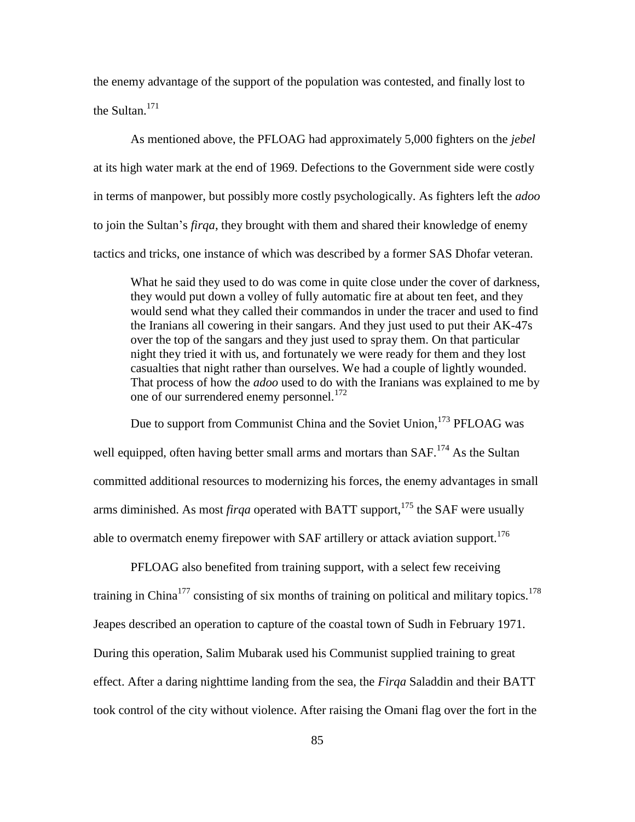the enemy advantage of the support of the population was contested, and finally lost to the Sultan. $171$ 

As mentioned above, the PFLOAG had approximately 5,000 fighters on the *jebel* at its high water mark at the end of 1969. Defections to the Government side were costly in terms of manpower, but possibly more costly psychologically. As fighters left the *adoo* to join the Sultan's *firqa*, they brought with them and shared their knowledge of enemy tactics and tricks, one instance of which was described by a former SAS Dhofar veteran.

What he said they used to do was come in quite close under the cover of darkness, they would put down a volley of fully automatic fire at about ten feet, and they would send what they called their commandos in under the tracer and used to find the Iranians all cowering in their sangars. And they just used to put their AK-47s over the top of the sangars and they just used to spray them. On that particular night they tried it with us, and fortunately we were ready for them and they lost casualties that night rather than ourselves. We had a couple of lightly wounded. That process of how the *adoo* used to do with the Iranians was explained to me by one of our surrendered enemy personnel.<sup>172</sup>

Due to support from Communist China and the Soviet Union,<sup>173</sup> PFLOAG was well equipped, often having better small arms and mortars than  $SAF<sup>174</sup> As the Sultan$ committed additional resources to modernizing his forces, the enemy advantages in small arms diminished. As most *firqa* operated with BATT support,  $175$  the SAF were usually able to overmatch enemy firepower with SAF artillery or attack aviation support.<sup>176</sup>

PFLOAG also benefited from training support, with a select few receiving training in China<sup>177</sup> consisting of six months of training on political and military topics.<sup>178</sup> Jeapes described an operation to capture of the coastal town of Sudh in February 1971. During this operation, Salim Mubarak used his Communist supplied training to great effect. After a daring nighttime landing from the sea, the *Firqa* Saladdin and their BATT took control of the city without violence. After raising the Omani flag over the fort in the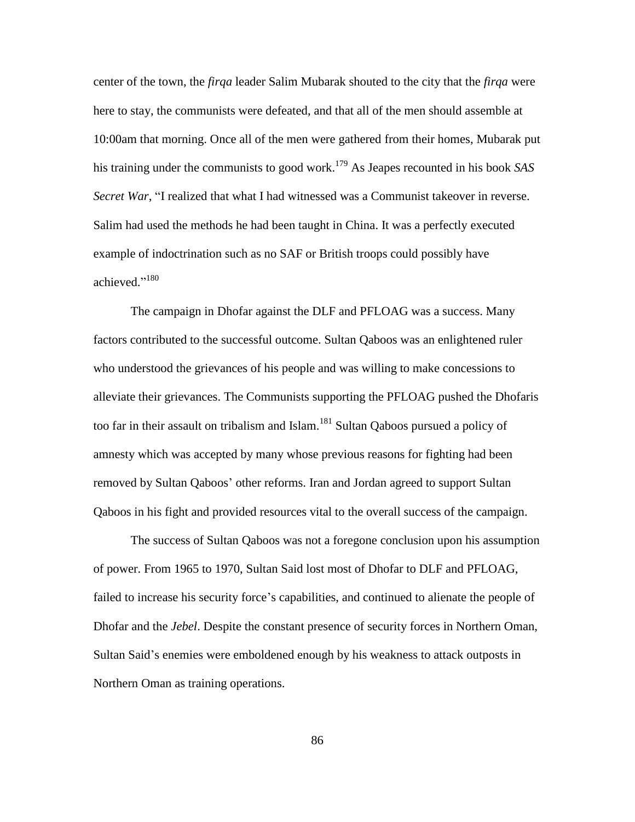center of the town, the *firqa* leader Salim Mubarak shouted to the city that the *firqa* were here to stay, the communists were defeated, and that all of the men should assemble at 10:00am that morning. Once all of the men were gathered from their homes, Mubarak put his training under the communists to good work.<sup>179</sup> As Jeapes recounted in his book *SAS Secret War*, "I realized that what I had witnessed was a Communist takeover in reverse. Salim had used the methods he had been taught in China. It was a perfectly executed example of indoctrination such as no SAF or British troops could possibly have achieved."<sup>180</sup>

The campaign in Dhofar against the DLF and PFLOAG was a success. Many factors contributed to the successful outcome. Sultan Qaboos was an enlightened ruler who understood the grievances of his people and was willing to make concessions to alleviate their grievances. The Communists supporting the PFLOAG pushed the Dhofaris too far in their assault on tribalism and Islam.<sup>181</sup> Sultan Qaboos pursued a policy of amnesty which was accepted by many whose previous reasons for fighting had been removed by Sultan Qaboos' other reforms. Iran and Jordan agreed to support Sultan Qaboos in his fight and provided resources vital to the overall success of the campaign.

The success of Sultan Qaboos was not a foregone conclusion upon his assumption of power. From 1965 to 1970, Sultan Said lost most of Dhofar to DLF and PFLOAG, failed to increase his security force's capabilities, and continued to alienate the people of Dhofar and the *Jebel*. Despite the constant presence of security forces in Northern Oman, Sultan Said's enemies were emboldened enough by his weakness to attack outposts in Northern Oman as training operations.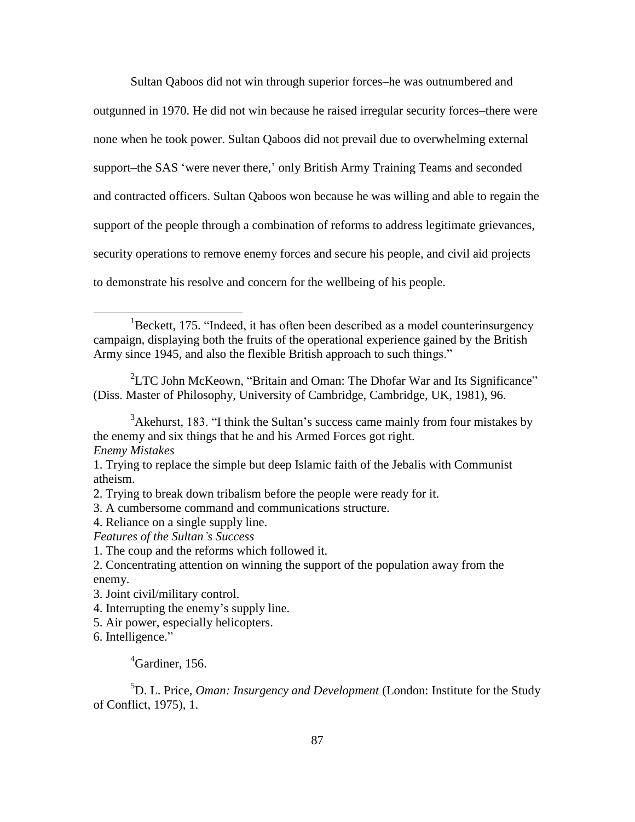Sultan Qaboos did not win through superior forces–he was outnumbered and outgunned in 1970. He did not win because he raised irregular security forces–there were none when he took power. Sultan Qaboos did not prevail due to overwhelming external support–the SAS 'were never there,' only British Army Training Teams and seconded and contracted officers. Sultan Qaboos won because he was willing and able to regain the support of the people through a combination of reforms to address legitimate grievances, security operations to remove enemy forces and secure his people, and civil aid projects to demonstrate his resolve and concern for the wellbeing of his people.

 ${}^{1}$ Beckett, 175. "Indeed, it has often been described as a model counterinsurgency campaign, displaying both the fruits of the operational experience gained by the British Army since 1945, and also the flexible British approach to such things."

 ${}^{2}$ LTC John McKeown, "Britain and Oman: The Dhofar War and Its Significance" (Diss. Master of Philosophy, University of Cambridge, Cambridge, UK, 1981), 96.

*Enemy Mistakes*

 $\overline{a}$ 

3. A cumbersome command and communications structure.

4. Reliance on a single supply line.

*Features of the Sultan's Success*

3. Joint civil/military control.

4. Interrupting the enemy's supply line.

5. Air power, especially helicopters.

6. Intelligence."

# <sup>4</sup>Gardiner, 156.

<sup>5</sup>D. L. Price, *Oman: Insurgency and Development* (London: Institute for the Study of Conflict, 1975), 1.

 $3$ Akehurst, 183. "I think the Sultan's success came mainly from four mistakes by the enemy and six things that he and his Armed Forces got right.

<sup>1.</sup> Trying to replace the simple but deep Islamic faith of the Jebalis with Communist atheism.

<sup>2.</sup> Trying to break down tribalism before the people were ready for it.

<sup>1.</sup> The coup and the reforms which followed it.

<sup>2.</sup> Concentrating attention on winning the support of the population away from the enemy.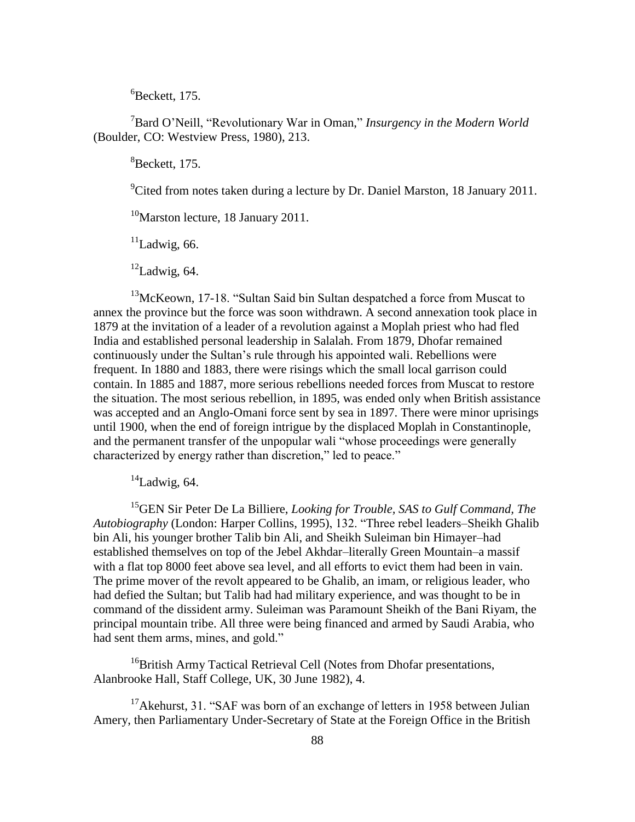${}^{6}$ Beckett, 175.

<sup>7</sup>Bard O'Neill, "Revolutionary War in Oman," *Insurgency in the Modern World* (Boulder, CO: Westview Press, 1980), 213.

 ${}^{8}$ Beckett, 175.

<sup>9</sup>Cited from notes taken during a lecture by Dr. Daniel Marston, 18 January 2011.

<sup>10</sup>Marston lecture, 18 January 2011.

 $11$ Ladwig, 66.

 $12$ Ladwig, 64.

 $13$ McKeown, 17-18. "Sultan Said bin Sultan despatched a force from Muscat to annex the province but the force was soon withdrawn. A second annexation took place in 1879 at the invitation of a leader of a revolution against a Moplah priest who had fled India and established personal leadership in Salalah. From 1879, Dhofar remained continuously under the Sultan's rule through his appointed wali. Rebellions were frequent. In 1880 and 1883, there were risings which the small local garrison could contain. In 1885 and 1887, more serious rebellions needed forces from Muscat to restore the situation. The most serious rebellion, in 1895, was ended only when British assistance was accepted and an Anglo-Omani force sent by sea in 1897. There were minor uprisings until 1900, when the end of foreign intrigue by the displaced Moplah in Constantinople, and the permanent transfer of the unpopular wali "whose proceedings were generally characterized by energy rather than discretion," led to peace."

 $14$ Ladwig, 64.

<sup>15</sup>GEN Sir Peter De La Billiere, *Looking for Trouble, SAS to Gulf Command, The Autobiography* (London: Harper Collins, 1995), 132. "Three rebel leaders–Sheikh Ghalib bin Ali, his younger brother Talib bin Ali, and Sheikh Suleiman bin Himayer–had established themselves on top of the Jebel Akhdar–literally Green Mountain–a massif with a flat top 8000 feet above sea level, and all efforts to evict them had been in vain. The prime mover of the revolt appeared to be Ghalib, an imam, or religious leader, who had defied the Sultan; but Talib had had military experience, and was thought to be in command of the dissident army. Suleiman was Paramount Sheikh of the Bani Riyam, the principal mountain tribe. All three were being financed and armed by Saudi Arabia, who had sent them arms, mines, and gold."

<sup>16</sup>British Army Tactical Retrieval Cell (Notes from Dhofar presentations, Alanbrooke Hall, Staff College, UK, 30 June 1982), 4.

<sup>17</sup>Akehurst, 31. "SAF was born of an exchange of letters in 1958 between Julian Amery, then Parliamentary Under-Secretary of State at the Foreign Office in the British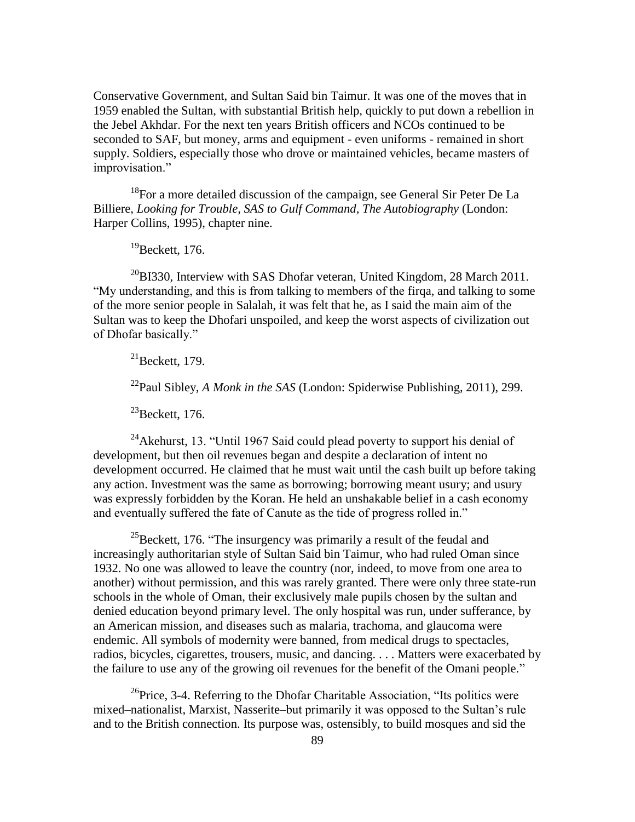Conservative Government, and Sultan Said bin Taimur. It was one of the moves that in 1959 enabled the Sultan, with substantial British help, quickly to put down a rebellion in the Jebel Akhdar. For the next ten years British officers and NCOs continued to be seconded to SAF, but money, arms and equipment - even uniforms - remained in short supply. Soldiers, especially those who drove or maintained vehicles, became masters of improvisation."

 $18$ For a more detailed discussion of the campaign, see General Sir Peter De La Billiere, *Looking for Trouble, SAS to Gulf Command, The Autobiography* (London: Harper Collins, 1995), chapter nine.

 $19$ Beckett, 176.

 $^{20}$ BI330, Interview with SAS Dhofar veteran, United Kingdom, 28 March 2011. "My understanding, and this is from talking to members of the firqa, and talking to some of the more senior people in Salalah, it was felt that he, as I said the main aim of the Sultan was to keep the Dhofari unspoiled, and keep the worst aspects of civilization out of Dhofar basically."

 $^{21}$ Beckett, 179.

<sup>22</sup>Paul Sibley, *A Monk in the SAS* (London: Spiderwise Publishing, 2011), 299.

 $^{23}$ Beckett, 176.

<sup>24</sup>Akehurst, 13. "Until 1967 Said could plead poverty to support his denial of development, but then oil revenues began and despite a declaration of intent no development occurred. He claimed that he must wait until the cash built up before taking any action. Investment was the same as borrowing; borrowing meant usury; and usury was expressly forbidden by the Koran. He held an unshakable belief in a cash economy and eventually suffered the fate of Canute as the tide of progress rolled in."

<sup>25</sup>Beckett, 176. "The insurgency was primarily a result of the feudal and increasingly authoritarian style of Sultan Said bin Taimur, who had ruled Oman since 1932. No one was allowed to leave the country (nor, indeed, to move from one area to another) without permission, and this was rarely granted. There were only three state-run schools in the whole of Oman, their exclusively male pupils chosen by the sultan and denied education beyond primary level. The only hospital was run, under sufferance, by an American mission, and diseases such as malaria, trachoma, and glaucoma were endemic. All symbols of modernity were banned, from medical drugs to spectacles, radios, bicycles, cigarettes, trousers, music, and dancing. . . . Matters were exacerbated by the failure to use any of the growing oil revenues for the benefit of the Omani people."

 $^{26}$ Price, 3-4. Referring to the Dhofar Charitable Association, "Its politics were mixed–nationalist, Marxist, Nasserite–but primarily it was opposed to the Sultan's rule and to the British connection. Its purpose was, ostensibly, to build mosques and sid the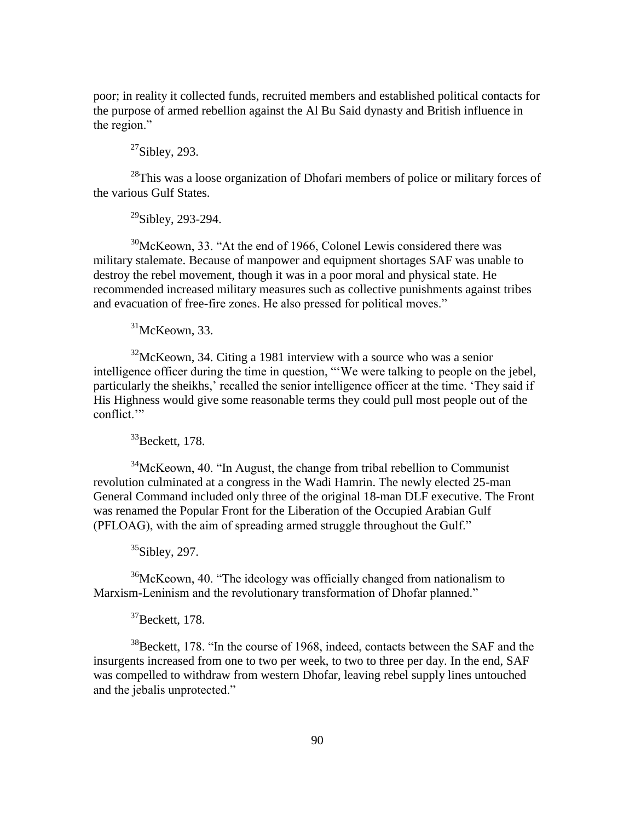poor; in reality it collected funds, recruited members and established political contacts for the purpose of armed rebellion against the Al Bu Said dynasty and British influence in the region."

# $27$ Sibley, 293.

<sup>28</sup>This was a loose organization of Dhofari members of police or military forces of the various Gulf States.

 $29$ Sibley, 293-294.

 $30$ McKeown, 33. "At the end of 1966, Colonel Lewis considered there was military stalemate. Because of manpower and equipment shortages SAF was unable to destroy the rebel movement, though it was in a poor moral and physical state. He recommended increased military measures such as collective punishments against tribes and evacuation of free-fire zones. He also pressed for political moves."

 $31$ McKeown, 33.

 $32$ McKeown, 34. Citing a 1981 interview with a source who was a senior intelligence officer during the time in question, "We were talking to people on the jebel, particularly the sheikhs,' recalled the senior intelligence officer at the time. 'They said if His Highness would give some reasonable terms they could pull most people out of the conflict."

 $33$ Beckett, 178.

 $34$ McKeown, 40. "In August, the change from tribal rebellion to Communist revolution culminated at a congress in the Wadi Hamrin. The newly elected 25-man General Command included only three of the original 18-man DLF executive. The Front was renamed the Popular Front for the Liberation of the Occupied Arabian Gulf (PFLOAG), with the aim of spreading armed struggle throughout the Gulf."

 $35$ Sibley, 297.

 $36$ McKeown, 40. "The ideology was officially changed from nationalism to Marxism-Leninism and the revolutionary transformation of Dhofar planned."

<sup>37</sup>Beckett, 178.

 $38$ Beckett, 178. "In the course of 1968, indeed, contacts between the SAF and the insurgents increased from one to two per week, to two to three per day. In the end, SAF was compelled to withdraw from western Dhofar, leaving rebel supply lines untouched and the jebalis unprotected."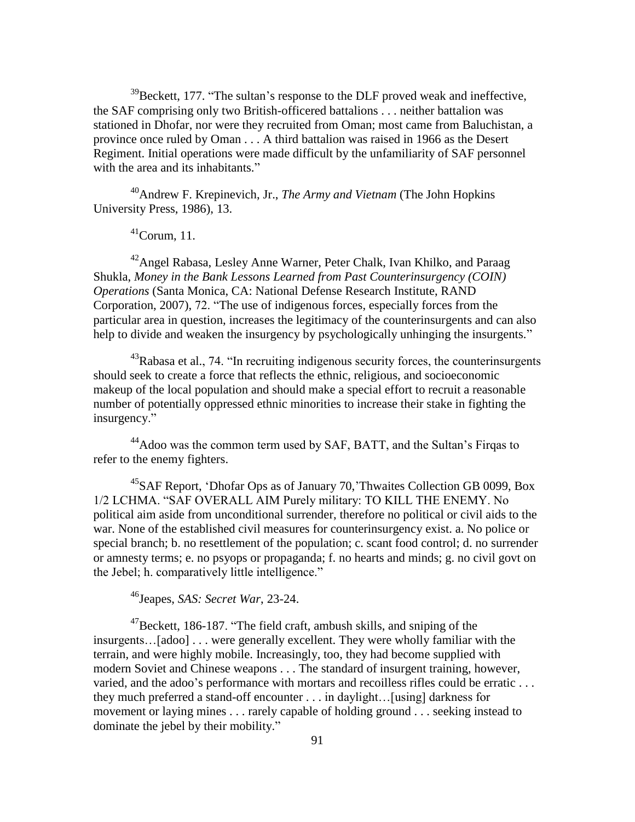$39$ Beckett, 177. "The sultan's response to the DLF proved weak and ineffective, the SAF comprising only two British-officered battalions . . . neither battalion was stationed in Dhofar, nor were they recruited from Oman; most came from Baluchistan, a province once ruled by Oman . . . A third battalion was raised in 1966 as the Desert Regiment. Initial operations were made difficult by the unfamiliarity of SAF personnel with the area and its inhabitants."

<sup>40</sup>Andrew F. Krepinevich, Jr., *The Army and Vietnam* (The John Hopkins University Press, 1986), 13.

 $^{41}$ Corum, 11.

<sup>42</sup>Angel Rabasa, Lesley Anne Warner, Peter Chalk, Ivan Khilko, and Paraag Shukla, *Money in the Bank Lessons Learned from Past Counterinsurgency (COIN) Operations* (Santa Monica, CA: National Defense Research Institute, RAND Corporation, 2007), 72. "The use of indigenous forces, especially forces from the particular area in question, increases the legitimacy of the counterinsurgents and can also help to divide and weaken the insurgency by psychologically unhinging the insurgents."

 $43Rabasa$  et al., 74. "In recruiting indigenous security forces, the counterinsurgents should seek to create a force that reflects the ethnic, religious, and socioeconomic makeup of the local population and should make a special effort to recruit a reasonable number of potentially oppressed ethnic minorities to increase their stake in fighting the insurgency."

<sup>44</sup>Adoo was the common term used by SAF, BATT, and the Sultan's Firgas to refer to the enemy fighters.

<sup>45</sup>SAF Report, 'Dhofar Ops as of January 70, 'Thwaites Collection GB 0099, Box 1/2 LCHMA. "SAF OVERALL AIM Purely military: TO KILL THE ENEMY. No political aim aside from unconditional surrender, therefore no political or civil aids to the war. None of the established civil measures for counterinsurgency exist. a. No police or special branch; b. no resettlement of the population; c. scant food control; d. no surrender or amnesty terms; e. no psyops or propaganda; f. no hearts and minds; g. no civil govt on the Jebel; h. comparatively little intelligence."

<sup>46</sup>Jeapes, *SAS: Secret War*, 23-24.

 $^{47}$ Beckett, 186-187. "The field craft, ambush skills, and sniping of the insurgents…[adoo] . . . were generally excellent. They were wholly familiar with the terrain, and were highly mobile. Increasingly, too, they had become supplied with modern Soviet and Chinese weapons . . . The standard of insurgent training, however, varied, and the adoo's performance with mortars and recoilless rifles could be erratic . . . they much preferred a stand-off encounter . . . in daylight…[using] darkness for movement or laying mines . . . rarely capable of holding ground . . . seeking instead to dominate the jebel by their mobility."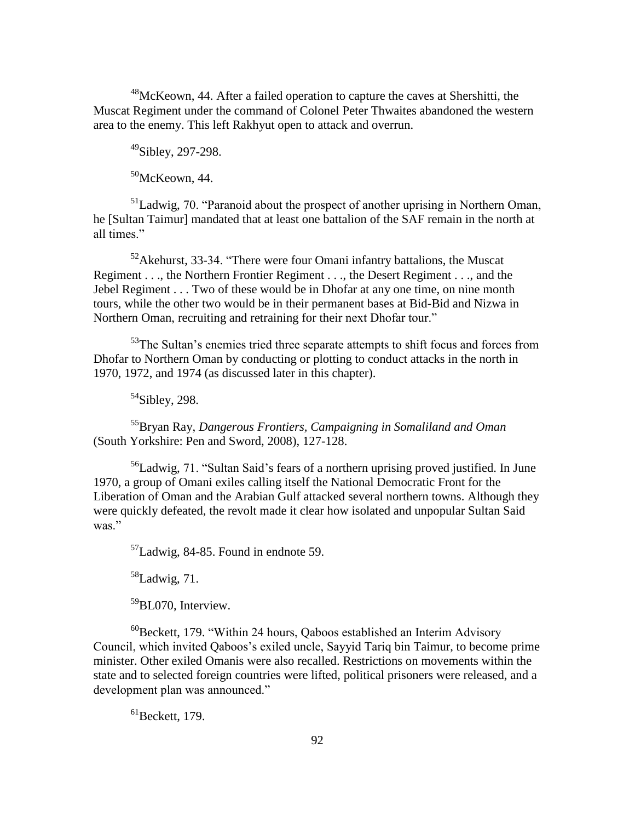<sup>48</sup>McKeown, 44. After a failed operation to capture the caves at Shershitti, the Muscat Regiment under the command of Colonel Peter Thwaites abandoned the western area to the enemy. This left Rakhyut open to attack and overrun.

 $49$ Sibley, 297-298.

 $50$ McKeown, 44.

 $<sup>51</sup>$ Ladwig, 70. "Paranoid about the prospect of another uprising in Northern Oman,</sup> he [Sultan Taimur] mandated that at least one battalion of the SAF remain in the north at all times."

 $52$ Akehurst, 33-34. "There were four Omani infantry battalions, the Muscat Regiment . . ., the Northern Frontier Regiment . . ., the Desert Regiment . . ., and the Jebel Regiment . . . Two of these would be in Dhofar at any one time, on nine month tours, while the other two would be in their permanent bases at Bid-Bid and Nizwa in Northern Oman, recruiting and retraining for their next Dhofar tour."

 $53$ The Sultan's enemies tried three separate attempts to shift focus and forces from Dhofar to Northern Oman by conducting or plotting to conduct attacks in the north in 1970, 1972, and 1974 (as discussed later in this chapter).

 $54$ Sibley, 298.

<sup>55</sup>Bryan Ray, *Dangerous Frontiers, Campaigning in Somaliland and Oman* (South Yorkshire: Pen and Sword, 2008), 127-128.

 $56$ Ladwig, 71. "Sultan Said's fears of a northern uprising proved justified. In June 1970, a group of Omani exiles calling itself the National Democratic Front for the Liberation of Oman and the Arabian Gulf attacked several northern towns. Although they were quickly defeated, the revolt made it clear how isolated and unpopular Sultan Said was."

<sup>57</sup>Ladwig, 84-85. Found in endnote 59.

 $58$ Ladwig, 71.

<sup>59</sup>BL070, Interview.

 $^{60}$ Beckett, 179. "Within 24 hours, Qaboos established an Interim Advisory Council, which invited Qaboos's exiled uncle, Sayyid Tariq bin Taimur, to become prime minister. Other exiled Omanis were also recalled. Restrictions on movements within the state and to selected foreign countries were lifted, political prisoners were released, and a development plan was announced."

 ${}^{61}$ Beckett, 179.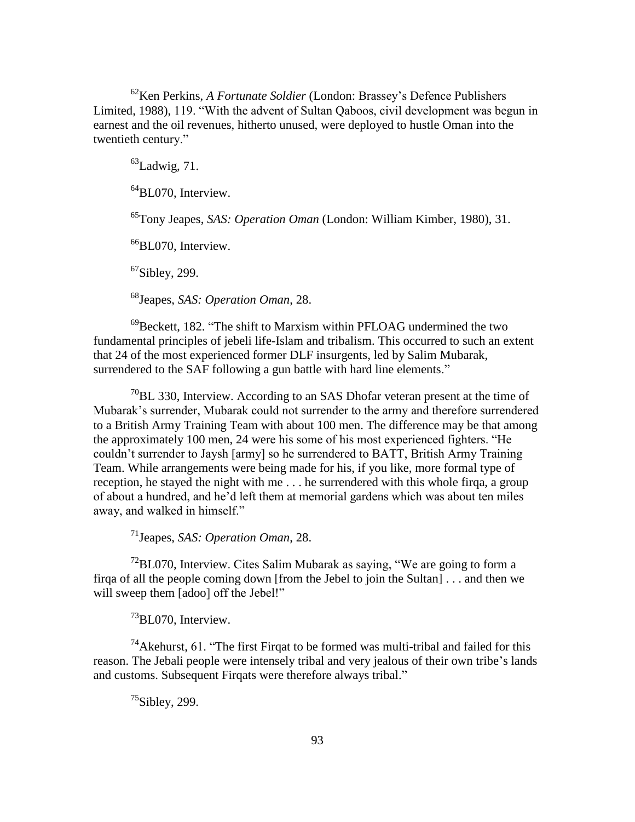<sup>62</sup>Ken Perkins, *A Fortunate Soldier* (London: Brassey's Defence Publishers Limited, 1988), 119. "With the advent of Sultan Qaboos, civil development was begun in earnest and the oil revenues, hitherto unused, were deployed to hustle Oman into the twentieth century."

 $^{63}$ Ladwig, 71.

<sup>64</sup>BL070, Interview.

<sup>65</sup>Tony Jeapes, *SAS: Operation Oman* (London: William Kimber, 1980), 31.

<sup>66</sup>BL070, Interview.

 $67$ Sibley, 299.

<sup>68</sup>Jeapes, *SAS: Operation Oman*, 28.

 $^{69}$ Beckett, 182. "The shift to Marxism within PFLOAG undermined the two fundamental principles of jebeli life-Islam and tribalism. This occurred to such an extent that 24 of the most experienced former DLF insurgents, led by Salim Mubarak, surrendered to the SAF following a gun battle with hard line elements."

 $^{70}$ BL 330, Interview. According to an SAS Dhofar veteran present at the time of Mubarak's surrender, Mubarak could not surrender to the army and therefore surrendered to a British Army Training Team with about 100 men. The difference may be that among the approximately 100 men, 24 were his some of his most experienced fighters. "He couldn't surrender to Jaysh [army] so he surrendered to BATT, British Army Training Team. While arrangements were being made for his, if you like, more formal type of reception, he stayed the night with me . . . he surrendered with this whole firqa, a group of about a hundred, and he'd left them at memorial gardens which was about ten miles away, and walked in himself."

<sup>71</sup>Jeapes, *SAS: Operation Oman*, 28.

 $72$ BL070. Interview. Cites Salim Mubarak as saying, "We are going to form a firqa of all the people coming down [from the Jebel to join the Sultan] . . . and then we will sweep them [adoo] off the Jebel!"

<sup>73</sup>BL070, Interview.

 $^{74}$ Akehurst, 61. "The first Firgat to be formed was multi-tribal and failed for this reason. The Jebali people were intensely tribal and very jealous of their own tribe's lands and customs. Subsequent Firqats were therefore always tribal."

 $^{75}$ Sibley, 299.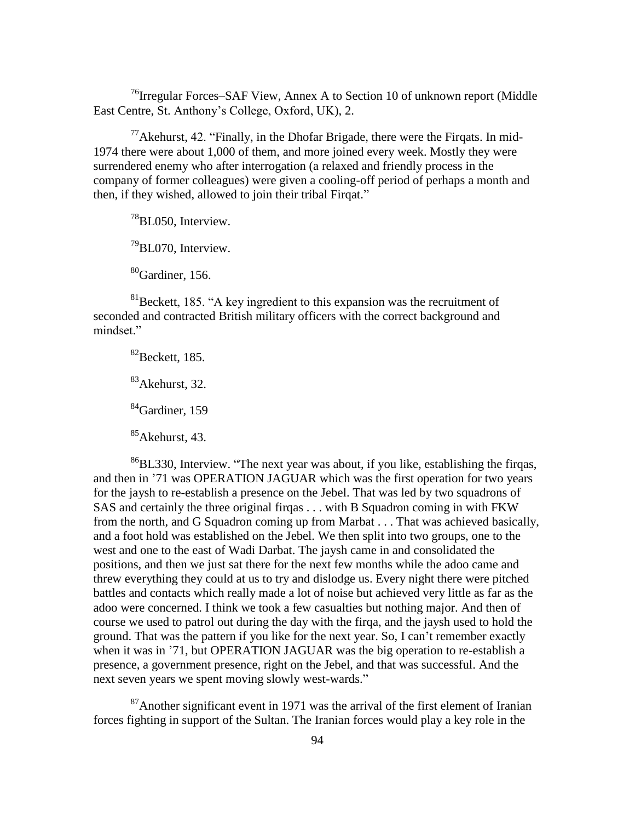<sup>76</sup>Irregular Forces–SAF View, Annex A to Section 10 of unknown report (Middle East Centre, St. Anthony's College, Oxford, UK), 2.

 $77$ Akehurst, 42. "Finally, in the Dhofar Brigade, there were the Firqats. In mid-1974 there were about 1,000 of them, and more joined every week. Mostly they were surrendered enemy who after interrogation (a relaxed and friendly process in the company of former colleagues) were given a cooling-off period of perhaps a month and then, if they wished, allowed to join their tribal Firqat."

 $^{78}$ BL050, Interview.

 $^{79}$ BL070, Interview.

<sup>80</sup>Gardiner, 156.

 $81$ Beckett, 185. "A key ingredient to this expansion was the recruitment of seconded and contracted British military officers with the correct background and mindset."

 ${}^{82}$ Beckett, 185. <sup>83</sup>Akehurst, 32.  ${}^{84}$ Gardiner, 159

 $85$ Akehurst, 43.

 $86$ BL330, Interview. "The next year was about, if you like, establishing the firqas, and then in '71 was OPERATION JAGUAR which was the first operation for two years for the jaysh to re-establish a presence on the Jebel. That was led by two squadrons of SAS and certainly the three original firqas . . . with B Squadron coming in with FKW from the north, and G Squadron coming up from Marbat . . . That was achieved basically, and a foot hold was established on the Jebel. We then split into two groups, one to the west and one to the east of Wadi Darbat. The jaysh came in and consolidated the positions, and then we just sat there for the next few months while the adoo came and threw everything they could at us to try and dislodge us. Every night there were pitched battles and contacts which really made a lot of noise but achieved very little as far as the adoo were concerned. I think we took a few casualties but nothing major. And then of course we used to patrol out during the day with the firqa, and the jaysh used to hold the ground. That was the pattern if you like for the next year. So, I can't remember exactly when it was in '71, but OPERATION JAGUAR was the big operation to re-establish a presence, a government presence, right on the Jebel, and that was successful. And the next seven years we spent moving slowly west-wards."

<sup>87</sup>Another significant event in 1971 was the arrival of the first element of Iranian forces fighting in support of the Sultan. The Iranian forces would play a key role in the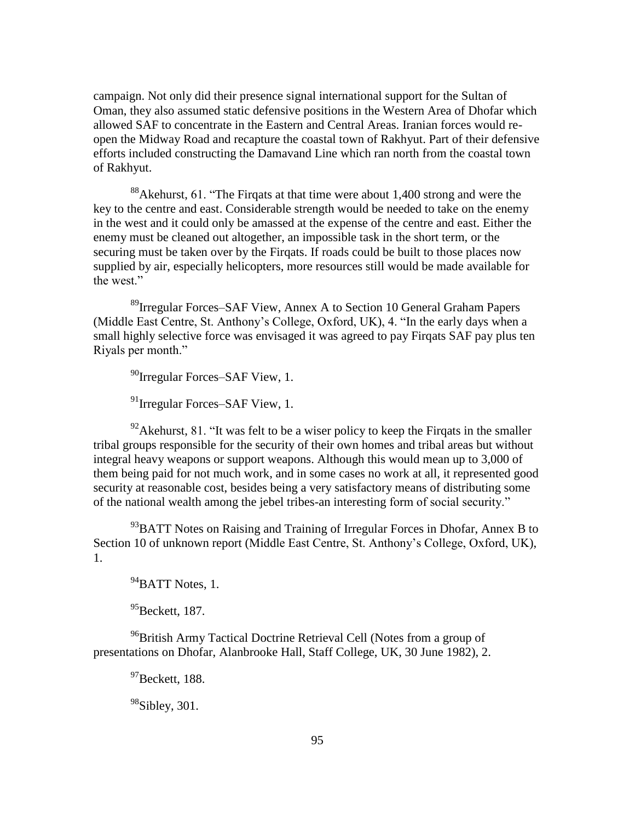campaign. Not only did their presence signal international support for the Sultan of Oman, they also assumed static defensive positions in the Western Area of Dhofar which allowed SAF to concentrate in the Eastern and Central Areas. Iranian forces would reopen the Midway Road and recapture the coastal town of Rakhyut. Part of their defensive efforts included constructing the Damavand Line which ran north from the coastal town of Rakhyut.

<sup>88</sup>Akehurst, 61. "The Firqats at that time were about 1,400 strong and were the key to the centre and east. Considerable strength would be needed to take on the enemy in the west and it could only be amassed at the expense of the centre and east. Either the enemy must be cleaned out altogether, an impossible task in the short term, or the securing must be taken over by the Firqats. If roads could be built to those places now supplied by air, especially helicopters, more resources still would be made available for the west."

<sup>89</sup>Irregular Forces–SAF View, Annex A to Section 10 General Graham Papers (Middle East Centre, St. Anthony's College, Oxford, UK), 4. "In the early days when a small highly selective force was envisaged it was agreed to pay Firqats SAF pay plus ten Rivals per month."

<sup>90</sup>Irregular Forces–SAF View, 1.

<sup>91</sup>Irregular Forces–SAF View, 1.

 $^{92}$ Akehurst, 81. "It was felt to be a wiser policy to keep the Firgats in the smaller tribal groups responsible for the security of their own homes and tribal areas but without integral heavy weapons or support weapons. Although this would mean up to 3,000 of them being paid for not much work, and in some cases no work at all, it represented good security at reasonable cost, besides being a very satisfactory means of distributing some of the national wealth among the jebel tribes-an interesting form of social security."

 $^{93}$ BATT Notes on Raising and Training of Irregular Forces in Dhofar, Annex B to Section 10 of unknown report (Middle East Centre, St. Anthony's College, Oxford, UK), 1.

 $94$ BATT Notes, 1.

 $95$ Beckett, 187.

<sup>96</sup>British Army Tactical Doctrine Retrieval Cell (Notes from a group of presentations on Dhofar, Alanbrooke Hall, Staff College, UK, 30 June 1982), 2.

 $^{97}$ Beckett, 188.

 $98$ Sibley, 301.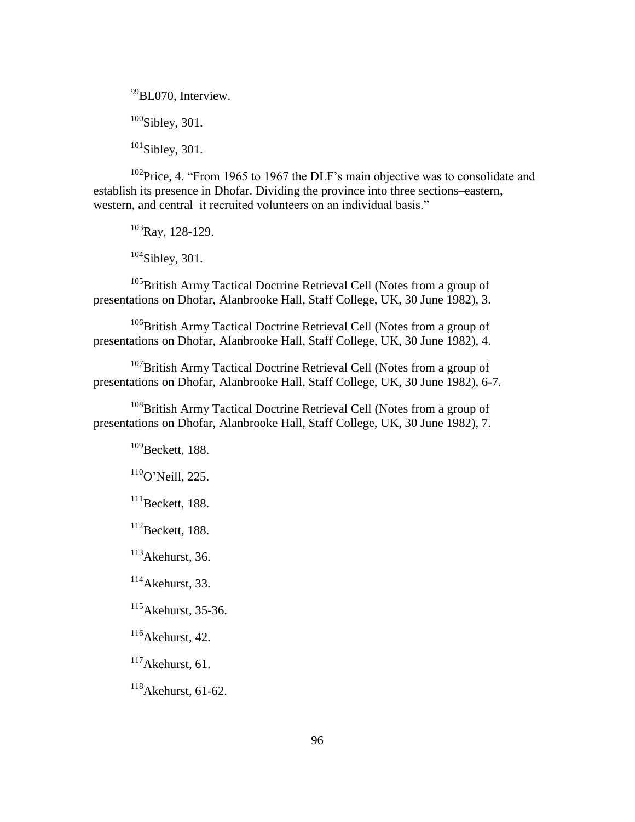<sup>99</sup>BL070, Interview.  $100$ Sibley, 301.

 $101$ Sibley, 301.

 $102$ Price, 4. "From 1965 to 1967 the DLF's main objective was to consolidate and establish its presence in Dhofar. Dividing the province into three sections–eastern, western, and central–it recruited volunteers on an individual basis."

<sup>103</sup>Ray, 128-129.

<sup>104</sup>Sibley, 301.

<sup>105</sup>British Army Tactical Doctrine Retrieval Cell (Notes from a group of presentations on Dhofar, Alanbrooke Hall, Staff College, UK, 30 June 1982), 3.

<sup>106</sup>British Army Tactical Doctrine Retrieval Cell (Notes from a group of presentations on Dhofar, Alanbrooke Hall, Staff College, UK, 30 June 1982), 4.

<sup>107</sup>British Army Tactical Doctrine Retrieval Cell (Notes from a group of presentations on Dhofar, Alanbrooke Hall, Staff College, UK, 30 June 1982), 6-7.

<sup>108</sup>British Army Tactical Doctrine Retrieval Cell (Notes from a group of presentations on Dhofar, Alanbrooke Hall, Staff College, UK, 30 June 1982), 7.

<sup>109</sup>Beckett, 188.

<sup>110</sup>O'Neill, 225.

 $111$ Beckett, 188.

 $112$ Beckett, 188.

 $113$ Akehurst, 36.

 $114$ Akehurst, 33.

<sup>115</sup>Akehurst, 35-36.

<sup>116</sup>Akehurst, 42.

<sup>117</sup>Akehurst, 61.

<sup>118</sup>Akehurst, 61-62.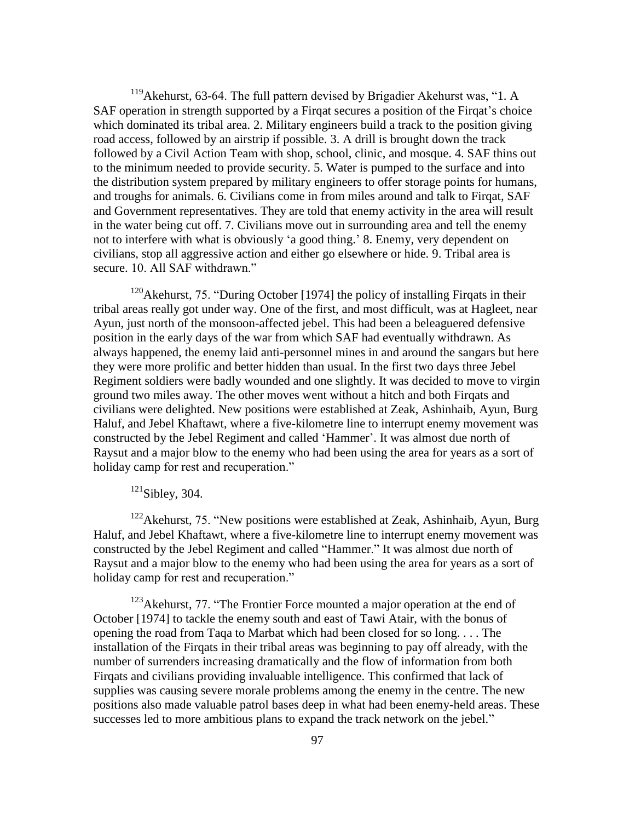$119$ Akehurst, 63-64. The full pattern devised by Brigadier Akehurst was, "1. A SAF operation in strength supported by a Firqat secures a position of the Firqat's choice which dominated its tribal area. 2. Military engineers build a track to the position giving road access, followed by an airstrip if possible. 3. A drill is brought down the track followed by a Civil Action Team with shop, school, clinic, and mosque. 4. SAF thins out to the minimum needed to provide security. 5. Water is pumped to the surface and into the distribution system prepared by military engineers to offer storage points for humans, and troughs for animals. 6. Civilians come in from miles around and talk to Firqat, SAF and Government representatives. They are told that enemy activity in the area will result in the water being cut off. 7. Civilians move out in surrounding area and tell the enemy not to interfere with what is obviously 'a good thing.' 8. Enemy, very dependent on civilians, stop all aggressive action and either go elsewhere or hide. 9. Tribal area is secure. 10. All SAF withdrawn."

<sup>120</sup>Akehurst, 75. "During October [1974] the policy of installing Firqats in their tribal areas really got under way. One of the first, and most difficult, was at Hagleet, near Ayun, just north of the monsoon-affected jebel. This had been a beleaguered defensive position in the early days of the war from which SAF had eventually withdrawn. As always happened, the enemy laid anti-personnel mines in and around the sangars but here they were more prolific and better hidden than usual. In the first two days three Jebel Regiment soldiers were badly wounded and one slightly. It was decided to move to virgin ground two miles away. The other moves went without a hitch and both Firqats and civilians were delighted. New positions were established at Zeak, Ashinhaib, Ayun, Burg Haluf, and Jebel Khaftawt, where a five-kilometre line to interrupt enemy movement was constructed by the Jebel Regiment and called 'Hammer'. It was almost due north of Raysut and a major blow to the enemy who had been using the area for years as a sort of holiday camp for rest and recuperation."

 $121$ Sibley, 304.

 $122$ Akehurst, 75. "New positions were established at Zeak, Ashinhaib, Ayun, Burg Haluf, and Jebel Khaftawt, where a five-kilometre line to interrupt enemy movement was constructed by the Jebel Regiment and called "Hammer." It was almost due north of Raysut and a major blow to the enemy who had been using the area for years as a sort of holiday camp for rest and recuperation."

 $123$ Akehurst, 77. "The Frontier Force mounted a major operation at the end of October [1974] to tackle the enemy south and east of Tawi Atair, with the bonus of opening the road from Taqa to Marbat which had been closed for so long. . . . The installation of the Firqats in their tribal areas was beginning to pay off already, with the number of surrenders increasing dramatically and the flow of information from both Firqats and civilians providing invaluable intelligence. This confirmed that lack of supplies was causing severe morale problems among the enemy in the centre. The new positions also made valuable patrol bases deep in what had been enemy-held areas. These successes led to more ambitious plans to expand the track network on the jebel."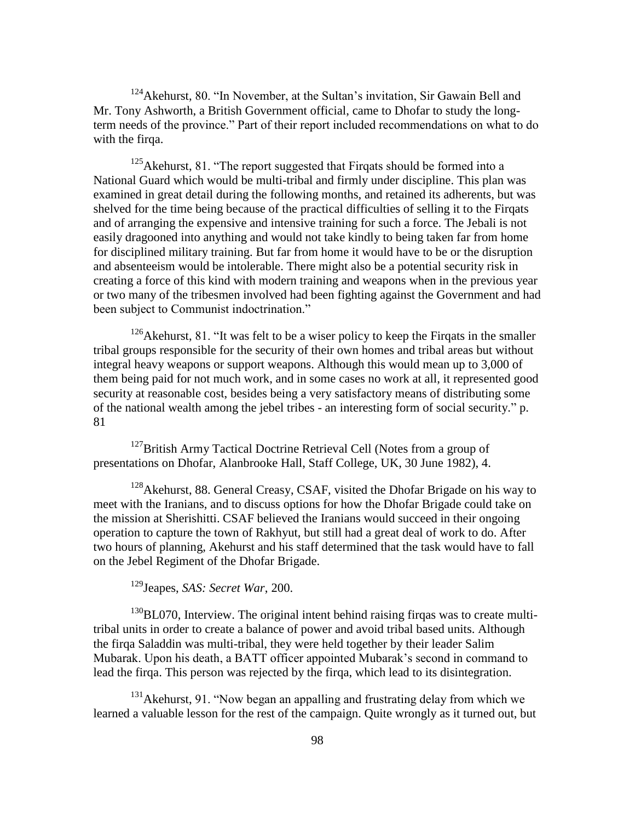$124$ Akehurst, 80. "In November, at the Sultan's invitation, Sir Gawain Bell and Mr. Tony Ashworth, a British Government official, came to Dhofar to study the longterm needs of the province." Part of their report included recommendations on what to do with the firqa.

 $125$ Akehurst, 81. "The report suggested that Firqats should be formed into a National Guard which would be multi-tribal and firmly under discipline. This plan was examined in great detail during the following months, and retained its adherents, but was shelved for the time being because of the practical difficulties of selling it to the Firqats and of arranging the expensive and intensive training for such a force. The Jebali is not easily dragooned into anything and would not take kindly to being taken far from home for disciplined military training. But far from home it would have to be or the disruption and absenteeism would be intolerable. There might also be a potential security risk in creating a force of this kind with modern training and weapons when in the previous year or two many of the tribesmen involved had been fighting against the Government and had been subject to Communist indoctrination."

 $126$ Akehurst, 81. "It was felt to be a wiser policy to keep the Firqats in the smaller tribal groups responsible for the security of their own homes and tribal areas but without integral heavy weapons or support weapons. Although this would mean up to 3,000 of them being paid for not much work, and in some cases no work at all, it represented good security at reasonable cost, besides being a very satisfactory means of distributing some of the national wealth among the jebel tribes - an interesting form of social security." p. 81

<sup>127</sup>British Army Tactical Doctrine Retrieval Cell (Notes from a group of presentations on Dhofar, Alanbrooke Hall, Staff College, UK, 30 June 1982), 4.

 $128$ Akehurst, 88. General Creasy, CSAF, visited the Dhofar Brigade on his way to meet with the Iranians, and to discuss options for how the Dhofar Brigade could take on the mission at Sherishitti. CSAF believed the Iranians would succeed in their ongoing operation to capture the town of Rakhyut, but still had a great deal of work to do. After two hours of planning, Akehurst and his staff determined that the task would have to fall on the Jebel Regiment of the Dhofar Brigade.

<sup>129</sup>Jeapes, *SAS: Secret War*, 200.

 $130$ BL070, Interview. The original intent behind raising firqas was to create multitribal units in order to create a balance of power and avoid tribal based units. Although the firqa Saladdin was multi-tribal, they were held together by their leader Salim Mubarak. Upon his death, a BATT officer appointed Mubarak's second in command to lead the firqa. This person was rejected by the firqa, which lead to its disintegration.

 $131$ <sup>131</sup>Akehurst, 91. "Now began an appalling and frustrating delay from which we learned a valuable lesson for the rest of the campaign. Quite wrongly as it turned out, but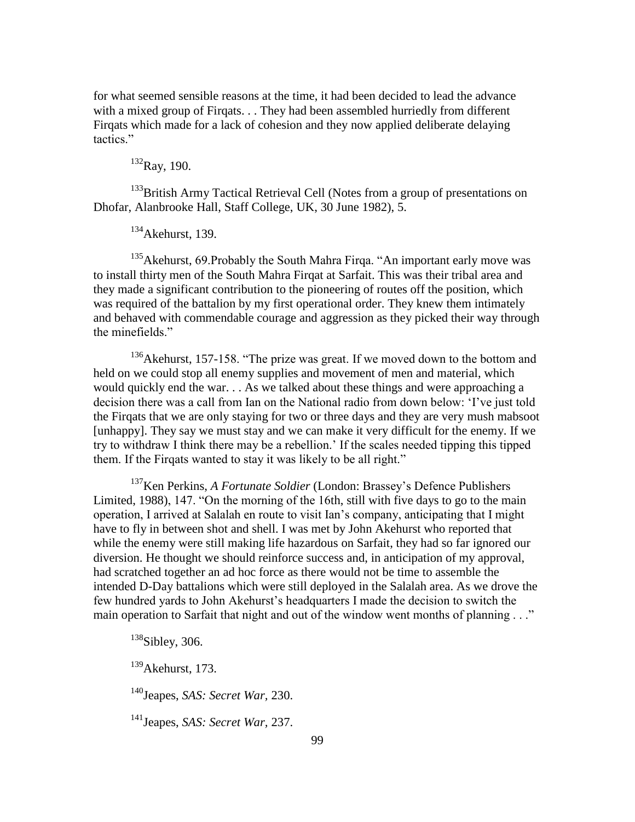for what seemed sensible reasons at the time, it had been decided to lead the advance with a mixed group of Firqats. . . They had been assembled hurriedly from different Firqats which made for a lack of cohesion and they now applied deliberate delaying tactics."

 $132$ Ray, 190.

<sup>133</sup>British Army Tactical Retrieval Cell (Notes from a group of presentations on Dhofar, Alanbrooke Hall, Staff College, UK, 30 June 1982), 5.

 $134$ Akehurst, 139.

<sup>135</sup>Akehurst, 69. Probably the South Mahra Firqa. "An important early move was to install thirty men of the South Mahra Firqat at Sarfait. This was their tribal area and they made a significant contribution to the pioneering of routes off the position, which was required of the battalion by my first operational order. They knew them intimately and behaved with commendable courage and aggression as they picked their way through the minefields."

 $136$ Akehurst, 157-158. "The prize was great. If we moved down to the bottom and held on we could stop all enemy supplies and movement of men and material, which would quickly end the war. . . As we talked about these things and were approaching a decision there was a call from Ian on the National radio from down below: ‗I've just told the Firqats that we are only staying for two or three days and they are very mush mabsoot [unhappy]. They say we must stay and we can make it very difficult for the enemy. If we try to withdraw I think there may be a rebellion.' If the scales needed tipping this tipped them. If the Firqats wanted to stay it was likely to be all right."

<sup>137</sup>Ken Perkins, *A Fortunate Soldier* (London: Brassey's Defence Publishers Limited, 1988), 147. "On the morning of the 16th, still with five days to go to the main operation, I arrived at Salalah en route to visit Ian's company, anticipating that I might have to fly in between shot and shell. I was met by John Akehurst who reported that while the enemy were still making life hazardous on Sarfait, they had so far ignored our diversion. He thought we should reinforce success and, in anticipation of my approval, had scratched together an ad hoc force as there would not be time to assemble the intended D-Day battalions which were still deployed in the Salalah area. As we drove the few hundred yards to John Akehurst's headquarters I made the decision to switch the main operation to Sarfait that night and out of the window went months of planning . . ."

<sup>138</sup>Sibley, 306.

 $139$ Akehurst, 173.

<sup>140</sup>Jeapes, *SAS: Secret War,* 230.

<sup>141</sup>Jeapes, *SAS: Secret War,* 237.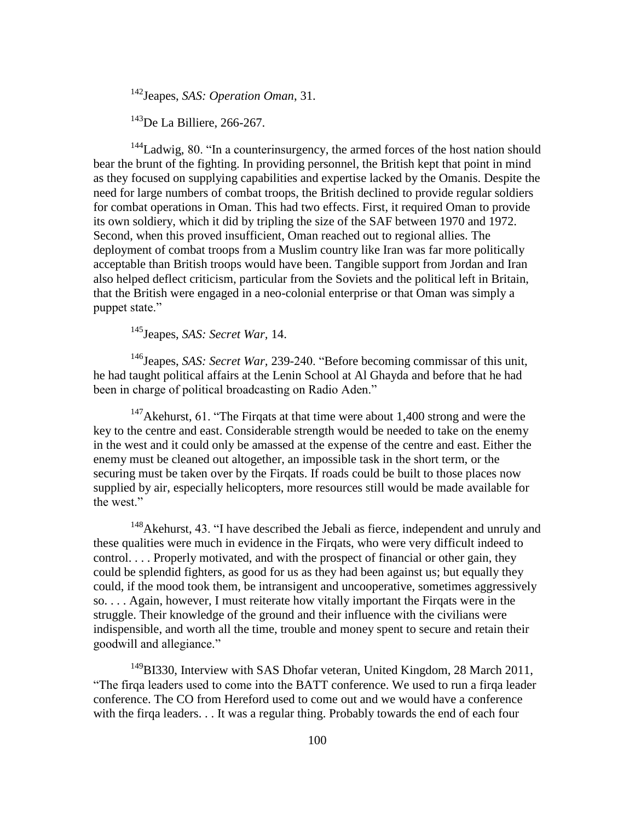<sup>142</sup>Jeapes, *SAS: Operation Oman*, 31.

 $143$ De La Billiere, 266-267.

 $144$ Ladwig, 80. "In a counterinsurgency, the armed forces of the host nation should bear the brunt of the fighting. In providing personnel, the British kept that point in mind as they focused on supplying capabilities and expertise lacked by the Omanis. Despite the need for large numbers of combat troops, the British declined to provide regular soldiers for combat operations in Oman. This had two effects. First, it required Oman to provide its own soldiery, which it did by tripling the size of the SAF between 1970 and 1972. Second, when this proved insufficient, Oman reached out to regional allies. The deployment of combat troops from a Muslim country like Iran was far more politically acceptable than British troops would have been. Tangible support from Jordan and Iran also helped deflect criticism, particular from the Soviets and the political left in Britain, that the British were engaged in a neo-colonial enterprise or that Oman was simply a puppet state."

<sup>145</sup>Jeapes, *SAS: Secret War,* 14.

<sup>146</sup>Jeapes, *SAS: Secret War*, 239-240. "Before becoming commissar of this unit, he had taught political affairs at the Lenin School at Al Ghayda and before that he had been in charge of political broadcasting on Radio Aden."

 $147$ Akehurst, 61. "The Firqats at that time were about 1,400 strong and were the key to the centre and east. Considerable strength would be needed to take on the enemy in the west and it could only be amassed at the expense of the centre and east. Either the enemy must be cleaned out altogether, an impossible task in the short term, or the securing must be taken over by the Firqats. If roads could be built to those places now supplied by air, especially helicopters, more resources still would be made available for the west."

 $148$ Akehurst, 43. "I have described the Jebali as fierce, independent and unruly and these qualities were much in evidence in the Firqats, who were very difficult indeed to control. . . . Properly motivated, and with the prospect of financial or other gain, they could be splendid fighters, as good for us as they had been against us; but equally they could, if the mood took them, be intransigent and uncooperative, sometimes aggressively so. . . . Again, however, I must reiterate how vitally important the Firqats were in the struggle. Their knowledge of the ground and their influence with the civilians were indispensible, and worth all the time, trouble and money spent to secure and retain their goodwill and allegiance."

<sup>149</sup>BI330, Interview with SAS Dhofar veteran, United Kingdom, 28 March 2011, ―The firqa leaders used to come into the BATT conference. We used to run a firqa leader conference. The CO from Hereford used to come out and we would have a conference with the firqa leaders. . . It was a regular thing. Probably towards the end of each four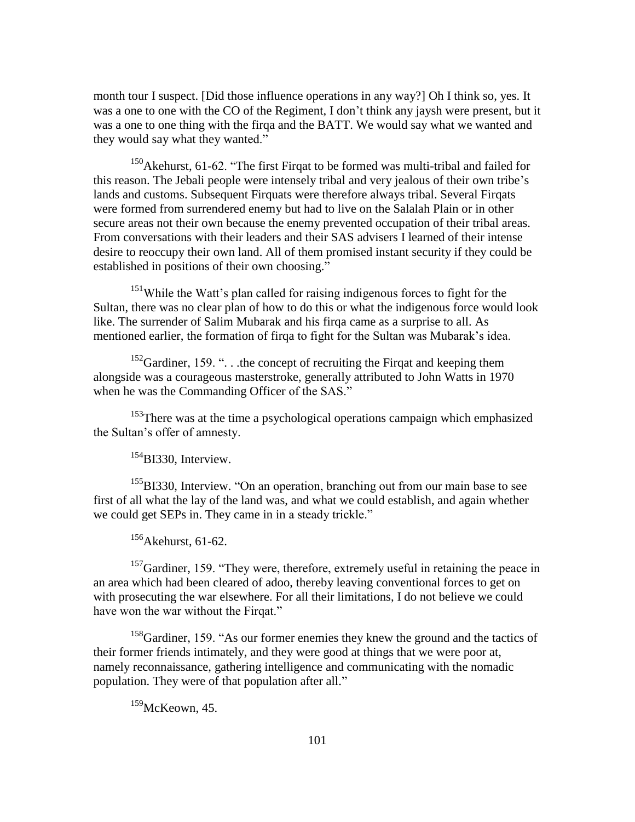month tour I suspect. [Did those influence operations in any way?] Oh I think so, yes. It was a one to one with the CO of the Regiment, I don't think any jaysh were present, but it was a one to one thing with the firqa and the BATT. We would say what we wanted and they would say what they wanted."

 $150$ Akehurst, 61-62. "The first Firqat to be formed was multi-tribal and failed for this reason. The Jebali people were intensely tribal and very jealous of their own tribe's lands and customs. Subsequent Firquats were therefore always tribal. Several Firqats were formed from surrendered enemy but had to live on the Salalah Plain or in other secure areas not their own because the enemy prevented occupation of their tribal areas. From conversations with their leaders and their SAS advisers I learned of their intense desire to reoccupy their own land. All of them promised instant security if they could be established in positions of their own choosing."

<sup>151</sup>While the Watt's plan called for raising indigenous forces to fight for the Sultan, there was no clear plan of how to do this or what the indigenous force would look like. The surrender of Salim Mubarak and his firqa came as a surprise to all. As mentioned earlier, the formation of firqa to fight for the Sultan was Mubarak's idea.

 $152$ Gardiner, 159.  $\degree$ ... the concept of recruiting the Firqat and keeping them alongside was a courageous masterstroke, generally attributed to John Watts in 1970 when he was the Commanding Officer of the SAS."

<sup>153</sup>There was at the time a psychological operations campaign which emphasized the Sultan's offer of amnesty.

 $^{154}$ BI330, Interview.

<sup>155</sup>BI330, Interview. "On an operation, branching out from our main base to see first of all what the lay of the land was, and what we could establish, and again whether we could get SEPs in. They came in in a steady trickle."

 $156$ Akehurst, 61-62.

 $157$ Gardiner, 159. "They were, therefore, extremely useful in retaining the peace in an area which had been cleared of adoo, thereby leaving conventional forces to get on with prosecuting the war elsewhere. For all their limitations, I do not believe we could have won the war without the Firqat."

<sup>158</sup>Gardiner, 159. "As our former enemies they knew the ground and the tactics of their former friends intimately, and they were good at things that we were poor at, namely reconnaissance, gathering intelligence and communicating with the nomadic population. They were of that population after all."

<sup>159</sup>McKeown, 45.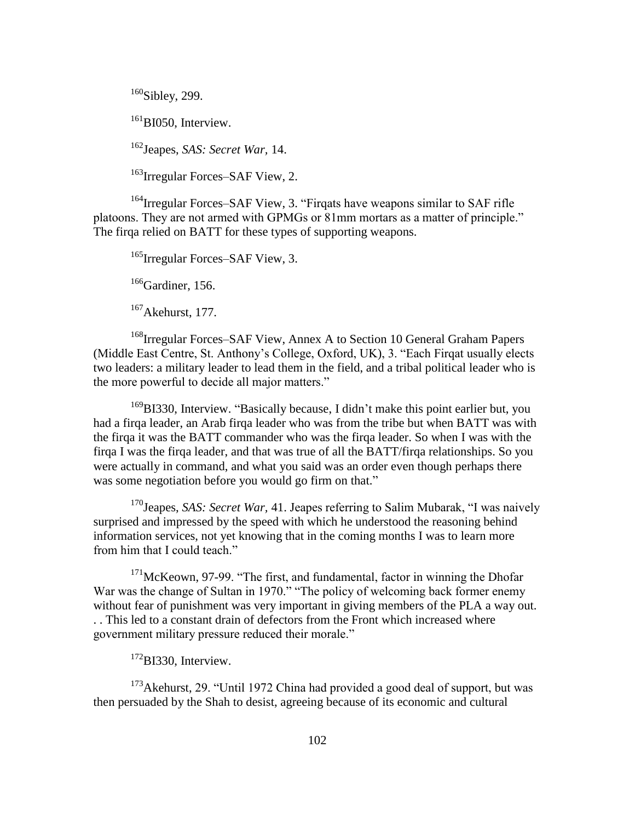<sup>160</sup>Sibley, 299.

<sup>161</sup>BI050, Interview.

<sup>162</sup>Jeapes, *SAS: Secret War,* 14.

<sup>163</sup>Irregular Forces–SAF View, 2.

 $164$  Irregular Forces–SAF View, 3. "Firqats have weapons similar to SAF rifle platoons. They are not armed with GPMGs or 81mm mortars as a matter of principle." The firqa relied on BATT for these types of supporting weapons.

<sup>165</sup>Irregular Forces–SAF View, 3.

 $166$ Gardiner, 156.

 $167$ Akehurst, 177.

<sup>168</sup>Irregular Forces–SAF View, Annex A to Section 10 General Graham Papers (Middle East Centre, St. Anthony's College, Oxford, UK), 3. "Each Firqat usually elects two leaders: a military leader to lead them in the field, and a tribal political leader who is the more powerful to decide all major matters."

<sup>169</sup>BI330, Interview. "Basically because, I didn't make this point earlier but, you had a firqa leader, an Arab firqa leader who was from the tribe but when BATT was with the firqa it was the BATT commander who was the firqa leader. So when I was with the firqa I was the firqa leader, and that was true of all the BATT/firqa relationships. So you were actually in command, and what you said was an order even though perhaps there was some negotiation before you would go firm on that."

<sup>170</sup>Jeapes, *SAS: Secret War*, 41. Jeapes referring to Salim Mubarak, "I was naively surprised and impressed by the speed with which he understood the reasoning behind information services, not yet knowing that in the coming months I was to learn more from him that I could teach."

 $171$ McKeown, 97-99. "The first, and fundamental, factor in winning the Dhofar War was the change of Sultan in 1970." "The policy of welcoming back former enemy without fear of punishment was very important in giving members of the PLA a way out. . . This led to a constant drain of defectors from the Front which increased where government military pressure reduced their morale."

<sup>172</sup>BI330, Interview.

 $173$ Akehurst, 29. "Until 1972 China had provided a good deal of support, but was then persuaded by the Shah to desist, agreeing because of its economic and cultural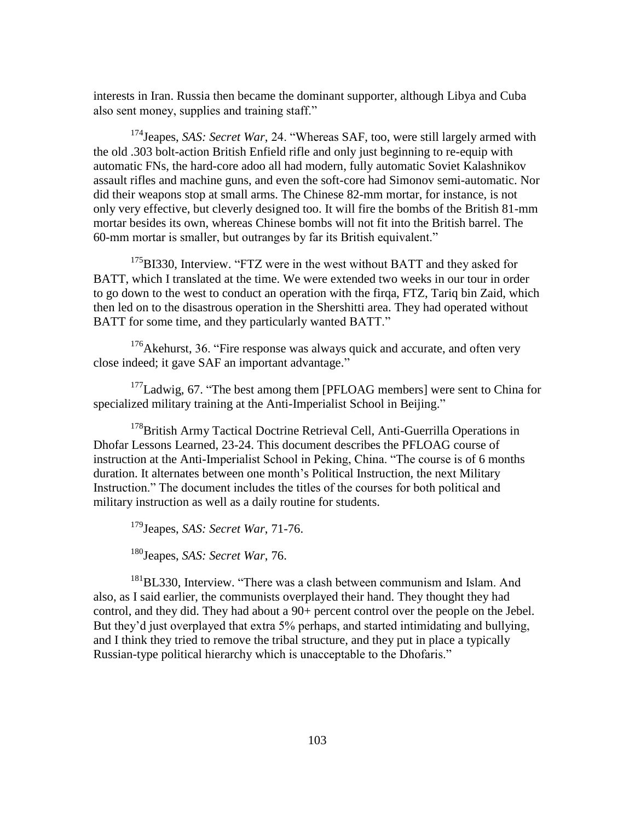interests in Iran. Russia then became the dominant supporter, although Libya and Cuba also sent money, supplies and training staff."

<sup>174</sup>Jeapes, *SAS: Secret War*, 24. "Whereas SAF, too, were still largely armed with the old .303 bolt-action British Enfield rifle and only just beginning to re-equip with automatic FNs, the hard-core adoo all had modern, fully automatic Soviet Kalashnikov assault rifles and machine guns, and even the soft-core had Simonov semi-automatic. Nor did their weapons stop at small arms. The Chinese 82-mm mortar, for instance, is not only very effective, but cleverly designed too. It will fire the bombs of the British 81-mm mortar besides its own, whereas Chinese bombs will not fit into the British barrel. The 60-mm mortar is smaller, but outranges by far its British equivalent."

 $175B1330$ , Interview. "FTZ were in the west without BATT and they asked for BATT, which I translated at the time. We were extended two weeks in our tour in order to go down to the west to conduct an operation with the firqa, FTZ, Tariq bin Zaid, which then led on to the disastrous operation in the Shershitti area. They had operated without BATT for some time, and they particularly wanted BATT."

 $176$ Akehurst, 36. "Fire response was always quick and accurate, and often very close indeed; it gave SAF an important advantage."

 $177$ Ladwig, 67. "The best among them [PFLOAG members] were sent to China for specialized military training at the Anti-Imperialist School in Beijing."

<sup>178</sup>British Army Tactical Doctrine Retrieval Cell, Anti-Guerrilla Operations in Dhofar Lessons Learned, 23-24. This document describes the PFLOAG course of instruction at the Anti-Imperialist School in Peking, China. "The course is of 6 months duration. It alternates between one month's Political Instruction, the next Military Instruction." The document includes the titles of the courses for both political and military instruction as well as a daily routine for students.

<sup>179</sup>Jeapes, *SAS: Secret War*, 71-76.

<sup>180</sup>Jeapes, *SAS: Secret War*, 76.

<sup>181</sup>BL330, Interview. "There was a clash between communism and Islam. And also, as I said earlier, the communists overplayed their hand. They thought they had control, and they did. They had about a 90+ percent control over the people on the Jebel. But they'd just overplayed that extra 5% perhaps, and started intimidating and bullying, and I think they tried to remove the tribal structure, and they put in place a typically Russian-type political hierarchy which is unacceptable to the Dhofaris."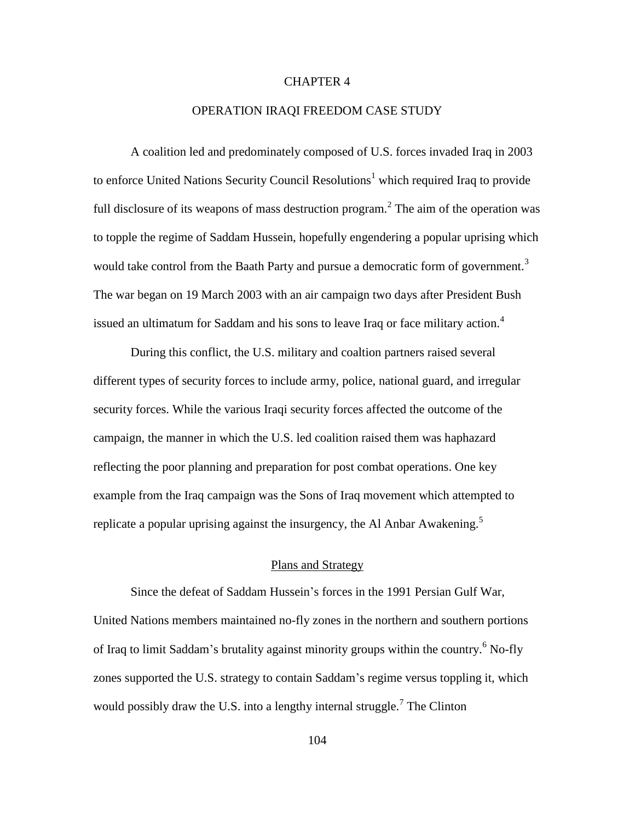### CHAPTER 4

#### OPERATION IRAQI FREEDOM CASE STUDY

A coalition led and predominately composed of U.S. forces invaded Iraq in 2003 to enforce United Nations Security Council Resolutions<sup>1</sup> which required Iraq to provide full disclosure of its weapons of mass destruction program.<sup>2</sup> The aim of the operation was to topple the regime of Saddam Hussein, hopefully engendering a popular uprising which would take control from the Baath Party and pursue a democratic form of government.<sup>3</sup> The war began on 19 March 2003 with an air campaign two days after President Bush issued an ultimatum for Saddam and his sons to leave Iraq or face military action.<sup>4</sup>

During this conflict, the U.S. military and coaltion partners raised several different types of security forces to include army, police, national guard, and irregular security forces. While the various Iraqi security forces affected the outcome of the campaign, the manner in which the U.S. led coalition raised them was haphazard reflecting the poor planning and preparation for post combat operations. One key example from the Iraq campaign was the Sons of Iraq movement which attempted to replicate a popular uprising against the insurgency, the Al Anbar Awakening. $\frac{5}{5}$ 

### Plans and Strategy

Since the defeat of Saddam Hussein's forces in the 1991 Persian Gulf War, United Nations members maintained no-fly zones in the northern and southern portions of Iraq to limit Saddam's brutality against minority groups within the country.<sup>6</sup> No-fly zones supported the U.S. strategy to contain Saddam's regime versus toppling it, which would possibly draw the U.S. into a lengthy internal struggle.<sup>7</sup> The Clinton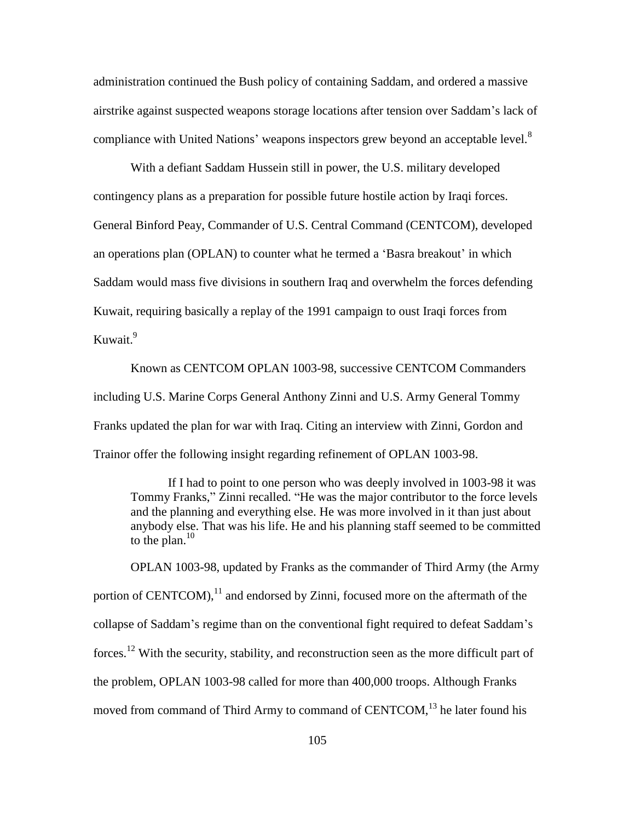administration continued the Bush policy of containing Saddam, and ordered a massive airstrike against suspected weapons storage locations after tension over Saddam's lack of compliance with United Nations' weapons inspectors grew beyond an acceptable level.<sup>8</sup>

With a defiant Saddam Hussein still in power, the U.S. military developed contingency plans as a preparation for possible future hostile action by Iraqi forces. General Binford Peay, Commander of U.S. Central Command (CENTCOM), developed an operations plan (OPLAN) to counter what he termed a 'Basra breakout' in which Saddam would mass five divisions in southern Iraq and overwhelm the forces defending Kuwait, requiring basically a replay of the 1991 campaign to oust Iraqi forces from Kuwait.<sup>9</sup>

Known as CENTCOM OPLAN 1003-98, successive CENTCOM Commanders including U.S. Marine Corps General Anthony Zinni and U.S. Army General Tommy Franks updated the plan for war with Iraq. Citing an interview with Zinni, Gordon and Trainor offer the following insight regarding refinement of OPLAN 1003-98.

If I had to point to one person who was deeply involved in 1003-98 it was Tommy Franks," Zinni recalled. "He was the major contributor to the force levels and the planning and everything else. He was more involved in it than just about anybody else. That was his life. He and his planning staff seemed to be committed to the plan. $^{10}$ 

OPLAN 1003-98, updated by Franks as the commander of Third Army (the Army portion of CENTCOM), $^{11}$  and endorsed by Zinni, focused more on the aftermath of the collapse of Saddam's regime than on the conventional fight required to defeat Saddam's forces.<sup>12</sup> With the security, stability, and reconstruction seen as the more difficult part of the problem, OPLAN 1003-98 called for more than 400,000 troops. Although Franks moved from command of Third Army to command of CENTCOM,<sup>13</sup> he later found his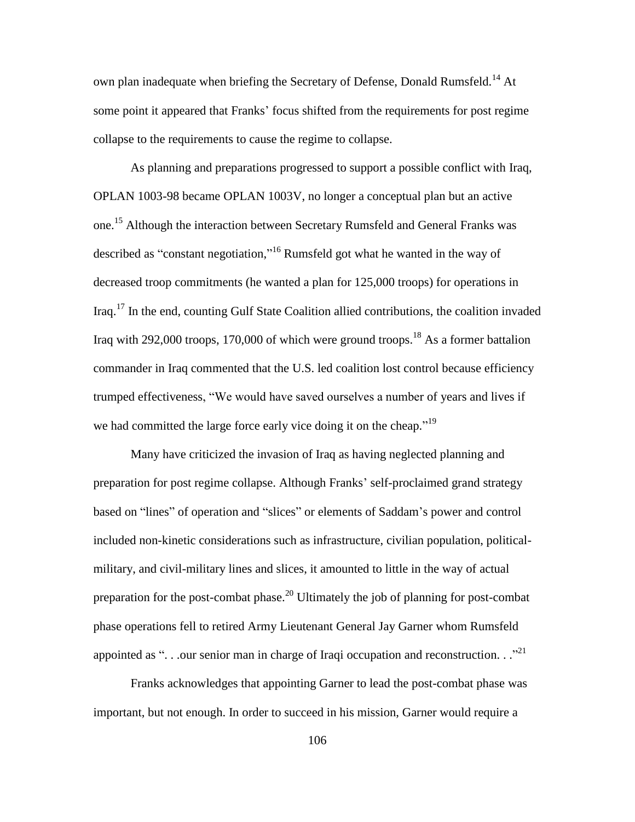own plan inadequate when briefing the Secretary of Defense, Donald Rumsfeld.<sup>14</sup> At some point it appeared that Franks' focus shifted from the requirements for post regime collapse to the requirements to cause the regime to collapse.

As planning and preparations progressed to support a possible conflict with Iraq, OPLAN 1003-98 became OPLAN 1003V, no longer a conceptual plan but an active one.<sup>15</sup> Although the interaction between Secretary Rumsfeld and General Franks was described as "constant negotiation,"<sup>16</sup> Rumsfeld got what he wanted in the way of decreased troop commitments (he wanted a plan for 125,000 troops) for operations in Iraq.<sup>17</sup> In the end, counting Gulf State Coalition allied contributions, the coalition invaded Iraq with 292,000 troops, 170,000 of which were ground troops.<sup>18</sup> As a former battalion commander in Iraq commented that the U.S. led coalition lost control because efficiency trumped effectiveness, "We would have saved ourselves a number of years and lives if we had committed the large force early vice doing it on the cheap."<sup>19</sup>

Many have criticized the invasion of Iraq as having neglected planning and preparation for post regime collapse. Although Franks' self-proclaimed grand strategy based on "lines" of operation and "slices" or elements of Saddam's power and control included non-kinetic considerations such as infrastructure, civilian population, politicalmilitary, and civil-military lines and slices, it amounted to little in the way of actual preparation for the post-combat phase.<sup>20</sup> Ultimately the job of planning for post-combat phase operations fell to retired Army Lieutenant General Jay Garner whom Rumsfeld appointed as "... our senior man in charge of Iraqi occupation and reconstruction..."

Franks acknowledges that appointing Garner to lead the post-combat phase was important, but not enough. In order to succeed in his mission, Garner would require a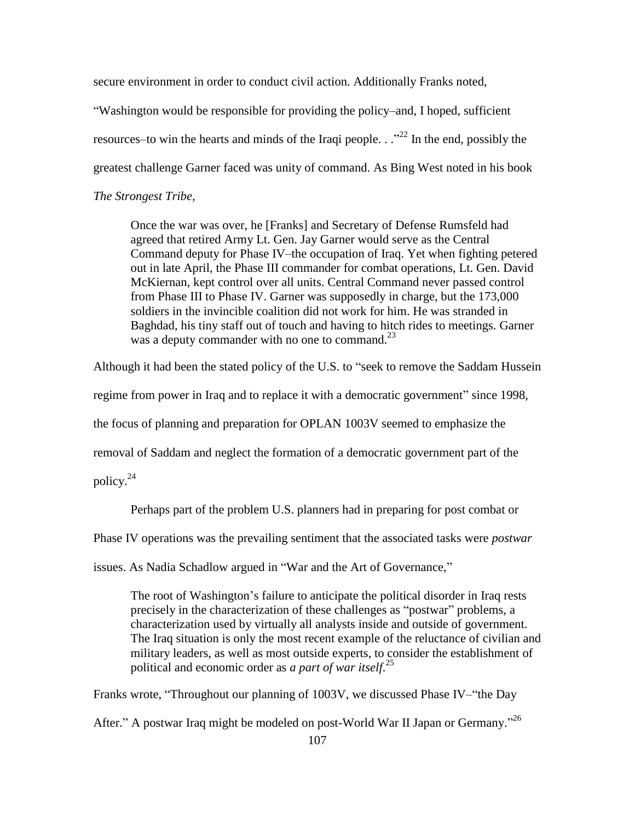secure environment in order to conduct civil action. Additionally Franks noted,

―Washington would be responsible for providing the policy–and, I hoped, sufficient resources–to win the hearts and minds of the Iraqi people.  $\cdot$   $\cdot$   $\cdot$   $\cdot$   $\cdot$  In the end, possibly the greatest challenge Garner faced was unity of command. As Bing West noted in his book *The Strongest Tribe,*

Once the war was over, he [Franks] and Secretary of Defense Rumsfeld had agreed that retired Army Lt. Gen. Jay Garner would serve as the Central Command deputy for Phase IV–the occupation of Iraq. Yet when fighting petered out in late April, the Phase III commander for combat operations, Lt. Gen. David McKiernan, kept control over all units. Central Command never passed control from Phase III to Phase IV. Garner was supposedly in charge, but the 173,000 soldiers in the invincible coalition did not work for him. He was stranded in Baghdad, his tiny staff out of touch and having to hitch rides to meetings. Garner was a deputy commander with no one to command. $^{23}$ 

Although it had been the stated policy of the U.S. to "seek to remove the Saddam Hussein

regime from power in Iraq and to replace it with a democratic government" since 1998,

the focus of planning and preparation for OPLAN 1003V seemed to emphasize the

removal of Saddam and neglect the formation of a democratic government part of the

policy. $^{24}$ 

Perhaps part of the problem U.S. planners had in preparing for post combat or

Phase IV operations was the prevailing sentiment that the associated tasks were *postwar*

issues. As Nadia Schadlow argued in "War and the Art of Governance,"

The root of Washington's failure to anticipate the political disorder in Iraq rests precisely in the characterization of these challenges as "postwar" problems, a characterization used by virtually all analysts inside and outside of government. The Iraq situation is only the most recent example of the reluctance of civilian and military leaders, as well as most outside experts, to consider the establishment of political and economic order as *a part of war itself*. 25

Franks wrote, "Throughout our planning of 1003V, we discussed Phase IV–"the Day

After." A postwar Iraq might be modeled on post-World War II Japan or Germany."<sup>26</sup>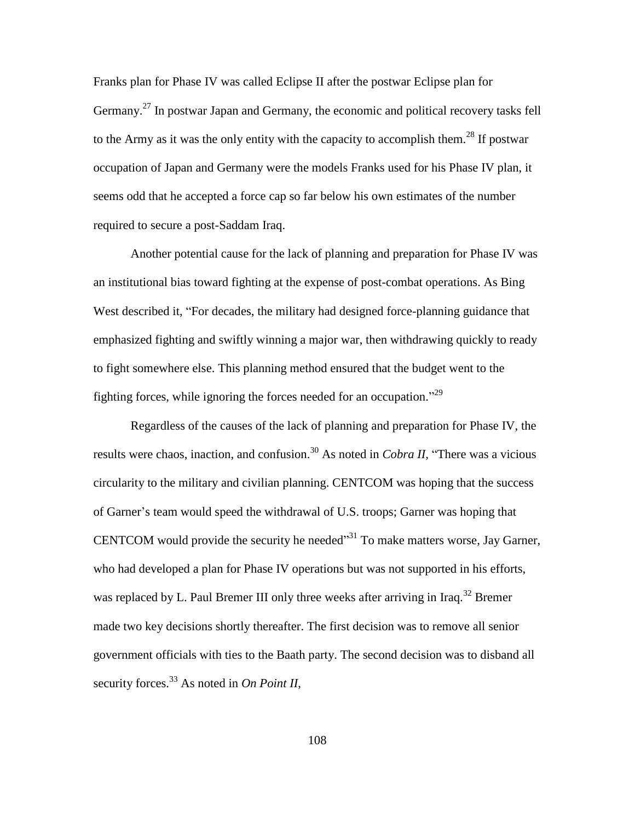Franks plan for Phase IV was called Eclipse II after the postwar Eclipse plan for Germany.<sup>27</sup> In postwar Japan and Germany, the economic and political recovery tasks fell to the Army as it was the only entity with the capacity to accomplish them.<sup>28</sup> If postwar occupation of Japan and Germany were the models Franks used for his Phase IV plan, it seems odd that he accepted a force cap so far below his own estimates of the number required to secure a post-Saddam Iraq.

Another potential cause for the lack of planning and preparation for Phase IV was an institutional bias toward fighting at the expense of post-combat operations. As Bing West described it, "For decades, the military had designed force-planning guidance that emphasized fighting and swiftly winning a major war, then withdrawing quickly to ready to fight somewhere else. This planning method ensured that the budget went to the fighting forces, while ignoring the forces needed for an occupation.<sup> $29$ </sup>

Regardless of the causes of the lack of planning and preparation for Phase IV, the results were chaos, inaction, and confusion.<sup>30</sup> As noted in *Cobra II*, "There was a vicious circularity to the military and civilian planning. CENTCOM was hoping that the success of Garner's team would speed the withdrawal of U.S. troops; Garner was hoping that CENTCOM would provide the security he needed<sup>331</sup> To make matters worse, Jay Garner, who had developed a plan for Phase IV operations but was not supported in his efforts, was replaced by L. Paul Bremer III only three weeks after arriving in Iraq.<sup>32</sup> Bremer made two key decisions shortly thereafter. The first decision was to remove all senior government officials with ties to the Baath party. The second decision was to disband all security forces.<sup>33</sup> As noted in *On Point II*,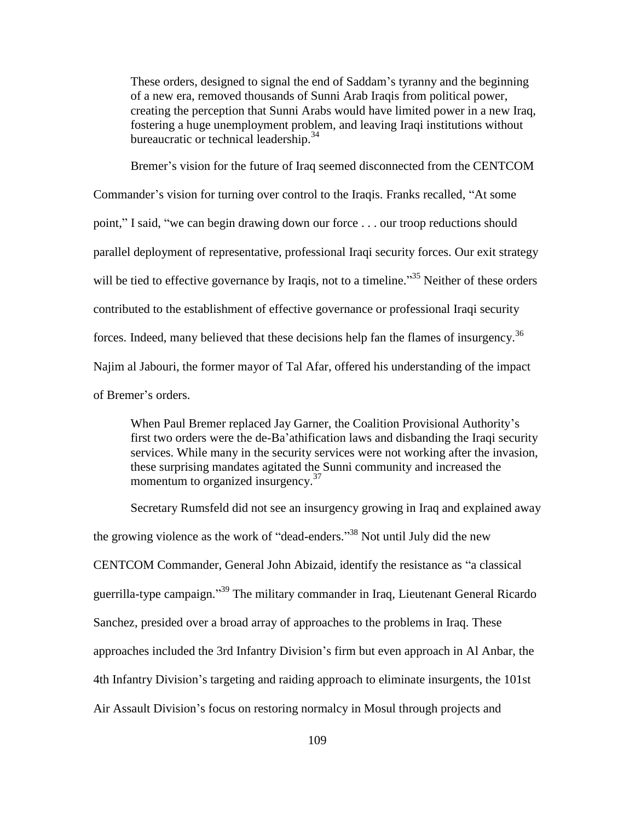These orders, designed to signal the end of Saddam's tyranny and the beginning of a new era, removed thousands of Sunni Arab Iraqis from political power, creating the perception that Sunni Arabs would have limited power in a new Iraq, fostering a huge unemployment problem, and leaving Iraqi institutions without bureaucratic or technical leadership.<sup>34</sup>

Bremer's vision for the future of Iraq seemed disconnected from the CENTCOM Commander's vision for turning over control to the Iraqis. Franks recalled, "At some point," I said, "we can begin drawing down our force . . . our troop reductions should parallel deployment of representative, professional Iraqi security forces. Our exit strategy will be tied to effective governance by Iraqis, not to a timeline.<sup>35</sup> Neither of these orders contributed to the establishment of effective governance or professional Iraqi security forces. Indeed, many believed that these decisions help fan the flames of insurgency.<sup>36</sup> Najim al Jabouri, the former mayor of Tal Afar, offered his understanding of the impact of Bremer's orders.

When Paul Bremer replaced Jay Garner, the Coalition Provisional Authority's first two orders were the de-Ba'athification laws and disbanding the Iraqi security services. While many in the security services were not working after the invasion, these surprising mandates agitated the Sunni community and increased the momentum to organized insurgency.<sup>37</sup>

Secretary Rumsfeld did not see an insurgency growing in Iraq and explained away the growing violence as the work of "dead-enders."<sup>38</sup> Not until July did the new CENTCOM Commander, General John Abizaid, identify the resistance as "a classical guerrilla-type campaign."<sup>39</sup> The military commander in Iraq, Lieutenant General Ricardo Sanchez, presided over a broad array of approaches to the problems in Iraq. These approaches included the 3rd Infantry Division's firm but even approach in Al Anbar, the 4th Infantry Division's targeting and raiding approach to eliminate insurgents, the 101st Air Assault Division's focus on restoring normalcy in Mosul through projects and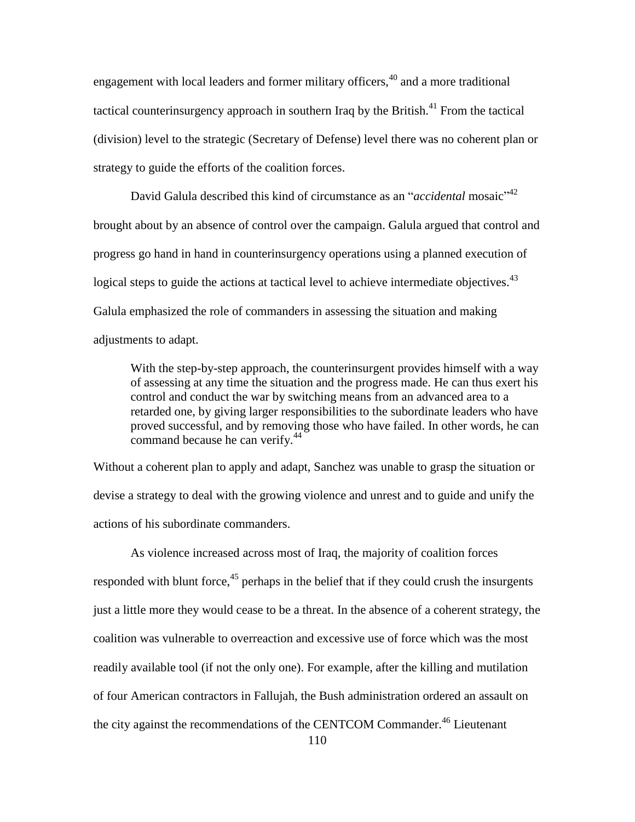engagement with local leaders and former military officers,<sup>40</sup> and a more traditional tactical counterinsurgency approach in southern Iraq by the British.<sup>41</sup> From the tactical (division) level to the strategic (Secretary of Defense) level there was no coherent plan or strategy to guide the efforts of the coalition forces.

David Galula described this kind of circumstance as an "*accidental* mosaic"<sup>42</sup> brought about by an absence of control over the campaign. Galula argued that control and progress go hand in hand in counterinsurgency operations using a planned execution of logical steps to guide the actions at tactical level to achieve intermediate objectives.<sup>43</sup> Galula emphasized the role of commanders in assessing the situation and making adjustments to adapt.

With the step-by-step approach, the counterinsurgent provides himself with a way of assessing at any time the situation and the progress made. He can thus exert his control and conduct the war by switching means from an advanced area to a retarded one, by giving larger responsibilities to the subordinate leaders who have proved successful, and by removing those who have failed. In other words, he can command because he can verify.<sup>44</sup>

Without a coherent plan to apply and adapt, Sanchez was unable to grasp the situation or devise a strategy to deal with the growing violence and unrest and to guide and unify the actions of his subordinate commanders.

As violence increased across most of Iraq, the majority of coalition forces responded with blunt force,  $45$  perhaps in the belief that if they could crush the insurgents just a little more they would cease to be a threat. In the absence of a coherent strategy, the coalition was vulnerable to overreaction and excessive use of force which was the most readily available tool (if not the only one). For example, after the killing and mutilation of four American contractors in Fallujah, the Bush administration ordered an assault on the city against the recommendations of the CENTCOM Commander.<sup>46</sup> Lieutenant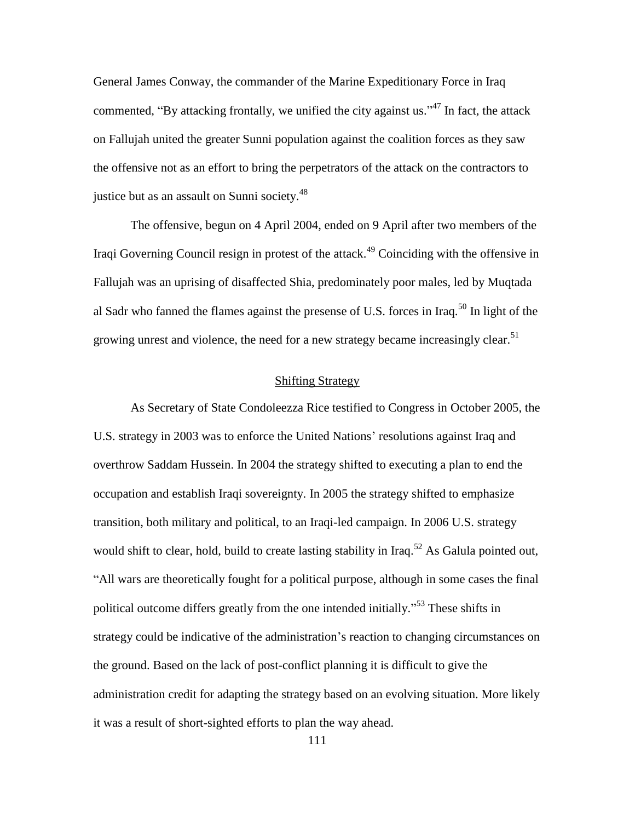General James Conway, the commander of the Marine Expeditionary Force in Iraq commented, "By attacking frontally, we unified the city against us."<sup>47</sup> In fact, the attack on Fallujah united the greater Sunni population against the coalition forces as they saw the offensive not as an effort to bring the perpetrators of the attack on the contractors to justice but as an assault on Sunni society.<sup>48</sup>

The offensive, begun on 4 April 2004, ended on 9 April after two members of the Iraqi Governing Council resign in protest of the attack.<sup>49</sup> Coinciding with the offensive in Fallujah was an uprising of disaffected Shia, predominately poor males, led by Muqtada al Sadr who fanned the flames against the presense of U.S. forces in Iraq.<sup>50</sup> In light of the growing unrest and violence, the need for a new strategy became increasingly clear.<sup>51</sup>

## Shifting Strategy

As Secretary of State Condoleezza Rice testified to Congress in October 2005, the U.S. strategy in 2003 was to enforce the United Nations' resolutions against Iraq and overthrow Saddam Hussein. In 2004 the strategy shifted to executing a plan to end the occupation and establish Iraqi sovereignty. In 2005 the strategy shifted to emphasize transition, both military and political, to an Iraqi-led campaign. In 2006 U.S. strategy would shift to clear, hold, build to create lasting stability in Iraq.<sup>52</sup> As Galula pointed out, ―All wars are theoretically fought for a political purpose, although in some cases the final political outcome differs greatly from the one intended initially.<sup>553</sup> These shifts in strategy could be indicative of the administration's reaction to changing circumstances on the ground. Based on the lack of post-conflict planning it is difficult to give the administration credit for adapting the strategy based on an evolving situation. More likely it was a result of short-sighted efforts to plan the way ahead.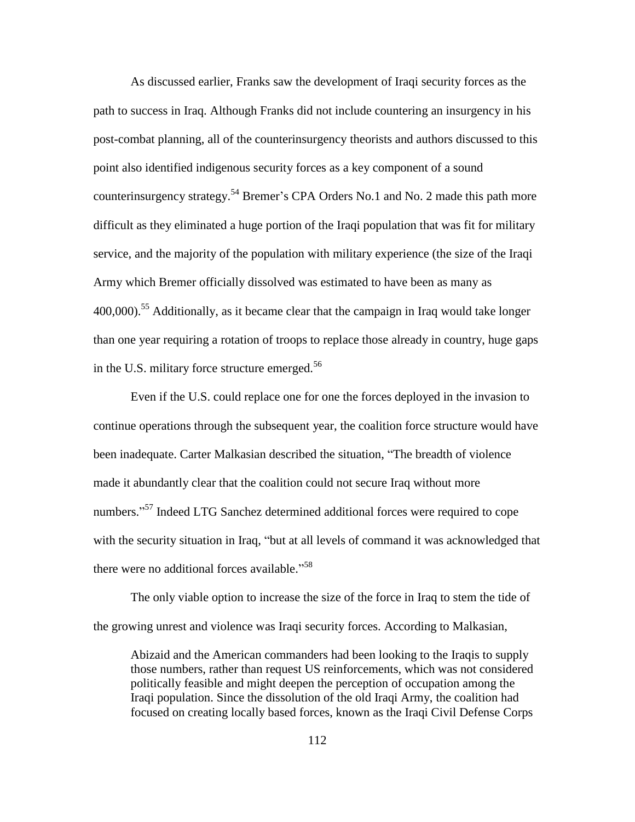As discussed earlier, Franks saw the development of Iraqi security forces as the path to success in Iraq. Although Franks did not include countering an insurgency in his post-combat planning, all of the counterinsurgency theorists and authors discussed to this point also identified indigenous security forces as a key component of a sound counterinsurgency strategy.<sup>54</sup> Bremer's CPA Orders No.1 and No. 2 made this path more difficult as they eliminated a huge portion of the Iraqi population that was fit for military service, and the majority of the population with military experience (the size of the Iraqi Army which Bremer officially dissolved was estimated to have been as many as  $400,000$ <sup>55</sup> Additionally, as it became clear that the campaign in Iraq would take longer than one year requiring a rotation of troops to replace those already in country, huge gaps in the U.S. military force structure emerged. $56$ 

Even if the U.S. could replace one for one the forces deployed in the invasion to continue operations through the subsequent year, the coalition force structure would have been inadequate. Carter Malkasian described the situation, "The breadth of violence" made it abundantly clear that the coalition could not secure Iraq without more numbers."<sup>57</sup> Indeed LTG Sanchez determined additional forces were required to cope with the security situation in Iraq, "but at all levels of command it was acknowledged that there were no additional forces available."<sup>58</sup>

The only viable option to increase the size of the force in Iraq to stem the tide of the growing unrest and violence was Iraqi security forces. According to Malkasian,

Abizaid and the American commanders had been looking to the Iraqis to supply those numbers, rather than request US reinforcements, which was not considered politically feasible and might deepen the perception of occupation among the Iraqi population. Since the dissolution of the old Iraqi Army, the coalition had focused on creating locally based forces, known as the Iraqi Civil Defense Corps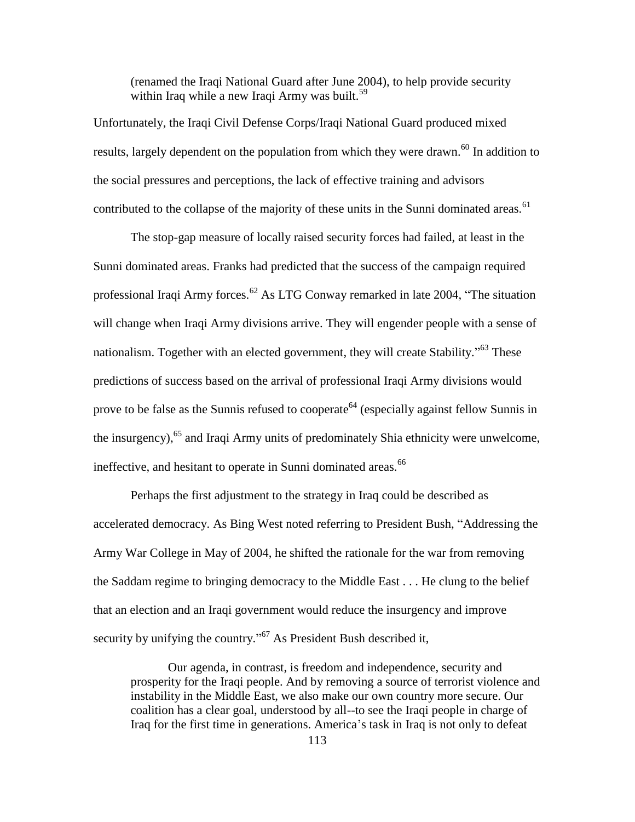(renamed the Iraqi National Guard after June 2004), to help provide security within Iraq while a new Iraqi Army was built.<sup>59</sup>

Unfortunately, the Iraqi Civil Defense Corps/Iraqi National Guard produced mixed results, largely dependent on the population from which they were drawn.<sup>60</sup> In addition to the social pressures and perceptions, the lack of effective training and advisors contributed to the collapse of the majority of these units in the Sunni dominated areas.<sup>61</sup>

The stop-gap measure of locally raised security forces had failed, at least in the Sunni dominated areas. Franks had predicted that the success of the campaign required professional Iraqi Army forces.<sup>62</sup> As LTG Conway remarked in late 2004, "The situation will change when Iraqi Army divisions arrive. They will engender people with a sense of nationalism. Together with an elected government, they will create Stability."<sup>63</sup> These predictions of success based on the arrival of professional Iraqi Army divisions would prove to be false as the Sunnis refused to cooperate<sup> $64$ </sup> (especially against fellow Sunnis in the insurgency),<sup>65</sup> and Iraqi Army units of predominately Shia ethnicity were unwelcome, ineffective, and hesitant to operate in Sunni dominated areas.<sup>66</sup>

Perhaps the first adjustment to the strategy in Iraq could be described as accelerated democracy. As Bing West noted referring to President Bush, "Addressing the Army War College in May of 2004, he shifted the rationale for the war from removing the Saddam regime to bringing democracy to the Middle East . . . He clung to the belief that an election and an Iraqi government would reduce the insurgency and improve security by unifying the country.<sup> $267$ </sup> As President Bush described it,

Our agenda, in contrast, is freedom and independence, security and prosperity for the Iraqi people. And by removing a source of terrorist violence and instability in the Middle East, we also make our own country more secure. Our coalition has a clear goal, understood by all--to see the Iraqi people in charge of Iraq for the first time in generations. America's task in Iraq is not only to defeat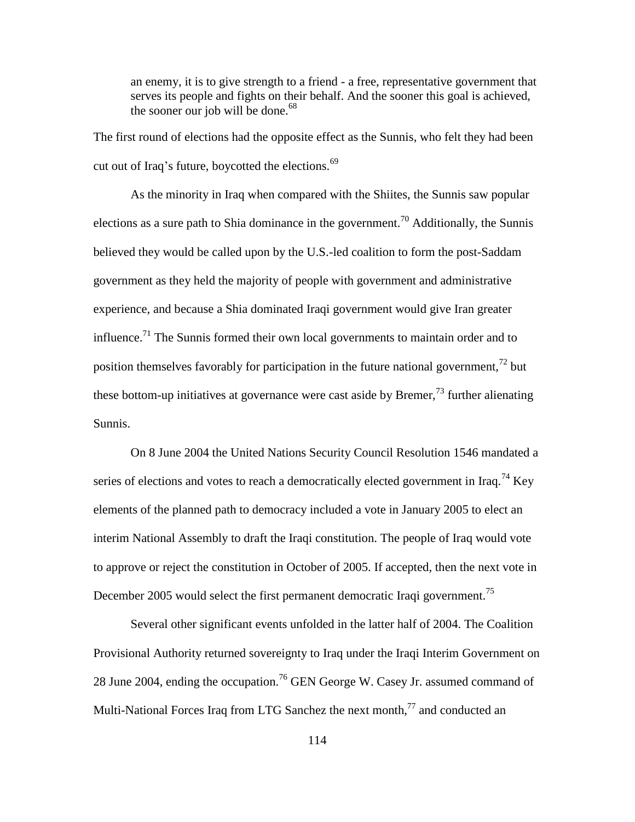an enemy, it is to give strength to a friend - a free, representative government that serves its people and fights on their behalf. And the sooner this goal is achieved, the sooner our job will be done.<sup>68</sup>

The first round of elections had the opposite effect as the Sunnis, who felt they had been cut out of Iraq's future, boycotted the elections. $69$ 

As the minority in Iraq when compared with the Shiites, the Sunnis saw popular elections as a sure path to Shia dominance in the government.<sup>70</sup> Additionally, the Sunnis believed they would be called upon by the U.S.-led coalition to form the post-Saddam government as they held the majority of people with government and administrative experience, and because a Shia dominated Iraqi government would give Iran greater influence.<sup>71</sup> The Sunnis formed their own local governments to maintain order and to position themselves favorably for participation in the future national government,  $^{72}$  but these bottom-up initiatives at governance were cast aside by Bremer,  $^{73}$  further alienating Sunnis.

On 8 June 2004 the United Nations Security Council Resolution 1546 mandated a series of elections and votes to reach a democratically elected government in Iraq.<sup>74</sup> Key elements of the planned path to democracy included a vote in January 2005 to elect an interim National Assembly to draft the Iraqi constitution. The people of Iraq would vote to approve or reject the constitution in October of 2005. If accepted, then the next vote in December 2005 would select the first permanent democratic Iraqi government.<sup>75</sup>

Several other significant events unfolded in the latter half of 2004. The Coalition Provisional Authority returned sovereignty to Iraq under the Iraqi Interim Government on 28 June 2004, ending the occupation.<sup>76</sup> GEN George W. Casey Jr. assumed command of Multi-National Forces Iraq from LTG Sanchez the next month, $^{77}$  and conducted an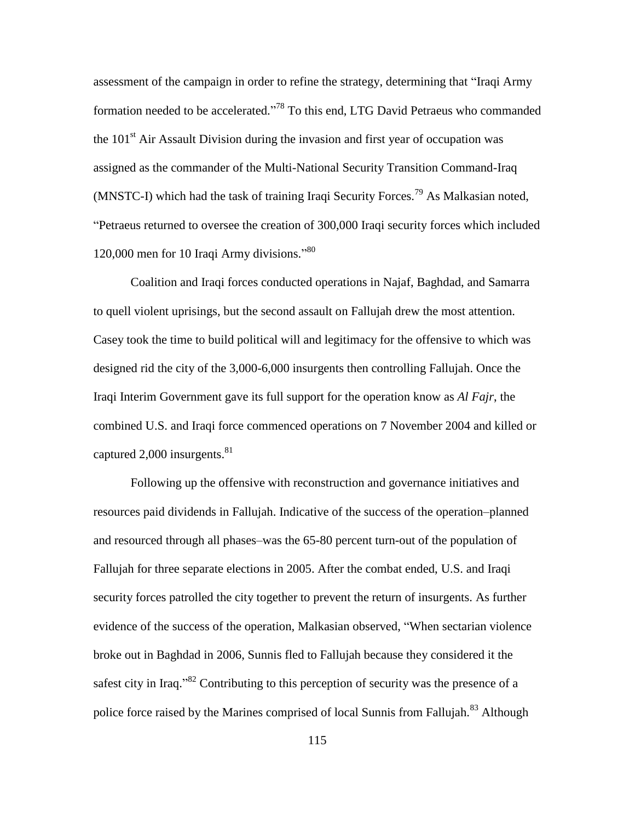assessment of the campaign in order to refine the strategy, determining that "Iraqi Army formation needed to be accelerated."<sup>78</sup> To this end, LTG David Petraeus who commanded the  $101<sup>st</sup>$  Air Assault Division during the invasion and first year of occupation was assigned as the commander of the Multi-National Security Transition Command-Iraq (MNSTC-I) which had the task of training Iraqi Security Forces.<sup>79</sup> As Malkasian noted, ―Petraeus returned to oversee the creation of 300,000 Iraqi security forces which included 120,000 men for 10 Iraqi Army divisions."<sup>80</sup>

Coalition and Iraqi forces conducted operations in Najaf, Baghdad, and Samarra to quell violent uprisings, but the second assault on Fallujah drew the most attention. Casey took the time to build political will and legitimacy for the offensive to which was designed rid the city of the 3,000-6,000 insurgents then controlling Fallujah. Once the Iraqi Interim Government gave its full support for the operation know as *Al Fajr*, the combined U.S. and Iraqi force commenced operations on 7 November 2004 and killed or captured 2,000 insurgents. $81$ 

Following up the offensive with reconstruction and governance initiatives and resources paid dividends in Fallujah. Indicative of the success of the operation–planned and resourced through all phases–was the 65-80 percent turn-out of the population of Fallujah for three separate elections in 2005. After the combat ended, U.S. and Iraqi security forces patrolled the city together to prevent the return of insurgents. As further evidence of the success of the operation, Malkasian observed, "When sectarian violence broke out in Baghdad in 2006, Sunnis fled to Fallujah because they considered it the safest city in Iraq.<sup>382</sup> Contributing to this perception of security was the presence of a police force raised by the Marines comprised of local Sunnis from Fallujah.<sup>83</sup> Although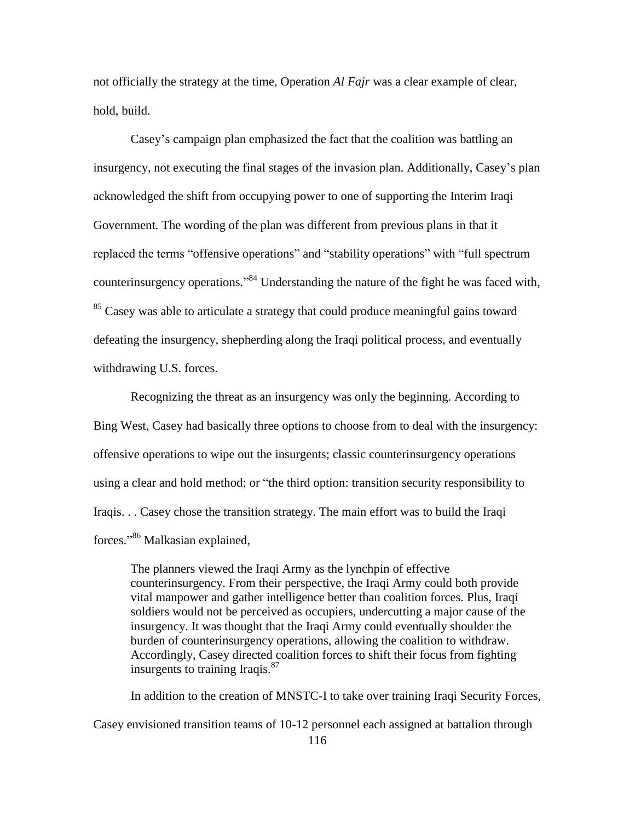not officially the strategy at the time, Operation *Al Fajr* was a clear example of clear, hold, build.

Casey's campaign plan emphasized the fact that the coalition was battling an insurgency, not executing the final stages of the invasion plan. Additionally, Casey's plan acknowledged the shift from occupying power to one of supporting the Interim Iraqi Government. The wording of the plan was different from previous plans in that it replaced the terms "offensive operations" and "stability operations" with "full spectrum counterinsurgency operations."<sup>84</sup> Understanding the nature of the fight he was faced with, <sup>85</sup> Casey was able to articulate a strategy that could produce meaningful gains toward defeating the insurgency, shepherding along the Iraqi political process, and eventually withdrawing U.S. forces.

Recognizing the threat as an insurgency was only the beginning. According to Bing West, Casey had basically three options to choose from to deal with the insurgency: offensive operations to wipe out the insurgents; classic counterinsurgency operations using a clear and hold method; or "the third option: transition security responsibility to Iraqis. . . Casey chose the transition strategy. The main effort was to build the Iraqi forces."<sup>86</sup> Malkasian explained,

The planners viewed the Iraqi Army as the lynchpin of effective counterinsurgency. From their perspective, the Iraqi Army could both provide vital manpower and gather intelligence better than coalition forces. Plus, Iraqi soldiers would not be perceived as occupiers, undercutting a major cause of the insurgency. It was thought that the Iraqi Army could eventually shoulder the burden of counterinsurgency operations, allowing the coalition to withdraw. Accordingly, Casey directed coalition forces to shift their focus from fighting insurgents to training Iraqis. $^{87}$ 

In addition to the creation of MNSTC-I to take over training Iraqi Security Forces, Casey envisioned transition teams of 10-12 personnel each assigned at battalion through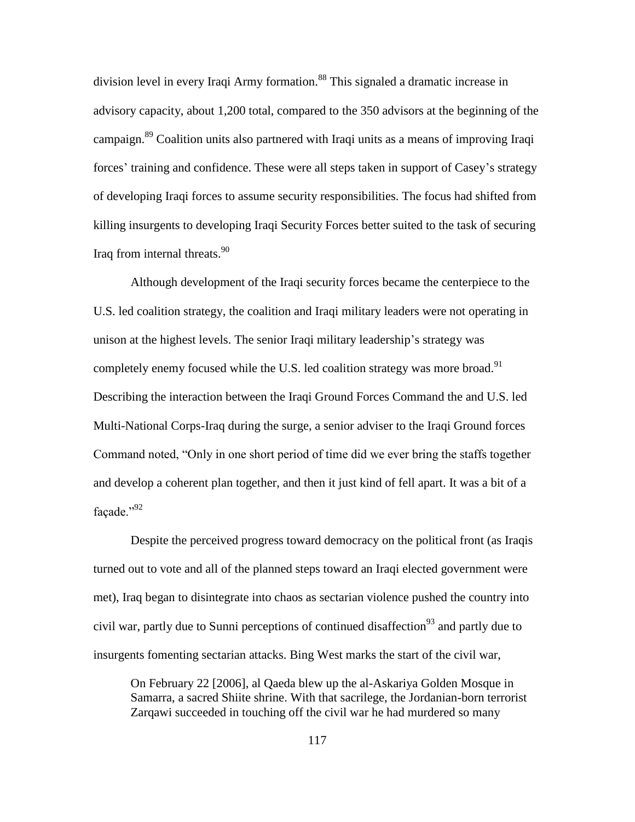division level in every Iraqi Army formation.<sup>88</sup> This signaled a dramatic increase in advisory capacity, about 1,200 total, compared to the 350 advisors at the beginning of the campaign.<sup>89</sup> Coalition units also partnered with Iraqi units as a means of improving Iraqi forces' training and confidence. These were all steps taken in support of Casey's strategy of developing Iraqi forces to assume security responsibilities. The focus had shifted from killing insurgents to developing Iraqi Security Forces better suited to the task of securing Iraq from internal threats.<sup>90</sup>

Although development of the Iraqi security forces became the centerpiece to the U.S. led coalition strategy, the coalition and Iraqi military leaders were not operating in unison at the highest levels. The senior Iraqi military leadership's strategy was completely enemy focused while the U.S. led coalition strategy was more broad.<sup>91</sup> Describing the interaction between the Iraqi Ground Forces Command the and U.S. led Multi-National Corps-Iraq during the surge, a senior adviser to the Iraqi Ground forces Command noted, "Only in one short period of time did we ever bring the staffs together and develop a coherent plan together, and then it just kind of fell apart. It was a bit of a facade." $^{92}$ 

Despite the perceived progress toward democracy on the political front (as Iraqis turned out to vote and all of the planned steps toward an Iraqi elected government were met), Iraq began to disintegrate into chaos as sectarian violence pushed the country into civil war, partly due to Sunni perceptions of continued disaffection<sup>93</sup> and partly due to insurgents fomenting sectarian attacks. Bing West marks the start of the civil war,

On February 22 [2006], al Qaeda blew up the al-Askariya Golden Mosque in Samarra, a sacred Shiite shrine. With that sacrilege, the Jordanian-born terrorist Zarqawi succeeded in touching off the civil war he had murdered so many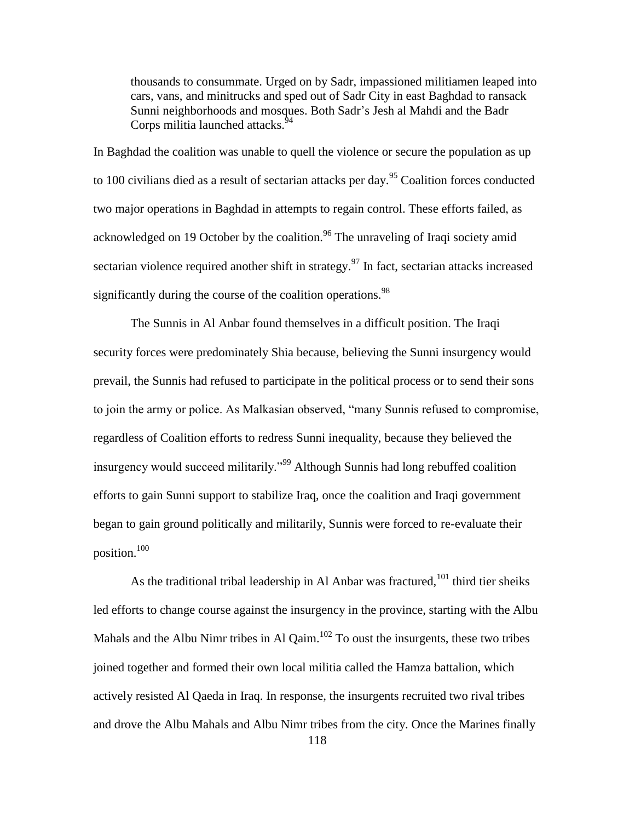thousands to consummate. Urged on by Sadr, impassioned militiamen leaped into cars, vans, and minitrucks and sped out of Sadr City in east Baghdad to ransack Sunni neighborhoods and mosques. Both Sadr's Jesh al Mahdi and the Badr Corps militia launched attacks.<sup>94</sup>

In Baghdad the coalition was unable to quell the violence or secure the population as up to 100 civilians died as a result of sectarian attacks per day.<sup>95</sup> Coalition forces conducted two major operations in Baghdad in attempts to regain control. These efforts failed, as acknowledged on 19 October by the coalition.<sup>96</sup> The unraveling of Iraqi society amid sectarian violence required another shift in strategy.<sup>97</sup> In fact, sectarian attacks increased significantly during the course of the coalition operations.<sup>98</sup>

The Sunnis in Al Anbar found themselves in a difficult position. The Iraqi security forces were predominately Shia because, believing the Sunni insurgency would prevail, the Sunnis had refused to participate in the political process or to send their sons to join the army or police. As Malkasian observed, "many Sunnis refused to compromise, regardless of Coalition efforts to redress Sunni inequality, because they believed the insurgency would succeed militarily.<sup>999</sup> Although Sunnis had long rebuffed coalition efforts to gain Sunni support to stabilize Iraq, once the coalition and Iraqi government began to gain ground politically and militarily, Sunnis were forced to re-evaluate their position.<sup>100</sup>

118 As the traditional tribal leadership in Al Anbar was fractured, $101$  third tier sheiks led efforts to change course against the insurgency in the province, starting with the Albu Mahals and the Albu Nimr tribes in Al Qaim. $102$  To oust the insurgents, these two tribes joined together and formed their own local militia called the Hamza battalion, which actively resisted Al Qaeda in Iraq. In response, the insurgents recruited two rival tribes and drove the Albu Mahals and Albu Nimr tribes from the city. Once the Marines finally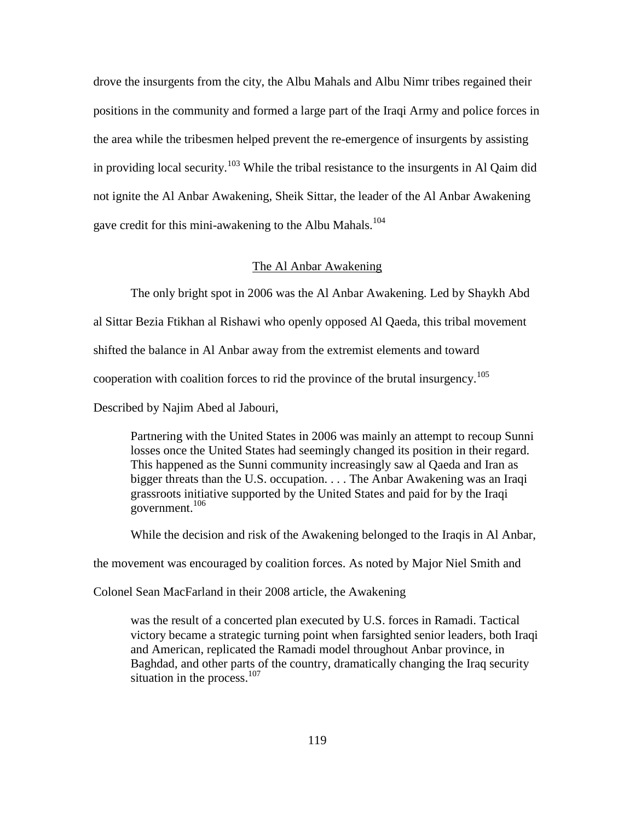drove the insurgents from the city, the Albu Mahals and Albu Nimr tribes regained their positions in the community and formed a large part of the Iraqi Army and police forces in the area while the tribesmen helped prevent the re-emergence of insurgents by assisting in providing local security.<sup>103</sup> While the tribal resistance to the insurgents in Al Qaim did not ignite the Al Anbar Awakening, Sheik Sittar, the leader of the Al Anbar Awakening gave credit for this mini-awakening to the Albu Mahals.<sup>104</sup>

# The Al Anbar Awakening

The only bright spot in 2006 was the Al Anbar Awakening. Led by Shaykh Abd

al Sittar Bezia Ftikhan al Rishawi who openly opposed Al Qaeda, this tribal movement

shifted the balance in Al Anbar away from the extremist elements and toward

cooperation with coalition forces to rid the province of the brutal insurgency.<sup>105</sup>

Described by Najim Abed al Jabouri,

Partnering with the United States in 2006 was mainly an attempt to recoup Sunni losses once the United States had seemingly changed its position in their regard. This happened as the Sunni community increasingly saw al Qaeda and Iran as bigger threats than the U.S. occupation. . . . The Anbar Awakening was an Iraqi grassroots initiative supported by the United States and paid for by the Iraqi government. $106$ 

While the decision and risk of the Awakening belonged to the Iraqis in Al Anbar,

the movement was encouraged by coalition forces. As noted by Major Niel Smith and

Colonel Sean MacFarland in their 2008 article, the Awakening

was the result of a concerted plan executed by U.S. forces in Ramadi. Tactical victory became a strategic turning point when farsighted senior leaders, both Iraqi and American, replicated the Ramadi model throughout Anbar province, in Baghdad, and other parts of the country, dramatically changing the Iraq security situation in the process. $107$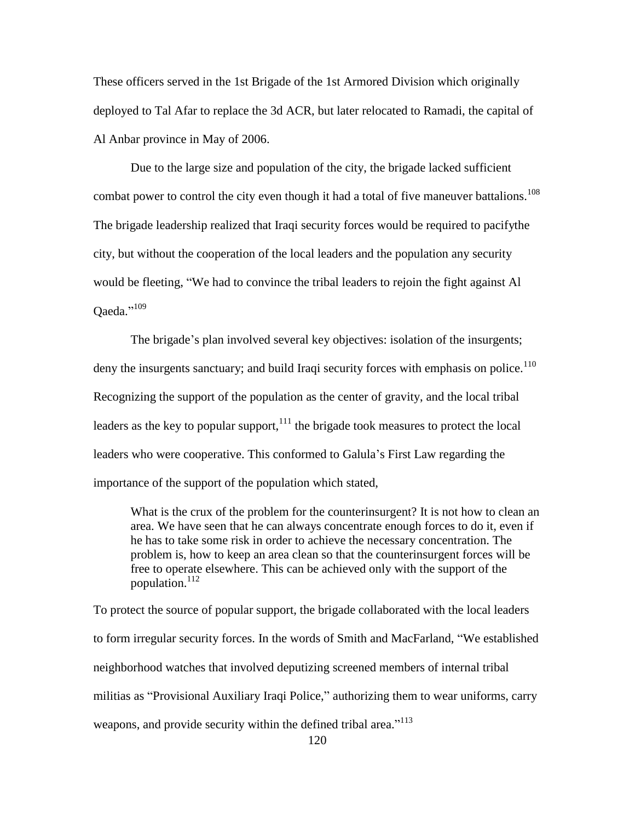These officers served in the 1st Brigade of the 1st Armored Division which originally deployed to Tal Afar to replace the 3d ACR, but later relocated to Ramadi, the capital of Al Anbar province in May of 2006.

Due to the large size and population of the city, the brigade lacked sufficient combat power to control the city even though it had a total of five maneuver battalions.<sup>108</sup> The brigade leadership realized that Iraqi security forces would be required to pacifythe city, but without the cooperation of the local leaders and the population any security would be fleeting, "We had to convince the tribal leaders to rejoin the fight against Al Qaeda."<sup>109</sup>

The brigade's plan involved several key objectives: isolation of the insurgents; deny the insurgents sanctuary; and build Iraqi security forces with emphasis on police.<sup>110</sup> Recognizing the support of the population as the center of gravity, and the local tribal leaders as the key to popular support, $111$  the brigade took measures to protect the local leaders who were cooperative. This conformed to Galula's First Law regarding the importance of the support of the population which stated,

What is the crux of the problem for the counterinsurgent? It is not how to clean an area. We have seen that he can always concentrate enough forces to do it, even if he has to take some risk in order to achieve the necessary concentration. The problem is, how to keep an area clean so that the counterinsurgent forces will be free to operate elsewhere. This can be achieved only with the support of the population.<sup>112</sup>

To protect the source of popular support, the brigade collaborated with the local leaders to form irregular security forces. In the words of Smith and MacFarland, "We established neighborhood watches that involved deputizing screened members of internal tribal militias as "Provisional Auxiliary Iraqi Police," authorizing them to wear uniforms, carry weapons, and provide security within the defined tribal area."<sup>113</sup>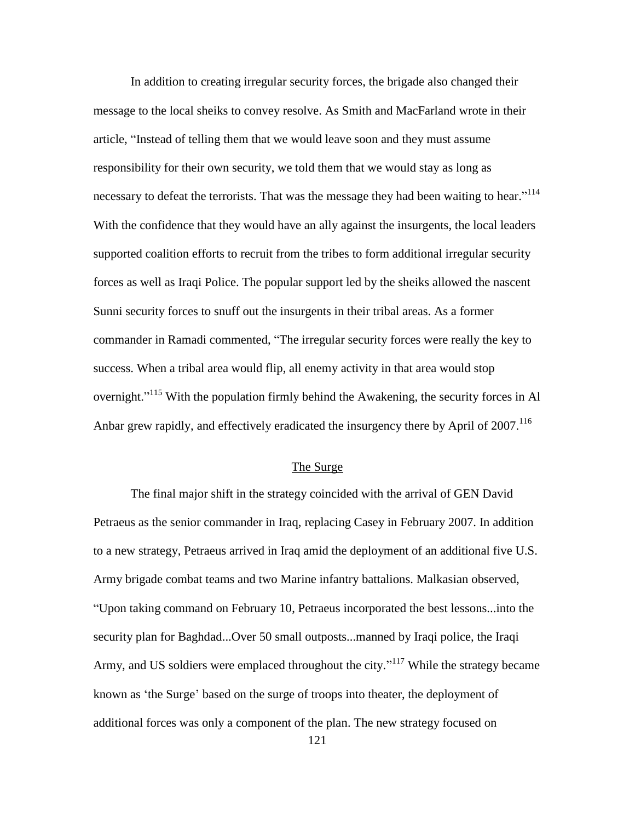In addition to creating irregular security forces, the brigade also changed their message to the local sheiks to convey resolve. As Smith and MacFarland wrote in their article, "Instead of telling them that we would leave soon and they must assume responsibility for their own security, we told them that we would stay as long as necessary to defeat the terrorists. That was the message they had been waiting to hear."<sup>114</sup> With the confidence that they would have an ally against the insurgents, the local leaders supported coalition efforts to recruit from the tribes to form additional irregular security forces as well as Iraqi Police. The popular support led by the sheiks allowed the nascent Sunni security forces to snuff out the insurgents in their tribal areas. As a former commander in Ramadi commented, "The irregular security forces were really the key to success. When a tribal area would flip, all enemy activity in that area would stop overnight."<sup>115</sup> With the population firmly behind the Awakening, the security forces in Al Anbar grew rapidly, and effectively eradicated the insurgency there by April of 2007.<sup>116</sup>

## The Surge

The final major shift in the strategy coincided with the arrival of GEN David Petraeus as the senior commander in Iraq, replacing Casey in February 2007. In addition to a new strategy, Petraeus arrived in Iraq amid the deployment of an additional five U.S. Army brigade combat teams and two Marine infantry battalions. Malkasian observed, ―Upon taking command on February 10, Petraeus incorporated the best lessons...into the security plan for Baghdad...Over 50 small outposts...manned by Iraqi police, the Iraqi Army, and US soldiers were emplaced throughout the city."<sup>117</sup> While the strategy became known as 'the Surge' based on the surge of troops into theater, the deployment of additional forces was only a component of the plan. The new strategy focused on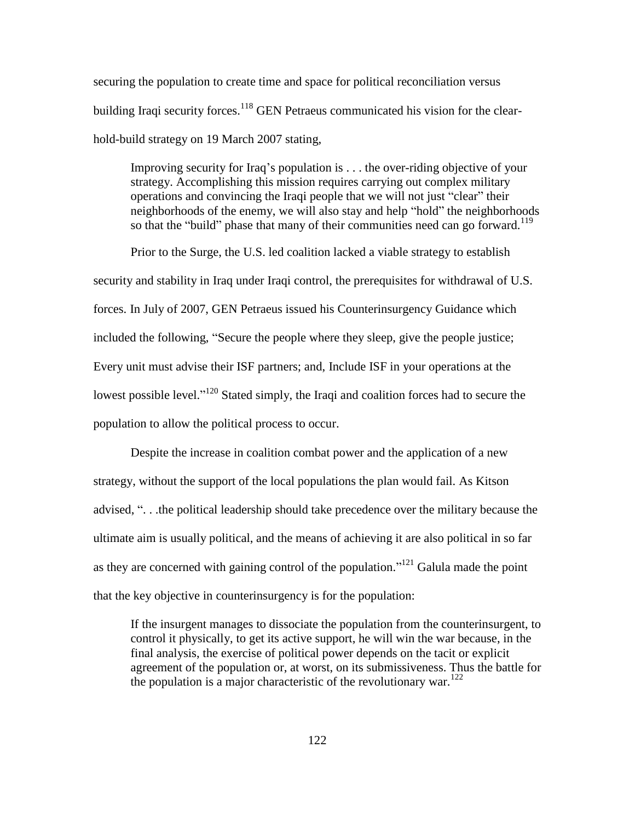securing the population to create time and space for political reconciliation versus building Iraqi security forces.<sup>118</sup> GEN Petraeus communicated his vision for the clearhold-build strategy on 19 March 2007 stating,

Improving security for Iraq's population is . . . the over-riding objective of your strategy. Accomplishing this mission requires carrying out complex military operations and convincing the Iraqi people that we will not just "clear" their neighborhoods of the enemy, we will also stay and help "hold" the neighborhoods so that the "build" phase that many of their communities need can go forward.<sup>119</sup>

Prior to the Surge, the U.S. led coalition lacked a viable strategy to establish security and stability in Iraq under Iraqi control, the prerequisites for withdrawal of U.S. forces. In July of 2007, GEN Petraeus issued his Counterinsurgency Guidance which included the following, "Secure the people where they sleep, give the people justice; Every unit must advise their ISF partners; and, Include ISF in your operations at the lowest possible level."<sup>120</sup> Stated simply, the Iraqi and coalition forces had to secure the population to allow the political process to occur.

Despite the increase in coalition combat power and the application of a new strategy, without the support of the local populations the plan would fail. As Kitson advised, "... the political leadership should take precedence over the military because the ultimate aim is usually political, and the means of achieving it are also political in so far as they are concerned with gaining control of the population."<sup>121</sup> Galula made the point that the key objective in counterinsurgency is for the population:

If the insurgent manages to dissociate the population from the counterinsurgent, to control it physically, to get its active support, he will win the war because, in the final analysis, the exercise of political power depends on the tacit or explicit agreement of the population or, at worst, on its submissiveness. Thus the battle for the population is a major characteristic of the revolutionary war.<sup>122</sup>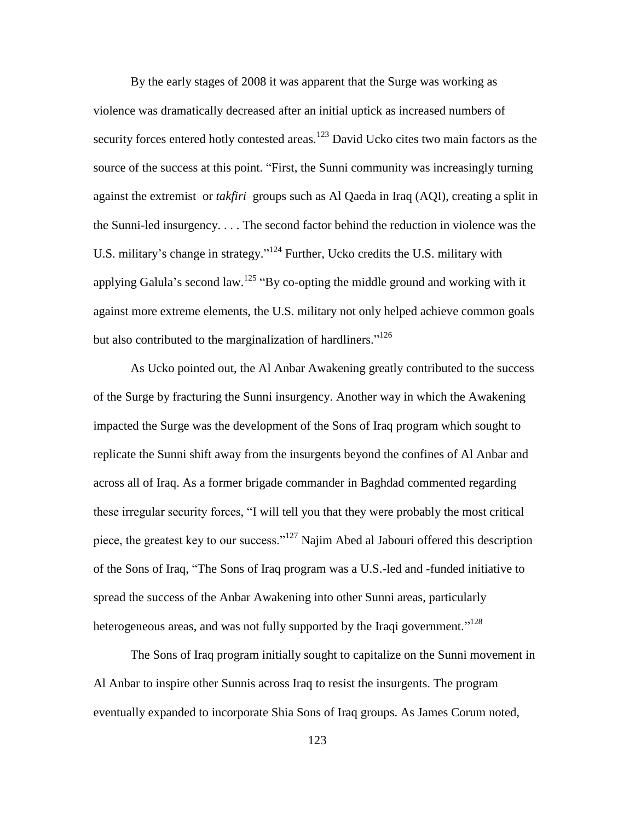By the early stages of 2008 it was apparent that the Surge was working as violence was dramatically decreased after an initial uptick as increased numbers of security forces entered hotly contested areas.<sup>123</sup> David Ucko cites two main factors as the source of the success at this point. "First, the Sunni community was increasingly turning against the extremist–or *takfiri*–groups such as Al Qaeda in Iraq (AQI), creating a split in the Sunni-led insurgency. . . . The second factor behind the reduction in violence was the U.S. military's change in strategy."<sup>124</sup> Further, Ucko credits the U.S. military with applying Galula's second law.<sup>125</sup> "By co-opting the middle ground and working with it against more extreme elements, the U.S. military not only helped achieve common goals but also contributed to the marginalization of hardliners."<sup>126</sup>

As Ucko pointed out, the Al Anbar Awakening greatly contributed to the success of the Surge by fracturing the Sunni insurgency. Another way in which the Awakening impacted the Surge was the development of the Sons of Iraq program which sought to replicate the Sunni shift away from the insurgents beyond the confines of Al Anbar and across all of Iraq. As a former brigade commander in Baghdad commented regarding these irregular security forces, "I will tell you that they were probably the most critical piece, the greatest key to our success." $127$  Najim Abed al Jabouri offered this description of the Sons of Iraq, "The Sons of Iraq program was a U.S.-led and -funded initiative to spread the success of the Anbar Awakening into other Sunni areas, particularly heterogeneous areas, and was not fully supported by the Iraqi government."<sup>128</sup>

The Sons of Iraq program initially sought to capitalize on the Sunni movement in Al Anbar to inspire other Sunnis across Iraq to resist the insurgents. The program eventually expanded to incorporate Shia Sons of Iraq groups. As James Corum noted,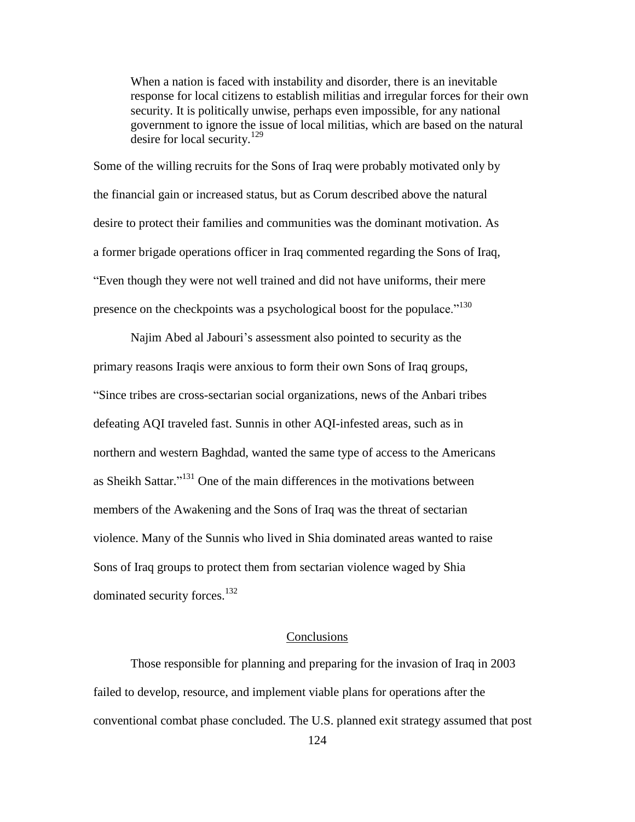When a nation is faced with instability and disorder, there is an inevitable response for local citizens to establish militias and irregular forces for their own security. It is politically unwise, perhaps even impossible, for any national government to ignore the issue of local militias, which are based on the natural desire for local security.<sup>129</sup>

Some of the willing recruits for the Sons of Iraq were probably motivated only by the financial gain or increased status, but as Corum described above the natural desire to protect their families and communities was the dominant motivation. As a former brigade operations officer in Iraq commented regarding the Sons of Iraq, ―Even though they were not well trained and did not have uniforms, their mere presence on the checkpoints was a psychological boost for the populace."<sup>130</sup>

Najim Abed al Jabouri's assessment also pointed to security as the primary reasons Iraqis were anxious to form their own Sons of Iraq groups, ―Since tribes are cross-sectarian social organizations, news of the Anbari tribes defeating AQI traveled fast. Sunnis in other AQI-infested areas, such as in northern and western Baghdad, wanted the same type of access to the Americans as Sheikh Sattar."<sup>131</sup> One of the main differences in the motivations between members of the Awakening and the Sons of Iraq was the threat of sectarian violence. Many of the Sunnis who lived in Shia dominated areas wanted to raise Sons of Iraq groups to protect them from sectarian violence waged by Shia dominated security forces.<sup>132</sup>

## **Conclusions**

Those responsible for planning and preparing for the invasion of Iraq in 2003 failed to develop, resource, and implement viable plans for operations after the conventional combat phase concluded. The U.S. planned exit strategy assumed that post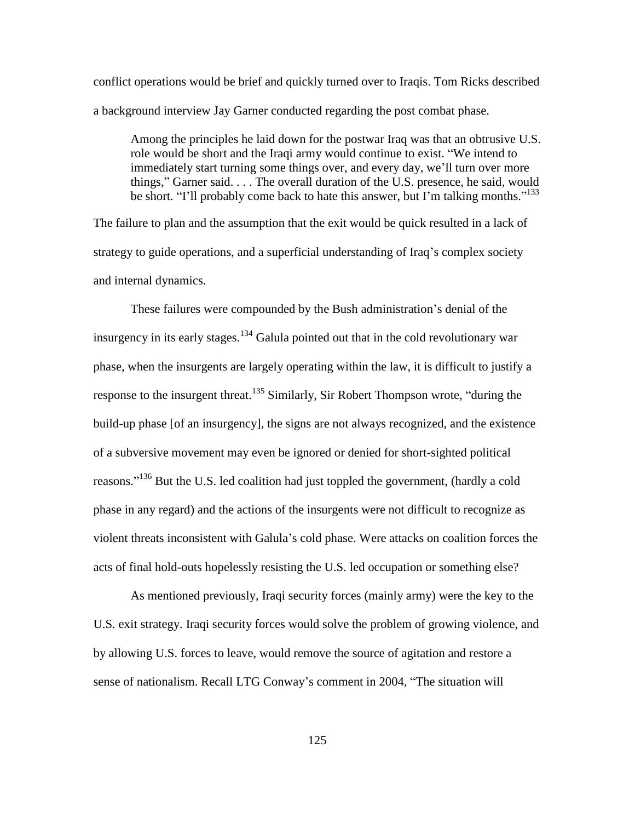conflict operations would be brief and quickly turned over to Iraqis. Tom Ricks described a background interview Jay Garner conducted regarding the post combat phase.

Among the principles he laid down for the postwar Iraq was that an obtrusive U.S. role would be short and the Iraqi army would continue to exist. "We intend to immediately start turning some things over, and every day, we'll turn over more things," Garner said.  $\dots$  The overall duration of the U.S. presence, he said, would be short. "I'll probably come back to hate this answer, but I'm talking months."<sup>133</sup>

The failure to plan and the assumption that the exit would be quick resulted in a lack of strategy to guide operations, and a superficial understanding of Iraq's complex society and internal dynamics.

These failures were compounded by the Bush administration's denial of the insurgency in its early stages.<sup>134</sup> Galula pointed out that in the cold revolutionary war phase, when the insurgents are largely operating within the law, it is difficult to justify a response to the insurgent threat.<sup>135</sup> Similarly, Sir Robert Thompson wrote, "during the build-up phase [of an insurgency], the signs are not always recognized, and the existence of a subversive movement may even be ignored or denied for short-sighted political reasons."<sup>136</sup> But the U.S. led coalition had just toppled the government, (hardly a cold phase in any regard) and the actions of the insurgents were not difficult to recognize as violent threats inconsistent with Galula's cold phase. Were attacks on coalition forces the acts of final hold-outs hopelessly resisting the U.S. led occupation or something else?

As mentioned previously, Iraqi security forces (mainly army) were the key to the U.S. exit strategy. Iraqi security forces would solve the problem of growing violence, and by allowing U.S. forces to leave, would remove the source of agitation and restore a sense of nationalism. Recall LTG Conway's comment in 2004, "The situation will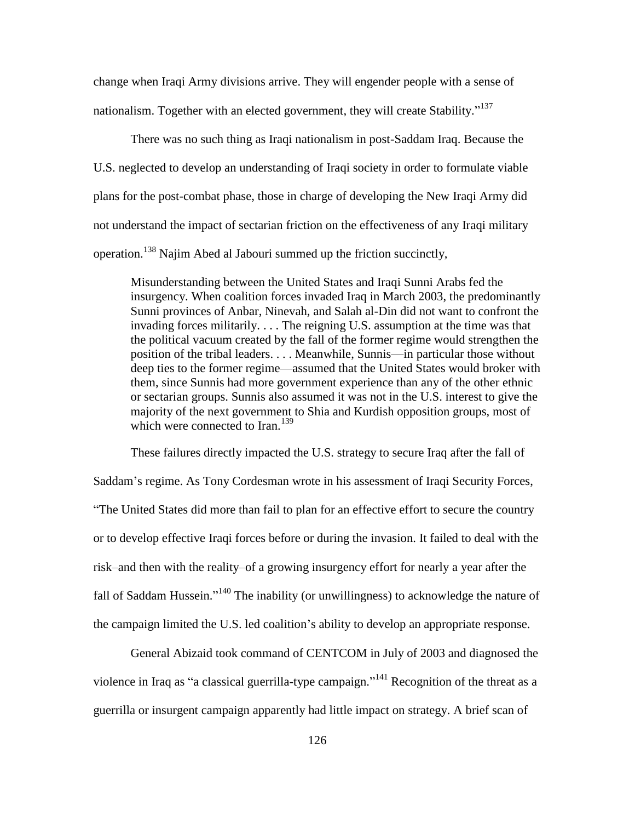change when Iraqi Army divisions arrive. They will engender people with a sense of nationalism. Together with an elected government, they will create Stability."<sup>137</sup>

There was no such thing as Iraqi nationalism in post-Saddam Iraq. Because the U.S. neglected to develop an understanding of Iraqi society in order to formulate viable plans for the post-combat phase, those in charge of developing the New Iraqi Army did not understand the impact of sectarian friction on the effectiveness of any Iraqi military operation.<sup>138</sup> Najim Abed al Jabouri summed up the friction succinctly,

Misunderstanding between the United States and Iraqi Sunni Arabs fed the insurgency. When coalition forces invaded Iraq in March 2003, the predominantly Sunni provinces of Anbar, Ninevah, and Salah al-Din did not want to confront the invading forces militarily. . . . The reigning U.S. assumption at the time was that the political vacuum created by the fall of the former regime would strengthen the position of the tribal leaders. . . . Meanwhile, Sunnis—in particular those without deep ties to the former regime—assumed that the United States would broker with them, since Sunnis had more government experience than any of the other ethnic or sectarian groups. Sunnis also assumed it was not in the U.S. interest to give the majority of the next government to Shia and Kurdish opposition groups, most of which were connected to Iran.<sup>139</sup>

These failures directly impacted the U.S. strategy to secure Iraq after the fall of Saddam's regime. As Tony Cordesman wrote in his assessment of Iraqi Security Forces, ―The United States did more than fail to plan for an effective effort to secure the country or to develop effective Iraqi forces before or during the invasion. It failed to deal with the risk–and then with the reality–of a growing insurgency effort for nearly a year after the fall of Saddam Hussein."<sup>140</sup> The inability (or unwillingness) to acknowledge the nature of the campaign limited the U.S. led coalition's ability to develop an appropriate response.

General Abizaid took command of CENTCOM in July of 2003 and diagnosed the violence in Iraq as "a classical guerrilla-type campaign."<sup>141</sup> Recognition of the threat as a guerrilla or insurgent campaign apparently had little impact on strategy. A brief scan of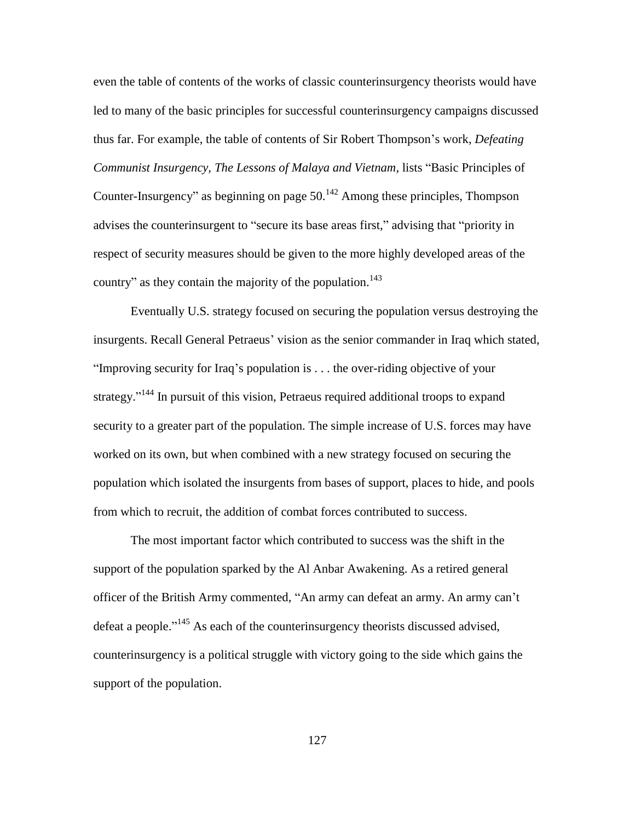even the table of contents of the works of classic counterinsurgency theorists would have led to many of the basic principles for successful counterinsurgency campaigns discussed thus far. For example, the table of contents of Sir Robert Thompson's work, *Defeating Communist Insurgency, The Lessons of Malaya and Vietnam, lists "Basic Principles of* Counter-Insurgency" as beginning on page  $50<sup>142</sup>$  Among these principles, Thompson advises the counterinsurgent to "secure its base areas first," advising that "priority in respect of security measures should be given to the more highly developed areas of the country" as they contain the majority of the population.<sup>143</sup>

Eventually U.S. strategy focused on securing the population versus destroying the insurgents. Recall General Petraeus' vision as the senior commander in Iraq which stated, "Improving security for Iraq's population is  $\dots$  the over-riding objective of your strategy."<sup>144</sup> In pursuit of this vision, Petraeus required additional troops to expand security to a greater part of the population. The simple increase of U.S. forces may have worked on its own, but when combined with a new strategy focused on securing the population which isolated the insurgents from bases of support, places to hide, and pools from which to recruit, the addition of combat forces contributed to success.

The most important factor which contributed to success was the shift in the support of the population sparked by the Al Anbar Awakening. As a retired general officer of the British Army commented, "An army can defeat an army. An army can't defeat a people."<sup>145</sup> As each of the counterinsurgency theorists discussed advised, counterinsurgency is a political struggle with victory going to the side which gains the support of the population.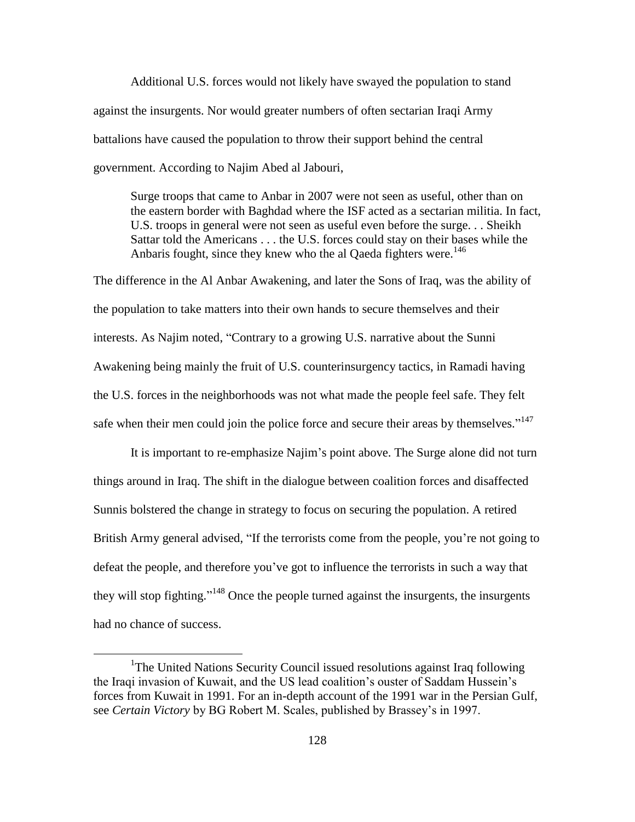Additional U.S. forces would not likely have swayed the population to stand against the insurgents. Nor would greater numbers of often sectarian Iraqi Army battalions have caused the population to throw their support behind the central government. According to Najim Abed al Jabouri,

Surge troops that came to Anbar in 2007 were not seen as useful, other than on the eastern border with Baghdad where the ISF acted as a sectarian militia. In fact, U.S. troops in general were not seen as useful even before the surge. . . Sheikh Sattar told the Americans . . . the U.S. forces could stay on their bases while the Anbaris fought, since they knew who the al Qaeda fighters were.<sup>146</sup>

The difference in the Al Anbar Awakening, and later the Sons of Iraq, was the ability of the population to take matters into their own hands to secure themselves and their interests. As Najim noted, "Contrary to a growing U.S. narrative about the Sunni Awakening being mainly the fruit of U.S. counterinsurgency tactics, in Ramadi having the U.S. forces in the neighborhoods was not what made the people feel safe. They felt safe when their men could join the police force and secure their areas by themselves."<sup>147</sup>

It is important to re-emphasize Najim's point above. The Surge alone did not turn things around in Iraq. The shift in the dialogue between coalition forces and disaffected Sunnis bolstered the change in strategy to focus on securing the population. A retired British Army general advised, "If the terrorists come from the people, you're not going to defeat the people, and therefore you've got to influence the terrorists in such a way that they will stop fighting."<sup>148</sup> Once the people turned against the insurgents, the insurgents had no chance of success.

 $\overline{a}$ 

<sup>&</sup>lt;sup>1</sup>The United Nations Security Council issued resolutions against Iraq following the Iraqi invasion of Kuwait, and the US lead coalition's ouster of Saddam Hussein's forces from Kuwait in 1991. For an in-depth account of the 1991 war in the Persian Gulf, see *Certain Victory* by BG Robert M. Scales, published by Brassey's in 1997.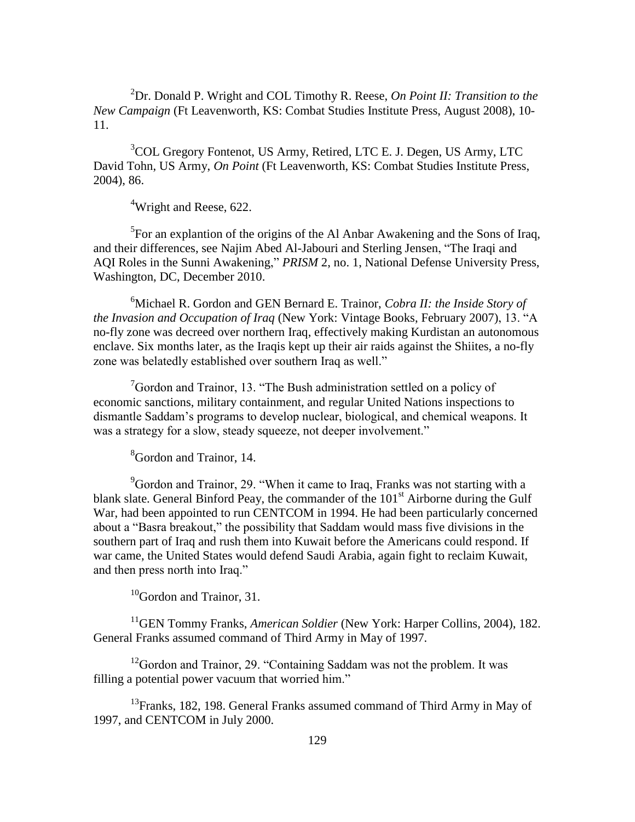<sup>2</sup>Dr. Donald P. Wright and COL Timothy R. Reese, *On Point II: Transition to the New Campaign* (Ft Leavenworth, KS: Combat Studies Institute Press, August 2008), 10- 11.

<sup>3</sup>COL Gregory Fontenot, US Army, Retired, LTC E. J. Degen, US Army, LTC David Tohn, US Army, *On Point* (Ft Leavenworth, KS: Combat Studies Institute Press, 2004), 86.

<sup>4</sup>Wright and Reese, 622.

<sup>5</sup>For an explantion of the origins of the Al Anbar Awakening and the Sons of Iraq, and their differences, see Najim Abed Al-Jabouri and Sterling Jensen, "The Iraqi and AQI Roles in the Sunni Awakening," *PRISM* 2, no. 1, National Defense University Press, Washington, DC, December 2010.

<sup>6</sup>Michael R. Gordon and GEN Bernard E. Trainor, *Cobra II: the Inside Story of the Invasion and Occupation of Iraq* (New York: Vintage Books, February 2007), 13. <sup>"A</sup> no-fly zone was decreed over northern Iraq, effectively making Kurdistan an autonomous enclave. Six months later, as the Iraqis kept up their air raids against the Shiites, a no-fly zone was belatedly established over southern Iraq as well."

 $\sigma$ Gordon and Trainor, 13. "The Bush administration settled on a policy of economic sanctions, military containment, and regular United Nations inspections to dismantle Saddam's programs to develop nuclear, biological, and chemical weapons. It was a strategy for a slow, steady squeeze, not deeper involvement."

<sup>8</sup>Gordon and Trainor, 14.

 $9^9$ Gordon and Trainor, 29. "When it came to Iraq, Franks was not starting with a blank slate. General Binford Peay, the commander of the  $101<sup>st</sup>$  Airborne during the Gulf War, had been appointed to run CENTCOM in 1994. He had been particularly concerned about a "Basra breakout," the possibility that Saddam would mass five divisions in the southern part of Iraq and rush them into Kuwait before the Americans could respond. If war came, the United States would defend Saudi Arabia, again fight to reclaim Kuwait, and then press north into Iraq."

 $10$ Gordon and Trainor, 31.

<sup>11</sup>GEN Tommy Franks, *American Soldier* (New York: Harper Collins, 2004), 182. General Franks assumed command of Third Army in May of 1997.

 $12$ Gordon and Trainor, 29. "Containing Saddam was not the problem. It was filling a potential power vacuum that worried him."

 $13$ Franks, 182, 198. General Franks assumed command of Third Army in May of 1997, and CENTCOM in July 2000.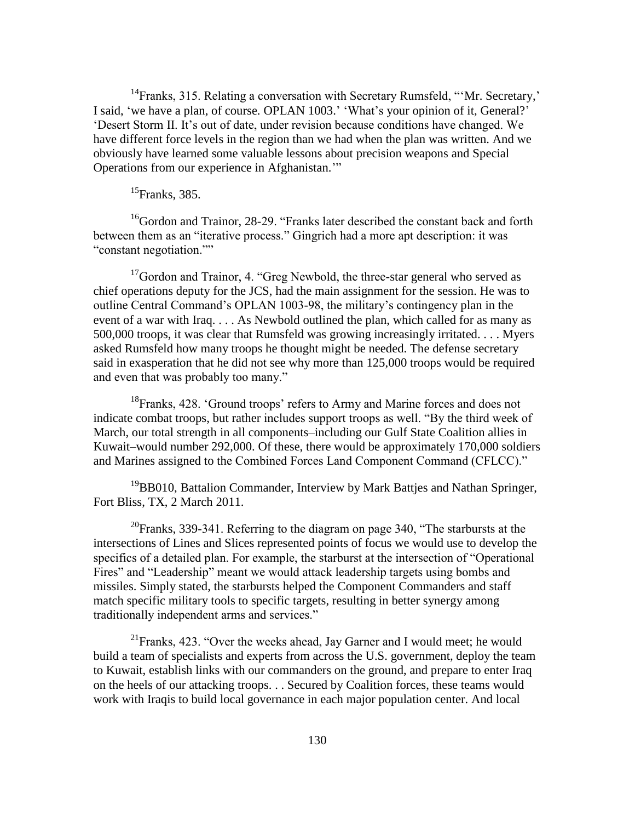$14$ Franks, 315. Relating a conversation with Secretary Rumsfeld, "'Mr. Secretary,' I said, 'we have a plan, of course. OPLAN 1003.' 'What's your opinion of it, General?' ‗Desert Storm II. It's out of date, under revision because conditions have changed. We have different force levels in the region than we had when the plan was written. And we obviously have learned some valuable lessons about precision weapons and Special Operations from our experience in Afghanistan."

# $^{15}$ Franks, 385.

 $16$ Gordon and Trainor, 28-29. "Franks later described the constant back and forth between them as an "iterative process." Gingrich had a more apt description: it was "constant negotiation.""

 $17$ Gordon and Trainor, 4. "Greg Newbold, the three-star general who served as chief operations deputy for the JCS, had the main assignment for the session. He was to outline Central Command's OPLAN 1003-98, the military's contingency plan in the event of a war with Iraq. . . . As Newbold outlined the plan, which called for as many as 500,000 troops, it was clear that Rumsfeld was growing increasingly irritated. . . . Myers asked Rumsfeld how many troops he thought might be needed. The defense secretary said in exasperation that he did not see why more than 125,000 troops would be required and even that was probably too many."

<sup>18</sup>Franks, 428. 'Ground troops' refers to Army and Marine forces and does not indicate combat troops, but rather includes support troops as well. "By the third week of March, our total strength in all components–including our Gulf State Coalition allies in Kuwait–would number 292,000. Of these, there would be approximately 170,000 soldiers and Marines assigned to the Combined Forces Land Component Command (CFLCC)."

<sup>19</sup>BB010, Battalion Commander, Interview by Mark Battjes and Nathan Springer, Fort Bliss, TX, 2 March 2011.

<sup>20</sup>Franks, 339-341. Referring to the diagram on page 340, "The starbursts at the intersections of Lines and Slices represented points of focus we would use to develop the specifics of a detailed plan. For example, the starburst at the intersection of "Operational" Fires" and "Leadership" meant we would attack leadership targets using bombs and missiles. Simply stated, the starbursts helped the Component Commanders and staff match specific military tools to specific targets, resulting in better synergy among traditionally independent arms and services."

 $^{21}$ Franks, 423. "Over the weeks ahead, Jay Garner and I would meet; he would build a team of specialists and experts from across the U.S. government, deploy the team to Kuwait, establish links with our commanders on the ground, and prepare to enter Iraq on the heels of our attacking troops. . . Secured by Coalition forces, these teams would work with Iraqis to build local governance in each major population center. And local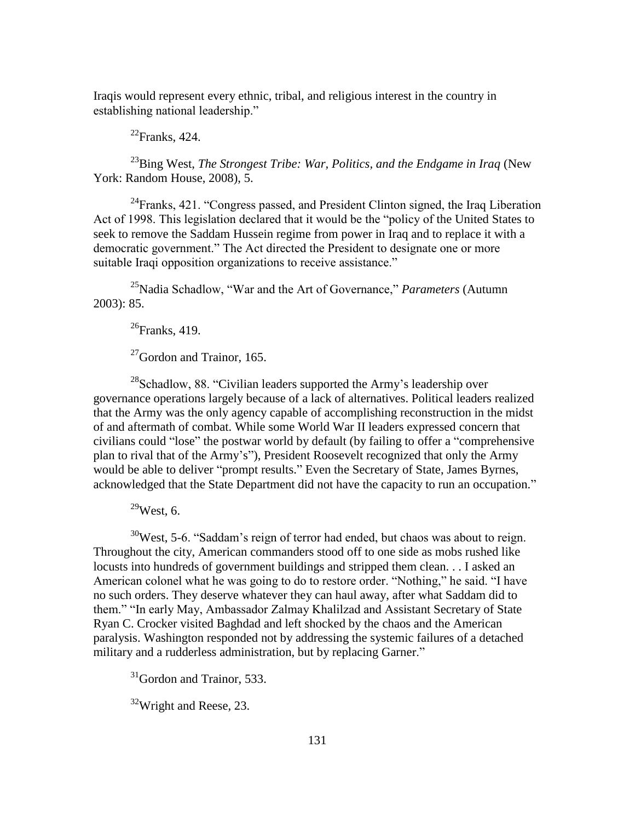Iraqis would represent every ethnic, tribal, and religious interest in the country in establishing national leadership."

 $^{22}$ Franks, 424.

<sup>23</sup>Bing West, *The Strongest Tribe: War, Politics, and the Endgame in Iraq* (New York: Random House, 2008), 5.

 $^{24}$ Franks, 421. "Congress passed, and President Clinton signed, the Iraq Liberation Act of 1998. This legislation declared that it would be the "policy of the United States to seek to remove the Saddam Hussein regime from power in Iraq and to replace it with a democratic government." The Act directed the President to designate one or more suitable Iraqi opposition organizations to receive assistance."

<sup>25</sup>Nadia Schadlow, "War and the Art of Governance," *Parameters* (Autumn 2003): 85.

 $26$ Franks, 419.

 $^{27}$ Gordon and Trainor, 165.

 $28$ Schadlow, 88. "Civilian leaders supported the Army's leadership over governance operations largely because of a lack of alternatives. Political leaders realized that the Army was the only agency capable of accomplishing reconstruction in the midst of and aftermath of combat. While some World War II leaders expressed concern that civilians could "lose" the postwar world by default (by failing to offer a "comprehensive") plan to rival that of the Army's"), President Roosevelt recognized that only the Army would be able to deliver "prompt results." Even the Secretary of State, James Byrnes, acknowledged that the State Department did not have the capacity to run an occupation."

 $29$ West, 6.

 $30$ West, 5-6. "Saddam's reign of terror had ended, but chaos was about to reign. Throughout the city, American commanders stood off to one side as mobs rushed like locusts into hundreds of government buildings and stripped them clean. . . I asked an American colonel what he was going to do to restore order. "Nothing," he said. "I have no such orders. They deserve whatever they can haul away, after what Saddam did to them." "In early May, Ambassador Zalmay Khalilzad and Assistant Secretary of State Ryan C. Crocker visited Baghdad and left shocked by the chaos and the American paralysis. Washington responded not by addressing the systemic failures of a detached military and a rudderless administration, but by replacing Garner."

 $31$ Gordon and Trainor, 533.

 $32$ Wright and Reese, 23.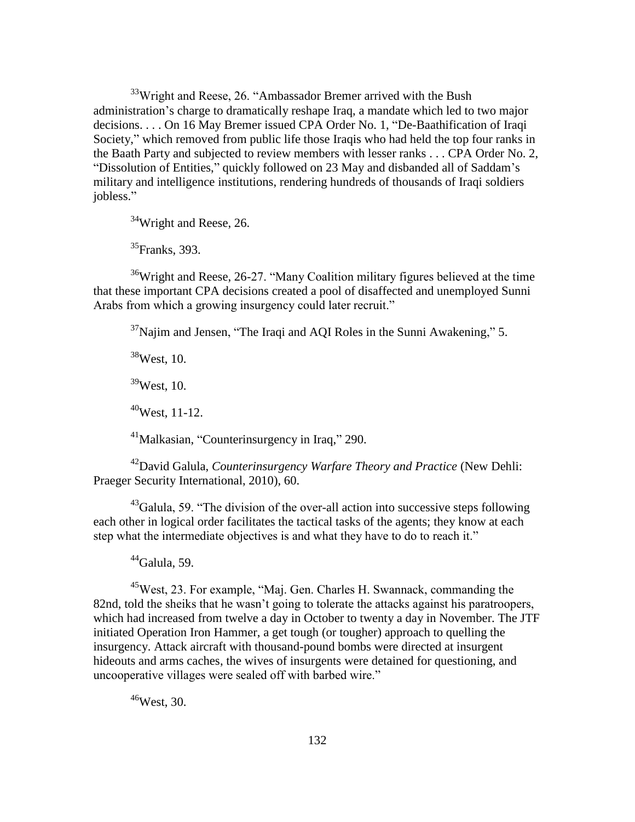$33$ Wright and Reese, 26. "Ambassador Bremer arrived with the Bush administration's charge to dramatically reshape Iraq, a mandate which led to two major decisions. . . . On 16 May Bremer issued CPA Order No. 1, "De-Baathification of Iraqi Society," which removed from public life those Iraqis who had held the top four ranks in the Baath Party and subjected to review members with lesser ranks . . . CPA Order No. 2, "Dissolution of Entities," quickly followed on 23 May and disbanded all of Saddam's military and intelligence institutions, rendering hundreds of thousands of Iraqi soldiers jobless."

 $34$ Wright and Reese, 26.

<sup>35</sup>Franks, 393.

 $36$ Wright and Reese, 26-27. "Many Coalition military figures believed at the time that these important CPA decisions created a pool of disaffected and unemployed Sunni Arabs from which a growing insurgency could later recruit."

 $37$ Najim and Jensen, "The Iraqi and AQI Roles in the Sunni Awakening," 5.

 $38$ West, 10.

 $39$ West, 10.

 $40$ West, 11-12.

 $^{41}$ Malkasian, "Counterinsurgency in Iraq," 290.

<sup>42</sup>David Galula, *Counterinsurgency Warfare Theory and Practice* (New Dehli: Praeger Security International, 2010), 60.

 $^{43}$ Galula, 59. "The division of the over-all action into successive steps following each other in logical order facilitates the tactical tasks of the agents; they know at each step what the intermediate objectives is and what they have to do to reach it."

 $44$ Galula, 59.

<sup>45</sup>West, 23. For example, "Maj. Gen. Charles H. Swannack, commanding the 82nd, told the sheiks that he wasn't going to tolerate the attacks against his paratroopers, which had increased from twelve a day in October to twenty a day in November. The JTF initiated Operation Iron Hammer, a get tough (or tougher) approach to quelling the insurgency. Attack aircraft with thousand-pound bombs were directed at insurgent hideouts and arms caches, the wives of insurgents were detained for questioning, and uncooperative villages were sealed off with barbed wire."

<sup>46</sup>West, 30.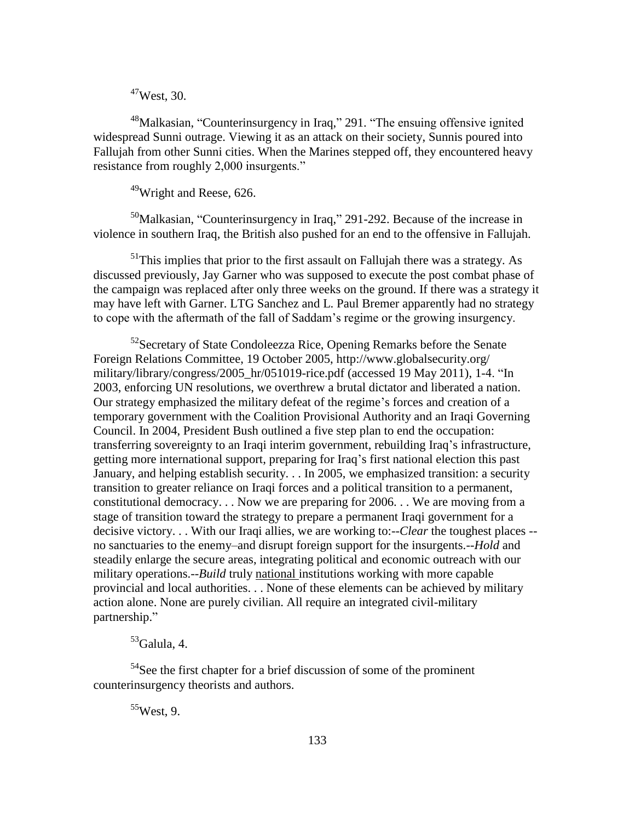<sup>47</sup>West, 30.

 $48$ Malkasian, "Counterinsurgency in Iraq," 291. "The ensuing offensive ignited widespread Sunni outrage. Viewing it as an attack on their society, Sunnis poured into Fallujah from other Sunni cities. When the Marines stepped off, they encountered heavy resistance from roughly 2,000 insurgents."

<sup>49</sup>Wright and Reese, 626.

 $50$ Malkasian, "Counterinsurgency in Iraq," 291-292. Because of the increase in violence in southern Iraq, the British also pushed for an end to the offensive in Fallujah.

 $<sup>51</sup>$ This implies that prior to the first assault on Fallujah there was a strategy. As</sup> discussed previously, Jay Garner who was supposed to execute the post combat phase of the campaign was replaced after only three weeks on the ground. If there was a strategy it may have left with Garner. LTG Sanchez and L. Paul Bremer apparently had no strategy to cope with the aftermath of the fall of Saddam's regime or the growing insurgency.

 $52$ Secretary of State Condoleezza Rice, Opening Remarks before the Senate Foreign Relations Committee, 19 October 2005, http://www.globalsecurity.org/ military/library/congress/2005 hr/051019-rice.pdf (accessed 19 May 2011), 1-4.  $\text{H}$ n 2003, enforcing UN resolutions, we overthrew a brutal dictator and liberated a nation. Our strategy emphasized the military defeat of the regime's forces and creation of a temporary government with the Coalition Provisional Authority and an Iraqi Governing Council. In 2004, President Bush outlined a five step plan to end the occupation: transferring sovereignty to an Iraqi interim government, rebuilding Iraq's infrastructure, getting more international support, preparing for Iraq's first national election this past January, and helping establish security. . . In 2005, we emphasized transition: a security transition to greater reliance on Iraqi forces and a political transition to a permanent, constitutional democracy. . . Now we are preparing for 2006. . . We are moving from a stage of transition toward the strategy to prepare a permanent Iraqi government for a decisive victory. . . With our Iraqi allies, we are working to:--*Clear* the toughest places - no sanctuaries to the enemy–and disrupt foreign support for the insurgents.--*Hold* and steadily enlarge the secure areas, integrating political and economic outreach with our military operations.--*Build* truly national institutions working with more capable provincial and local authorities. . . None of these elements can be achieved by military action alone. None are purely civilian. All require an integrated civil-military partnership."

# $53$ Galula, 4.

<sup>54</sup>See the first chapter for a brief discussion of some of the prominent counterinsurgency theorists and authors.

 $55$ West, 9.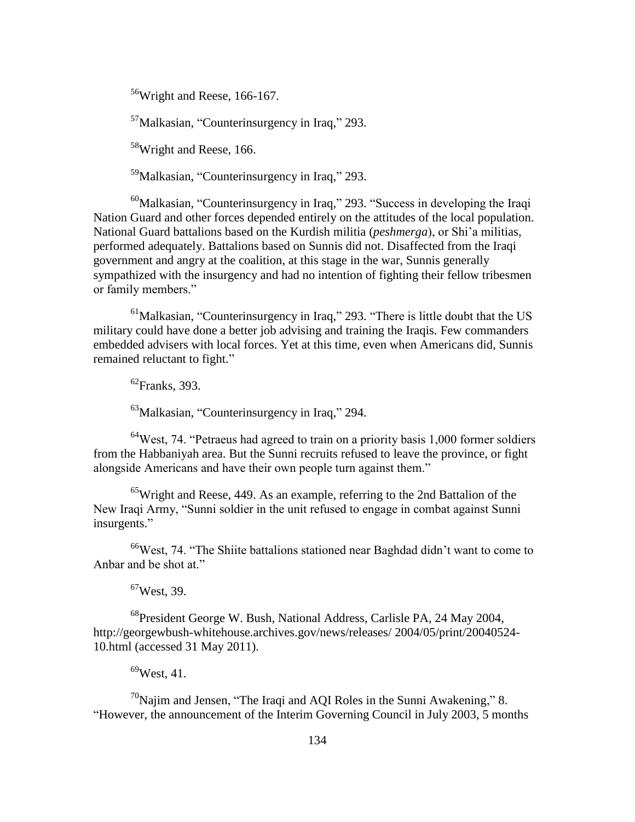<sup>56</sup>Wright and Reese, 166-167.

 $57$ Malkasian, "Counterinsurgency in Iraq," 293.

<sup>58</sup>Wright and Reese, 166.

 $59$ Malkasian, "Counterinsurgency in Iraq," 293.

 $60$ Malkasian, "Counterinsurgency in Iraq," 293. "Success in developing the Iraqi Nation Guard and other forces depended entirely on the attitudes of the local population. National Guard battalions based on the Kurdish militia (*peshmerga*), or Shi'a militias, performed adequately. Battalions based on Sunnis did not. Disaffected from the Iraqi government and angry at the coalition, at this stage in the war, Sunnis generally sympathized with the insurgency and had no intention of fighting their fellow tribesmen or family members."

 $<sup>61</sup>$ Malkasian, "Counterinsurgency in Iraq," 293. "There is little doubt that the US</sup> military could have done a better job advising and training the Iraqis. Few commanders embedded advisers with local forces. Yet at this time, even when Americans did, Sunnis remained reluctant to fight."

 $^{62}$ Franks, 393.

 $^{63}$ Malkasian, "Counterinsurgency in Iraq," 294.

 $64$ West, 74. "Petraeus had agreed to train on a priority basis 1,000 former soldiers from the Habbaniyah area. But the Sunni recruits refused to leave the province, or fight alongside Americans and have their own people turn against them."

 $^{65}$ Wright and Reese, 449. As an example, referring to the 2nd Battalion of the New Iraqi Army, "Sunni soldier in the unit refused to engage in combat against Sunni insurgents."

 $66$ West, 74. "The Shiite battalions stationed near Baghdad didn't want to come to Anbar and be shot at."

 $67$ West, 39.

<sup>68</sup>President George W. Bush, National Address, Carlisle PA, 24 May 2004, http://georgewbush-whitehouse.archives.gov/news/releases/ 2004/05/print/20040524- 10.html (accessed 31 May 2011).

 $69$ West, 41.

 $^{70}$ Najim and Jensen, "The Iraqi and AQI Roles in the Sunni Awakening," 8. "However, the announcement of the Interim Governing Council in July 2003, 5 months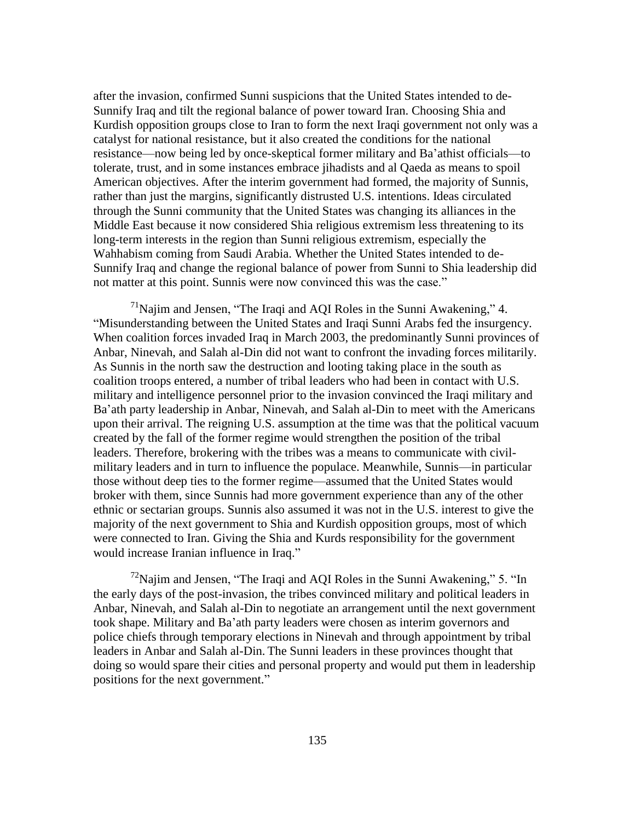after the invasion, confirmed Sunni suspicions that the United States intended to de-Sunnify Iraq and tilt the regional balance of power toward Iran. Choosing Shia and Kurdish opposition groups close to Iran to form the next Iraqi government not only was a catalyst for national resistance, but it also created the conditions for the national resistance—now being led by once-skeptical former military and Ba'athist officials—to tolerate, trust, and in some instances embrace jihadists and al Qaeda as means to spoil American objectives. After the interim government had formed, the majority of Sunnis, rather than just the margins, significantly distrusted U.S. intentions. Ideas circulated through the Sunni community that the United States was changing its alliances in the Middle East because it now considered Shia religious extremism less threatening to its long-term interests in the region than Sunni religious extremism, especially the Wahhabism coming from Saudi Arabia. Whether the United States intended to de-Sunnify Iraq and change the regional balance of power from Sunni to Shia leadership did not matter at this point. Sunnis were now convinced this was the case."

 $171$ Najim and Jensen, "The Iraqi and AQI Roles in the Sunni Awakening," 4. ―Misunderstanding between the United States and Iraqi Sunni Arabs fed the insurgency. When coalition forces invaded Iraq in March 2003, the predominantly Sunni provinces of Anbar, Ninevah, and Salah al-Din did not want to confront the invading forces militarily. As Sunnis in the north saw the destruction and looting taking place in the south as coalition troops entered, a number of tribal leaders who had been in contact with U.S. military and intelligence personnel prior to the invasion convinced the Iraqi military and Ba'ath party leadership in Anbar, Ninevah, and Salah al-Din to meet with the Americans upon their arrival. The reigning U.S. assumption at the time was that the political vacuum created by the fall of the former regime would strengthen the position of the tribal leaders. Therefore, brokering with the tribes was a means to communicate with civilmilitary leaders and in turn to influence the populace. Meanwhile, Sunnis—in particular those without deep ties to the former regime—assumed that the United States would broker with them, since Sunnis had more government experience than any of the other ethnic or sectarian groups. Sunnis also assumed it was not in the U.S. interest to give the majority of the next government to Shia and Kurdish opposition groups, most of which were connected to Iran. Giving the Shia and Kurds responsibility for the government would increase Iranian influence in Iraq."

 $^{72}$ Najim and Jensen, "The Iraqi and AQI Roles in the Sunni Awakening," 5. "In the early days of the post-invasion, the tribes convinced military and political leaders in Anbar, Ninevah, and Salah al-Din to negotiate an arrangement until the next government took shape. Military and Ba'ath party leaders were chosen as interim governors and police chiefs through temporary elections in Ninevah and through appointment by tribal leaders in Anbar and Salah al-Din. The Sunni leaders in these provinces thought that doing so would spare their cities and personal property and would put them in leadership positions for the next government."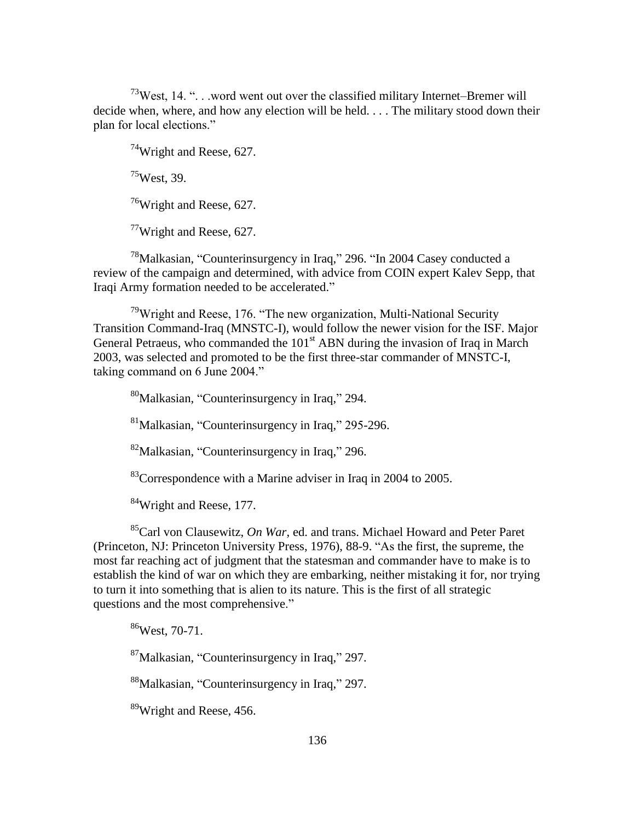$73$ West, 14. "... word went out over the classified military Internet–Bremer will decide when, where, and how any election will be held. . . . The military stood down their plan for local elections."

 $74$ Wright and Reese, 627.  $^{75}$ West, 39. <sup>76</sup>Wright and Reese, 627.

 $77$ Wright and Reese, 627.

 $78$ Malkasian, "Counterinsurgency in Iraq," 296. "In 2004 Casey conducted a review of the campaign and determined, with advice from COIN expert Kalev Sepp, that Iraqi Army formation needed to be accelerated."

 $79$ Wright and Reese, 176. "The new organization, Multi-National Security Transition Command-Iraq (MNSTC-I), would follow the newer vision for the ISF. Major General Petraeus, who commanded the 101<sup>st</sup> ABN during the invasion of Iraq in March 2003, was selected and promoted to be the first three-star commander of MNSTC-I, taking command on 6 June 2004."

 $\rm{^{80}Malkasian}$ , "Counterinsurgency in Iraq," 294.

 ${}^{81}$ Malkasian, "Counterinsurgency in Iraq," 295-296.

 ${}^{82}$ Malkasian, "Counterinsurgency in Iraq," 296.

 $83^{\circ}$ Correspondence with a Marine adviser in Iraq in 2004 to 2005.

<sup>84</sup>Wright and Reese, 177.

<sup>85</sup>Carl von Clausewitz, *On War*, ed. and trans. Michael Howard and Peter Paret (Princeton, NJ: Princeton University Press, 1976), 88-9. "As the first, the supreme, the most far reaching act of judgment that the statesman and commander have to make is to establish the kind of war on which they are embarking, neither mistaking it for, nor trying to turn it into something that is alien to its nature. This is the first of all strategic questions and the most comprehensive."

<sup>86</sup>West, 70-71.

 $87$ Malkasian, "Counterinsurgency in Iraq," 297.

 $88$ Malkasian, "Counterinsurgency in Iraq," 297.

<sup>89</sup>Wright and Reese, 456.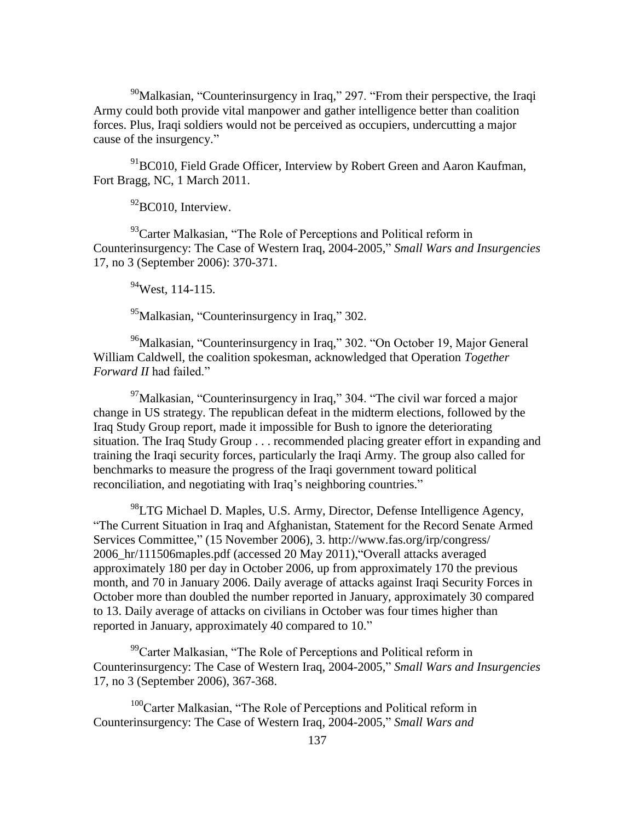$90$ Malkasian, "Counterinsurgency in Iraq," 297. "From their perspective, the Iraqi Army could both provide vital manpower and gather intelligence better than coalition forces. Plus, Iraqi soldiers would not be perceived as occupiers, undercutting a major cause of the insurgency."

 $91$ BC010, Field Grade Officer, Interview by Robert Green and Aaron Kaufman, Fort Bragg, NC, 1 March 2011.

 $92$ BC010, Interview.

93 Carter Malkasian, "The Role of Perceptions and Political reform in Counterinsurgency: The Case of Western Iraq, 2004-2005," *Small Wars and Insurgencies* 17, no 3 (September 2006): 370-371.

 $^{94}$ West, 114-115.

 $^{95}$ Malkasian, "Counterinsurgency in Iraq," 302.

<sup>96</sup>Malkasian, "Counterinsurgency in Iraq," 302. "On October 19, Major General William Caldwell, the coalition spokesman, acknowledged that Operation *Together Forward II* had failed."

 $^{97}$ Malkasian, "Counterinsurgency in Iraq," 304. "The civil war forced a major change in US strategy. The republican defeat in the midterm elections, followed by the Iraq Study Group report, made it impossible for Bush to ignore the deteriorating situation. The Iraq Study Group . . . recommended placing greater effort in expanding and training the Iraqi security forces, particularly the Iraqi Army. The group also called for benchmarks to measure the progress of the Iraqi government toward political reconciliation, and negotiating with Iraq's neighboring countries."

<sup>98</sup>LTG Michael D. Maples, U.S. Army, Director, Defense Intelligence Agency, ―The Current Situation in Iraq and Afghanistan, Statement for the Record Senate Armed Services Committee," (15 November 2006), 3. http://www.fas.org/irp/congress/ 2006 hr/111506maples.pdf (accessed 20 May 2011), "Overall attacks averaged approximately 180 per day in October 2006, up from approximately 170 the previous month, and 70 in January 2006. Daily average of attacks against Iraqi Security Forces in October more than doubled the number reported in January, approximately 30 compared to 13. Daily average of attacks on civilians in October was four times higher than reported in January, approximately 40 compared to 10."

 $99^{\circ}$ Carter Malkasian, "The Role of Perceptions and Political reform in Counterinsurgency: The Case of Western Iraq, 2004-2005," Small Wars and Insurgencies 17, no 3 (September 2006), 367-368.

 $100$ Carter Malkasian, "The Role of Perceptions and Political reform in Counterinsurgency: The Case of Western Iraq, 2004-2005," Small Wars and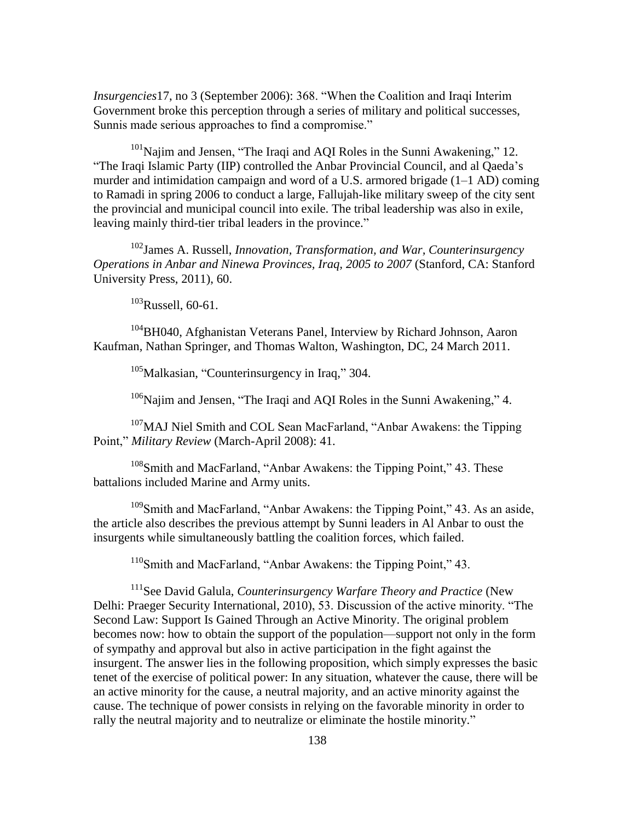*Insurgencies* 17, no 3 (September 2006): 368. "When the Coalition and Iraqi Interim Government broke this perception through a series of military and political successes, Sunnis made serious approaches to find a compromise."

 $101$ Najim and Jensen, "The Iraqi and AQI Roles in the Sunni Awakening," 12. ―The Iraqi Islamic Party (IIP) controlled the Anbar Provincial Council, and al Qaeda's murder and intimidation campaign and word of a U.S. armored brigade (1–1 AD) coming to Ramadi in spring 2006 to conduct a large, Fallujah-like military sweep of the city sent the provincial and municipal council into exile. The tribal leadership was also in exile, leaving mainly third-tier tribal leaders in the province."

<sup>102</sup>James A. Russell, *Innovation, Transformation, and War, Counterinsurgency Operations in Anbar and Ninewa Provinces, Iraq, 2005 to 2007* (Stanford, CA: Stanford University Press, 2011), 60.

 $103$ Russell, 60-61.

<sup>104</sup>BH040, Afghanistan Veterans Panel, Interview by Richard Johnson, Aaron Kaufman, Nathan Springer, and Thomas Walton, Washington, DC, 24 March 2011.

 $105$ Malkasian, "Counterinsurgency in Iraq," 304.

 $106$ Najim and Jensen, "The Iraqi and AQI Roles in the Sunni Awakening," 4.

<sup>107</sup>MAJ Niel Smith and COL Sean MacFarland, "Anbar Awakens: the Tipping Point," *Military Review* (March-April 2008): 41.

 $108$ Smith and MacFarland, "Anbar Awakens: the Tipping Point," 43. These battalions included Marine and Army units.

 $109$ Smith and MacFarland, "Anbar Awakens: the Tipping Point," 43. As an aside, the article also describes the previous attempt by Sunni leaders in Al Anbar to oust the insurgents while simultaneously battling the coalition forces, which failed.

 $110$ Smith and MacFarland, "Anbar Awakens: the Tipping Point," 43.

<sup>111</sup>See David Galula, *Counterinsurgency Warfare Theory and Practice* (New Delhi: Praeger Security International, 2010), 53. Discussion of the active minority. "The Second Law: Support Is Gained Through an Active Minority. The original problem becomes now: how to obtain the support of the population—support not only in the form of sympathy and approval but also in active participation in the fight against the insurgent. The answer lies in the following proposition, which simply expresses the basic tenet of the exercise of political power: In any situation, whatever the cause, there will be an active minority for the cause, a neutral majority, and an active minority against the cause. The technique of power consists in relying on the favorable minority in order to rally the neutral majority and to neutralize or eliminate the hostile minority."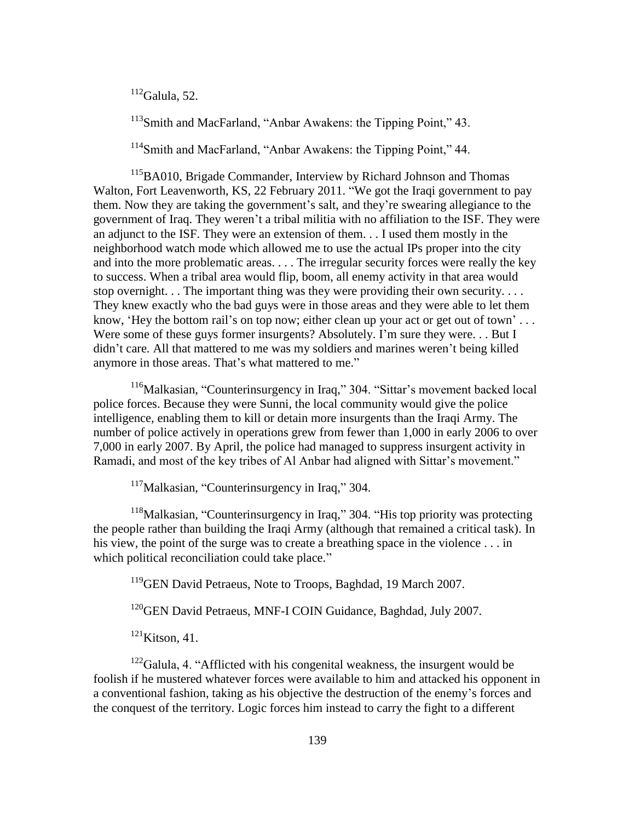$112$ Galula, 52.

 $113$ Smith and MacFarland, "Anbar Awakens: the Tipping Point," 43.

<sup>114</sup>Smith and MacFarland, "Anbar Awakens: the Tipping Point," 44.

<sup>115</sup>BA010, Brigade Commander, Interview by Richard Johnson and Thomas Walton, Fort Leavenworth, KS, 22 February 2011. "We got the Iraqi government to pay them. Now they are taking the government's salt, and they're swearing allegiance to the government of Iraq. They weren't a tribal militia with no affiliation to the ISF. They were an adjunct to the ISF. They were an extension of them. . . I used them mostly in the neighborhood watch mode which allowed me to use the actual IPs proper into the city and into the more problematic areas. . . . The irregular security forces were really the key to success. When a tribal area would flip, boom, all enemy activity in that area would stop overnight. . . The important thing was they were providing their own security. . . . They knew exactly who the bad guys were in those areas and they were able to let them know, 'Hey the bottom rail's on top now; either clean up your act or get out of town'... Were some of these guys former insurgents? Absolutely. I'm sure they were... But I didn't care. All that mattered to me was my soldiers and marines weren't being killed anymore in those areas. That's what mattered to me."

 $116$ Malkasian, "Counterinsurgency in Iraq," 304. "Sittar's movement backed local police forces. Because they were Sunni, the local community would give the police intelligence, enabling them to kill or detain more insurgents than the Iraqi Army. The number of police actively in operations grew from fewer than 1,000 in early 2006 to over 7,000 in early 2007. By April, the police had managed to suppress insurgent activity in Ramadi, and most of the key tribes of Al Anbar had aligned with Sittar's movement."

 $117$ Malkasian, "Counterinsurgency in Iraq," 304.

 $118$ Malkasian, "Counterinsurgency in Iraq," 304. "His top priority was protecting the people rather than building the Iraqi Army (although that remained a critical task). In his view, the point of the surge was to create a breathing space in the violence . . . in which political reconciliation could take place."

<sup>119</sup>GEN David Petraeus, Note to Troops, Baghdad, 19 March 2007.

<sup>120</sup>GEN David Petraeus, MNF-I COIN Guidance, Baghdad, July 2007.

 $121$ Kitson, 41.

 $122$ Galula, 4. "Afflicted with his congenital weakness, the insurgent would be foolish if he mustered whatever forces were available to him and attacked his opponent in a conventional fashion, taking as his objective the destruction of the enemy's forces and the conquest of the territory. Logic forces him instead to carry the fight to a different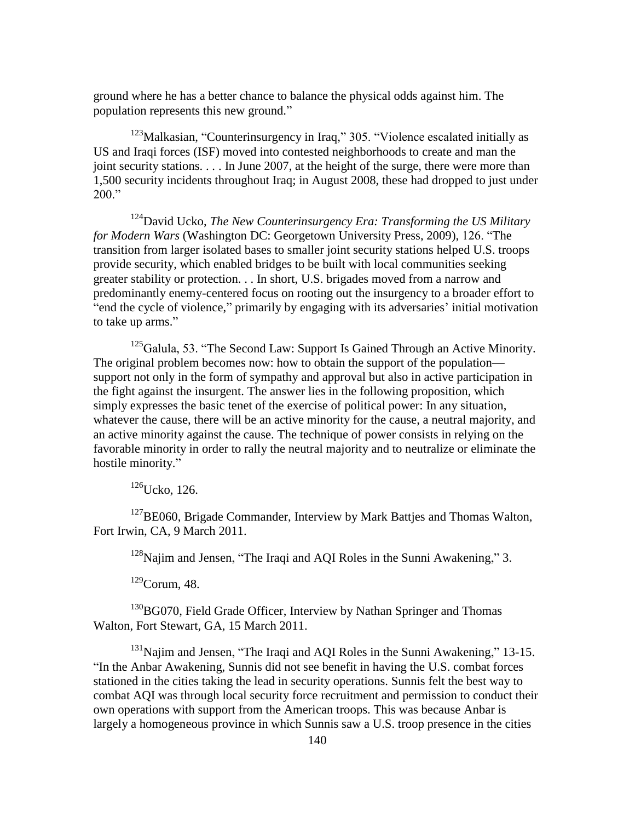ground where he has a better chance to balance the physical odds against him. The population represents this new ground."

 $123$ Malkasian, "Counterinsurgency in Iraq," 305. "Violence escalated initially as US and Iraqi forces (ISF) moved into contested neighborhoods to create and man the joint security stations. . . . In June 2007, at the height of the surge, there were more than 1,500 security incidents throughout Iraq; in August 2008, these had dropped to just under  $200."$ 

<sup>124</sup>David Ucko, *The New Counterinsurgency Era: Transforming the US Military for Modern Wars* (Washington DC: Georgetown University Press, 2009), 126. "The transition from larger isolated bases to smaller joint security stations helped U.S. troops provide security, which enabled bridges to be built with local communities seeking greater stability or protection. . . In short, U.S. brigades moved from a narrow and predominantly enemy-centered focus on rooting out the insurgency to a broader effort to "end the cycle of violence," primarily by engaging with its adversaries' initial motivation to take up arms."

 $125$ Galula, 53. "The Second Law: Support Is Gained Through an Active Minority. The original problem becomes now: how to obtain the support of the population support not only in the form of sympathy and approval but also in active participation in the fight against the insurgent. The answer lies in the following proposition, which simply expresses the basic tenet of the exercise of political power: In any situation, whatever the cause, there will be an active minority for the cause, a neutral majority, and an active minority against the cause. The technique of power consists in relying on the favorable minority in order to rally the neutral majority and to neutralize or eliminate the hostile minority."

<sup>126</sup>Ucko, 126.

<sup>127</sup>BE060, Brigade Commander, Interview by Mark Battjes and Thomas Walton, Fort Irwin, CA, 9 March 2011.

 $128$ Najim and Jensen, "The Iraqi and AQI Roles in the Sunni Awakening," 3.

 $129$ Corum, 48.

<sup>130</sup>BG070, Field Grade Officer, Interview by Nathan Springer and Thomas Walton, Fort Stewart, GA, 15 March 2011.

 $131$ Najim and Jensen, "The Iraqi and AQI Roles in the Sunni Awakening," 13-15. "In the Anbar Awakening, Sunnis did not see benefit in having the U.S. combat forces stationed in the cities taking the lead in security operations. Sunnis felt the best way to combat AQI was through local security force recruitment and permission to conduct their own operations with support from the American troops. This was because Anbar is largely a homogeneous province in which Sunnis saw a U.S. troop presence in the cities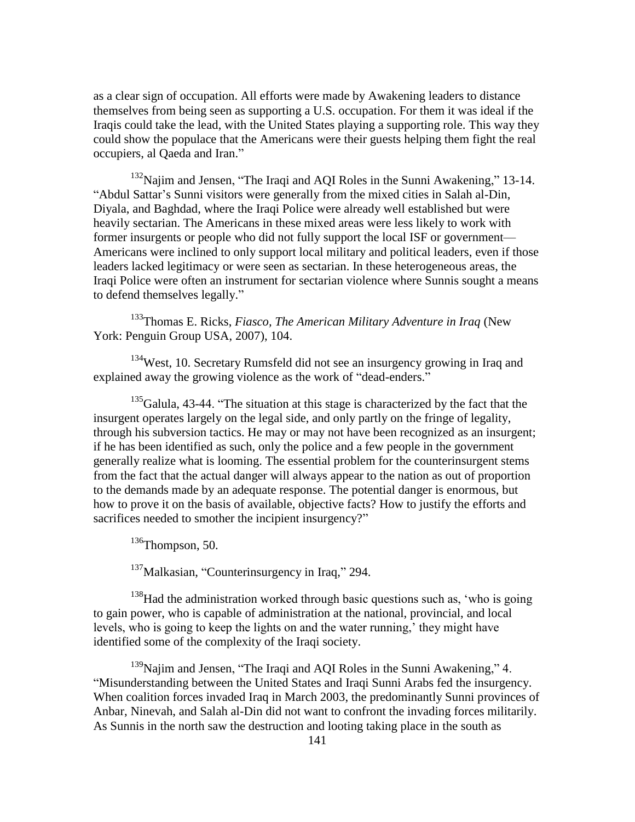as a clear sign of occupation. All efforts were made by Awakening leaders to distance themselves from being seen as supporting a U.S. occupation. For them it was ideal if the Iraqis could take the lead, with the United States playing a supporting role. This way they could show the populace that the Americans were their guests helping them fight the real occupiers, al Qaeda and Iran."

 $132$ Najim and Jensen, "The Iraqi and AQI Roles in the Sunni Awakening," 13-14. ―Abdul Sattar's Sunni visitors were generally from the mixed cities in Salah al-Din, Diyala, and Baghdad, where the Iraqi Police were already well established but were heavily sectarian. The Americans in these mixed areas were less likely to work with former insurgents or people who did not fully support the local ISF or government— Americans were inclined to only support local military and political leaders, even if those leaders lacked legitimacy or were seen as sectarian. In these heterogeneous areas, the Iraqi Police were often an instrument for sectarian violence where Sunnis sought a means to defend themselves legally."

<sup>133</sup>Thomas E. Ricks, *Fiasco, The American Military Adventure in Iraq* (New York: Penguin Group USA, 2007), 104.

<sup>134</sup>West, 10. Secretary Rumsfeld did not see an insurgency growing in Iraq and explained away the growing violence as the work of "dead-enders."

 $135$ Galula, 43-44. "The situation at this stage is characterized by the fact that the insurgent operates largely on the legal side, and only partly on the fringe of legality, through his subversion tactics. He may or may not have been recognized as an insurgent; if he has been identified as such, only the police and a few people in the government generally realize what is looming. The essential problem for the counterinsurgent stems from the fact that the actual danger will always appear to the nation as out of proportion to the demands made by an adequate response. The potential danger is enormous, but how to prove it on the basis of available, objective facts? How to justify the efforts and sacrifices needed to smother the incipient insurgency?"

<sup>136</sup>Thompson, 50.

 $137$ Malkasian, "Counterinsurgency in Iraq," 294.

 $138$ Had the administration worked through basic questions such as, 'who is going to gain power, who is capable of administration at the national, provincial, and local levels, who is going to keep the lights on and the water running,' they might have identified some of the complexity of the Iraqi society.

 $139$ Najim and Jensen, "The Iraqi and AQI Roles in the Sunni Awakening," 4. ―Misunderstanding between the United States and Iraqi Sunni Arabs fed the insurgency. When coalition forces invaded Iraq in March 2003, the predominantly Sunni provinces of Anbar, Ninevah, and Salah al-Din did not want to confront the invading forces militarily. As Sunnis in the north saw the destruction and looting taking place in the south as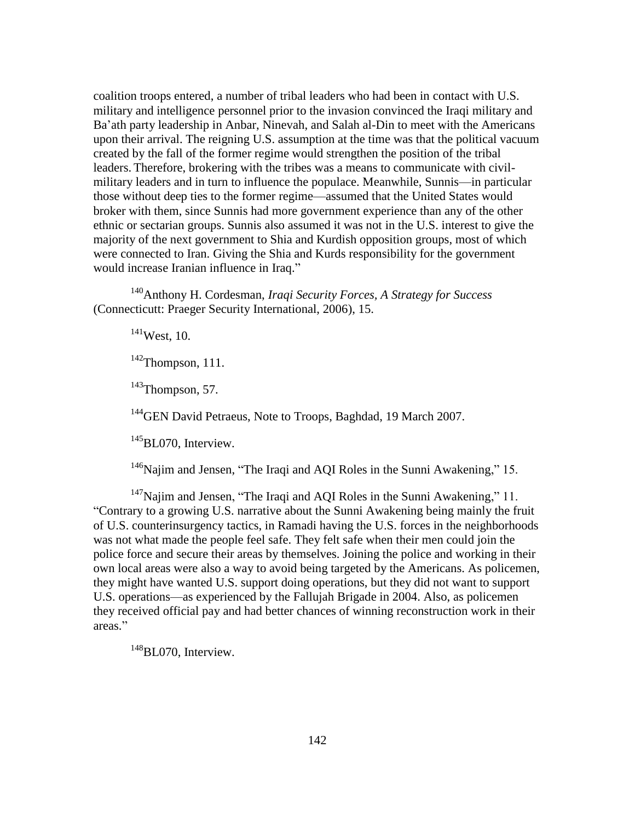coalition troops entered, a number of tribal leaders who had been in contact with U.S. military and intelligence personnel prior to the invasion convinced the Iraqi military and Ba'ath party leadership in Anbar, Ninevah, and Salah al-Din to meet with the Americans upon their arrival. The reigning U.S. assumption at the time was that the political vacuum created by the fall of the former regime would strengthen the position of the tribal leaders. Therefore, brokering with the tribes was a means to communicate with civilmilitary leaders and in turn to influence the populace. Meanwhile, Sunnis—in particular those without deep ties to the former regime—assumed that the United States would broker with them, since Sunnis had more government experience than any of the other ethnic or sectarian groups. Sunnis also assumed it was not in the U.S. interest to give the majority of the next government to Shia and Kurdish opposition groups, most of which were connected to Iran. Giving the Shia and Kurds responsibility for the government would increase Iranian influence in Iraq."

<sup>140</sup>Anthony H. Cordesman, *Iraqi Security Forces, A Strategy for Success* (Connecticutt: Praeger Security International, 2006), 15.

<sup>141</sup>West, 10.

 $142$ Thompson, 111.

<sup>143</sup>Thompson, 57.

<sup>144</sup>GEN David Petraeus, Note to Troops, Baghdad, 19 March 2007.

<sup>145</sup>BL070, Interview.

 $146$ Najim and Jensen, "The Iraqi and AQI Roles in the Sunni Awakening," 15.

 $147$ Najim and Jensen, "The Iraqi and AQI Roles in the Sunni Awakening," 11. ―Contrary to a growing U.S. narrative about the Sunni Awakening being mainly the fruit of U.S. counterinsurgency tactics, in Ramadi having the U.S. forces in the neighborhoods was not what made the people feel safe. They felt safe when their men could join the police force and secure their areas by themselves. Joining the police and working in their own local areas were also a way to avoid being targeted by the Americans. As policemen, they might have wanted U.S. support doing operations, but they did not want to support U.S. operations—as experienced by the Fallujah Brigade in 2004. Also, as policemen they received official pay and had better chances of winning reconstruction work in their areas."

<sup>148</sup>BL070, Interview.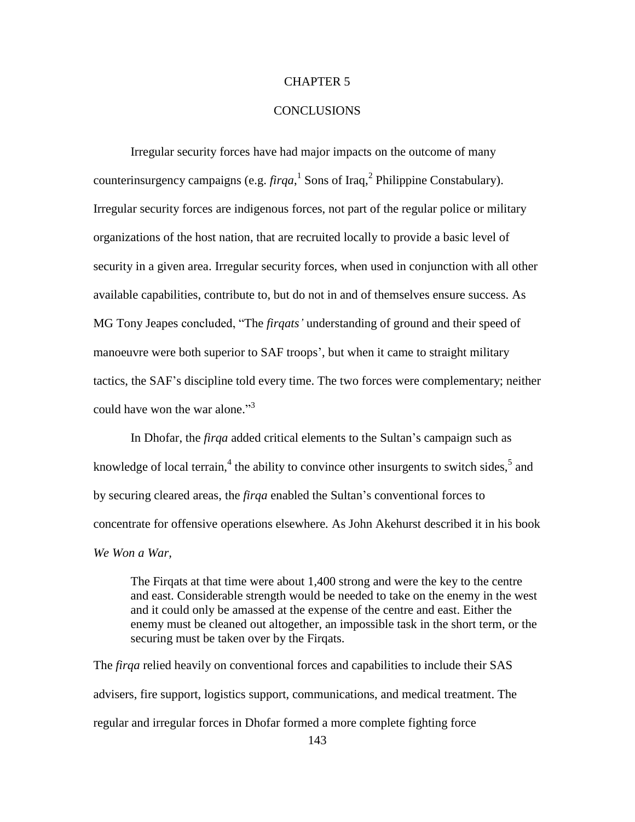# CHAPTER 5

# CONCLUSIONS

Irregular security forces have had major impacts on the outcome of many counterinsurgency campaigns (e.g.  $firqa$ ,  $\frac{1}{2}$  Sons of Iraq,  $\frac{2}{3}$  Philippine Constabulary). Irregular security forces are indigenous forces, not part of the regular police or military organizations of the host nation, that are recruited locally to provide a basic level of security in a given area. Irregular security forces, when used in conjunction with all other available capabilities, contribute to, but do not in and of themselves ensure success. As MG Tony Jeapes concluded, "The *firqats'* understanding of ground and their speed of manoeuvre were both superior to SAF troops', but when it came to straight military tactics, the SAF's discipline told every time. The two forces were complementary; neither could have won the war alone."<sup>3</sup>

In Dhofar, the *firqa* added critical elements to the Sultan's campaign such as knowledge of local terrain,<sup>4</sup> the ability to convince other insurgents to switch sides,<sup>5</sup> and by securing cleared areas, the *firqa* enabled the Sultan's conventional forces to concentrate for offensive operations elsewhere. As John Akehurst described it in his book *We Won a War,*

The Firqats at that time were about 1,400 strong and were the key to the centre and east. Considerable strength would be needed to take on the enemy in the west and it could only be amassed at the expense of the centre and east. Either the enemy must be cleaned out altogether, an impossible task in the short term, or the securing must be taken over by the Firqats.

The *firqa* relied heavily on conventional forces and capabilities to include their SAS advisers, fire support, logistics support, communications, and medical treatment. The regular and irregular forces in Dhofar formed a more complete fighting force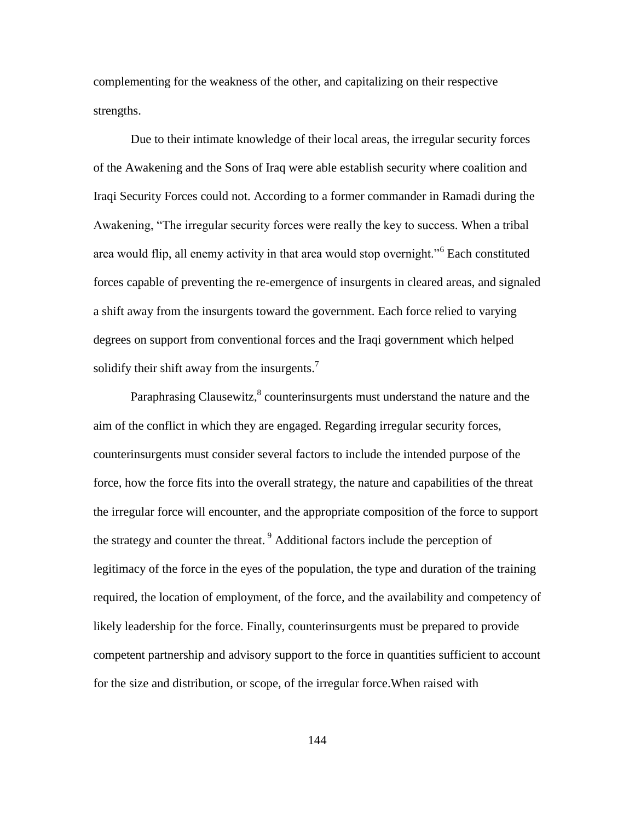complementing for the weakness of the other, and capitalizing on their respective strengths.

Due to their intimate knowledge of their local areas, the irregular security forces of the Awakening and the Sons of Iraq were able establish security where coalition and Iraqi Security Forces could not. According to a former commander in Ramadi during the Awakening, "The irregular security forces were really the key to success. When a tribal area would flip, all enemy activity in that area would stop overnight."<sup>6</sup> Each constituted forces capable of preventing the re-emergence of insurgents in cleared areas, and signaled a shift away from the insurgents toward the government. Each force relied to varying degrees on support from conventional forces and the Iraqi government which helped solidify their shift away from the insurgents.<sup>7</sup>

Paraphrasing Clausewitz, $^8$  counterinsurgents must understand the nature and the aim of the conflict in which they are engaged. Regarding irregular security forces, counterinsurgents must consider several factors to include the intended purpose of the force, how the force fits into the overall strategy, the nature and capabilities of the threat the irregular force will encounter, and the appropriate composition of the force to support the strategy and counter the threat.<sup>9</sup> Additional factors include the perception of legitimacy of the force in the eyes of the population, the type and duration of the training required, the location of employment, of the force, and the availability and competency of likely leadership for the force. Finally, counterinsurgents must be prepared to provide competent partnership and advisory support to the force in quantities sufficient to account for the size and distribution, or scope, of the irregular force.When raised with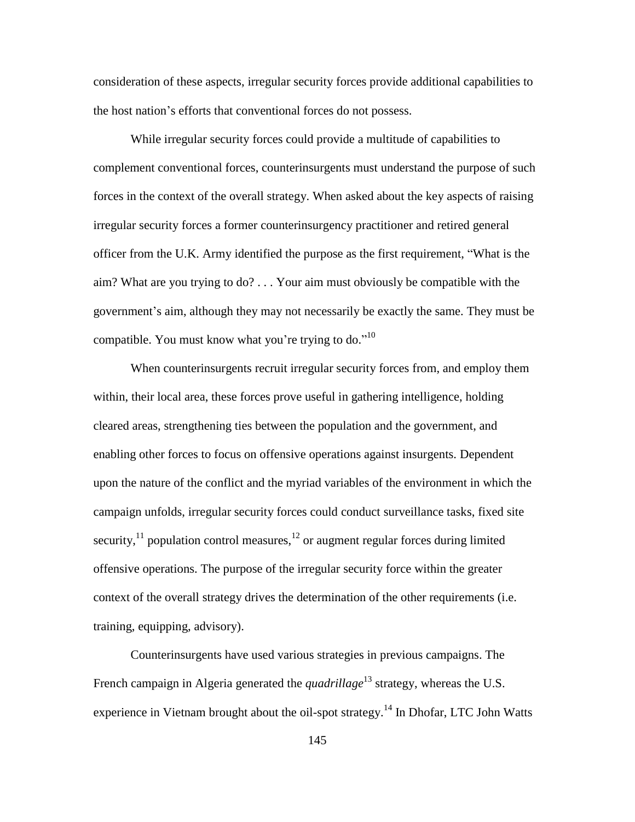consideration of these aspects, irregular security forces provide additional capabilities to the host nation's efforts that conventional forces do not possess.

While irregular security forces could provide a multitude of capabilities to complement conventional forces, counterinsurgents must understand the purpose of such forces in the context of the overall strategy. When asked about the key aspects of raising irregular security forces a former counterinsurgency practitioner and retired general officer from the U.K. Army identified the purpose as the first requirement, "What is the aim? What are you trying to do? . . . Your aim must obviously be compatible with the government's aim, although they may not necessarily be exactly the same. They must be compatible. You must know what you're trying to do."<sup>10</sup>

When counterinsurgents recruit irregular security forces from, and employ them within, their local area, these forces prove useful in gathering intelligence, holding cleared areas, strengthening ties between the population and the government, and enabling other forces to focus on offensive operations against insurgents. Dependent upon the nature of the conflict and the myriad variables of the environment in which the campaign unfolds, irregular security forces could conduct surveillance tasks, fixed site security, $^{11}$  population control measures, $^{12}$  or augment regular forces during limited offensive operations. The purpose of the irregular security force within the greater context of the overall strategy drives the determination of the other requirements (i.e. training, equipping, advisory).

Counterinsurgents have used various strategies in previous campaigns. The French campaign in Algeria generated the *quadrillage*<sup>13</sup> strategy, whereas the U.S. experience in Vietnam brought about the oil-spot strategy.<sup>14</sup> In Dhofar, LTC John Watts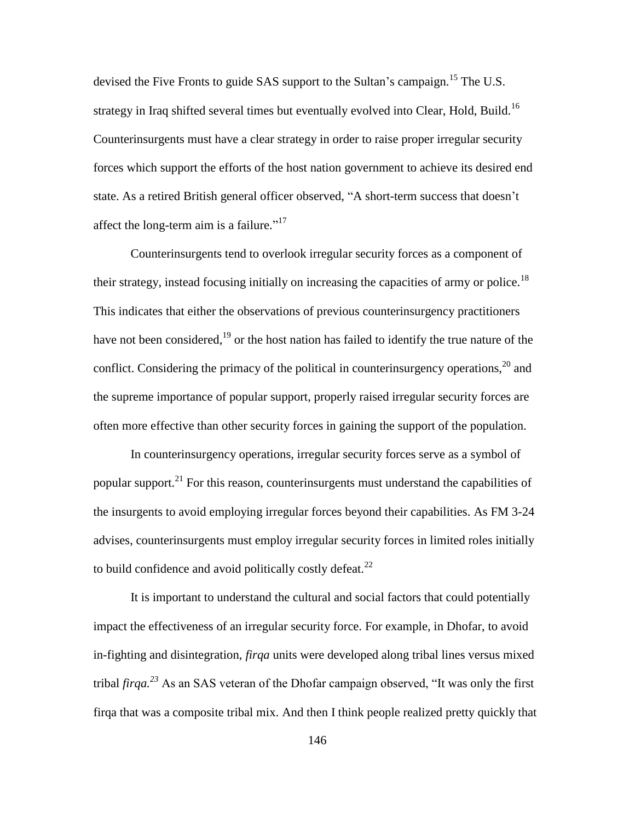devised the Five Fronts to guide SAS support to the Sultan's campaign.<sup>15</sup> The U.S. strategy in Iraq shifted several times but eventually evolved into Clear, Hold, Build.<sup>16</sup> Counterinsurgents must have a clear strategy in order to raise proper irregular security forces which support the efforts of the host nation government to achieve its desired end state. As a retired British general officer observed, "A short-term success that doesn't affect the long-term aim is a failure." $17$ 

Counterinsurgents tend to overlook irregular security forces as a component of their strategy, instead focusing initially on increasing the capacities of army or police.<sup>18</sup> This indicates that either the observations of previous counterinsurgency practitioners have not been considered, $19$  or the host nation has failed to identify the true nature of the conflict. Considering the primacy of the political in counterinsurgency operations,  $^{20}$  and the supreme importance of popular support, properly raised irregular security forces are often more effective than other security forces in gaining the support of the population.

In counterinsurgency operations, irregular security forces serve as a symbol of popular support. $^{21}$  For this reason, counterinsurgents must understand the capabilities of the insurgents to avoid employing irregular forces beyond their capabilities. As FM 3-24 advises, counterinsurgents must employ irregular security forces in limited roles initially to build confidence and avoid politically costly defeat.<sup>22</sup>

It is important to understand the cultural and social factors that could potentially impact the effectiveness of an irregular security force. For example, in Dhofar, to avoid in-fighting and disintegration, *firqa* units were developed along tribal lines versus mixed tribal *firqa.*<sup>23</sup> As an SAS veteran of the Dhofar campaign observed, "It was only the first firqa that was a composite tribal mix. And then I think people realized pretty quickly that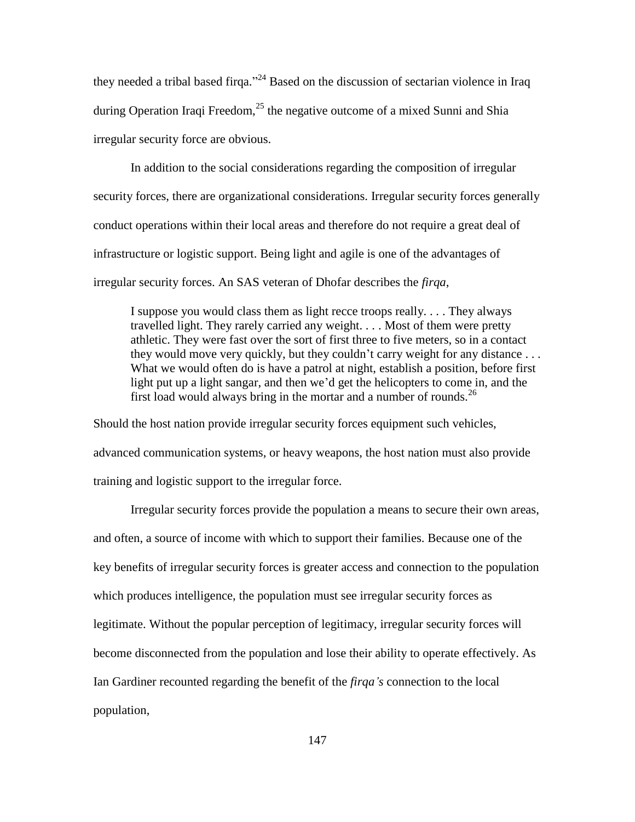they needed a tribal based firqa."<sup>24</sup> Based on the discussion of sectarian violence in Iraq during Operation Iraqi Freedom,  $^{25}$  the negative outcome of a mixed Sunni and Shia irregular security force are obvious.

In addition to the social considerations regarding the composition of irregular security forces, there are organizational considerations. Irregular security forces generally conduct operations within their local areas and therefore do not require a great deal of infrastructure or logistic support. Being light and agile is one of the advantages of irregular security forces. An SAS veteran of Dhofar describes the *firqa*,

I suppose you would class them as light recce troops really. . . . They always travelled light. They rarely carried any weight. . . . Most of them were pretty athletic. They were fast over the sort of first three to five meters, so in a contact they would move very quickly, but they couldn't carry weight for any distance . . . What we would often do is have a patrol at night, establish a position, before first light put up a light sangar, and then we'd get the helicopters to come in, and the first load would always bring in the mortar and a number of rounds.  $^{26}$ 

Should the host nation provide irregular security forces equipment such vehicles, advanced communication systems, or heavy weapons, the host nation must also provide training and logistic support to the irregular force.

Irregular security forces provide the population a means to secure their own areas, and often, a source of income with which to support their families. Because one of the key benefits of irregular security forces is greater access and connection to the population which produces intelligence, the population must see irregular security forces as legitimate. Without the popular perception of legitimacy, irregular security forces will become disconnected from the population and lose their ability to operate effectively. As Ian Gardiner recounted regarding the benefit of the *firqa's* connection to the local population,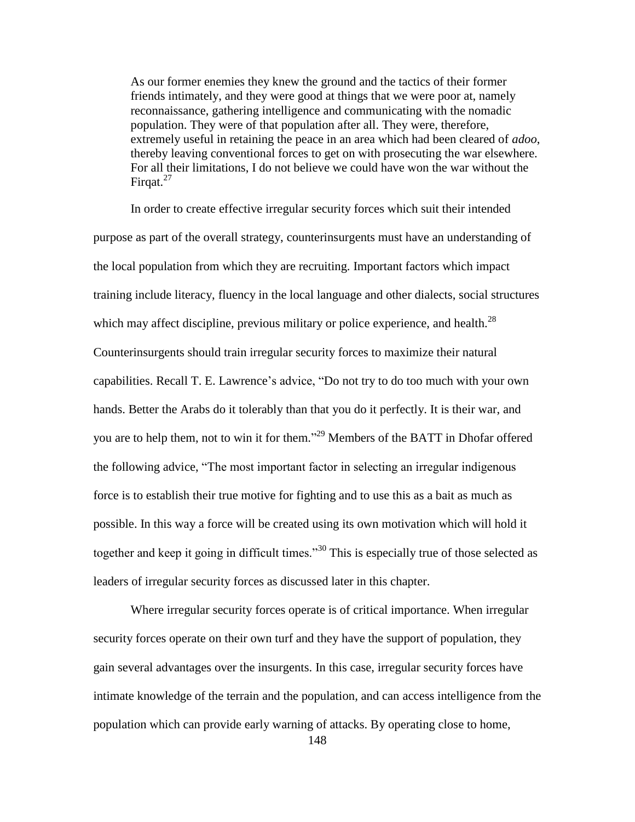As our former enemies they knew the ground and the tactics of their former friends intimately, and they were good at things that we were poor at, namely reconnaissance, gathering intelligence and communicating with the nomadic population. They were of that population after all. They were, therefore, extremely useful in retaining the peace in an area which had been cleared of *adoo*, thereby leaving conventional forces to get on with prosecuting the war elsewhere. For all their limitations, I do not believe we could have won the war without the Firqat. $27$ 

In order to create effective irregular security forces which suit their intended purpose as part of the overall strategy, counterinsurgents must have an understanding of the local population from which they are recruiting. Important factors which impact training include literacy, fluency in the local language and other dialects, social structures which may affect discipline, previous military or police experience, and health. $^{28}$ Counterinsurgents should train irregular security forces to maximize their natural capabilities. Recall T. E. Lawrence's advice, "Do not try to do too much with your own hands. Better the Arabs do it tolerably than that you do it perfectly. It is their war, and you are to help them, not to win it for them."<sup>29</sup> Members of the BATT in Dhofar offered the following advice, "The most important factor in selecting an irregular indigenous force is to establish their true motive for fighting and to use this as a bait as much as possible. In this way a force will be created using its own motivation which will hold it together and keep it going in difficult times.<sup>30</sup> This is especially true of those selected as leaders of irregular security forces as discussed later in this chapter.

Where irregular security forces operate is of critical importance. When irregular security forces operate on their own turf and they have the support of population, they gain several advantages over the insurgents. In this case, irregular security forces have intimate knowledge of the terrain and the population, and can access intelligence from the population which can provide early warning of attacks. By operating close to home,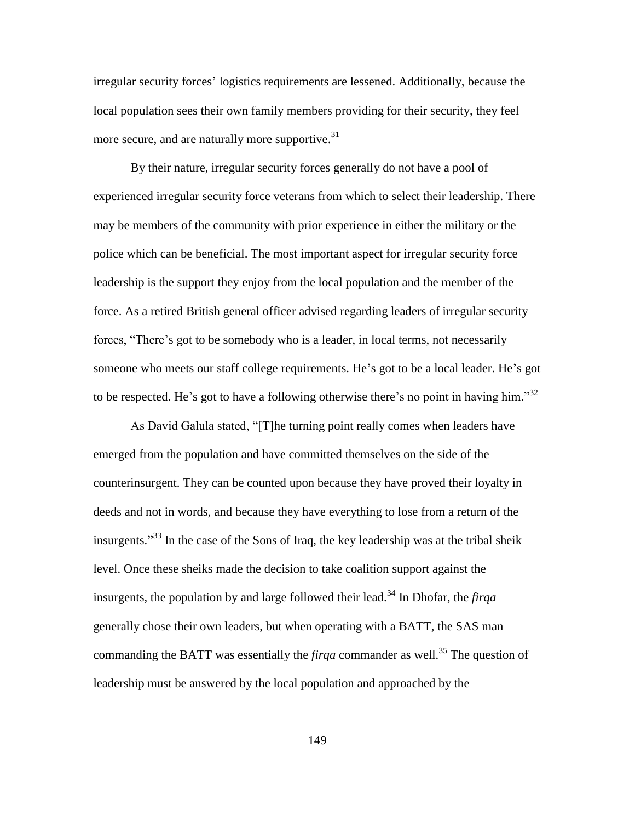irregular security forces' logistics requirements are lessened. Additionally, because the local population sees their own family members providing for their security, they feel more secure, and are naturally more supportive.  $31$ 

By their nature, irregular security forces generally do not have a pool of experienced irregular security force veterans from which to select their leadership. There may be members of the community with prior experience in either the military or the police which can be beneficial. The most important aspect for irregular security force leadership is the support they enjoy from the local population and the member of the force. As a retired British general officer advised regarding leaders of irregular security forces, "There's got to be somebody who is a leader, in local terms, not necessarily someone who meets our staff college requirements. He's got to be a local leader. He's got to be respected. He's got to have a following otherwise there's no point in having him." $32$ 

As David Galula stated, "[T]he turning point really comes when leaders have emerged from the population and have committed themselves on the side of the counterinsurgent. They can be counted upon because they have proved their loyalty in deeds and not in words, and because they have everything to lose from a return of the insurgents."<sup>33</sup> In the case of the Sons of Iraq, the key leadership was at the tribal sheik level. Once these sheiks made the decision to take coalition support against the insurgents, the population by and large followed their lead.<sup>34</sup> In Dhofar, the *firqa* generally chose their own leaders, but when operating with a BATT, the SAS man commanding the BATT was essentially the *firqa* commander as well.<sup>35</sup> The question of leadership must be answered by the local population and approached by the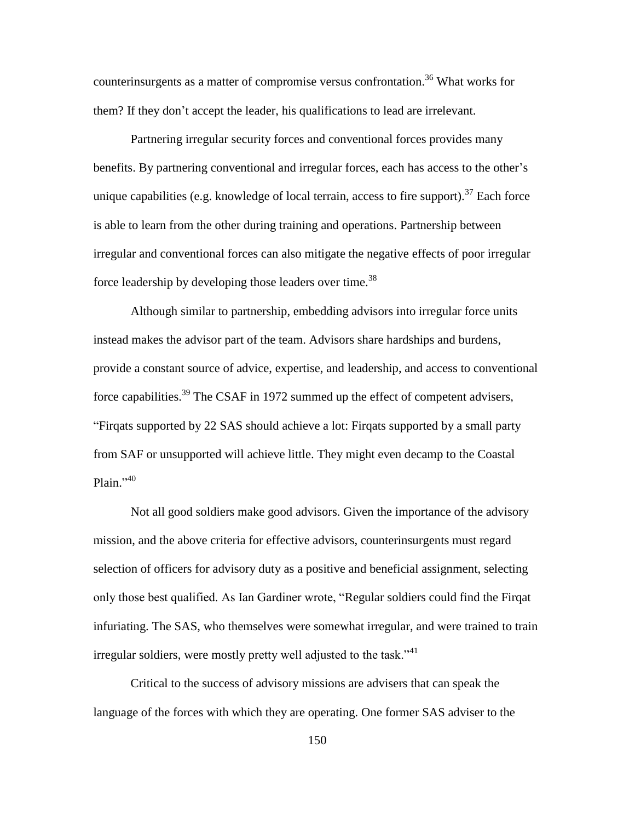counterinsurgents as a matter of compromise versus confrontation. <sup>36</sup> What works for them? If they don't accept the leader, his qualifications to lead are irrelevant.

Partnering irregular security forces and conventional forces provides many benefits. By partnering conventional and irregular forces, each has access to the other's unique capabilities (e.g. knowledge of local terrain, access to fire support).<sup>37</sup> Each force is able to learn from the other during training and operations. Partnership between irregular and conventional forces can also mitigate the negative effects of poor irregular force leadership by developing those leaders over time.<sup>38</sup>

Although similar to partnership, embedding advisors into irregular force units instead makes the advisor part of the team. Advisors share hardships and burdens, provide a constant source of advice, expertise, and leadership, and access to conventional force capabilities.<sup>39</sup> The CSAF in 1972 summed up the effect of competent advisers, ―Firqats supported by 22 SAS should achieve a lot: Firqats supported by a small party from SAF or unsupported will achieve little. They might even decamp to the Coastal Plain."<sup>40</sup>

Not all good soldiers make good advisors. Given the importance of the advisory mission, and the above criteria for effective advisors, counterinsurgents must regard selection of officers for advisory duty as a positive and beneficial assignment, selecting only those best qualified. As Ian Gardiner wrote, "Regular soldiers could find the Firqat infuriating. The SAS, who themselves were somewhat irregular, and were trained to train irregular soldiers, were mostly pretty well adjusted to the task." $41$ 

Critical to the success of advisory missions are advisers that can speak the language of the forces with which they are operating. One former SAS adviser to the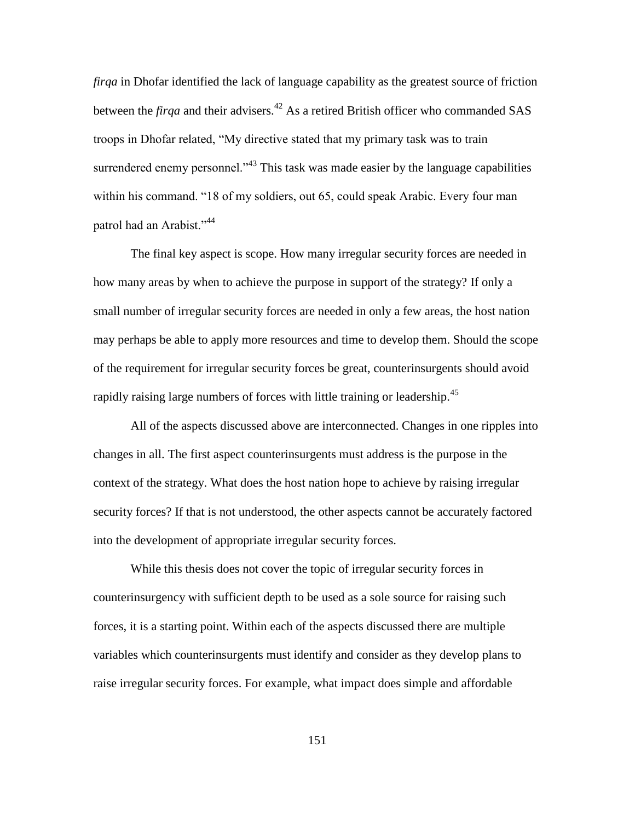*firqa* in Dhofar identified the lack of language capability as the greatest source of friction between the *firqa* and their advisers.<sup>42</sup> As a retired British officer who commanded SAS troops in Dhofar related, "My directive stated that my primary task was to train surrendered enemy personnel. $1^{43}$  This task was made easier by the language capabilities within his command. "18 of my soldiers, out 65, could speak Arabic. Every four man patrol had an Arabist."<sup>44</sup>

The final key aspect is scope. How many irregular security forces are needed in how many areas by when to achieve the purpose in support of the strategy? If only a small number of irregular security forces are needed in only a few areas, the host nation may perhaps be able to apply more resources and time to develop them. Should the scope of the requirement for irregular security forces be great, counterinsurgents should avoid rapidly raising large numbers of forces with little training or leadership.<sup>45</sup>

All of the aspects discussed above are interconnected. Changes in one ripples into changes in all. The first aspect counterinsurgents must address is the purpose in the context of the strategy. What does the host nation hope to achieve by raising irregular security forces? If that is not understood, the other aspects cannot be accurately factored into the development of appropriate irregular security forces.

While this thesis does not cover the topic of irregular security forces in counterinsurgency with sufficient depth to be used as a sole source for raising such forces, it is a starting point. Within each of the aspects discussed there are multiple variables which counterinsurgents must identify and consider as they develop plans to raise irregular security forces. For example, what impact does simple and affordable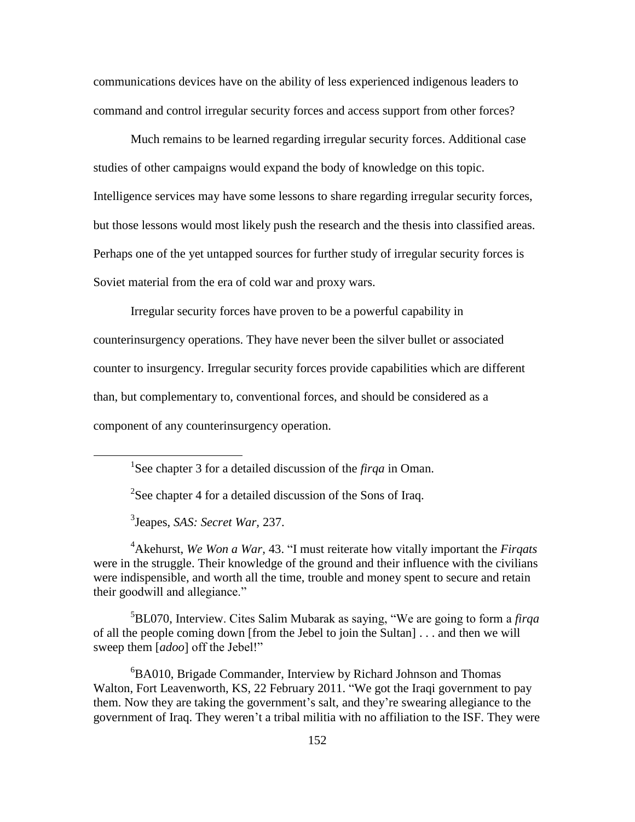communications devices have on the ability of less experienced indigenous leaders to command and control irregular security forces and access support from other forces?

Much remains to be learned regarding irregular security forces. Additional case studies of other campaigns would expand the body of knowledge on this topic. Intelligence services may have some lessons to share regarding irregular security forces, but those lessons would most likely push the research and the thesis into classified areas. Perhaps one of the yet untapped sources for further study of irregular security forces is Soviet material from the era of cold war and proxy wars.

Irregular security forces have proven to be a powerful capability in counterinsurgency operations. They have never been the silver bullet or associated counter to insurgency. Irregular security forces provide capabilities which are different than, but complementary to, conventional forces, and should be considered as a component of any counterinsurgency operation.

<sup>2</sup>See chapter 4 for a detailed discussion of the Sons of Iraq.

3 Jeapes, *SAS: Secret War,* 237.

 $\overline{a}$ 

<sup>4</sup>Akehurst, *We Won a War*, 43. "I must reiterate how vitally important the *Firgats* were in the struggle. Their knowledge of the ground and their influence with the civilians were indispensible, and worth all the time, trouble and money spent to secure and retain their goodwill and allegiance."

 $5BL070$ , Interview. Cites Salim Mubarak as saying, "We are going to form a *firqa* of all the people coming down [from the Jebel to join the Sultan] . . . and then we will sweep them [ $adoo$ ] off the Jebel!"

 ${}^{6}$ BA010, Brigade Commander, Interview by Richard Johnson and Thomas Walton, Fort Leavenworth, KS, 22 February 2011. "We got the Iraqi government to pay them. Now they are taking the government's salt, and they're swearing allegiance to the government of Iraq. They weren't a tribal militia with no affiliation to the ISF. They were

<sup>&</sup>lt;sup>1</sup>See chapter 3 for a detailed discussion of the *firqa* in Oman.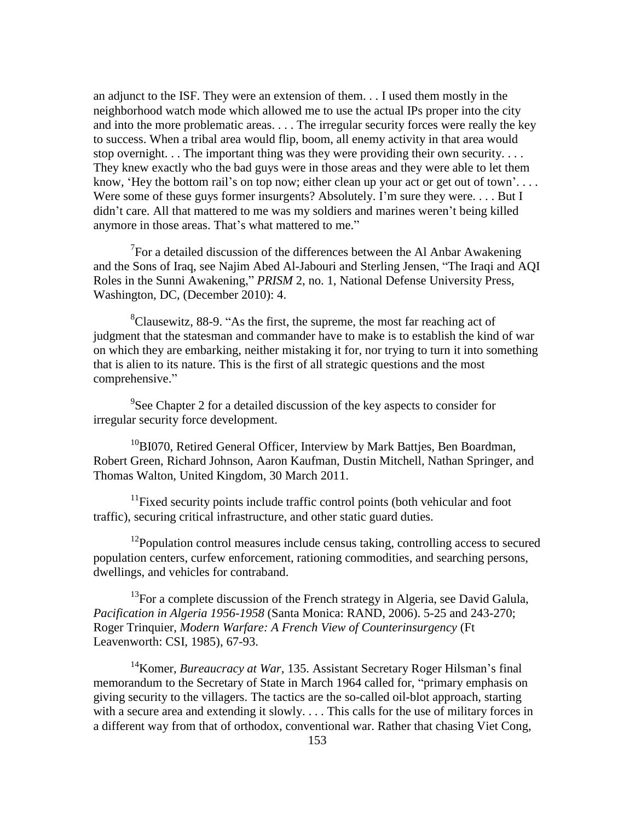an adjunct to the ISF. They were an extension of them. . . I used them mostly in the neighborhood watch mode which allowed me to use the actual IPs proper into the city and into the more problematic areas. . . . The irregular security forces were really the key to success. When a tribal area would flip, boom, all enemy activity in that area would stop overnight. . . The important thing was they were providing their own security. . . . They knew exactly who the bad guys were in those areas and they were able to let them know, 'Hey the bottom rail's on top now; either clean up your act or get out of town'.... Were some of these guys former insurgents? Absolutely. I'm sure they were.... But I didn't care. All that mattered to me was my soldiers and marines weren't being killed anymore in those areas. That's what mattered to me."

 $7$ For a detailed discussion of the differences between the Al Anbar Awakening and the Sons of Iraq, see Najim Abed Al-Jabouri and Sterling Jensen, "The Iraqi and AQI Roles in the Sunni Awakening," *PRISM* 2, no. 1, National Defense University Press, Washington, DC, (December 2010): 4.

 ${}^{8}$ Clausewitz, 88-9. "As the first, the supreme, the most far reaching act of judgment that the statesman and commander have to make is to establish the kind of war on which they are embarking, neither mistaking it for, nor trying to turn it into something that is alien to its nature. This is the first of all strategic questions and the most comprehensive."

 $9$ See Chapter 2 for a detailed discussion of the key aspects to consider for irregular security force development.

<sup>10</sup>BI070, Retired General Officer, Interview by Mark Battjes, Ben Boardman, Robert Green, Richard Johnson, Aaron Kaufman, Dustin Mitchell, Nathan Springer, and Thomas Walton, United Kingdom, 30 March 2011.

<sup>11</sup>Fixed security points include traffic control points (both vehicular and foot traffic), securing critical infrastructure, and other static guard duties.

 $12$ Population control measures include census taking, controlling access to secured population centers, curfew enforcement, rationing commodities, and searching persons, dwellings, and vehicles for contraband.

 $13$ For a complete discussion of the French strategy in Algeria, see David Galula, *Pacification in Algeria 1956-1958* (Santa Monica: RAND, 2006). 5-25 and 243-270; Roger Trinquier, *Modern Warfare: A French View of Counterinsurgency* (Ft Leavenworth: CSI, 1985), 67-93.

<sup>14</sup>Komer, *Bureaucracy at War*, 135. Assistant Secretary Roger Hilsman's final memorandum to the Secretary of State in March 1964 called for, "primary emphasis on giving security to the villagers. The tactics are the so-called oil-blot approach, starting with a secure area and extending it slowly. . . . This calls for the use of military forces in a different way from that of orthodox, conventional war. Rather that chasing Viet Cong,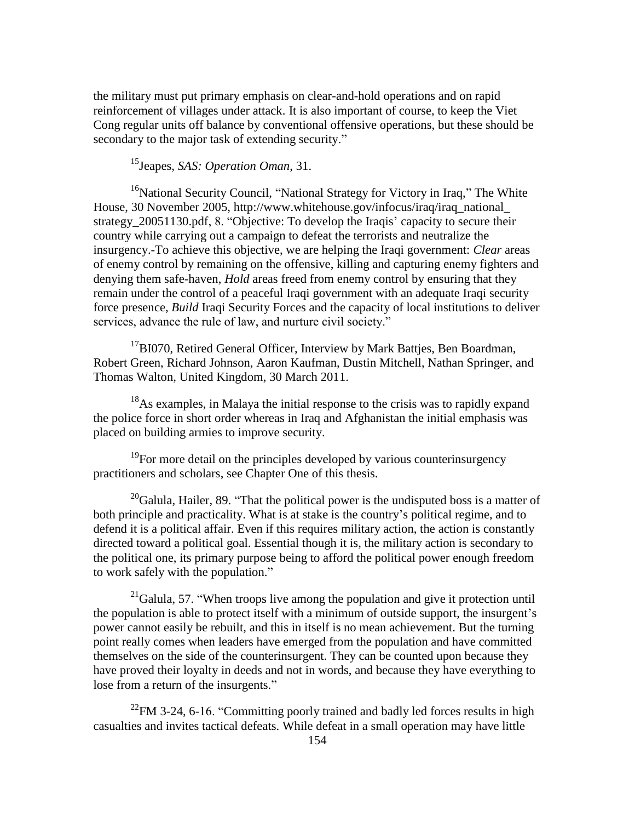the military must put primary emphasis on clear-and-hold operations and on rapid reinforcement of villages under attack. It is also important of course, to keep the Viet Cong regular units off balance by conventional offensive operations, but these should be secondary to the major task of extending security."

<sup>15</sup>Jeapes, *SAS: Operation Oman*, 31.

<sup>16</sup>National Security Council, "National Strategy for Victory in Iraq," The White House, 30 November 2005, http://www.whitehouse.gov/infocus/iraq/iraq\_national\_ strategy\_20051130.pdf, 8. "Objective: To develop the Iraqis' capacity to secure their country while carrying out a campaign to defeat the terrorists and neutralize the insurgency.-To achieve this objective, we are helping the Iraqi government: *Clear* areas of enemy control by remaining on the offensive, killing and capturing enemy fighters and denying them safe-haven, *Hold* areas freed from enemy control by ensuring that they remain under the control of a peaceful Iraqi government with an adequate Iraqi security force presence, *Build* Iraqi Security Forces and the capacity of local institutions to deliver services, advance the rule of law, and nurture civil society."

 $17B1070$ , Retired General Officer, Interview by Mark Battjes, Ben Boardman, Robert Green, Richard Johnson, Aaron Kaufman, Dustin Mitchell, Nathan Springer, and Thomas Walton, United Kingdom, 30 March 2011.

<sup>18</sup>As examples, in Malaya the initial response to the crisis was to rapidly expand the police force in short order whereas in Iraq and Afghanistan the initial emphasis was placed on building armies to improve security.

 $19$ For more detail on the principles developed by various counterinsurgency practitioners and scholars, see Chapter One of this thesis.

 $20$ Galula, Hailer, 89. "That the political power is the undisputed boss is a matter of both principle and practicality. What is at stake is the country's political regime, and to defend it is a political affair. Even if this requires military action, the action is constantly directed toward a political goal. Essential though it is, the military action is secondary to the political one, its primary purpose being to afford the political power enough freedom to work safely with the population."

 $^{21}$ Galula, 57. "When troops live among the population and give it protection until the population is able to protect itself with a minimum of outside support, the insurgent's power cannot easily be rebuilt, and this in itself is no mean achievement. But the turning point really comes when leaders have emerged from the population and have committed themselves on the side of the counterinsurgent. They can be counted upon because they have proved their loyalty in deeds and not in words, and because they have everything to lose from a return of the insurgents."

<sup>22</sup>FM 3-24, 6-16. "Committing poorly trained and badly led forces results in high casualties and invites tactical defeats. While defeat in a small operation may have little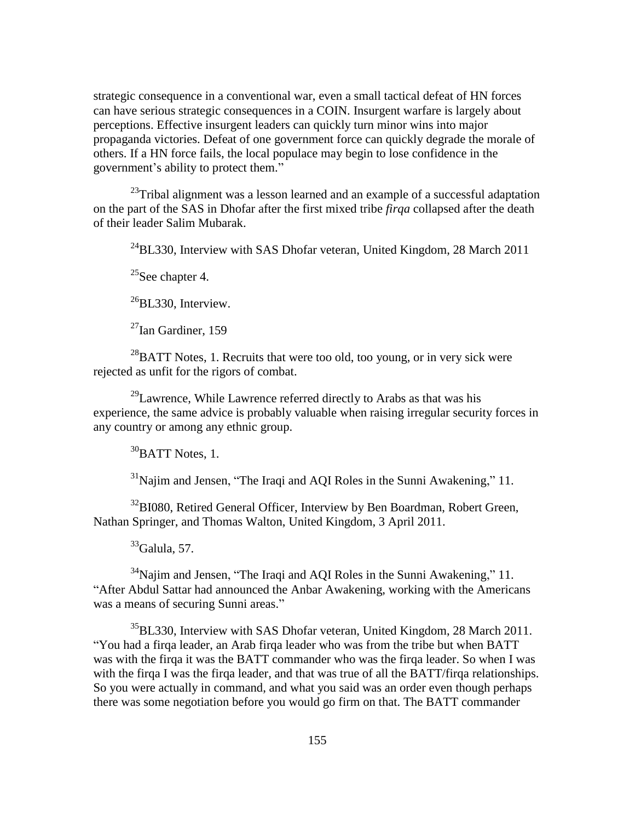strategic consequence in a conventional war, even a small tactical defeat of HN forces can have serious strategic consequences in a COIN. Insurgent warfare is largely about perceptions. Effective insurgent leaders can quickly turn minor wins into major propaganda victories. Defeat of one government force can quickly degrade the morale of others. If a HN force fails, the local populace may begin to lose confidence in the government's ability to protect them."

 $^{23}$ Tribal alignment was a lesson learned and an example of a successful adaptation on the part of the SAS in Dhofar after the first mixed tribe *firqa* collapsed after the death of their leader Salim Mubarak.

 $^{24}$ BL330, Interview with SAS Dhofar veteran, United Kingdom, 28 March 2011

<sup>25</sup>See chapter 4.

 $^{26}$ BL330, Interview.

 $^{27}$ Ian Gardiner, 159

 $^{28}$ BATT Notes, 1. Recruits that were too old, too young, or in very sick were rejected as unfit for the rigors of combat.

 $^{29}$ Lawrence, While Lawrence referred directly to Arabs as that was his experience, the same advice is probably valuable when raising irregular security forces in any country or among any ethnic group.

 $30$ BATT Notes, 1.

 $31$ Najim and Jensen, "The Iraqi and AQI Roles in the Sunni Awakening," 11.

<sup>32</sup>BI080, Retired General Officer, Interview by Ben Boardman, Robert Green, Nathan Springer, and Thomas Walton, United Kingdom, 3 April 2011.

 $33$ Galula, 57.

 $34$ Najim and Jensen, "The Iraqi and AQI Roles in the Sunni Awakening," 11. ―After Abdul Sattar had announced the Anbar Awakening, working with the Americans was a means of securing Sunni areas."

<sup>35</sup>BL330, Interview with SAS Dhofar veteran, United Kingdom, 28 March 2011. ―You had a firqa leader, an Arab firqa leader who was from the tribe but when BATT was with the firqa it was the BATT commander who was the firqa leader. So when I was with the firqa I was the firqa leader, and that was true of all the BATT/firqa relationships. So you were actually in command, and what you said was an order even though perhaps there was some negotiation before you would go firm on that. The BATT commander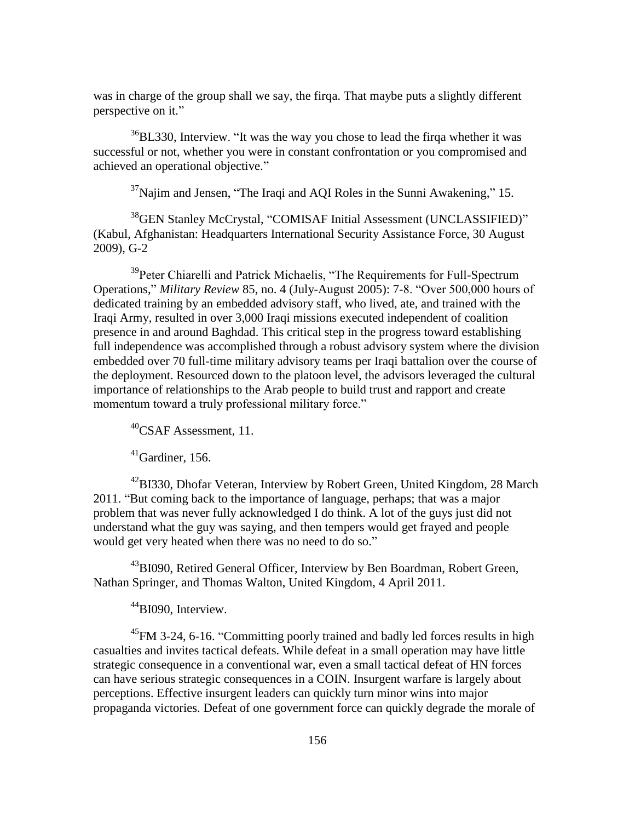was in charge of the group shall we say, the firqa. That maybe puts a slightly different perspective on it."

 $36BL330$ , Interview. "It was the way you chose to lead the firqa whether it was successful or not, whether you were in constant confrontation or you compromised and achieved an operational objective."

 $37$ Najim and Jensen, "The Iraqi and AQI Roles in the Sunni Awakening," 15.

<sup>38</sup>GEN Stanley McCrystal, "COMISAF Initial Assessment (UNCLASSIFIED)" (Kabul, Afghanistan: Headquarters International Security Assistance Force, 30 August 2009), G-2

<sup>39</sup>Peter Chiarelli and Patrick Michaelis, "The Requirements for Full-Spectrum Operations," *Military Review* 85, no. 4 (July-August 2005): 7-8. "Over 500,000 hours of dedicated training by an embedded advisory staff, who lived, ate, and trained with the Iraqi Army, resulted in over 3,000 Iraqi missions executed independent of coalition presence in and around Baghdad. This critical step in the progress toward establishing full independence was accomplished through a robust advisory system where the division embedded over 70 full-time military advisory teams per Iraqi battalion over the course of the deployment. Resourced down to the platoon level, the advisors leveraged the cultural importance of relationships to the Arab people to build trust and rapport and create momentum toward a truly professional military force."

 $^{40}$ CSAF Assessment, 11.

 $41$ Gardiner, 156.

<sup>42</sup>BI330, Dhofar Veteran, Interview by Robert Green, United Kingdom, 28 March 2011. "But coming back to the importance of language, perhaps; that was a major problem that was never fully acknowledged I do think. A lot of the guys just did not understand what the guy was saying, and then tempers would get frayed and people would get very heated when there was no need to do so."

<sup>43</sup>BI090, Retired General Officer, Interview by Ben Boardman, Robert Green, Nathan Springer, and Thomas Walton, United Kingdom, 4 April 2011.

<sup>44</sup>BI090, Interview.

 $^{45}$ FM 3-24, 6-16. "Committing poorly trained and badly led forces results in high casualties and invites tactical defeats. While defeat in a small operation may have little strategic consequence in a conventional war, even a small tactical defeat of HN forces can have serious strategic consequences in a COIN. Insurgent warfare is largely about perceptions. Effective insurgent leaders can quickly turn minor wins into major propaganda victories. Defeat of one government force can quickly degrade the morale of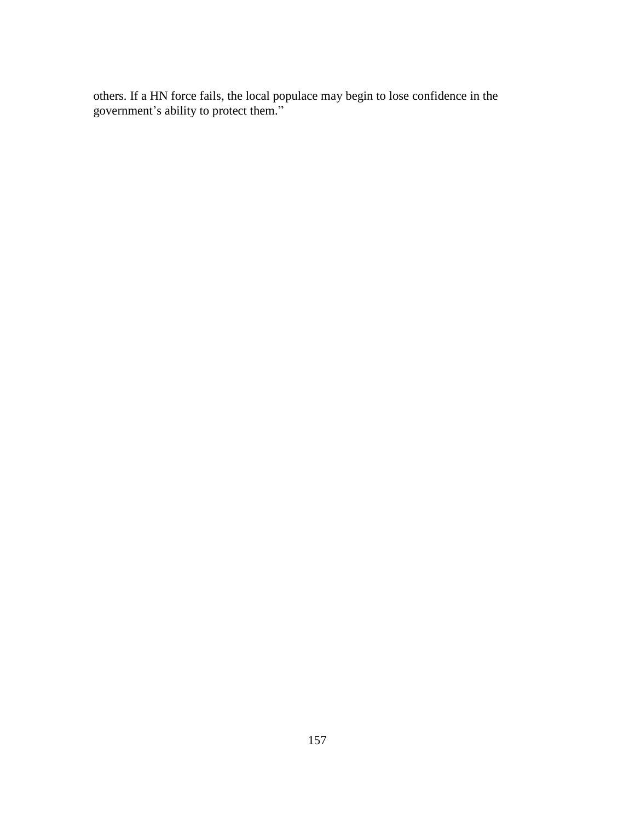others. If a HN force fails, the local populace may begin to lose confidence in the government's ability to protect them."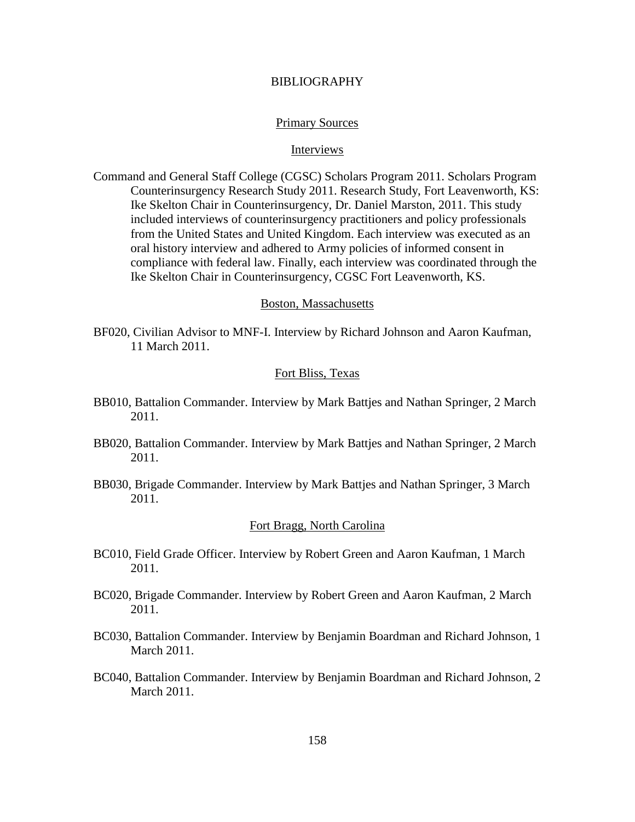### BIBLIOGRAPHY

#### Primary Sources

## Interviews

Command and General Staff College (CGSC) Scholars Program 2011. Scholars Program Counterinsurgency Research Study 2011. Research Study, Fort Leavenworth, KS: Ike Skelton Chair in Counterinsurgency, Dr. Daniel Marston, 2011. This study included interviews of counterinsurgency practitioners and policy professionals from the United States and United Kingdom. Each interview was executed as an oral history interview and adhered to Army policies of informed consent in compliance with federal law. Finally, each interview was coordinated through the Ike Skelton Chair in Counterinsurgency, CGSC Fort Leavenworth, KS.

### Boston, Massachusetts

BF020, Civilian Advisor to MNF-I. Interview by Richard Johnson and Aaron Kaufman, 11 March 2011.

## Fort Bliss, Texas

- BB010, Battalion Commander. Interview by Mark Battjes and Nathan Springer, 2 March 2011.
- BB020, Battalion Commander. Interview by Mark Battjes and Nathan Springer, 2 March 2011.
- BB030, Brigade Commander. Interview by Mark Battjes and Nathan Springer, 3 March 2011.

## Fort Bragg, North Carolina

- BC010, Field Grade Officer. Interview by Robert Green and Aaron Kaufman, 1 March 2011.
- BC020, Brigade Commander. Interview by Robert Green and Aaron Kaufman, 2 March 2011.
- BC030, Battalion Commander. Interview by Benjamin Boardman and Richard Johnson, 1 March 2011.
- BC040, Battalion Commander. Interview by Benjamin Boardman and Richard Johnson, 2 March 2011.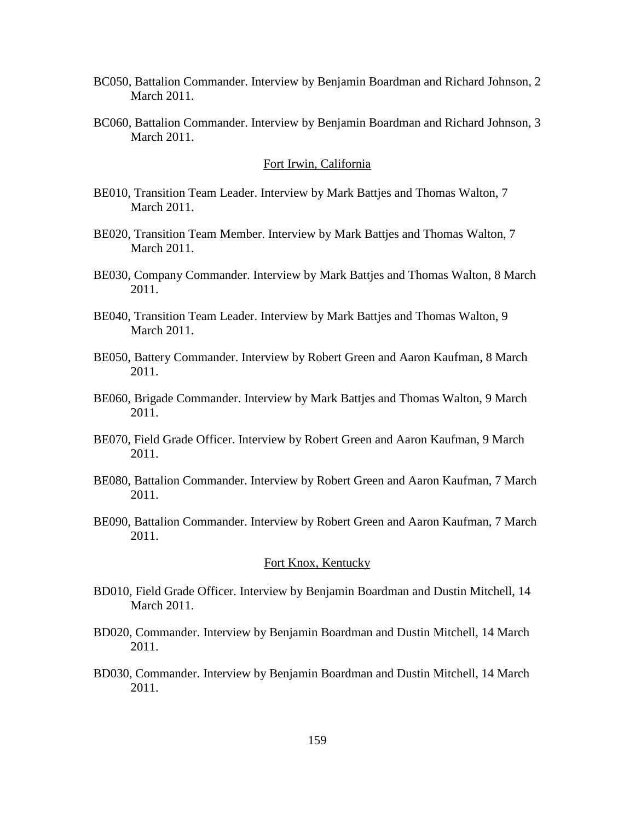- BC050, Battalion Commander. Interview by Benjamin Boardman and Richard Johnson, 2 March 2011.
- BC060, Battalion Commander. Interview by Benjamin Boardman and Richard Johnson, 3 March 2011.

#### Fort Irwin, California

- BE010, Transition Team Leader. Interview by Mark Battjes and Thomas Walton, 7 March 2011.
- BE020, Transition Team Member. Interview by Mark Battjes and Thomas Walton, 7 March 2011.
- BE030, Company Commander. Interview by Mark Battjes and Thomas Walton, 8 March 2011.
- BE040, Transition Team Leader. Interview by Mark Battjes and Thomas Walton, 9 March 2011.
- BE050, Battery Commander. Interview by Robert Green and Aaron Kaufman, 8 March 2011.
- BE060, Brigade Commander. Interview by Mark Battjes and Thomas Walton, 9 March 2011.
- BE070, Field Grade Officer. Interview by Robert Green and Aaron Kaufman, 9 March 2011.
- BE080, Battalion Commander. Interview by Robert Green and Aaron Kaufman, 7 March 2011.
- BE090, Battalion Commander. Interview by Robert Green and Aaron Kaufman, 7 March 2011.

## Fort Knox, Kentucky

- BD010, Field Grade Officer. Interview by Benjamin Boardman and Dustin Mitchell, 14 March 2011.
- BD020, Commander. Interview by Benjamin Boardman and Dustin Mitchell, 14 March 2011.
- BD030, Commander. Interview by Benjamin Boardman and Dustin Mitchell, 14 March 2011.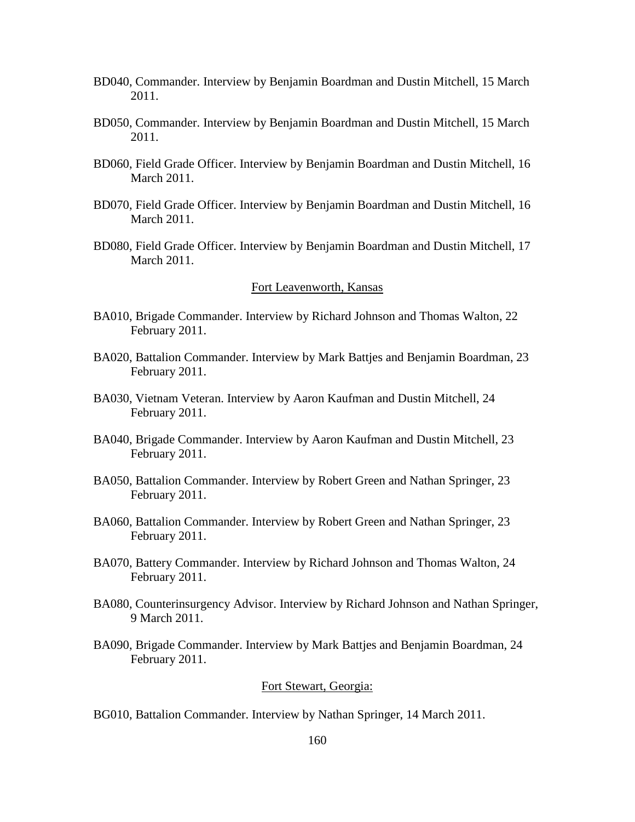- BD040, Commander. Interview by Benjamin Boardman and Dustin Mitchell, 15 March 2011.
- BD050, Commander. Interview by Benjamin Boardman and Dustin Mitchell, 15 March 2011.
- BD060, Field Grade Officer. Interview by Benjamin Boardman and Dustin Mitchell, 16 March 2011.
- BD070, Field Grade Officer. Interview by Benjamin Boardman and Dustin Mitchell, 16 March 2011.
- BD080, Field Grade Officer. Interview by Benjamin Boardman and Dustin Mitchell, 17 March 2011.

### Fort Leavenworth, Kansas

- BA010, Brigade Commander. Interview by Richard Johnson and Thomas Walton, 22 February 2011.
- BA020, Battalion Commander. Interview by Mark Battjes and Benjamin Boardman, 23 February 2011.
- BA030, Vietnam Veteran. Interview by Aaron Kaufman and Dustin Mitchell, 24 February 2011.
- BA040, Brigade Commander. Interview by Aaron Kaufman and Dustin Mitchell, 23 February 2011.
- BA050, Battalion Commander. Interview by Robert Green and Nathan Springer, 23 February 2011.
- BA060, Battalion Commander. Interview by Robert Green and Nathan Springer, 23 February 2011.
- BA070, Battery Commander. Interview by Richard Johnson and Thomas Walton, 24 February 2011.
- BA080, Counterinsurgency Advisor. Interview by Richard Johnson and Nathan Springer, 9 March 2011.
- BA090, Brigade Commander. Interview by Mark Battjes and Benjamin Boardman, 24 February 2011.

# Fort Stewart, Georgia:

BG010, Battalion Commander. Interview by Nathan Springer, 14 March 2011.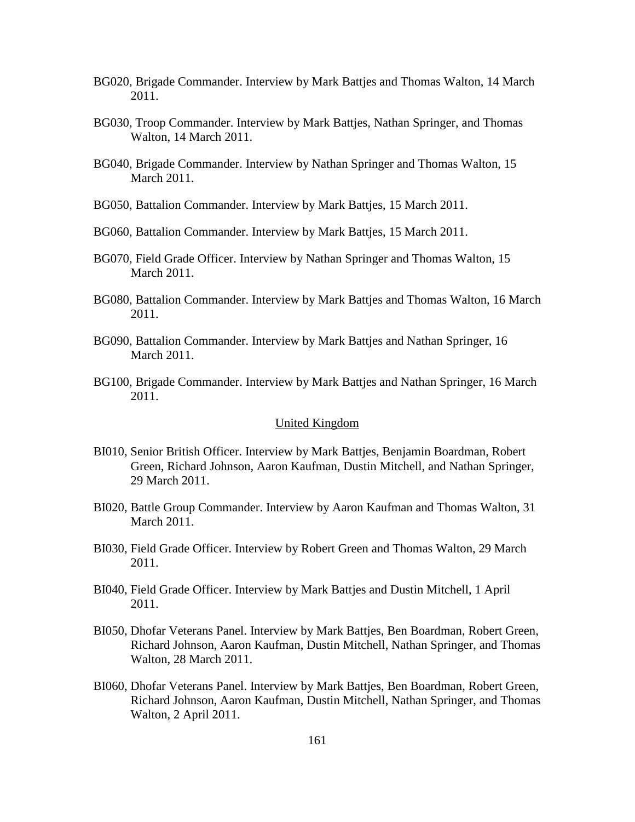- BG020, Brigade Commander. Interview by Mark Battjes and Thomas Walton, 14 March 2011.
- BG030, Troop Commander. Interview by Mark Battjes, Nathan Springer, and Thomas Walton, 14 March 2011.
- BG040, Brigade Commander. Interview by Nathan Springer and Thomas Walton, 15 March 2011.
- BG050, Battalion Commander. Interview by Mark Battjes, 15 March 2011.
- BG060, Battalion Commander. Interview by Mark Battjes, 15 March 2011.
- BG070, Field Grade Officer. Interview by Nathan Springer and Thomas Walton, 15 March 2011.
- BG080, Battalion Commander. Interview by Mark Battjes and Thomas Walton, 16 March 2011.
- BG090, Battalion Commander. Interview by Mark Battjes and Nathan Springer, 16 March 2011.
- BG100, Brigade Commander. Interview by Mark Battjes and Nathan Springer, 16 March 2011.

### United Kingdom

- BI010, Senior British Officer. Interview by Mark Battjes, Benjamin Boardman, Robert Green, Richard Johnson, Aaron Kaufman, Dustin Mitchell, and Nathan Springer, 29 March 2011.
- BI020, Battle Group Commander. Interview by Aaron Kaufman and Thomas Walton, 31 March 2011.
- BI030, Field Grade Officer. Interview by Robert Green and Thomas Walton, 29 March 2011.
- BI040, Field Grade Officer. Interview by Mark Battjes and Dustin Mitchell, 1 April 2011.
- BI050, Dhofar Veterans Panel. Interview by Mark Battjes, Ben Boardman, Robert Green, Richard Johnson, Aaron Kaufman, Dustin Mitchell, Nathan Springer, and Thomas Walton, 28 March 2011.
- BI060, Dhofar Veterans Panel. Interview by Mark Battjes, Ben Boardman, Robert Green, Richard Johnson, Aaron Kaufman, Dustin Mitchell, Nathan Springer, and Thomas Walton, 2 April 2011.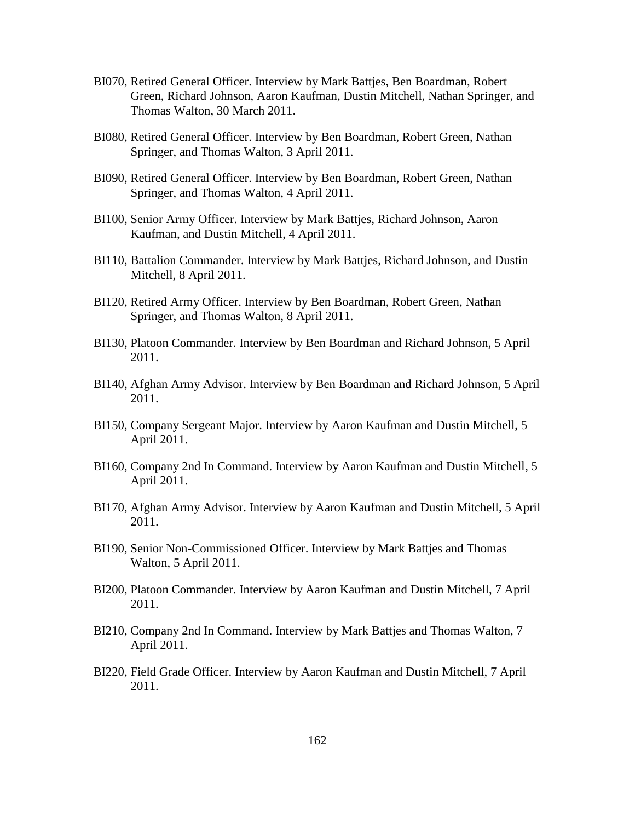- BI070, Retired General Officer. Interview by Mark Battjes, Ben Boardman, Robert Green, Richard Johnson, Aaron Kaufman, Dustin Mitchell, Nathan Springer, and Thomas Walton, 30 March 2011.
- BI080, Retired General Officer. Interview by Ben Boardman, Robert Green, Nathan Springer, and Thomas Walton, 3 April 2011.
- BI090, Retired General Officer. Interview by Ben Boardman, Robert Green, Nathan Springer, and Thomas Walton, 4 April 2011.
- BI100, Senior Army Officer. Interview by Mark Battjes, Richard Johnson, Aaron Kaufman, and Dustin Mitchell, 4 April 2011.
- BI110, Battalion Commander. Interview by Mark Battjes, Richard Johnson, and Dustin Mitchell, 8 April 2011.
- BI120, Retired Army Officer. Interview by Ben Boardman, Robert Green, Nathan Springer, and Thomas Walton, 8 April 2011.
- BI130, Platoon Commander. Interview by Ben Boardman and Richard Johnson, 5 April 2011.
- BI140, Afghan Army Advisor. Interview by Ben Boardman and Richard Johnson, 5 April 2011.
- BI150, Company Sergeant Major. Interview by Aaron Kaufman and Dustin Mitchell, 5 April 2011.
- BI160, Company 2nd In Command. Interview by Aaron Kaufman and Dustin Mitchell, 5 April 2011.
- BI170, Afghan Army Advisor. Interview by Aaron Kaufman and Dustin Mitchell, 5 April 2011.
- BI190, Senior Non-Commissioned Officer. Interview by Mark Battjes and Thomas Walton, 5 April 2011.
- BI200, Platoon Commander. Interview by Aaron Kaufman and Dustin Mitchell, 7 April 2011.
- BI210, Company 2nd In Command. Interview by Mark Battjes and Thomas Walton, 7 April 2011.
- BI220, Field Grade Officer. Interview by Aaron Kaufman and Dustin Mitchell, 7 April 2011.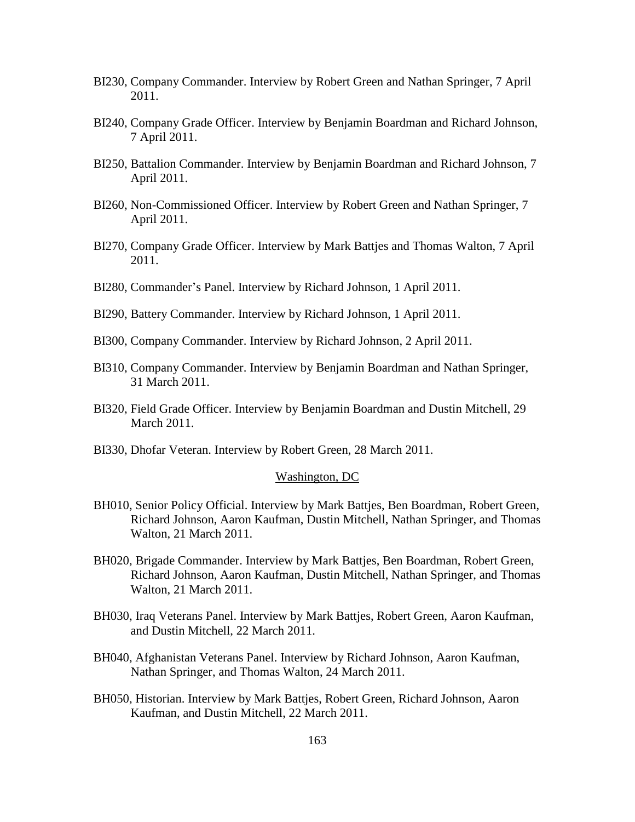- BI230, Company Commander. Interview by Robert Green and Nathan Springer, 7 April 2011.
- BI240, Company Grade Officer. Interview by Benjamin Boardman and Richard Johnson, 7 April 2011.
- BI250, Battalion Commander. Interview by Benjamin Boardman and Richard Johnson, 7 April 2011.
- BI260, Non-Commissioned Officer. Interview by Robert Green and Nathan Springer, 7 April 2011.
- BI270, Company Grade Officer. Interview by Mark Battjes and Thomas Walton, 7 April 2011.
- BI280, Commander's Panel. Interview by Richard Johnson, 1 April 2011.
- BI290, Battery Commander. Interview by Richard Johnson, 1 April 2011.
- BI300, Company Commander. Interview by Richard Johnson, 2 April 2011.
- BI310, Company Commander. Interview by Benjamin Boardman and Nathan Springer, 31 March 2011.
- BI320, Field Grade Officer. Interview by Benjamin Boardman and Dustin Mitchell, 29 March 2011.
- BI330, Dhofar Veteran. Interview by Robert Green, 28 March 2011.

#### Washington, DC

- BH010, Senior Policy Official. Interview by Mark Battjes, Ben Boardman, Robert Green, Richard Johnson, Aaron Kaufman, Dustin Mitchell, Nathan Springer, and Thomas Walton, 21 March 2011.
- BH020, Brigade Commander. Interview by Mark Battjes, Ben Boardman, Robert Green, Richard Johnson, Aaron Kaufman, Dustin Mitchell, Nathan Springer, and Thomas Walton, 21 March 2011.
- BH030, Iraq Veterans Panel. Interview by Mark Battjes, Robert Green, Aaron Kaufman, and Dustin Mitchell, 22 March 2011.
- BH040, Afghanistan Veterans Panel. Interview by Richard Johnson, Aaron Kaufman, Nathan Springer, and Thomas Walton, 24 March 2011.
- BH050, Historian. Interview by Mark Battjes, Robert Green, Richard Johnson, Aaron Kaufman, and Dustin Mitchell, 22 March 2011.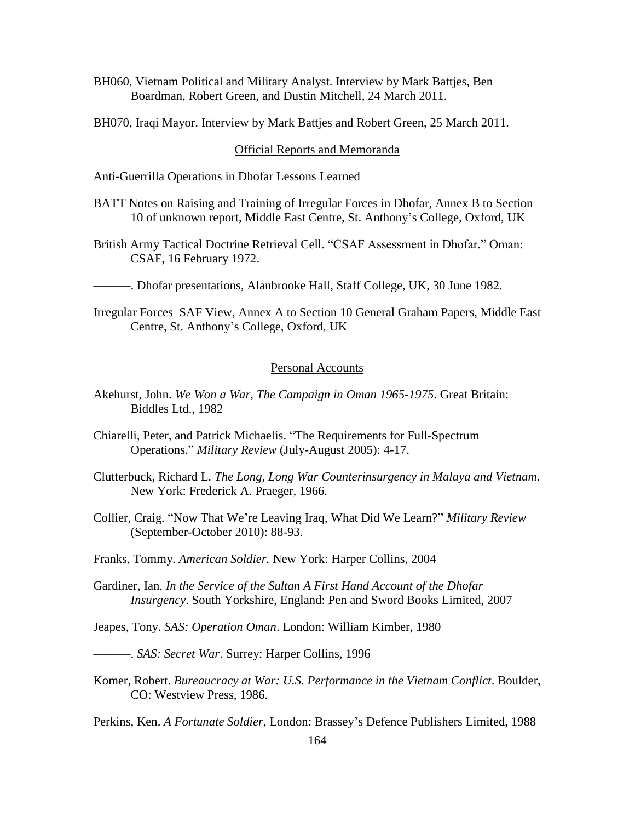- BH060, Vietnam Political and Military Analyst. Interview by Mark Battjes, Ben Boardman, Robert Green, and Dustin Mitchell, 24 March 2011.
- BH070, Iraqi Mayor. Interview by Mark Battjes and Robert Green, 25 March 2011.

### Official Reports and Memoranda

- Anti-Guerrilla Operations in Dhofar Lessons Learned
- BATT Notes on Raising and Training of Irregular Forces in Dhofar, Annex B to Section 10 of unknown report, Middle East Centre, St. Anthony's College, Oxford, UK
- British Army Tactical Doctrine Retrieval Cell. "CSAF Assessment in Dhofar." Oman: CSAF, 16 February 1972.
- ———. Dhofar presentations, Alanbrooke Hall, Staff College, UK, 30 June 1982.
- Irregular Forces–SAF View, Annex A to Section 10 General Graham Papers, Middle East Centre, St. Anthony's College, Oxford, UK

## Personal Accounts

- Akehurst, John. *We Won a War, The Campaign in Oman 1965-1975*. Great Britain: Biddles Ltd., 1982
- Chiarelli, Peter, and Patrick Michaelis. "The Requirements for Full-Spectrum Operations.‖ *Military Review* (July-August 2005): 4-17.
- Clutterbuck, Richard L. *The Long, Long War Counterinsurgency in Malaya and Vietnam.* New York: Frederick A. Praeger, 1966.
- Collier, Craig. "Now That We're Leaving Iraq, What Did We Learn?" *Military Review* (September-October 2010): 88-93.
- Franks, Tommy. *American Soldier.* New York: Harper Collins, 2004
- Gardiner, Ian. *In the Service of the Sultan A First Hand Account of the Dhofar Insurgency*. South Yorkshire, England: Pen and Sword Books Limited, 2007
- Jeapes, Tony. *SAS: Operation Oman*. London: William Kimber, 1980
- ———. *SAS: Secret War*. Surrey: Harper Collins, 1996
- Komer, Robert. *Bureaucracy at War: U.S. Performance in the Vietnam Conflict*. Boulder, CO: Westview Press, 1986.

Perkins, Ken. *A Fortunate Soldier*, London: Brassey's Defence Publishers Limited, 1988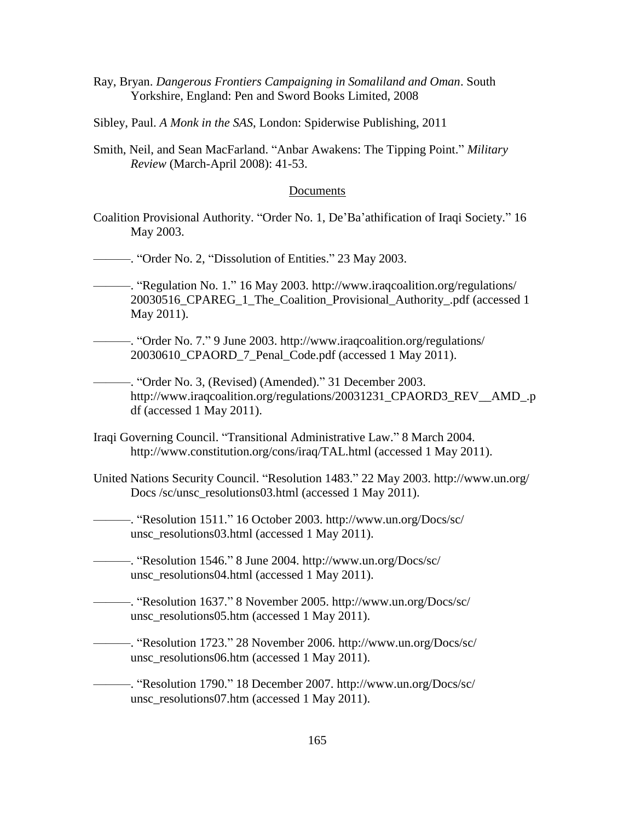- Ray, Bryan. *Dangerous Frontiers Campaigning in Somaliland and Oman*. South Yorkshire, England: Pen and Sword Books Limited, 2008
- Sibley, Paul. *A Monk in the SAS*, London: Spiderwise Publishing, 2011
- Smith, Neil, and Sean MacFarland. "Anbar Awakens: The Tipping Point." *Military Review* (March-April 2008): 41-53.

#### Documents

- Coalition Provisional Authority. "Order No. 1, De'Ba'athification of Iraqi Society." 16 May 2003.
- ———. "Order No. 2, "Dissolution of Entities." 23 May 2003.
- —. "Regulation No. 1." 16 May 2003. http://www.iraqcoalition.org/regulations/ 20030516\_CPAREG\_1\_The\_Coalition\_Provisional\_Authority\_.pdf (accessed 1 May 2011).
- ———. "Order No. 7." 9 June 2003. http://www.iraqcoalition.org/regulations/ 20030610\_CPAORD\_7\_Penal\_Code.pdf (accessed 1 May 2011).

——. "Order No. 3, (Revised) (Amended)." 31 December 2003. http://www.iraqcoalition.org/regulations/20031231\_CPAORD3\_REV\_\_AMD\_.p df (accessed 1 May 2011).

- Iraqi Governing Council. "Transitional Administrative Law." 8 March 2004. http://www.constitution.org/cons/iraq/TAL.html (accessed 1 May 2011).
- United Nations Security Council. "Resolution 1483." 22 May 2003. http://www.un.org/ Docs /sc/unsc\_resolutions03.html (accessed 1 May 2011).

——. "Resolution 1511." 16 October 2003. http://www.un.org/Docs/sc/ unsc\_resolutions03.html (accessed 1 May 2011).

———. ―Resolution 1546.‖ 8 June 2004. http://www.un.org/Docs/sc/ unsc\_resolutions04.html (accessed 1 May 2011).

———. "Resolution 1637." 8 November 2005. http://www.un.org/Docs/sc/ unsc\_resolutions05.htm (accessed 1 May 2011).

———. "Resolution 1723." 28 November 2006. http://www.un.org/Docs/sc/ unsc\_resolutions06.htm (accessed 1 May 2011).

———. "Resolution 1790." 18 December 2007. http://www.un.org/Docs/sc/ unsc\_resolutions07.htm (accessed 1 May 2011).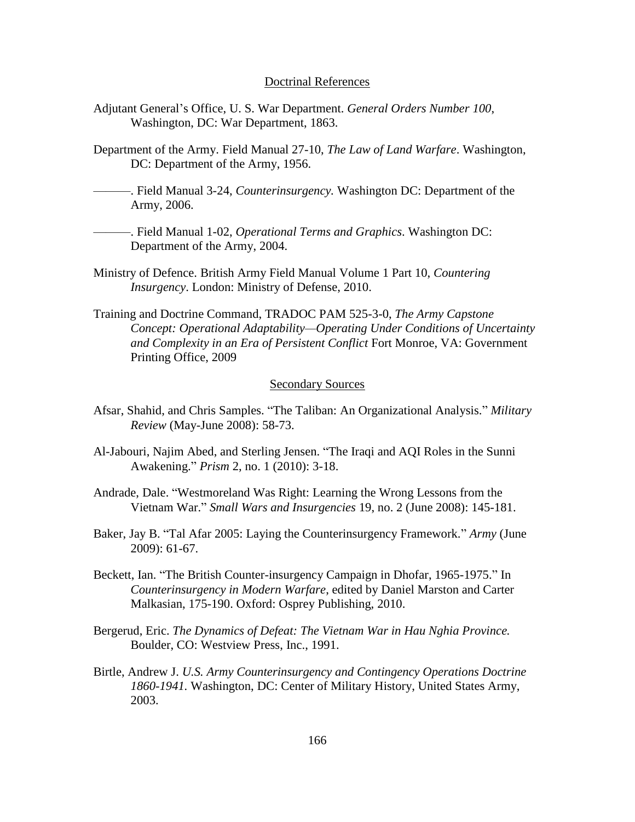#### Doctrinal References

- Adjutant General's Office, U. S. War Department. *General Orders Number 100*, Washington, DC: War Department, 1863.
- Department of the Army. Field Manual 27-10, *The Law of Land Warfare*. Washington, DC: Department of the Army, 1956.
- ———. Field Manual 3-24, *Counterinsurgency.* Washington DC: Department of the Army, 2006.
- ———. Field Manual 1-02, *Operational Terms and Graphics*. Washington DC: Department of the Army, 2004.
- Ministry of Defence. British Army Field Manual Volume 1 Part 10, *Countering Insurgency*. London: Ministry of Defense, 2010.
- Training and Doctrine Command, TRADOC PAM 525-3-0, *The Army Capstone Concept: Operational Adaptability—Operating Under Conditions of Uncertainty and Complexity in an Era of Persistent Conflict* Fort Monroe, VA: Government Printing Office, 2009

# Secondary Sources

- Afsar, Shahid, and Chris Samples. "The Taliban: An Organizational Analysis." *Military Review* (May-June 2008): 58-73.
- Al-Jabouri, Najim Abed, and Sterling Jensen. "The Iraqi and AQI Roles in the Sunni Awakening.‖ *Prism* 2, no. 1 (2010): 3-18.
- Andrade, Dale. "Westmoreland Was Right: Learning the Wrong Lessons from the Vietnam War.‖ *Small Wars and Insurgencies* 19, no. 2 (June 2008): 145-181.
- Baker, Jay B. "Tal Afar 2005: Laying the Counterinsurgency Framework." *Army* (June 2009): 61-67.
- Beckett, Ian. "The British Counter-insurgency Campaign in Dhofar, 1965-1975." In *Counterinsurgency in Modern Warfare*, edited by Daniel Marston and Carter Malkasian, 175-190. Oxford: Osprey Publishing, 2010.
- Bergerud, Eric. *The Dynamics of Defeat: The Vietnam War in Hau Nghia Province.* Boulder, CO: Westview Press, Inc., 1991.
- Birtle, Andrew J. *U.S. Army Counterinsurgency and Contingency Operations Doctrine 1860-1941.* Washington, DC: Center of Military History, United States Army, 2003.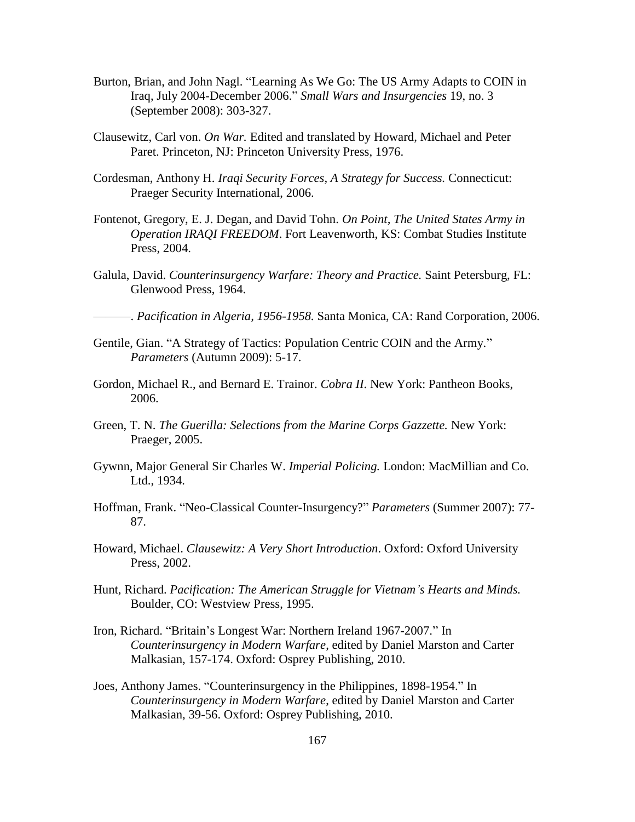- Burton, Brian, and John Nagl. "Learning As We Go: The US Army Adapts to COIN in Iraq, July 2004-December 2006." *Small Wars and Insurgencies* 19, no. 3 (September 2008): 303-327.
- Clausewitz, Carl von. *On War.* Edited and translated by Howard, Michael and Peter Paret. Princeton, NJ: Princeton University Press, 1976.
- Cordesman, Anthony H. *Iraqi Security Forces, A Strategy for Success.* Connecticut: Praeger Security International, 2006.
- Fontenot, Gregory, E. J. Degan, and David Tohn. *On Point, The United States Army in Operation IRAQI FREEDOM*. Fort Leavenworth, KS: Combat Studies Institute Press, 2004.
- Galula, David. *Counterinsurgency Warfare: Theory and Practice.* Saint Petersburg, FL: Glenwood Press, 1964.

———. *Pacification in Algeria, 1956-1958.* Santa Monica, CA: Rand Corporation, 2006.

- Gentile, Gian. "A Strategy of Tactics: Population Centric COIN and the Army." *Parameters* (Autumn 2009): 5-17.
- Gordon, Michael R., and Bernard E. Trainor. *Cobra II*. New York: Pantheon Books, 2006.
- Green, T. N. *The Guerilla: Selections from the Marine Corps Gazzette.* New York: Praeger, 2005.
- Gywnn, Major General Sir Charles W. *Imperial Policing.* London: MacMillian and Co. Ltd., 1934.
- Hoffman, Frank. "Neo-Classical Counter-Insurgency?" *Parameters* (Summer 2007): 77-87.
- Howard, Michael. *Clausewitz: A Very Short Introduction*. Oxford: Oxford University Press, 2002.
- Hunt, Richard. *Pacification: The American Struggle for Vietnam's Hearts and Minds.* Boulder, CO: Westview Press, 1995.
- Iron, Richard. "Britain's Longest War: Northern Ireland 1967-2007." In *Counterinsurgency in Modern Warfare*, edited by Daniel Marston and Carter Malkasian, 157-174. Oxford: Osprey Publishing, 2010.
- Joes, Anthony James. "Counterinsurgency in the Philippines, 1898-1954." In *Counterinsurgency in Modern Warfare*, edited by Daniel Marston and Carter Malkasian, 39-56. Oxford: Osprey Publishing, 2010.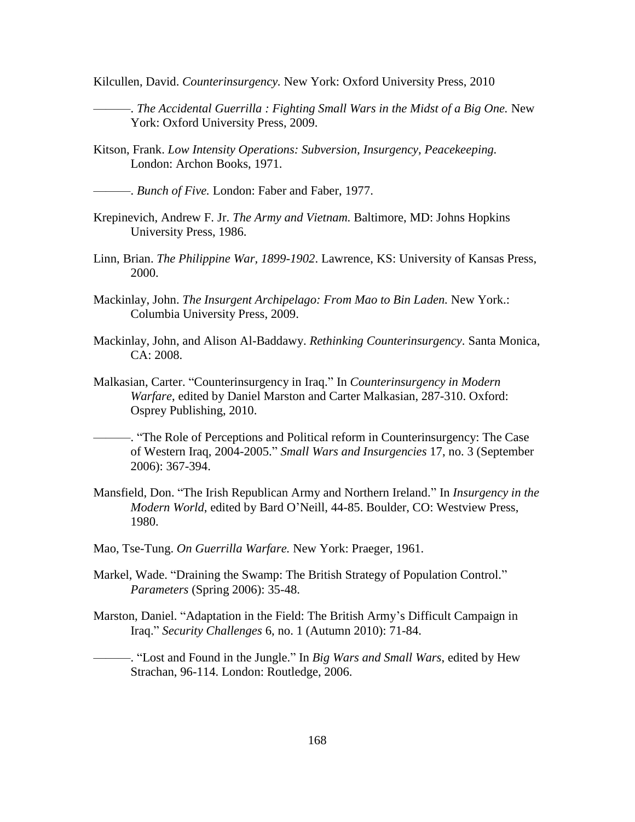Kilcullen, David. *Counterinsurgency.* New York: Oxford University Press, 2010

- ———. *The Accidental Guerrilla : Fighting Small Wars in the Midst of a Big One.* New York: Oxford University Press, 2009.
- Kitson, Frank. *Low Intensity Operations: Subversion, Insurgency, Peacekeeping.* London: Archon Books, 1971.
- ———. *Bunch of Five.* London: Faber and Faber, 1977.
- Krepinevich, Andrew F. Jr. *The Army and Vietnam.* Baltimore, MD: Johns Hopkins University Press, 1986.
- Linn, Brian. *The Philippine War, 1899-1902*. Lawrence, KS: University of Kansas Press, 2000.
- Mackinlay, John. *The Insurgent Archipelago: From Mao to Bin Laden.* New York.: Columbia University Press, 2009.
- Mackinlay, John, and Alison Al-Baddawy. *Rethinking Counterinsurgency*. Santa Monica, CA: 2008.
- Malkasian, Carter. "Counterinsurgency in Iraq." In *Counterinsurgency in Modern Warfare*, edited by Daniel Marston and Carter Malkasian, 287-310. Oxford: Osprey Publishing, 2010.
- ———. ―The Role of Perceptions and Political reform in Counterinsurgency: The Case of Western Iraq, 2004-2005.‖ *Small Wars and Insurgencies* 17, no. 3 (September 2006): 367-394.
- Mansfield, Don. "The Irish Republican Army and Northern Ireland." In *Insurgency in the Modern World*, edited by Bard O'Neill, 44-85. Boulder, CO: Westview Press, 1980.
- Mao, Tse-Tung. *On Guerrilla Warfare.* New York: Praeger, 1961.
- Markel, Wade. "Draining the Swamp: The British Strategy of Population Control." *Parameters* (Spring 2006): 35-48.
- Marston, Daniel. "Adaptation in the Field: The British Army's Difficult Campaign in Iraq.‖ *Security Challenges* 6, no. 1 (Autumn 2010): 71-84.
	- ———. ―Lost and Found in the Jungle.‖ In *Big Wars and Small Wars*, edited by Hew Strachan, 96-114. London: Routledge, 2006.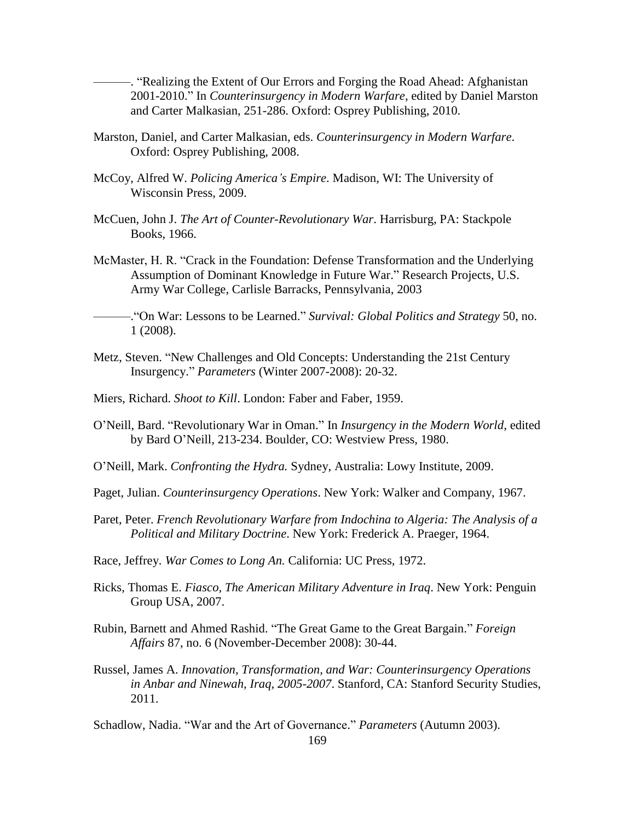———. ―Realizing the Extent of Our Errors and Forging the Road Ahead: Afghanistan 2001-2010." In *Counterinsurgency in Modern Warfare*, edited by Daniel Marston and Carter Malkasian, 251-286. Oxford: Osprey Publishing, 2010.

- Marston, Daniel, and Carter Malkasian, eds. *Counterinsurgency in Modern Warfare*. Oxford: Osprey Publishing, 2008.
- McCoy, Alfred W. *Policing America's Empire*. Madison, WI: The University of Wisconsin Press, 2009.
- McCuen, John J. *The Art of Counter-Revolutionary War*. Harrisburg, PA: Stackpole Books, 1966.
- McMaster, H. R. "Crack in the Foundation: Defense Transformation and the Underlying Assumption of Dominant Knowledge in Future War." Research Projects, U.S. Army War College, Carlisle Barracks, Pennsylvania, 2003

———.―On War: Lessons to be Learned.‖ *Survival: Global Politics and Strategy* 50, no. 1 (2008).

- Metz, Steven. "New Challenges and Old Concepts: Understanding the 21st Century Insurgency.‖ *Parameters* (Winter 2007-2008): 20-32.
- Miers, Richard. *Shoot to Kill*. London: Faber and Faber, 1959.
- O'Neill, Bard. "Revolutionary War in Oman." In *Insurgency in the Modern World*, edited by Bard O'Neill, 213-234. Boulder, CO: Westview Press, 1980.
- O'Neill, Mark. *Confronting the Hydra.* Sydney, Australia: Lowy Institute, 2009.
- Paget, Julian. *Counterinsurgency Operations*. New York: Walker and Company, 1967.
- Paret, Peter. *French Revolutionary Warfare from Indochina to Algeria: The Analysis of a Political and Military Doctrine*. New York: Frederick A. Praeger, 1964.
- Race, Jeffrey. *War Comes to Long An.* California: UC Press, 1972.
- Ricks, Thomas E. *Fiasco, The American Military Adventure in Iraq*. New York: Penguin Group USA, 2007.
- Rubin, Barnett and Ahmed Rashid. "The Great Game to the Great Bargain." *Foreign Affairs* 87, no. 6 (November-December 2008): 30-44.
- Russel, James A. *Innovation, Transformation, and War: Counterinsurgency Operations in Anbar and Ninewah, Iraq, 2005-2007*. Stanford, CA: Stanford Security Studies, 2011.

Schadlow, Nadia. "War and the Art of Governance." *Parameters* (Autumn 2003).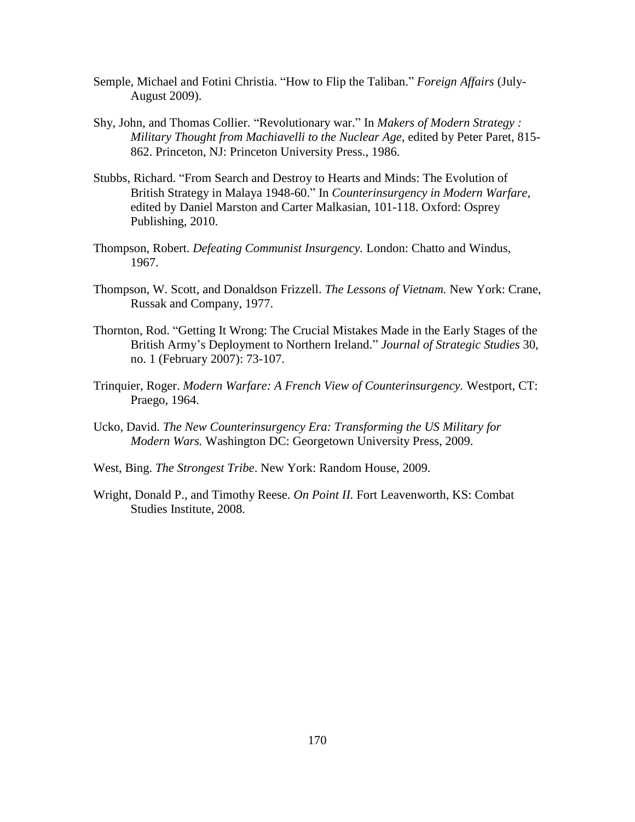- Semple, Michael and Fotini Christia. "How to Flip the Taliban." *Foreign Affairs* (July-August 2009).
- Shy, John, and Thomas Collier. "Revolutionary war." In *Makers of Modern Strategy : Military Thought from Machiavelli to the Nuclear Age*, edited by Peter Paret, 815- 862. Princeton, NJ: Princeton University Press., 1986.
- Stubbs, Richard. "From Search and Destroy to Hearts and Minds: The Evolution of British Strategy in Malaya 1948-60." In *Counterinsurgency in Modern Warfare*, edited by Daniel Marston and Carter Malkasian, 101-118. Oxford: Osprey Publishing, 2010.
- Thompson, Robert. *Defeating Communist Insurgency.* London: Chatto and Windus, 1967.
- Thompson, W. Scott, and Donaldson Frizzell. *The Lessons of Vietnam.* New York: Crane, Russak and Company, 1977.
- Thornton, Rod. "Getting It Wrong: The Crucial Mistakes Made in the Early Stages of the British Army's Deployment to Northern Ireland.‖ *Journal of Strategic Studies* 30, no. 1 (February 2007): 73-107.
- Trinquier, Roger. *Modern Warfare: A French View of Counterinsurgency.* Westport, CT: Praego, 1964.
- Ucko, David. *The New Counterinsurgency Era: Transforming the US Military for Modern Wars.* Washington DC: Georgetown University Press, 2009.
- West, Bing. *The Strongest Tribe*. New York: Random House, 2009.
- Wright, Donald P., and Timothy Reese. *On Point II.* Fort Leavenworth, KS: Combat Studies Institute, 2008.